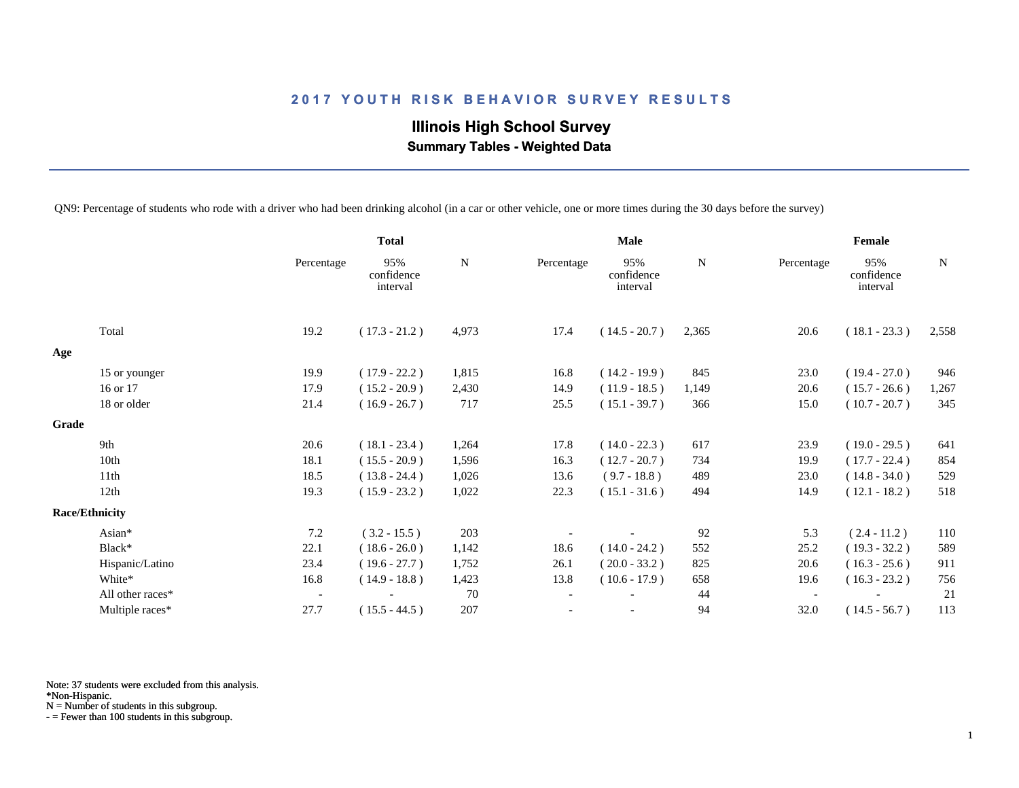**Illinois High School Survey Summary Tables - Weighted Data**

QN9: Percentage of students who rode with a driver who had been drinking alcohol (in a car or other vehicle, one or more times during the 30 days before the survey)

|       |                       |                          | <b>Total</b>                  |             | <b>Male</b> |                               |       | Female                   |                               |       |
|-------|-----------------------|--------------------------|-------------------------------|-------------|-------------|-------------------------------|-------|--------------------------|-------------------------------|-------|
|       |                       | Percentage               | 95%<br>confidence<br>interval | $\mathbf N$ | Percentage  | 95%<br>confidence<br>interval | N     | Percentage               | 95%<br>confidence<br>interval | N     |
|       | Total                 | 19.2                     | $(17.3 - 21.2)$               | 4,973       | 17.4        | $(14.5 - 20.7)$               | 2,365 | 20.6                     | $(18.1 - 23.3)$               | 2,558 |
| Age   |                       |                          |                               |             |             |                               |       |                          |                               |       |
|       | 15 or younger         | 19.9                     | $(17.9 - 22.2)$               | 1,815       | 16.8        | $(14.2 - 19.9)$               | 845   | 23.0                     | $(19.4 - 27.0)$               | 946   |
|       | 16 or 17              | 17.9                     | $(15.2 - 20.9)$               | 2,430       | 14.9        | $(11.9 - 18.5)$               | 1,149 | 20.6                     | $(15.7 - 26.6)$               | 1,267 |
|       | 18 or older           | 21.4                     | $(16.9 - 26.7)$               | 717         | 25.5        | $(15.1 - 39.7)$               | 366   | 15.0                     | $(10.7 - 20.7)$               | 345   |
| Grade |                       |                          |                               |             |             |                               |       |                          |                               |       |
|       | 9th                   | 20.6                     | $(18.1 - 23.4)$               | 1,264       | 17.8        | $(14.0 - 22.3)$               | 617   | 23.9                     | $(19.0 - 29.5)$               | 641   |
|       | 10th                  | 18.1                     | $(15.5 - 20.9)$               | 1,596       | 16.3        | $(12.7 - 20.7)$               | 734   | 19.9                     | $(17.7 - 22.4)$               | 854   |
|       | 11th                  | 18.5                     | $(13.8 - 24.4)$               | 1,026       | 13.6        | $(9.7 - 18.8)$                | 489   | 23.0                     | $(14.8 - 34.0)$               | 529   |
|       | 12th                  | 19.3                     | $(15.9 - 23.2)$               | 1,022       | 22.3        | $(15.1 - 31.6)$               | 494   | 14.9                     | $(12.1 - 18.2)$               | 518   |
|       | <b>Race/Ethnicity</b> |                          |                               |             |             |                               |       |                          |                               |       |
|       | Asian*                | 7.2                      | $(3.2 - 15.5)$                | 203         |             |                               | 92    | 5.3                      | $(2.4 - 11.2)$                | 110   |
|       | Black*                | 22.1                     | $(18.6 - 26.0)$               | 1,142       | 18.6        | $(14.0 - 24.2)$               | 552   | 25.2                     | $(19.3 - 32.2)$               | 589   |
|       | Hispanic/Latino       | 23.4                     | $(19.6 - 27.7)$               | 1,752       | 26.1        | $(20.0 - 33.2)$               | 825   | 20.6                     | $(16.3 - 25.6)$               | 911   |
|       | White*                | 16.8                     | $(14.9 - 18.8)$               | 1,423       | 13.8        | $(10.6 - 17.9)$               | 658   | 19.6                     | $(16.3 - 23.2)$               | 756   |
|       | All other races*      | $\overline{\phantom{a}}$ |                               | 70          |             |                               | 44    | $\overline{\phantom{a}}$ |                               | 21    |
|       | Multiple races*       | 27.7                     | $(15.5 - 44.5)$               | 207         |             | $\overline{\phantom{a}}$      | 94    | 32.0                     | $(14.5 - 56.7)$               | 113   |

Note: 37 students were excluded from this analysis.

\*Non-Hispanic.

N = Number of students in this subgroup.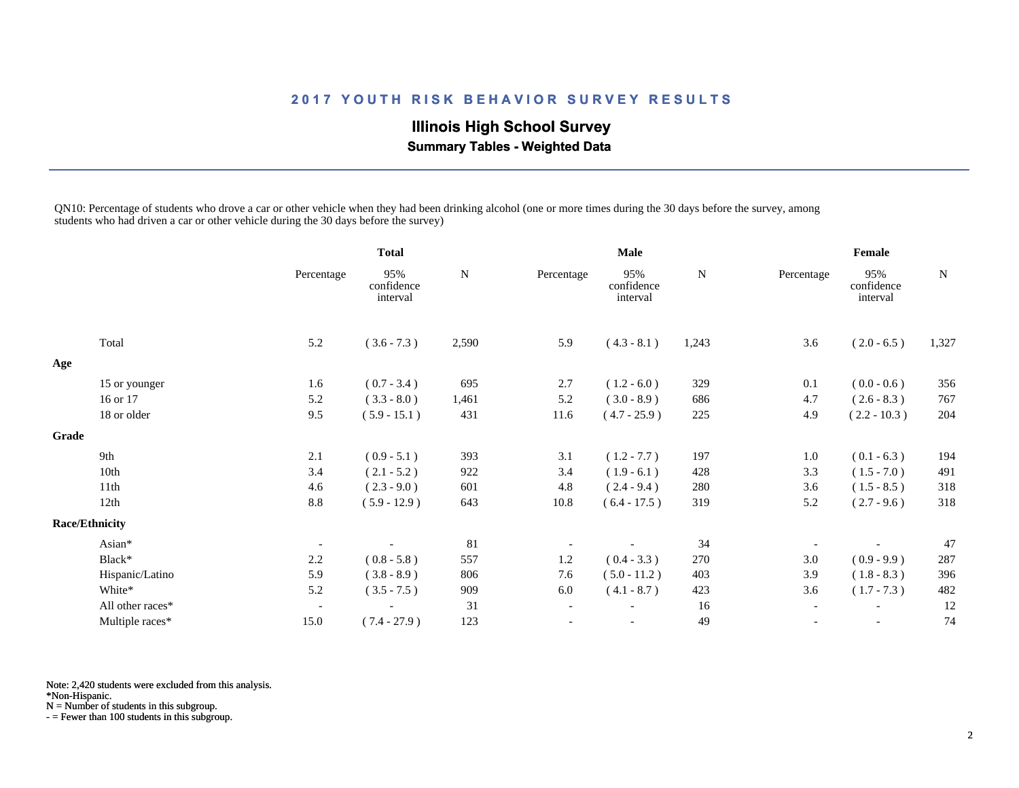# **Illinois High School Survey Summary Tables - Weighted Data**

QN10: Percentage of students who drove a car or other vehicle when they had been drinking alcohol (one or more times during the 30 days before the survey, among students who had driven a car or other vehicle during the 30 days before the survey)

|                       |                  |                          | <b>Total</b>                  |             | <b>Male</b>              |                               |             | Female                   |                               |       |
|-----------------------|------------------|--------------------------|-------------------------------|-------------|--------------------------|-------------------------------|-------------|--------------------------|-------------------------------|-------|
|                       |                  | Percentage               | 95%<br>confidence<br>interval | $\mathbf N$ | Percentage               | 95%<br>confidence<br>interval | $\mathbf N$ | Percentage               | 95%<br>confidence<br>interval | N     |
| Total                 |                  | 5.2                      | $(3.6 - 7.3)$                 | 2,590       | 5.9                      | $(4.3 - 8.1)$                 | 1,243       | 3.6                      | $(2.0 - 6.5)$                 | 1,327 |
| Age                   |                  |                          |                               |             |                          |                               |             |                          |                               |       |
|                       | 15 or younger    | 1.6                      | $(0.7 - 3.4)$                 | 695         | 2.7                      | $(1.2 - 6.0)$                 | 329         | 0.1                      | $(0.0 - 0.6)$                 | 356   |
|                       | 16 or 17         | 5.2                      | $(3.3 - 8.0)$                 | 1,461       | 5.2                      | $(3.0 - 8.9)$                 | 686         | 4.7                      | $(2.6 - 8.3)$                 | 767   |
|                       | 18 or older      | 9.5                      | $(5.9 - 15.1)$                | 431         | 11.6                     | $(4.7 - 25.9)$                | 225         | 4.9                      | $(2.2 - 10.3)$                | 204   |
| Grade                 |                  |                          |                               |             |                          |                               |             |                          |                               |       |
| 9th                   |                  | 2.1                      | $(0.9 - 5.1)$                 | 393         | 3.1                      | $(1.2 - 7.7)$                 | 197         | 1.0                      | $(0.1 - 6.3)$                 | 194   |
| 10th                  |                  | 3.4                      | $(2.1 - 5.2)$                 | 922         | 3.4                      | $(1.9 - 6.1)$                 | 428         | 3.3                      | $(1.5 - 7.0)$                 | 491   |
| 11th                  |                  | 4.6                      | $(2.3 - 9.0)$                 | 601         | 4.8                      | $(2.4 - 9.4)$                 | 280         | 3.6                      | $(1.5 - 8.5)$                 | 318   |
| 12th                  |                  | 8.8                      | $(5.9 - 12.9)$                | 643         | 10.8                     | $(6.4 - 17.5)$                | 319         | 5.2                      | $(2.7 - 9.6)$                 | 318   |
| <b>Race/Ethnicity</b> |                  |                          |                               |             |                          |                               |             |                          |                               |       |
| Asian*                |                  | $\overline{\phantom{a}}$ |                               | 81          |                          |                               | 34          |                          |                               | 47    |
| Black*                |                  | 2.2                      | $(0.8 - 5.8)$                 | 557         | 1.2                      | $(0.4 - 3.3)$                 | 270         | 3.0                      | $(0.9 - 9.9)$                 | 287   |
|                       | Hispanic/Latino  | 5.9                      | $(3.8 - 8.9)$                 | 806         | 7.6                      | $(5.0 - 11.2)$                | 403         | 3.9                      | $(1.8 - 8.3)$                 | 396   |
|                       | White*           | 5.2                      | $(3.5 - 7.5)$                 | 909         | 6.0                      | $(4.1 - 8.7)$                 | 423         | 3.6                      | $(1.7 - 7.3)$                 | 482   |
|                       | All other races* | $\overline{\phantom{a}}$ |                               | 31          | $\overline{\phantom{a}}$ |                               | 16          | $\overline{\phantom{a}}$ | $\overline{\phantom{a}}$      | 12    |
|                       | Multiple races*  | 15.0                     | $(7.4 - 27.9)$                | 123         | $\overline{\phantom{a}}$ |                               | 49          | $\overline{\phantom{a}}$ | $\overline{\phantom{a}}$      | 74    |

Note: 2,420 students were excluded from this analysis.

\*Non-Hispanic.

N = Number of students in this subgroup.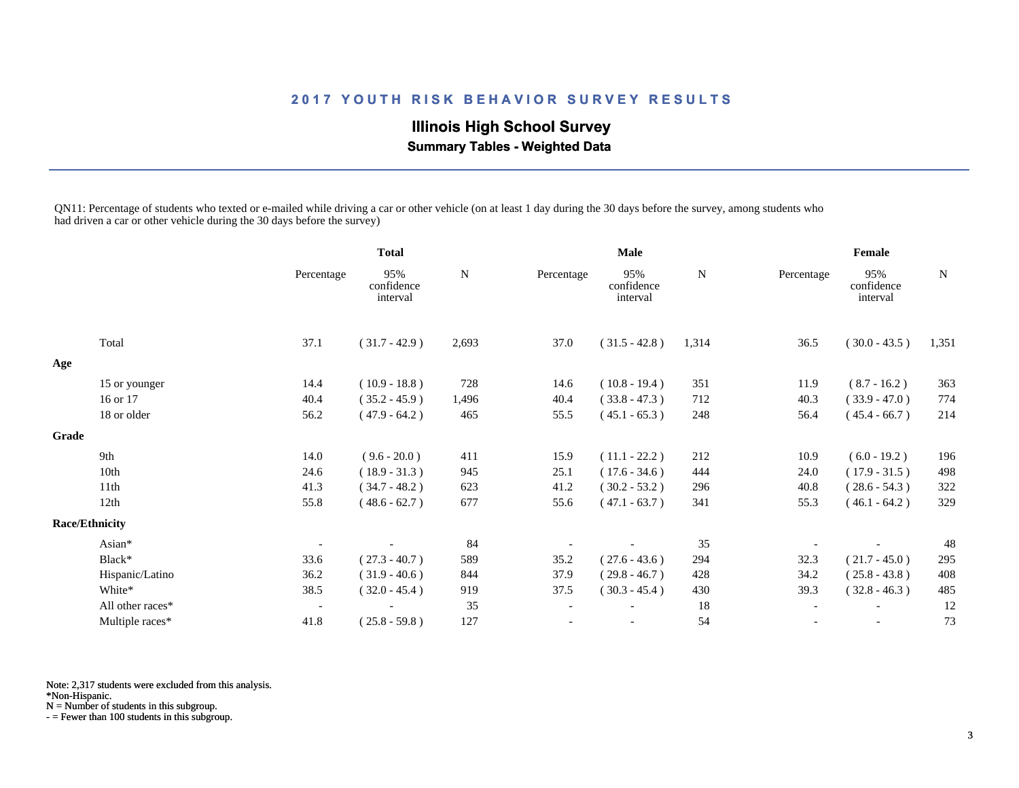# **Illinois High School Survey Summary Tables - Weighted Data**

QN11: Percentage of students who texted or e-mailed while driving a car or other vehicle (on at least 1 day during the 30 days before the survey, among students who had driven a car or other vehicle during the 30 days before the survey)

|       |                       |                          | <b>Total</b>                  |           | <b>Male</b>              |                               |           | Female                   |                               |             |
|-------|-----------------------|--------------------------|-------------------------------|-----------|--------------------------|-------------------------------|-----------|--------------------------|-------------------------------|-------------|
|       |                       | Percentage               | 95%<br>confidence<br>interval | ${\bf N}$ | Percentage               | 95%<br>confidence<br>interval | ${\bf N}$ | Percentage               | 95%<br>confidence<br>interval | $\mathbf N$ |
|       | Total                 | 37.1                     | $(31.7 - 42.9)$               | 2,693     | 37.0                     | $(31.5 - 42.8)$               | 1,314     | 36.5                     | $(30.0 - 43.5)$               | 1,351       |
| Age   |                       |                          |                               |           |                          |                               |           |                          |                               |             |
|       | 15 or younger         | 14.4                     | $(10.9 - 18.8)$               | 728       | 14.6                     | $(10.8 - 19.4)$               | 351       | 11.9                     | $(8.7 - 16.2)$                | 363         |
|       | 16 or 17              | 40.4                     | $(35.2 - 45.9)$               | 1,496     | 40.4                     | $(33.8 - 47.3)$               | 712       | 40.3                     | $(33.9 - 47.0)$               | 774         |
|       | 18 or older           | 56.2                     | $(47.9 - 64.2)$               | 465       | 55.5                     | $(45.1 - 65.3)$               | 248       | 56.4                     | $(45.4 - 66.7)$               | 214         |
| Grade |                       |                          |                               |           |                          |                               |           |                          |                               |             |
|       | 9th                   | 14.0                     | $(9.6 - 20.0)$                | 411       | 15.9                     | $(11.1 - 22.2)$               | 212       | 10.9                     | $(6.0 - 19.2)$                | 196         |
|       | 10th                  | 24.6                     | $(18.9 - 31.3)$               | 945       | 25.1                     | $(17.6 - 34.6)$               | 444       | 24.0                     | $(17.9 - 31.5)$               | 498         |
|       | 11th                  | 41.3                     | $(34.7 - 48.2)$               | 623       | 41.2                     | $(30.2 - 53.2)$               | 296       | 40.8                     | $(28.6 - 54.3)$               | 322         |
|       | 12th                  | 55.8                     | $(48.6 - 62.7)$               | 677       | 55.6                     | $(47.1 - 63.7)$               | 341       | 55.3                     | $(46.1 - 64.2)$               | 329         |
|       | <b>Race/Ethnicity</b> |                          |                               |           |                          |                               |           |                          |                               |             |
|       | Asian*                |                          |                               | 84        |                          |                               | 35        |                          |                               | 48          |
|       | Black*                | 33.6                     | $(27.3 - 40.7)$               | 589       | 35.2                     | $(27.6 - 43.6)$               | 294       | 32.3                     | $(21.7 - 45.0)$               | 295         |
|       | Hispanic/Latino       | 36.2                     | $(31.9 - 40.6)$               | 844       | 37.9                     | $(29.8 - 46.7)$               | 428       | 34.2                     | $(25.8 - 43.8)$               | 408         |
|       | White*                | 38.5                     | $(32.0 - 45.4)$               | 919       | 37.5                     | $(30.3 - 45.4)$               | 430       | 39.3                     | $(32.8 - 46.3)$               | 485         |
|       | All other races*      | $\overline{\phantom{a}}$ |                               | 35        | $\overline{\phantom{a}}$ |                               | 18        | $\overline{\phantom{a}}$ | $\overline{\phantom{a}}$      | 12          |
|       | Multiple races*       | 41.8                     | $(25.8 - 59.8)$               | 127       |                          |                               | 54        |                          | $\overline{\phantom{a}}$      | 73          |

Note: 2,317 students were excluded from this analysis.

\*Non-Hispanic.

N = Number of students in this subgroup.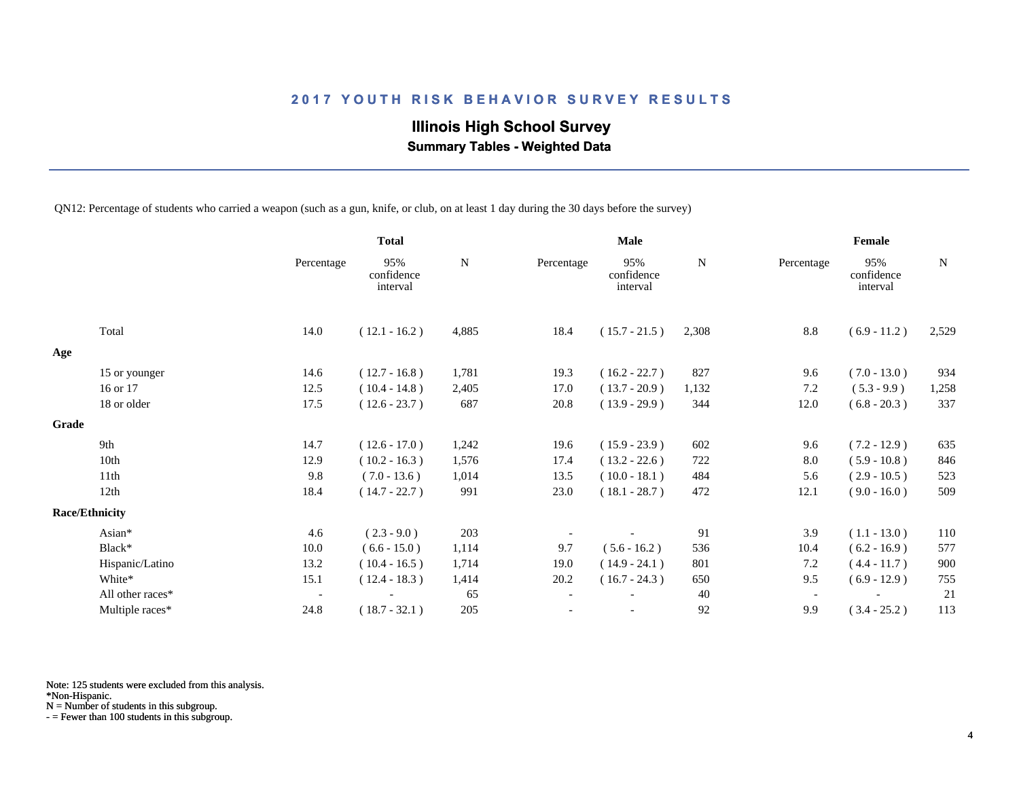# **Illinois High School Survey**

 **Summary Tables - Weighted Data**

QN12: Percentage of students who carried a weapon (such as a gun, knife, or club, on at least 1 day during the 30 days before the survey)

|       |                       |                          | <b>Total</b>                  |       | <b>Male</b> |                               |       | Female                   |                               |       |
|-------|-----------------------|--------------------------|-------------------------------|-------|-------------|-------------------------------|-------|--------------------------|-------------------------------|-------|
|       |                       | Percentage               | 95%<br>confidence<br>interval | N     | Percentage  | 95%<br>confidence<br>interval | N     | Percentage               | 95%<br>confidence<br>interval | N     |
|       | Total                 | 14.0                     | $(12.1 - 16.2)$               | 4,885 | 18.4        | $(15.7 - 21.5)$               | 2,308 | 8.8                      | $(6.9 - 11.2)$                | 2,529 |
| Age   |                       |                          |                               |       |             |                               |       |                          |                               |       |
|       | 15 or younger         | 14.6                     | $(12.7 - 16.8)$               | 1,781 | 19.3        | $(16.2 - 22.7)$               | 827   | 9.6                      | $(7.0 - 13.0)$                | 934   |
|       | 16 or 17              | 12.5                     | $(10.4 - 14.8)$               | 2,405 | 17.0        | $(13.7 - 20.9)$               | 1,132 | 7.2                      | $(5.3 - 9.9)$                 | 1,258 |
|       | 18 or older           | 17.5                     | $(12.6 - 23.7)$               | 687   | 20.8        | $(13.9 - 29.9)$               | 344   | 12.0                     | $(6.8 - 20.3)$                | 337   |
| Grade |                       |                          |                               |       |             |                               |       |                          |                               |       |
|       | 9th                   | 14.7                     | $(12.6 - 17.0)$               | 1,242 | 19.6        | $(15.9 - 23.9)$               | 602   | 9.6                      | $(7.2 - 12.9)$                | 635   |
|       | 10th                  | 12.9                     | $(10.2 - 16.3)$               | 1,576 | 17.4        | $(13.2 - 22.6)$               | 722   | 8.0                      | $(5.9 - 10.8)$                | 846   |
|       | 11th                  | 9.8                      | $(7.0 - 13.6)$                | 1,014 | 13.5        | $(10.0 - 18.1)$               | 484   | 5.6                      | $(2.9 - 10.5)$                | 523   |
|       | 12th                  | 18.4                     | $(14.7 - 22.7)$               | 991   | 23.0        | $(18.1 - 28.7)$               | 472   | 12.1                     | $(9.0 - 16.0)$                | 509   |
|       | <b>Race/Ethnicity</b> |                          |                               |       |             |                               |       |                          |                               |       |
|       | Asian*                | 4.6                      | $(2.3 - 9.0)$                 | 203   |             |                               | 91    | 3.9                      | $(1.1 - 13.0)$                | 110   |
|       | Black*                | 10.0                     | $(6.6 - 15.0)$                | 1,114 | 9.7         | $(5.6 - 16.2)$                | 536   | 10.4                     | $(6.2 - 16.9)$                | 577   |
|       | Hispanic/Latino       | 13.2                     | $(10.4 - 16.5)$               | 1,714 | 19.0        | $(14.9 - 24.1)$               | 801   | 7.2                      | $(4.4 - 11.7)$                | 900   |
|       | White*                | 15.1                     | $(12.4 - 18.3)$               | 1,414 | 20.2        | $(16.7 - 24.3)$               | 650   | 9.5                      | $(6.9 - 12.9)$                | 755   |
|       | All other races*      | $\overline{\phantom{a}}$ |                               | 65    |             |                               | 40    | $\overline{\phantom{a}}$ |                               | 21    |
|       | Multiple races*       | 24.8                     | $(18.7 - 32.1)$               | 205   |             | $\overline{\phantom{a}}$      | 92    | 9.9                      | $(3.4 - 25.2)$                | 113   |

Note: 125 students were excluded from this analysis.

\*Non-Hispanic.

N = Number of students in this subgroup.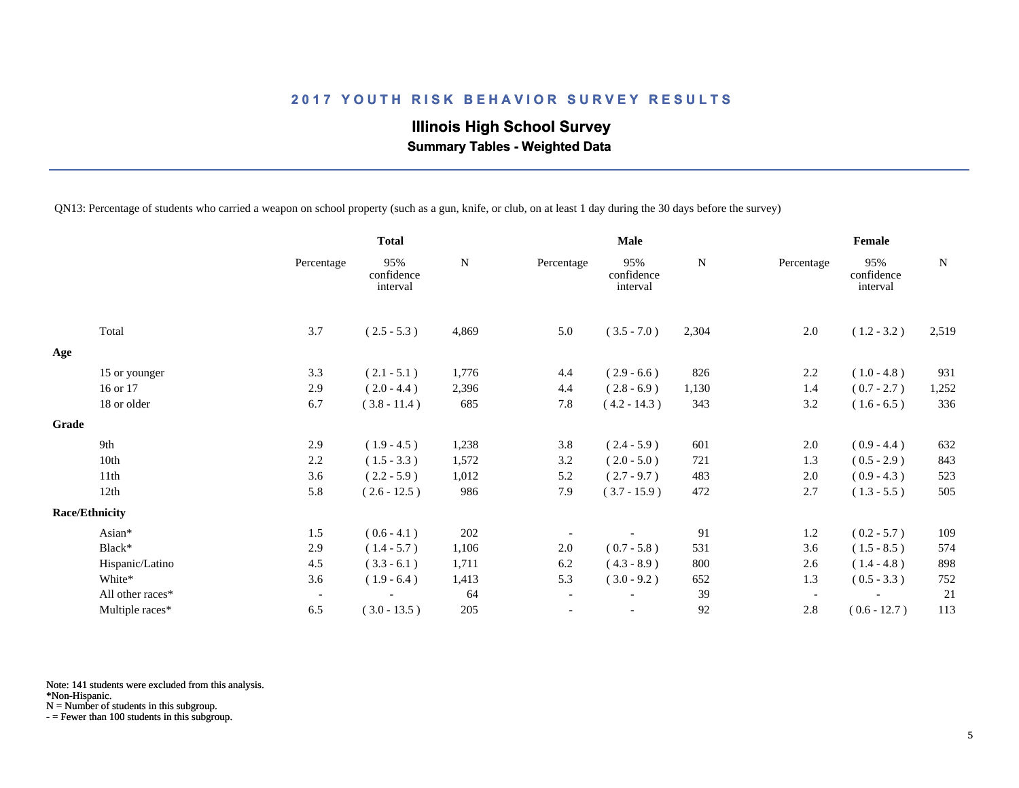# **Illinois High School Survey Summary Tables - Weighted Data**

QN13: Percentage of students who carried a weapon on school property (such as a gun, knife, or club, on at least 1 day during the 30 days before the survey)

|       |                       |                          | <b>Total</b>                  |       | <b>Male</b>              |                               |             | Female                   |                               |       |
|-------|-----------------------|--------------------------|-------------------------------|-------|--------------------------|-------------------------------|-------------|--------------------------|-------------------------------|-------|
|       |                       | Percentage               | 95%<br>confidence<br>interval | N     | Percentage               | 95%<br>confidence<br>interval | $\mathbf N$ | Percentage               | 95%<br>confidence<br>interval | N     |
|       | Total                 | 3.7                      | $(2.5 - 5.3)$                 | 4,869 | 5.0                      | $(3.5 - 7.0)$                 | 2,304       | 2.0                      | $(1.2 - 3.2)$                 | 2,519 |
| Age   |                       |                          |                               |       |                          |                               |             |                          |                               |       |
|       | 15 or younger         | 3.3                      | $(2.1 - 5.1)$                 | 1,776 | 4.4                      | $(2.9 - 6.6)$                 | 826         | 2.2                      | $(1.0 - 4.8)$                 | 931   |
|       | 16 or 17              | 2.9                      | $(2.0 - 4.4)$                 | 2,396 | 4.4                      | $(2.8 - 6.9)$                 | 1,130       | 1.4                      | $(0.7 - 2.7)$                 | 1,252 |
|       | 18 or older           | 6.7                      | $(3.8 - 11.4)$                | 685   | 7.8                      | $(4.2 - 14.3)$                | 343         | 3.2                      | $(1.6 - 6.5)$                 | 336   |
| Grade |                       |                          |                               |       |                          |                               |             |                          |                               |       |
|       | 9th                   | 2.9                      | $(1.9 - 4.5)$                 | 1,238 | 3.8                      | $(2.4 - 5.9)$                 | 601         | 2.0                      | $(0.9 - 4.4)$                 | 632   |
|       | 10th                  | 2.2                      | $(1.5 - 3.3)$                 | 1,572 | 3.2                      | $(2.0 - 5.0)$                 | 721         | 1.3                      | $(0.5 - 2.9)$                 | 843   |
|       | 11th                  | 3.6                      | $(2.2 - 5.9)$                 | 1,012 | 5.2                      | $(2.7 - 9.7)$                 | 483         | 2.0                      | $(0.9 - 4.3)$                 | 523   |
|       | 12th                  | 5.8                      | $(2.6 - 12.5)$                | 986   | 7.9                      | $(3.7 - 15.9)$                | 472         | 2.7                      | $(1.3 - 5.5)$                 | 505   |
|       | <b>Race/Ethnicity</b> |                          |                               |       |                          |                               |             |                          |                               |       |
|       | Asian*                | 1.5                      | $(0.6 - 4.1)$                 | 202   |                          |                               | 91          | 1.2                      | $(0.2 - 5.7)$                 | 109   |
|       | Black*                | 2.9                      | $(1.4 - 5.7)$                 | 1,106 | 2.0                      | $(0.7 - 5.8)$                 | 531         | 3.6                      | $(1.5 - 8.5)$                 | 574   |
|       | Hispanic/Latino       | 4.5                      | $(3.3 - 6.1)$                 | 1,711 | 6.2                      | $(4.3 - 8.9)$                 | 800         | 2.6                      | $(1.4 - 4.8)$                 | 898   |
|       | White*                | 3.6                      | $(1.9 - 6.4)$                 | 1,413 | 5.3                      | $(3.0 - 9.2)$                 | 652         | 1.3                      | $(0.5 - 3.3)$                 | 752   |
|       | All other races*      | $\overline{\phantom{a}}$ |                               | 64    | $\overline{\phantom{a}}$ |                               | 39          | $\overline{\phantom{a}}$ |                               | 21    |
|       | Multiple races*       | 6.5                      | $(3.0 - 13.5)$                | 205   | $\overline{\phantom{a}}$ |                               | 92          | 2.8                      | $(0.6 - 12.7)$                | 113   |

Note: 141 students were excluded from this analysis.

\*Non-Hispanic.

N = Number of students in this subgroup.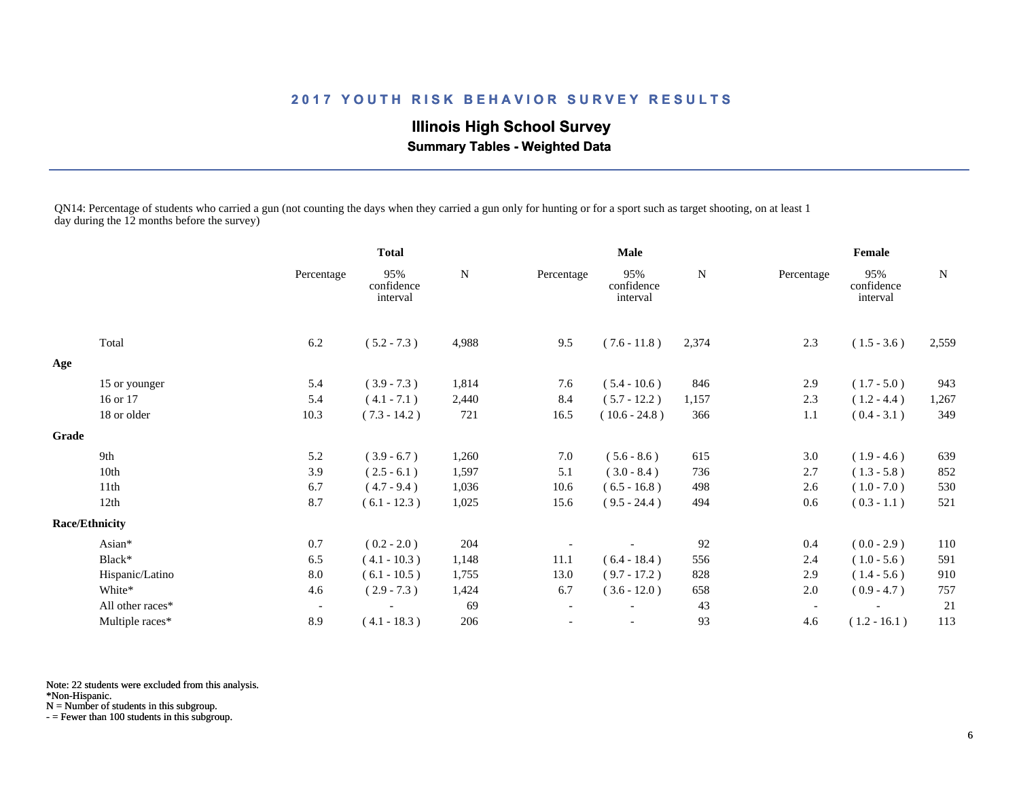**Illinois High School Survey Summary Tables - Weighted Data**

QN14: Percentage of students who carried a gun (not counting the days when they carried a gun only for hunting or for a sport such as target shooting, on at least 1 day during the 12 months before the survey)

|              |                       |                          | <b>Total</b>                  |           | <b>Male</b>              |                               |           | Female                   |                               |       |
|--------------|-----------------------|--------------------------|-------------------------------|-----------|--------------------------|-------------------------------|-----------|--------------------------|-------------------------------|-------|
|              |                       | Percentage               | 95%<br>confidence<br>interval | ${\bf N}$ | Percentage               | 95%<br>confidence<br>interval | ${\bf N}$ | Percentage               | 95%<br>confidence<br>interval | N     |
|              | Total                 | 6.2                      | $(5.2 - 7.3)$                 | 4,988     | 9.5                      | $(7.6 - 11.8)$                | 2,374     | 2.3                      | $(1.5 - 3.6)$                 | 2,559 |
| Age          |                       |                          |                               |           |                          |                               |           |                          |                               |       |
|              | 15 or younger         | 5.4                      | $(3.9 - 7.3)$                 | 1,814     | 7.6                      | $(5.4 - 10.6)$                | 846       | 2.9                      | $(1.7 - 5.0)$                 | 943   |
|              | 16 or 17              | 5.4                      | $(4.1 - 7.1)$                 | 2,440     | 8.4                      | $(5.7 - 12.2)$                | 1,157     | 2.3                      | $(1.2 - 4.4)$                 | 1,267 |
|              | 18 or older           | 10.3                     | $(7.3 - 14.2)$                | 721       | 16.5                     | $(10.6 - 24.8)$               | 366       | 1.1                      | $(0.4 - 3.1)$                 | 349   |
| <b>Grade</b> |                       |                          |                               |           |                          |                               |           |                          |                               |       |
|              | 9th                   | 5.2                      | $(3.9 - 6.7)$                 | 1,260     | 7.0                      | $(5.6 - 8.6)$                 | 615       | 3.0                      | $(1.9 - 4.6)$                 | 639   |
|              | 10th                  | 3.9                      | $(2.5 - 6.1)$                 | 1,597     | 5.1                      | $(3.0 - 8.4)$                 | 736       | 2.7                      | $(1.3 - 5.8)$                 | 852   |
|              | 11th                  | 6.7                      | $(4.7 - 9.4)$                 | 1,036     | 10.6                     | $(6.5 - 16.8)$                | 498       | 2.6                      | $(1.0 - 7.0)$                 | 530   |
|              | 12th                  | 8.7                      | $(6.1 - 12.3)$                | 1,025     | 15.6                     | $(9.5 - 24.4)$                | 494       | 0.6                      | $(0.3 - 1.1)$                 | 521   |
|              | <b>Race/Ethnicity</b> |                          |                               |           |                          |                               |           |                          |                               |       |
|              | Asian*                | 0.7                      | $(0.2 - 2.0)$                 | 204       |                          |                               | 92        | 0.4                      | $(0.0 - 2.9)$                 | 110   |
|              | Black*                | 6.5                      | $(4.1 - 10.3)$                | 1,148     | 11.1                     | $(6.4 - 18.4)$                | 556       | 2.4                      | $(1.0 - 5.6)$                 | 591   |
|              | Hispanic/Latino       | 8.0                      | $(6.1 - 10.5)$                | 1,755     | 13.0                     | $(9.7 - 17.2)$                | 828       | 2.9                      | $(1.4 - 5.6)$                 | 910   |
|              | White*                | 4.6                      | $(2.9 - 7.3)$                 | 1,424     | 6.7                      | $(3.6 - 12.0)$                | 658       | 2.0                      | $(0.9 - 4.7)$                 | 757   |
|              | All other races*      | $\overline{\phantom{a}}$ |                               | 69        | $\overline{\phantom{a}}$ |                               | 43        | $\overline{\phantom{a}}$ |                               | 21    |
|              | Multiple races*       | 8.9                      | $(4.1 - 18.3)$                | 206       | $\overline{\phantom{a}}$ | $\overline{\phantom{a}}$      | 93        | 4.6                      | $(1.2 - 16.1)$                | 113   |

Note: 22 students were excluded from this analysis.

\*Non-Hispanic.

N = Number of students in this subgroup.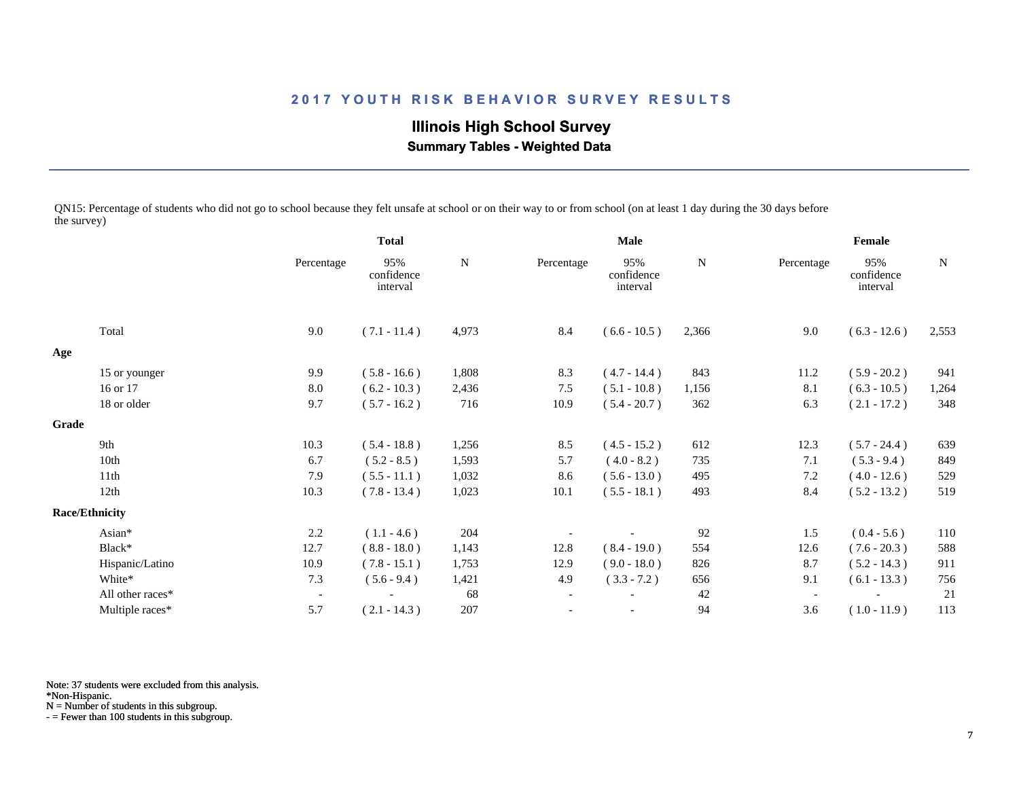# **Illinois High School Survey Summary Tables - Weighted Data**

QN15: Percentage of students who did not go to school because they felt unsafe at school or on their way to or from school (on at least 1 day during the 30 days before the survey)

|       |                       |                          | <b>Total</b>                  |       | <b>Male</b>              |                               |             | Female     |                               |             |
|-------|-----------------------|--------------------------|-------------------------------|-------|--------------------------|-------------------------------|-------------|------------|-------------------------------|-------------|
|       |                       | Percentage               | 95%<br>confidence<br>interval | N     | Percentage               | 95%<br>confidence<br>interval | $\mathbf N$ | Percentage | 95%<br>confidence<br>interval | $\mathbf N$ |
|       | Total                 | 9.0                      | $(7.1 - 11.4)$                | 4,973 | 8.4                      | $(6.6 - 10.5)$                | 2,366       | 9.0        | $(6.3 - 12.6)$                | 2,553       |
| Age   |                       |                          |                               |       |                          |                               |             |            |                               |             |
|       | 15 or younger         | 9.9                      | $(5.8 - 16.6)$                | 1,808 | 8.3                      | $(4.7 - 14.4)$                | 843         | 11.2       | $(5.9 - 20.2)$                | 941         |
|       | 16 or 17              | 8.0                      | $(6.2 - 10.3)$                | 2,436 | 7.5                      | $(5.1 - 10.8)$                | 1,156       | 8.1        | $(6.3 - 10.5)$                | 1,264       |
|       | 18 or older           | 9.7                      | $(5.7 - 16.2)$                | 716   | 10.9                     | $(5.4 - 20.7)$                | 362         | 6.3        | $(2.1 - 17.2)$                | 348         |
| Grade |                       |                          |                               |       |                          |                               |             |            |                               |             |
|       | 9th                   | 10.3                     | $(5.4 - 18.8)$                | 1,256 | 8.5                      | $(4.5 - 15.2)$                | 612         | 12.3       | $(5.7 - 24.4)$                | 639         |
|       | 10th                  | 6.7                      | $(5.2 - 8.5)$                 | 1,593 | 5.7                      | $(4.0 - 8.2)$                 | 735         | 7.1        | $(5.3 - 9.4)$                 | 849         |
|       | 11th                  | 7.9                      | $(5.5 - 11.1)$                | 1,032 | 8.6                      | $(5.6 - 13.0)$                | 495         | 7.2        | $(4.0 - 12.6)$                | 529         |
|       | 12th                  | 10.3                     | $(7.8 - 13.4)$                | 1,023 | 10.1                     | $(5.5 - 18.1)$                | 493         | 8.4        | $(5.2 - 13.2)$                | 519         |
|       | <b>Race/Ethnicity</b> |                          |                               |       |                          |                               |             |            |                               |             |
|       | Asian*                | 2.2                      | $(1.1 - 4.6)$                 | 204   |                          |                               | 92          | 1.5        | $(0.4 - 5.6)$                 | 110         |
|       | Black*                | 12.7                     | $(8.8 - 18.0)$                | 1,143 | 12.8                     | $(8.4 - 19.0)$                | 554         | 12.6       | $(7.6 - 20.3)$                | 588         |
|       | Hispanic/Latino       | 10.9                     | $(7.8 - 15.1)$                | 1,753 | 12.9                     | $(9.0 - 18.0)$                | 826         | 8.7        | $(5.2 - 14.3)$                | 911         |
|       | White*                | 7.3                      | $(5.6 - 9.4)$                 | 1,421 | 4.9                      | $(3.3 - 7.2)$                 | 656         | 9.1        | $(6.1 - 13.3)$                | 756         |
|       | All other races*      | $\overline{\phantom{a}}$ |                               | 68    | $\overline{\phantom{a}}$ |                               | 42          |            |                               | 21          |
|       | Multiple races*       | 5.7                      | $(2.1 - 14.3)$                | 207   |                          |                               | 94          | 3.6        | $(1.0 - 11.9)$                | 113         |

Note: 37 students were excluded from this analysis.

\*Non-Hispanic.

N = Number of students in this subgroup.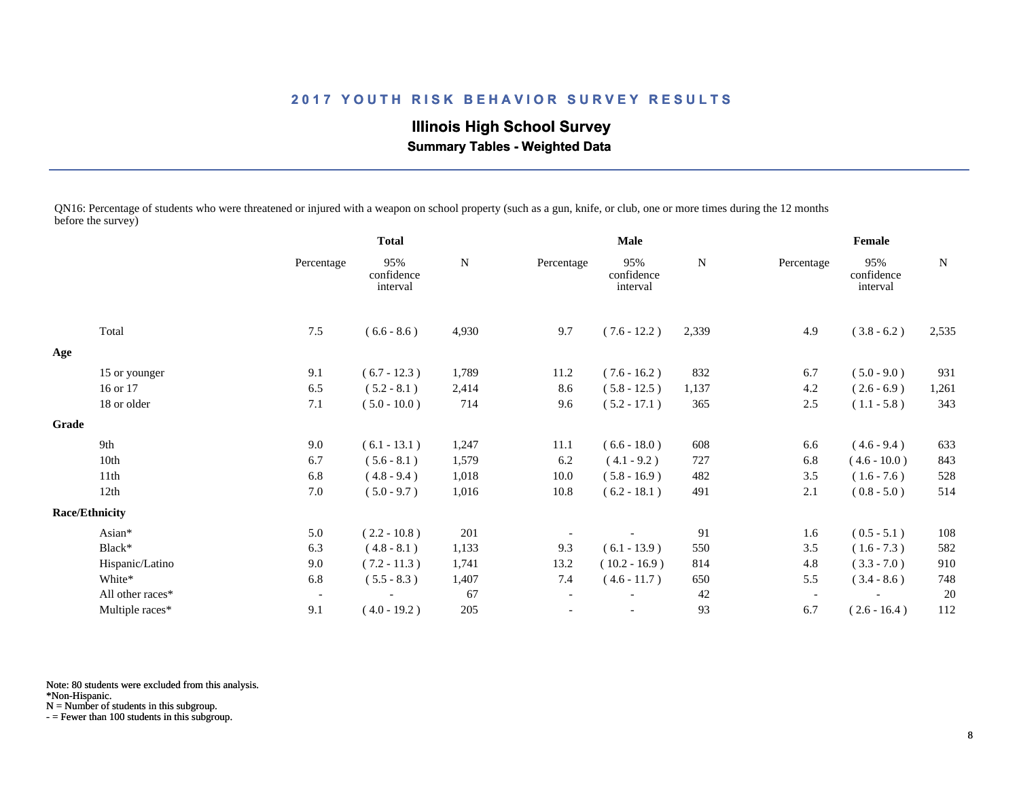**Illinois High School Survey Summary Tables - Weighted Data**

QN16: Percentage of students who were threatened or injured with a weapon on school property (such as a gun, knife, or club, one or more times during the 12 months before the survey)

|       |                       |                          | <b>Total</b>                  |           | <b>Male</b>              |                               |             | Female     |                               |       |
|-------|-----------------------|--------------------------|-------------------------------|-----------|--------------------------|-------------------------------|-------------|------------|-------------------------------|-------|
|       |                       | Percentage               | 95%<br>confidence<br>interval | ${\bf N}$ | Percentage               | 95%<br>confidence<br>interval | $\mathbf N$ | Percentage | 95%<br>confidence<br>interval | N     |
|       | Total                 | 7.5                      | $(6.6 - 8.6)$                 | 4,930     | 9.7                      | $(7.6 - 12.2)$                | 2,339       | 4.9        | $(3.8 - 6.2)$                 | 2,535 |
| Age   |                       |                          |                               |           |                          |                               |             |            |                               |       |
|       | 15 or younger         | 9.1                      | $(6.7 - 12.3)$                | 1,789     | 11.2                     | $(7.6 - 16.2)$                | 832         | 6.7        | $(5.0 - 9.0)$                 | 931   |
|       | 16 or 17              | 6.5                      | $(5.2 - 8.1)$                 | 2,414     | 8.6                      | $(5.8 - 12.5)$                | 1,137       | 4.2        | $(2.6 - 6.9)$                 | 1,261 |
|       | 18 or older           | 7.1                      | $(5.0 - 10.0)$                | 714       | 9.6                      | $(5.2 - 17.1)$                | 365         | 2.5        | $(1.1 - 5.8)$                 | 343   |
| Grade |                       |                          |                               |           |                          |                               |             |            |                               |       |
|       | 9th                   | 9.0                      | $(6.1 - 13.1)$                | 1,247     | 11.1                     | $(6.6 - 18.0)$                | 608         | 6.6        | $(4.6 - 9.4)$                 | 633   |
|       | 10th                  | 6.7                      | $(5.6 - 8.1)$                 | 1,579     | 6.2                      | $(4.1 - 9.2)$                 | 727         | 6.8        | $(4.6 - 10.0)$                | 843   |
|       | 11th                  | 6.8                      | $(4.8 - 9.4)$                 | 1,018     | 10.0                     | $(5.8 - 16.9)$                | 482         | 3.5        | $(1.6 - 7.6)$                 | 528   |
|       | 12th                  | 7.0                      | $(5.0 - 9.7)$                 | 1,016     | 10.8                     | $(6.2 - 18.1)$                | 491         | 2.1        | $(0.8 - 5.0)$                 | 514   |
|       | <b>Race/Ethnicity</b> |                          |                               |           |                          |                               |             |            |                               |       |
|       | Asian*                | 5.0                      | $(2.2 - 10.8)$                | 201       |                          |                               | 91          | 1.6        | $(0.5 - 5.1)$                 | 108   |
|       | Black*                | 6.3                      | $(4.8 - 8.1)$                 | 1,133     | 9.3                      | $(6.1 - 13.9)$                | 550         | 3.5        | $(1.6 - 7.3)$                 | 582   |
|       | Hispanic/Latino       | 9.0                      | $(7.2 - 11.3)$                | 1,741     | 13.2                     | $(10.2 - 16.9)$               | 814         | 4.8        | $(3.3 - 7.0)$                 | 910   |
|       | White*                | 6.8                      | $(5.5 - 8.3)$                 | 1,407     | 7.4                      | $(4.6 - 11.7)$                | 650         | 5.5        | $(3.4 - 8.6)$                 | 748   |
|       | All other races*      | $\overline{\phantom{a}}$ |                               | 67        | $\overline{\phantom{a}}$ |                               | 42          |            |                               | 20    |
|       | Multiple races*       | 9.1                      | $(4.0 - 19.2)$                | 205       | $\overline{\phantom{a}}$ | $\overline{\phantom{a}}$      | 93          | 6.7        | $(2.6 - 16.4)$                | 112   |

Note: 80 students were excluded from this analysis.

\*Non-Hispanic.

N = Number of students in this subgroup.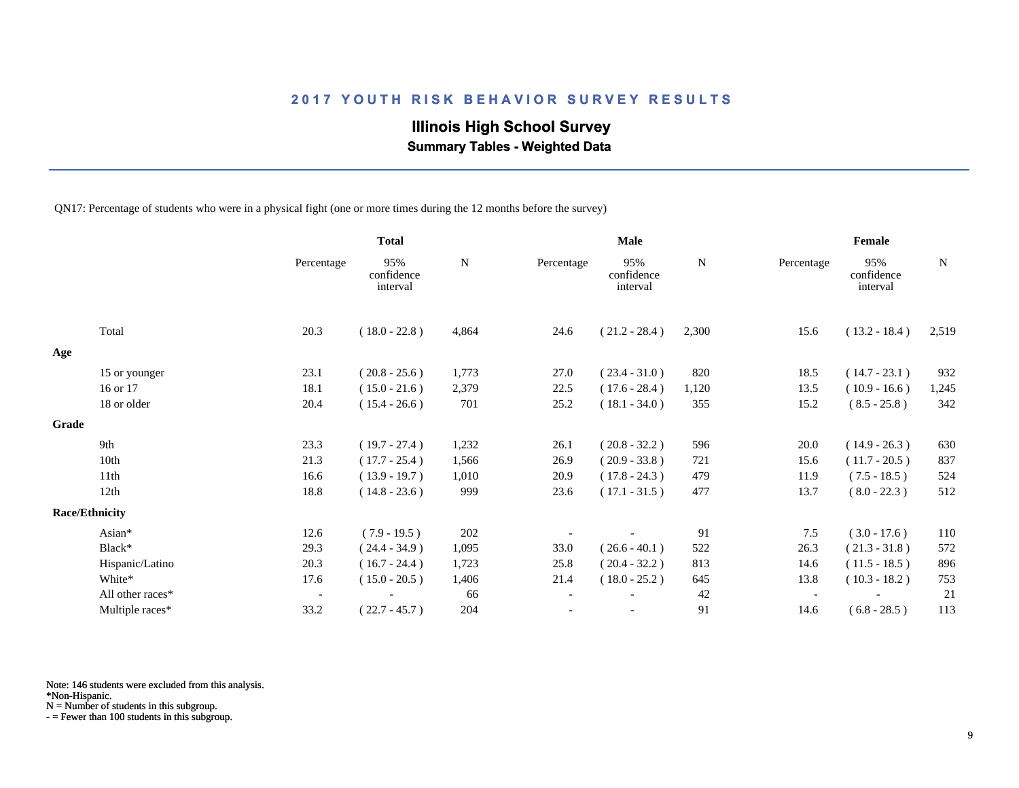# **Illinois High School Survey**

 **Summary Tables - Weighted Data**

QN17: Percentage of students who were in a physical fight (one or more times during the 12 months before the survey)

|       |                       |                          | <b>Total</b>                  |           | <b>Male</b> |                               |       | Female                   |                               |             |
|-------|-----------------------|--------------------------|-------------------------------|-----------|-------------|-------------------------------|-------|--------------------------|-------------------------------|-------------|
|       |                       | Percentage               | 95%<br>confidence<br>interval | ${\bf N}$ | Percentage  | 95%<br>confidence<br>interval | N     | Percentage               | 95%<br>confidence<br>interval | $\mathbf N$ |
|       | Total                 | 20.3                     | $(18.0 - 22.8)$               | 4,864     | 24.6        | $(21.2 - 28.4)$               | 2,300 | 15.6                     | $(13.2 - 18.4)$               | 2,519       |
| Age   |                       |                          |                               |           |             |                               |       |                          |                               |             |
|       | 15 or younger         | 23.1                     | $(20.8 - 25.6)$               | 1,773     | 27.0        | $(23.4 - 31.0)$               | 820   | 18.5                     | $(14.7 - 23.1)$               | 932         |
|       | 16 or 17              | 18.1                     | $(15.0 - 21.6)$               | 2,379     | 22.5        | $(17.6 - 28.4)$               | 1,120 | 13.5                     | $(10.9 - 16.6)$               | 1,245       |
|       | 18 or older           | 20.4                     | $(15.4 - 26.6)$               | 701       | 25.2        | $(18.1 - 34.0)$               | 355   | 15.2                     | $(8.5 - 25.8)$                | 342         |
| Grade |                       |                          |                               |           |             |                               |       |                          |                               |             |
|       | 9th                   | 23.3                     | $(19.7 - 27.4)$               | 1,232     | 26.1        | $(20.8 - 32.2)$               | 596   | 20.0                     | $(14.9 - 26.3)$               | 630         |
|       | 10th                  | 21.3                     | $(17.7 - 25.4)$               | 1,566     | 26.9        | $(20.9 - 33.8)$               | 721   | 15.6                     | $(11.7 - 20.5)$               | 837         |
|       | 11th                  | 16.6                     | $(13.9 - 19.7)$               | 1,010     | 20.9        | $(17.8 - 24.3)$               | 479   | 11.9                     | $(7.5 - 18.5)$                | 524         |
|       | 12th                  | 18.8                     | $(14.8 - 23.6)$               | 999       | 23.6        | $(17.1 - 31.5)$               | 477   | 13.7                     | $(8.0 - 22.3)$                | 512         |
|       | <b>Race/Ethnicity</b> |                          |                               |           |             |                               |       |                          |                               |             |
|       | Asian*                | 12.6                     | $(7.9 - 19.5)$                | 202       |             |                               | 91    | 7.5                      | $(3.0 - 17.6)$                | 110         |
|       | Black*                | 29.3                     | $(24.4 - 34.9)$               | 1,095     | 33.0        | $(26.6 - 40.1)$               | 522   | 26.3                     | $(21.3 - 31.8)$               | 572         |
|       | Hispanic/Latino       | 20.3                     | $(16.7 - 24.4)$               | 1,723     | 25.8        | $(20.4 - 32.2)$               | 813   | 14.6                     | $(11.5 - 18.5)$               | 896         |
|       | White*                | 17.6                     | $(15.0 - 20.5)$               | 1,406     | 21.4        | $(18.0 - 25.2)$               | 645   | 13.8                     | $(10.3 - 18.2)$               | 753         |
|       | All other races*      | $\overline{\phantom{a}}$ |                               | 66        |             |                               | 42    | $\overline{\phantom{a}}$ |                               | 21          |
|       | Multiple races*       | 33.2                     | $(22.7 - 45.7)$               | 204       |             |                               | 91    | 14.6                     | $(6.8 - 28.5)$                | 113         |

Note: 146 students were excluded from this analysis.

\*Non-Hispanic.

N = Number of students in this subgroup.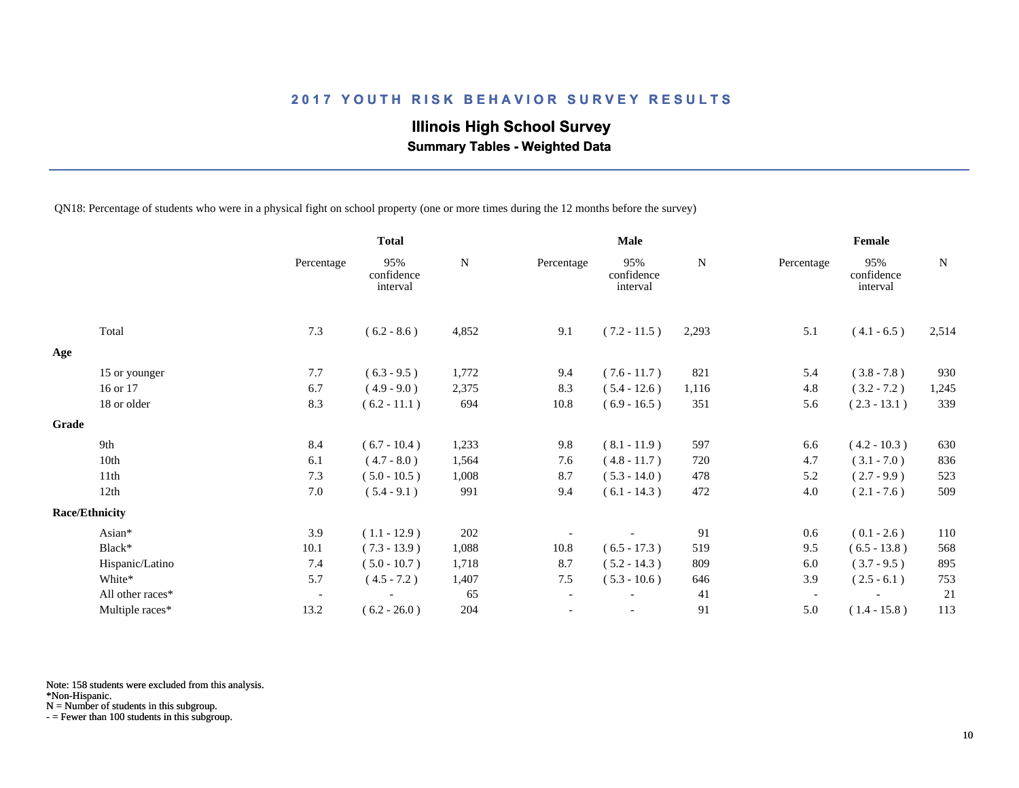# **Illinois High School Survey**

 **Summary Tables - Weighted Data**

QN18: Percentage of students who were in a physical fight on school property (one or more times during the 12 months before the survey)

|       |                       |                          | <b>Total</b>                  |             |                          | <b>Male</b>                   |             |                          | Female                        |             |
|-------|-----------------------|--------------------------|-------------------------------|-------------|--------------------------|-------------------------------|-------------|--------------------------|-------------------------------|-------------|
|       |                       | Percentage               | 95%<br>confidence<br>interval | $\mathbf N$ | Percentage               | 95%<br>confidence<br>interval | $\mathbf N$ | Percentage               | 95%<br>confidence<br>interval | $\mathbf N$ |
|       | Total                 | 7.3                      | $(6.2 - 8.6)$                 | 4,852       | 9.1                      | $(7.2 - 11.5)$                | 2,293       | 5.1                      | $(4.1 - 6.5)$                 | 2,514       |
| Age   |                       |                          |                               |             |                          |                               |             |                          |                               |             |
|       | 15 or younger         | 7.7                      | $(6.3 - 9.5)$                 | 1,772       | 9.4                      | $(7.6 - 11.7)$                | 821         | 5.4                      | $(3.8 - 7.8)$                 | 930         |
|       | 16 or 17              | 6.7                      | $(4.9 - 9.0)$                 | 2,375       | 8.3                      | $(5.4 - 12.6)$                | 1,116       | 4.8                      | $(3.2 - 7.2)$                 | 1,245       |
|       | 18 or older           | 8.3                      | $(6.2 - 11.1)$                | 694         | 10.8                     | $(6.9 - 16.5)$                | 351         | 5.6                      | $(2.3 - 13.1)$                | 339         |
| Grade |                       |                          |                               |             |                          |                               |             |                          |                               |             |
|       | 9th                   | 8.4                      | $(6.7 - 10.4)$                | 1,233       | 9.8                      | $(8.1 - 11.9)$                | 597         | 6.6                      | $(4.2 - 10.3)$                | 630         |
|       | 10th                  | 6.1                      | $(4.7 - 8.0)$                 | 1,564       | 7.6                      | $(4.8 - 11.7)$                | 720         | 4.7                      | $(3.1 - 7.0)$                 | 836         |
|       | 11th                  | 7.3                      | $(5.0 - 10.5)$                | 1,008       | 8.7                      | $(5.3 - 14.0)$                | 478         | 5.2                      | $(2.7 - 9.9)$                 | 523         |
|       | 12th                  | 7.0                      | $(5.4 - 9.1)$                 | 991         | 9.4                      | $(6.1 - 14.3)$                | 472         | 4.0                      | $(2.1 - 7.6)$                 | 509         |
|       | <b>Race/Ethnicity</b> |                          |                               |             |                          |                               |             |                          |                               |             |
|       | Asian*                | 3.9                      | $(1.1 - 12.9)$                | 202         |                          |                               | 91          | 0.6                      | $(0.1 - 2.6)$                 | 110         |
|       | Black*                | 10.1                     | $(7.3 - 13.9)$                | 1,088       | 10.8                     | $(6.5 - 17.3)$                | 519         | 9.5                      | $(6.5 - 13.8)$                | 568         |
|       | Hispanic/Latino       | 7.4                      | $(5.0 - 10.7)$                | 1,718       | 8.7                      | $(5.2 - 14.3)$                | 809         | 6.0                      | $(3.7 - 9.5)$                 | 895         |
|       | White*                | 5.7                      | $(4.5 - 7.2)$                 | 1,407       | 7.5                      | $(5.3 - 10.6)$                | 646         | 3.9                      | $(2.5 - 6.1)$                 | 753         |
|       | All other races*      | $\overline{\phantom{a}}$ |                               | 65          | $\overline{\phantom{a}}$ |                               | 41          | $\overline{\phantom{a}}$ |                               | 21          |
|       | Multiple races*       | 13.2                     | $(6.2 - 26.0)$                | 204         |                          | $\overline{\phantom{a}}$      | 91          | 5.0                      | $(1.4 - 15.8)$                | 113         |

Note: 158 students were excluded from this analysis.

\*Non-Hispanic.

N = Number of students in this subgroup.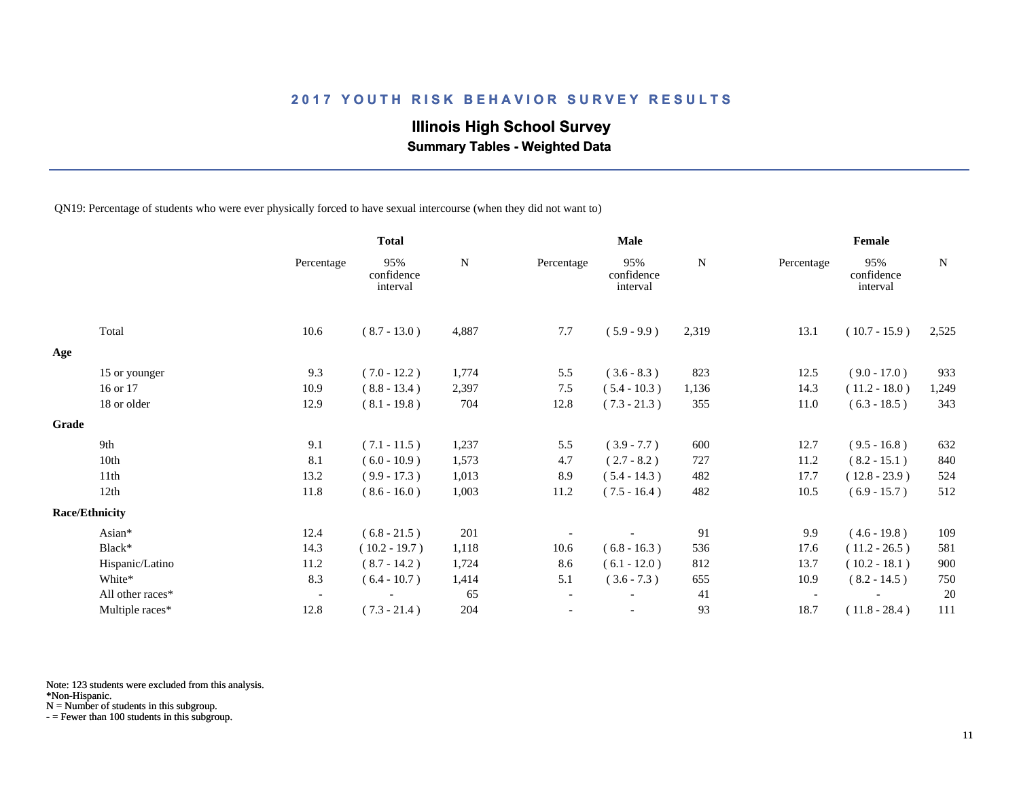# **Illinois High School Survey**

 **Summary Tables - Weighted Data**

QN19: Percentage of students who were ever physically forced to have sexual intercourse (when they did not want to)

|       |                       |                          | <b>Total</b>                  |           | <b>Male</b> |                               |       | Female                   |                               |       |
|-------|-----------------------|--------------------------|-------------------------------|-----------|-------------|-------------------------------|-------|--------------------------|-------------------------------|-------|
|       |                       | Percentage               | 95%<br>confidence<br>interval | ${\bf N}$ | Percentage  | 95%<br>confidence<br>interval | N     | Percentage               | 95%<br>confidence<br>interval | N     |
|       | Total                 | 10.6                     | $(8.7 - 13.0)$                | 4,887     | 7.7         | $(5.9 - 9.9)$                 | 2,319 | 13.1                     | $(10.7 - 15.9)$               | 2,525 |
| Age   |                       |                          |                               |           |             |                               |       |                          |                               |       |
|       | 15 or younger         | 9.3                      | $(7.0 - 12.2)$                | 1,774     | 5.5         | $(3.6 - 8.3)$                 | 823   | 12.5                     | $(9.0 - 17.0)$                | 933   |
|       | 16 or 17              | 10.9                     | $(8.8 - 13.4)$                | 2,397     | 7.5         | $(5.4 - 10.3)$                | 1,136 | 14.3                     | $(11.2 - 18.0)$               | 1,249 |
|       | 18 or older           | 12.9                     | $(8.1 - 19.8)$                | 704       | 12.8        | $(7.3 - 21.3)$                | 355   | 11.0                     | $(6.3 - 18.5)$                | 343   |
| Grade |                       |                          |                               |           |             |                               |       |                          |                               |       |
|       | 9th                   | 9.1                      | $(7.1 - 11.5)$                | 1,237     | 5.5         | $(3.9 - 7.7)$                 | 600   | 12.7                     | $(9.5 - 16.8)$                | 632   |
|       | 10th                  | 8.1                      | $(6.0 - 10.9)$                | 1,573     | 4.7         | $(2.7 - 8.2)$                 | 727   | 11.2                     | $(8.2 - 15.1)$                | 840   |
|       | 11th                  | 13.2                     | $(9.9 - 17.3)$                | 1,013     | 8.9         | $(5.4 - 14.3)$                | 482   | 17.7                     | $(12.8 - 23.9)$               | 524   |
|       | 12th                  | 11.8                     | $(8.6 - 16.0)$                | 1,003     | 11.2        | $(7.5 - 16.4)$                | 482   | 10.5                     | $(6.9 - 15.7)$                | 512   |
|       | <b>Race/Ethnicity</b> |                          |                               |           |             |                               |       |                          |                               |       |
|       | Asian*                | 12.4                     | $(6.8 - 21.5)$                | 201       |             |                               | 91    | 9.9                      | $(4.6 - 19.8)$                | 109   |
|       | Black*                | 14.3                     | $(10.2 - 19.7)$               | 1,118     | 10.6        | $(6.8 - 16.3)$                | 536   | 17.6                     | $(11.2 - 26.5)$               | 581   |
|       | Hispanic/Latino       | 11.2                     | $(8.7 - 14.2)$                | 1,724     | 8.6         | $(6.1 - 12.0)$                | 812   | 13.7                     | $(10.2 - 18.1)$               | 900   |
|       | White*                | 8.3                      | $(6.4 - 10.7)$                | 1,414     | 5.1         | $(3.6 - 7.3)$                 | 655   | 10.9                     | $(8.2 - 14.5)$                | 750   |
|       | All other races*      | $\overline{\phantom{a}}$ |                               | 65        |             |                               | 41    | $\overline{\phantom{a}}$ |                               | 20    |
|       | Multiple races*       | 12.8                     | $(7.3 - 21.4)$                | 204       |             | $\overline{\phantom{a}}$      | 93    | 18.7                     | $(11.8 - 28.4)$               | 111   |

Note: 123 students were excluded from this analysis.

\*Non-Hispanic.

N = Number of students in this subgroup.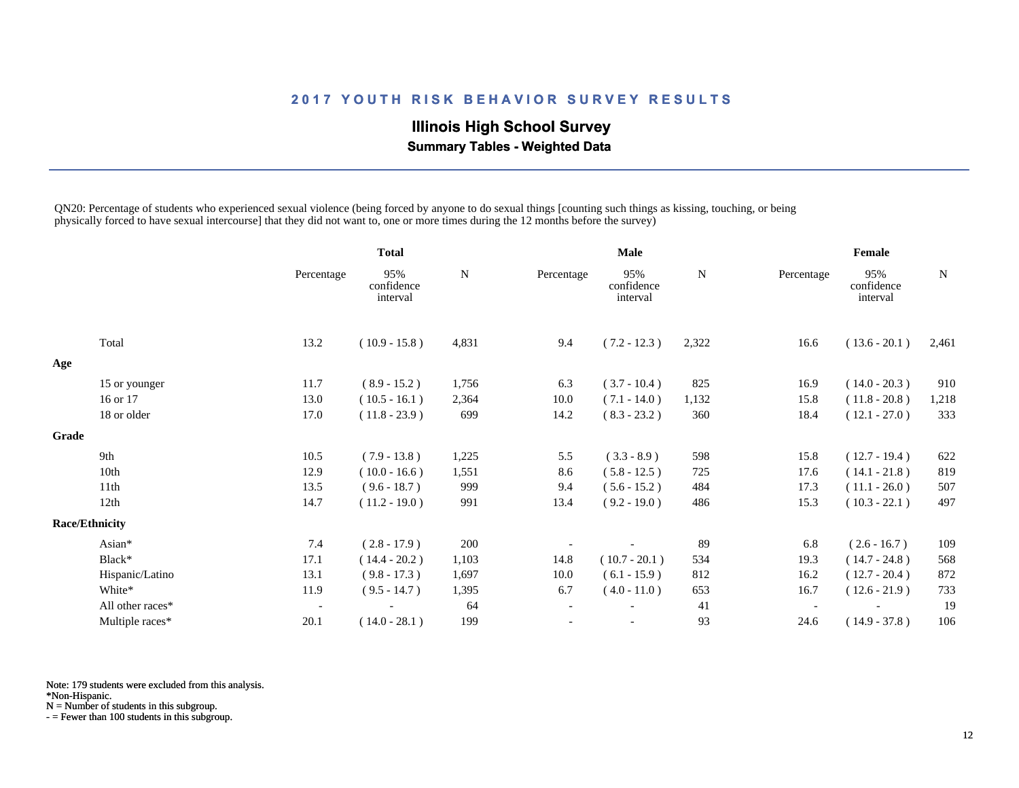# **Illinois High School Survey Summary Tables - Weighted Data**

QN20: Percentage of students who experienced sexual violence (being forced by anyone to do sexual things [counting such things as kissing, touching, or being physically forced to have sexual intercourse] that they did not want to, one or more times during the 12 months before the survey)

|                       |                  |                          | <b>Total</b>                  |           | <b>Male</b>              |                               |           | Female                   |                               |           |
|-----------------------|------------------|--------------------------|-------------------------------|-----------|--------------------------|-------------------------------|-----------|--------------------------|-------------------------------|-----------|
|                       |                  | Percentage               | 95%<br>confidence<br>interval | ${\bf N}$ | Percentage               | 95%<br>confidence<br>interval | ${\bf N}$ | Percentage               | 95%<br>confidence<br>interval | ${\bf N}$ |
|                       | Total            | 13.2                     | $(10.9 - 15.8)$               | 4,831     | 9.4                      | $(7.2 - 12.3)$                | 2,322     | 16.6                     | $(13.6 - 20.1)$               | 2,461     |
| Age                   |                  |                          |                               |           |                          |                               |           |                          |                               |           |
|                       | 15 or younger    | 11.7                     | $(8.9 - 15.2)$                | 1,756     | 6.3                      | $(3.7 - 10.4)$                | 825       | 16.9                     | $(14.0 - 20.3)$               | 910       |
|                       | 16 or 17         | 13.0                     | $(10.5 - 16.1)$               | 2,364     | 10.0                     | $(7.1 - 14.0)$                | 1,132     | 15.8                     | $(11.8 - 20.8)$               | 1,218     |
|                       | 18 or older      | 17.0                     | $(11.8 - 23.9)$               | 699       | 14.2                     | $(8.3 - 23.2)$                | 360       | 18.4                     | $(12.1 - 27.0)$               | 333       |
| Grade                 |                  |                          |                               |           |                          |                               |           |                          |                               |           |
|                       | 9th              | 10.5                     | $(7.9 - 13.8)$                | 1,225     | 5.5                      | $(3.3 - 8.9)$                 | 598       | 15.8                     | $(12.7 - 19.4)$               | 622       |
|                       | 10th             | 12.9                     | $(10.0 - 16.6)$               | 1,551     | 8.6                      | $(5.8 - 12.5)$                | 725       | 17.6                     | $(14.1 - 21.8)$               | 819       |
|                       | 11th             | 13.5                     | $(9.6 - 18.7)$                | 999       | 9.4                      | $(5.6 - 15.2)$                | 484       | 17.3                     | $(11.1 - 26.0)$               | 507       |
|                       | 12th             | 14.7                     | $(11.2 - 19.0)$               | 991       | 13.4                     | $(9.2 - 19.0)$                | 486       | 15.3                     | $(10.3 - 22.1)$               | 497       |
| <b>Race/Ethnicity</b> |                  |                          |                               |           |                          |                               |           |                          |                               |           |
|                       | Asian*           | 7.4                      | $(2.8 - 17.9)$                | 200       |                          |                               | 89        | 6.8                      | $(2.6 - 16.7)$                | 109       |
|                       | Black*           | 17.1                     | $(14.4 - 20.2)$               | 1,103     | 14.8                     | $(10.7 - 20.1)$               | 534       | 19.3                     | $(14.7 - 24.8)$               | 568       |
|                       | Hispanic/Latino  | 13.1                     | $(9.8 - 17.3)$                | 1,697     | 10.0                     | $(6.1 - 15.9)$                | 812       | 16.2                     | $(12.7 - 20.4)$               | 872       |
|                       | White*           | 11.9                     | $(9.5 - 14.7)$                | 1,395     | 6.7                      | $(4.0 - 11.0)$                | 653       | 16.7                     | $(12.6 - 21.9)$               | 733       |
|                       | All other races* | $\overline{\phantom{a}}$ |                               | 64        | $\overline{\phantom{a}}$ |                               | 41        | $\overline{\phantom{a}}$ |                               | 19        |
|                       | Multiple races*  | 20.1                     | $(14.0 - 28.1)$               | 199       | $\overline{\phantom{a}}$ |                               | 93        | 24.6                     | $(14.9 - 37.8)$               | 106       |

Note: 179 students were excluded from this analysis.

\*Non-Hispanic.

N = Number of students in this subgroup.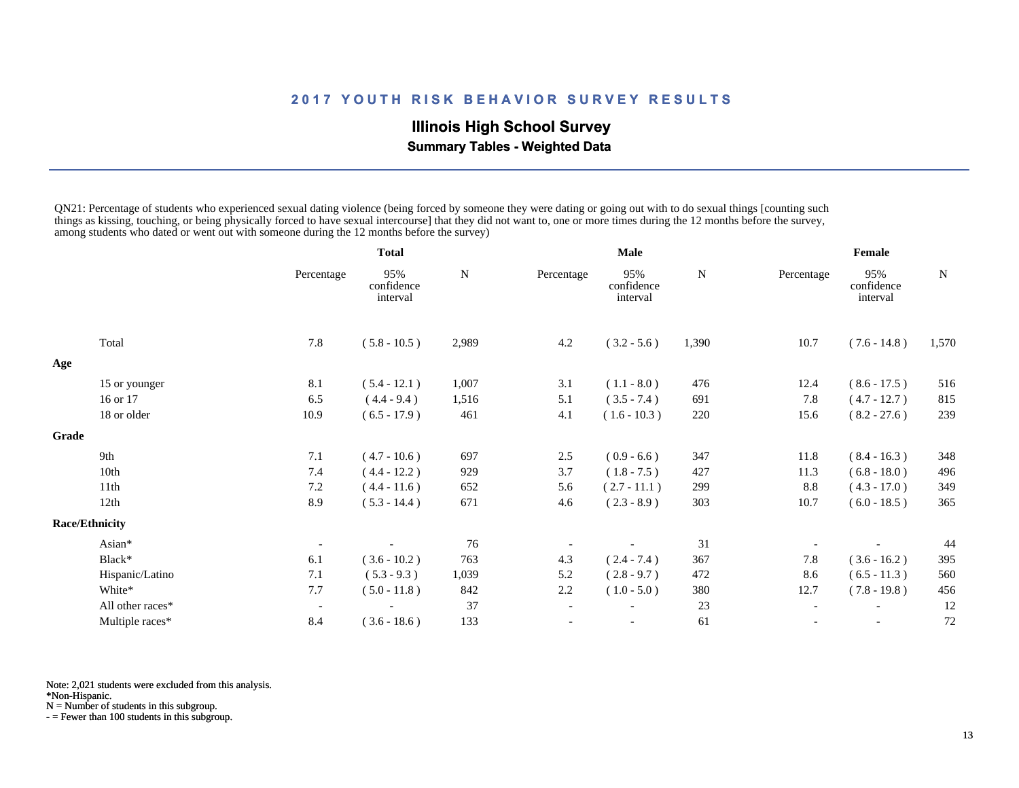# **Illinois High School Survey**

 **Summary Tables - Weighted Data**

QN21: Percentage of students who experienced sexual dating violence (being forced by someone they were dating or going out with to do sexual things [counting such things as kissing, touching, or being physically forced to have sexual intercourse] that they did not want to, one or more times during the 12 months before the survey, among students who dated or went out with someone during the 12 months before the survey)

|                  |                          | <b>Total</b>                  |           |                          |                               |       |            |                               |        |
|------------------|--------------------------|-------------------------------|-----------|--------------------------|-------------------------------|-------|------------|-------------------------------|--------|
|                  | Percentage               | 95%<br>confidence<br>interval | ${\bf N}$ | Percentage               | 95%<br>confidence<br>interval | N     | Percentage | 95%<br>confidence<br>interval | N      |
| Total            | 7.8                      | $(5.8 - 10.5)$                | 2,989     | 4.2                      | $(3.2 - 5.6)$                 | 1,390 | 10.7       | $(7.6 - 14.8)$                | 1,570  |
|                  |                          |                               |           |                          |                               |       |            |                               |        |
| 15 or younger    | 8.1                      | $(5.4 - 12.1)$                | 1,007     | 3.1                      | $(1.1 - 8.0)$                 | 476   | 12.4       | $(8.6 - 17.5)$                | 516    |
| 16 or 17         | 6.5                      | $(4.4 - 9.4)$                 | 1,516     | 5.1                      | $(3.5 - 7.4)$                 | 691   | 7.8        | $(4.7 - 12.7)$                | 815    |
| 18 or older      | 10.9                     | $(6.5 - 17.9)$                | 461       | 4.1                      | $(1.6 - 10.3)$                | 220   | 15.6       | $(8.2 - 27.6)$                | 239    |
|                  |                          |                               |           |                          |                               |       |            |                               |        |
| 9th              | 7.1                      | $(4.7 - 10.6)$                | 697       | 2.5                      | $(0.9 - 6.6)$                 | 347   | 11.8       | $(8.4 - 16.3)$                | 348    |
| 10th             | 7.4                      | $(4.4 - 12.2)$                | 929       | 3.7                      | $(1.8 - 7.5)$                 | 427   | 11.3       | $(6.8 - 18.0)$                | 496    |
| 11th             | 7.2                      | $(4.4 - 11.6)$                | 652       | 5.6                      | $(2.7 - 11.1)$                | 299   | 8.8        | $(4.3 - 17.0)$                | 349    |
| 12th             | 8.9                      | $(5.3 - 14.4)$                | 671       | 4.6                      | $(2.3 - 8.9)$                 | 303   | 10.7       | $(6.0 - 18.5)$                | 365    |
|                  |                          |                               |           |                          |                               |       |            |                               |        |
| Asian*           |                          |                               | 76        |                          |                               | 31    |            |                               | 44     |
| Black*           | 6.1                      | $(3.6 - 10.2)$                | 763       | 4.3                      | $(2.4 - 7.4)$                 | 367   | 7.8        | $(3.6 - 16.2)$                | 395    |
| Hispanic/Latino  | 7.1                      | $(5.3 - 9.3)$                 | 1,039     | 5.2                      | $(2.8 - 9.7)$                 | 472   | 8.6        | $(6.5 - 11.3)$                | 560    |
| White*           | 7.7                      | $(5.0 - 11.8)$                | 842       | 2.2                      | $(1.0 - 5.0)$                 | 380   | 12.7       | $(7.8 - 19.8)$                | 456    |
| All other races* | $\overline{\phantom{a}}$ |                               | 37        | $\overline{\phantom{a}}$ |                               | 23    |            |                               | 12     |
| Multiple races*  | 8.4                      | $(3.6 - 18.6)$                | 133       |                          |                               | 61    |            |                               | 72     |
|                  | <b>Race/Ethnicity</b>    |                               |           |                          |                               | Male  |            |                               | Female |

Note: 2,021 students were excluded from this analysis.

\*Non-Hispanic.

N = Number of students in this subgroup.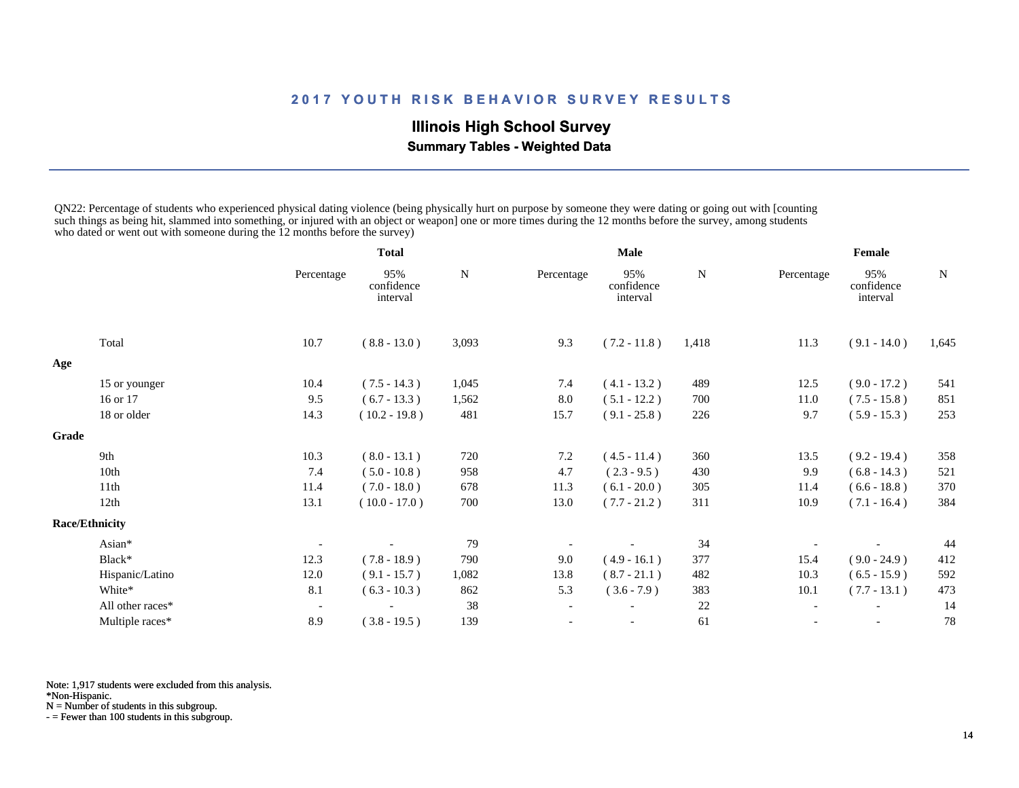# **Illinois High School Survey Summary Tables - Weighted Data**

QN22: Percentage of students who experienced physical dating violence (being physically hurt on purpose by someone they were dating or going out with [counting such things as being hit, slammed into something, or injured with an object or weapon] one or more times during the 12 months before the survey, among students who dated or went out with someone during the 12 months before the survey)

|       |                       |                          | <b>Total</b>                  |       | <b>Male</b>              |                               |       | Female                   |                               |       |
|-------|-----------------------|--------------------------|-------------------------------|-------|--------------------------|-------------------------------|-------|--------------------------|-------------------------------|-------|
|       |                       | Percentage               | 95%<br>confidence<br>interval | N     | Percentage               | 95%<br>confidence<br>interval | N     | Percentage               | 95%<br>confidence<br>interval | N     |
|       | Total                 | 10.7                     | $(8.8 - 13.0)$                | 3,093 | 9.3                      | $(7.2 - 11.8)$                | 1,418 | 11.3                     | $(9.1 - 14.0)$                | 1,645 |
| Age   |                       |                          |                               |       |                          |                               |       |                          |                               |       |
|       | 15 or younger         | 10.4                     | $(7.5 - 14.3)$                | 1,045 | 7.4                      | $(4.1 - 13.2)$                | 489   | 12.5                     | $(9.0 - 17.2)$                | 541   |
|       | 16 or 17              | 9.5                      | $(6.7 - 13.3)$                | 1,562 | 8.0                      | $(5.1 - 12.2)$                | 700   | 11.0                     | $(7.5 - 15.8)$                | 851   |
|       | 18 or older           | 14.3                     | $(10.2 - 19.8)$               | 481   | 15.7                     | $(9.1 - 25.8)$                | 226   | 9.7                      | $(5.9 - 15.3)$                | 253   |
| Grade |                       |                          |                               |       |                          |                               |       |                          |                               |       |
|       | 9th                   | 10.3                     | $(8.0 - 13.1)$                | 720   | 7.2                      | $(4.5 - 11.4)$                | 360   | 13.5                     | $(9.2 - 19.4)$                | 358   |
|       | 10th                  | 7.4                      | $(5.0 - 10.8)$                | 958   | 4.7                      | $(2.3 - 9.5)$                 | 430   | 9.9                      | $(6.8 - 14.3)$                | 521   |
|       | 11th                  | 11.4                     | $(7.0 - 18.0)$                | 678   | 11.3                     | $(6.1 - 20.0)$                | 305   | 11.4                     | $(6.6 - 18.8)$                | 370   |
|       | 12th                  | 13.1                     | $(10.0 - 17.0)$               | 700   | 13.0                     | $(7.7 - 21.2)$                | 311   | 10.9                     | $(7.1 - 16.4)$                | 384   |
|       | <b>Race/Ethnicity</b> |                          |                               |       |                          |                               |       |                          |                               |       |
|       | Asian*                |                          |                               | 79    |                          |                               | 34    |                          |                               | 44    |
|       | Black*                | 12.3                     | $(7.8 - 18.9)$                | 790   | 9.0                      | $(4.9 - 16.1)$                | 377   | 15.4                     | $(9.0 - 24.9)$                | 412   |
|       | Hispanic/Latino       | 12.0                     | $(9.1 - 15.7)$                | 1,082 | 13.8                     | $(8.7 - 21.1)$                | 482   | 10.3                     | $(6.5 - 15.9)$                | 592   |
|       | White*                | 8.1                      | $(6.3 - 10.3)$                | 862   | 5.3                      | $(3.6 - 7.9)$                 | 383   | 10.1                     | $(7.7 - 13.1)$                | 473   |
|       | All other races*      | $\overline{\phantom{a}}$ |                               | 38    | $\overline{\phantom{a}}$ |                               | 22    | $\overline{\phantom{a}}$ |                               | 14    |
|       | Multiple races*       | 8.9                      | $(3.8 - 19.5)$                | 139   |                          |                               | 61    | $\overline{\phantom{0}}$ | $\overline{\phantom{a}}$      | 78    |

Note: 1,917 students were excluded from this analysis.

\*Non-Hispanic.

N = Number of students in this subgroup.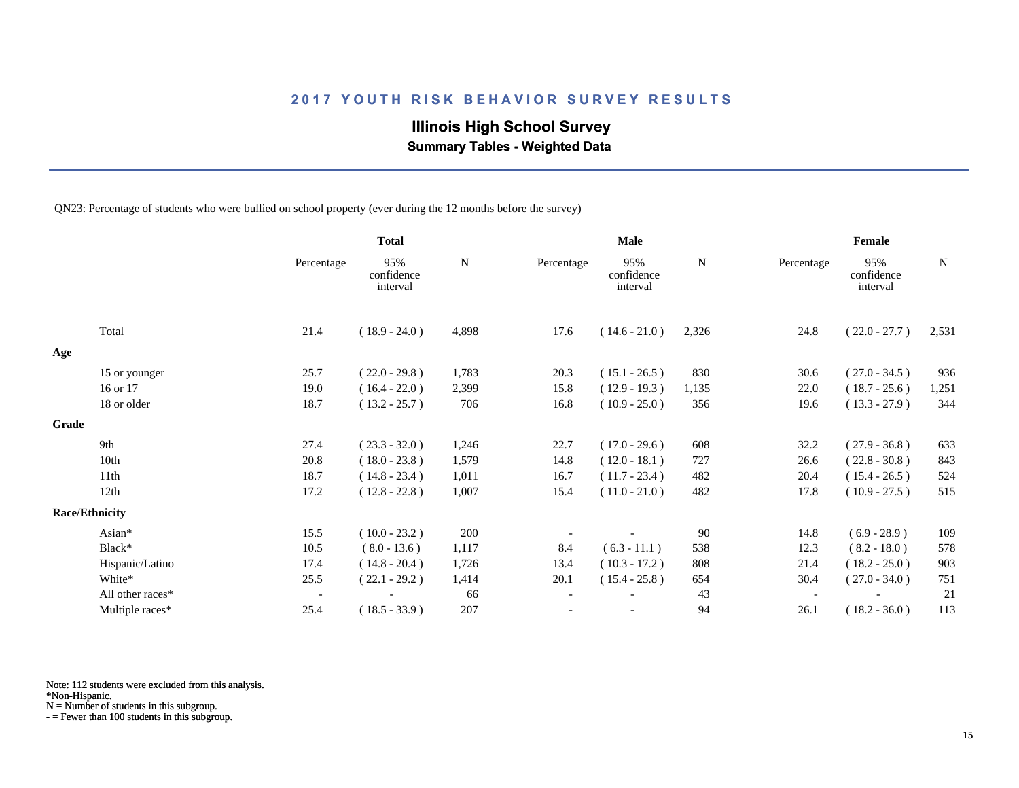# **Illinois High School Survey**

 **Summary Tables - Weighted Data**

QN23: Percentage of students who were bullied on school property (ever during the 12 months before the survey)

|       |                       |                          | <b>Total</b>                  |       |            | <b>Male</b>                   |       |            | Female                        |       |
|-------|-----------------------|--------------------------|-------------------------------|-------|------------|-------------------------------|-------|------------|-------------------------------|-------|
|       |                       | Percentage               | 95%<br>confidence<br>interval | N     | Percentage | 95%<br>confidence<br>interval | N     | Percentage | 95%<br>confidence<br>interval | N     |
|       | Total                 | 21.4                     | $(18.9 - 24.0)$               | 4,898 | 17.6       | $(14.6 - 21.0)$               | 2,326 | 24.8       | $(22.0 - 27.7)$               | 2,531 |
| Age   |                       |                          |                               |       |            |                               |       |            |                               |       |
|       | 15 or younger         | 25.7                     | $(22.0 - 29.8)$               | 1,783 | 20.3       | $(15.1 - 26.5)$               | 830   | 30.6       | $(27.0 - 34.5)$               | 936   |
|       | 16 or 17              | 19.0                     | $(16.4 - 22.0)$               | 2,399 | 15.8       | $(12.9 - 19.3)$               | 1,135 | 22.0       | $(18.7 - 25.6)$               | 1,251 |
|       | 18 or older           | 18.7                     | $(13.2 - 25.7)$               | 706   | 16.8       | $(10.9 - 25.0)$               | 356   | 19.6       | $(13.3 - 27.9)$               | 344   |
| Grade |                       |                          |                               |       |            |                               |       |            |                               |       |
|       | 9th                   | 27.4                     | $(23.3 - 32.0)$               | 1,246 | 22.7       | $(17.0 - 29.6)$               | 608   | 32.2       | $(27.9 - 36.8)$               | 633   |
|       | 10th                  | 20.8                     | $(18.0 - 23.8)$               | 1,579 | 14.8       | $(12.0 - 18.1)$               | 727   | 26.6       | $(22.8 - 30.8)$               | 843   |
|       | 11th                  | 18.7                     | $(14.8 - 23.4)$               | 1,011 | 16.7       | $(11.7 - 23.4)$               | 482   | 20.4       | $(15.4 - 26.5)$               | 524   |
|       | 12th                  | 17.2                     | $(12.8 - 22.8)$               | 1,007 | 15.4       | $(11.0 - 21.0)$               | 482   | 17.8       | $(10.9 - 27.5)$               | 515   |
|       | <b>Race/Ethnicity</b> |                          |                               |       |            |                               |       |            |                               |       |
|       | Asian*                | 15.5                     | $(10.0 - 23.2)$               | 200   |            |                               | 90    | 14.8       | $(6.9 - 28.9)$                | 109   |
|       | Black*                | 10.5                     | $(8.0 - 13.6)$                | 1,117 | 8.4        | $(6.3 - 11.1)$                | 538   | 12.3       | $(8.2 - 18.0)$                | 578   |
|       | Hispanic/Latino       | 17.4                     | $(14.8 - 20.4)$               | 1,726 | 13.4       | $(10.3 - 17.2)$               | 808   | 21.4       | $(18.2 - 25.0)$               | 903   |
|       | White*                | 25.5                     | $(22.1 - 29.2)$               | 1,414 | 20.1       | $(15.4 - 25.8)$               | 654   | 30.4       | $(27.0 - 34.0)$               | 751   |
|       | All other races*      | $\overline{\phantom{a}}$ |                               | 66    |            |                               | 43    |            |                               | 21    |
|       | Multiple races*       | 25.4                     | $(18.5 - 33.9)$               | 207   |            | $\overline{\phantom{a}}$      | 94    | 26.1       | $(18.2 - 36.0)$               | 113   |

Note: 112 students were excluded from this analysis.

\*Non-Hispanic.

N = Number of students in this subgroup.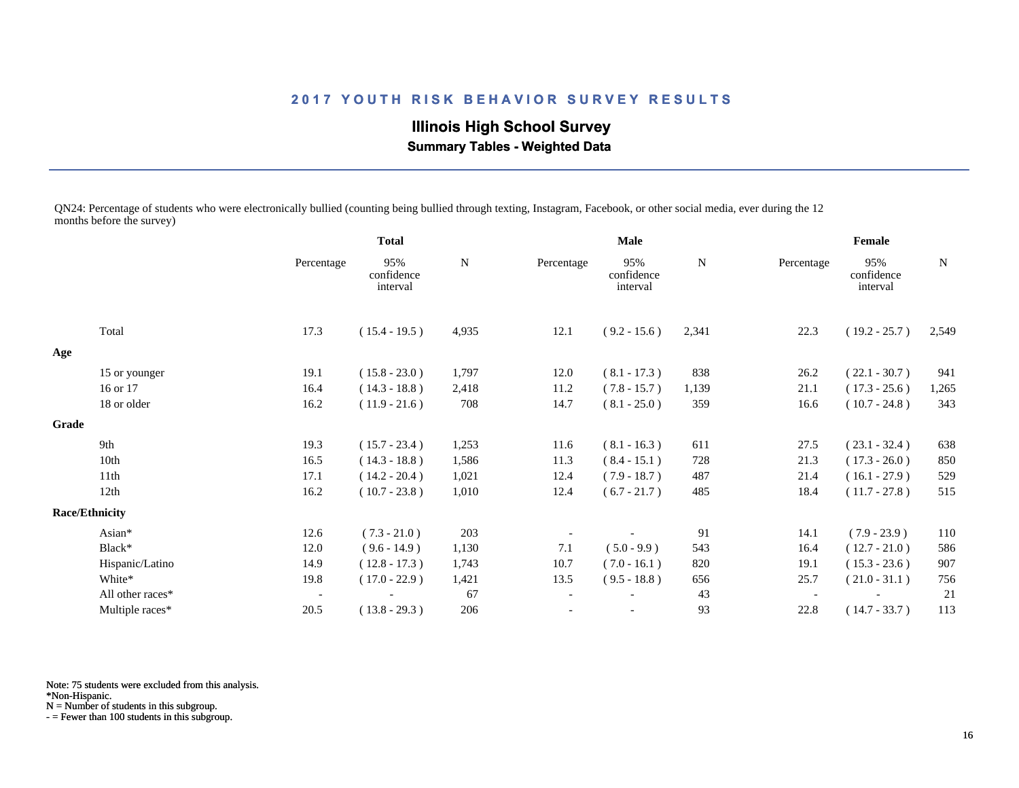**Illinois High School Survey Summary Tables - Weighted Data**

QN24: Percentage of students who were electronically bullied (counting being bullied through texting, Instagram, Facebook, or other social media, ever during the 12 months before the survey)

|       |                       |                          | <b>Total</b>                  |             | <b>Male</b>              |                               |       | Female                   |                               |             |
|-------|-----------------------|--------------------------|-------------------------------|-------------|--------------------------|-------------------------------|-------|--------------------------|-------------------------------|-------------|
|       |                       | Percentage               | 95%<br>confidence<br>interval | $\mathbf N$ | Percentage               | 95%<br>confidence<br>interval | N     | Percentage               | 95%<br>confidence<br>interval | $\mathbf N$ |
|       | Total                 | 17.3                     | $(15.4 - 19.5)$               | 4,935       | 12.1                     | $(9.2 - 15.6)$                | 2,341 | 22.3                     | $(19.2 - 25.7)$               | 2,549       |
| Age   |                       |                          |                               |             |                          |                               |       |                          |                               |             |
|       | 15 or younger         | 19.1                     | $(15.8 - 23.0)$               | 1,797       | 12.0                     | $(8.1 - 17.3)$                | 838   | 26.2                     | $(22.1 - 30.7)$               | 941         |
|       | 16 or 17              | 16.4                     | $(14.3 - 18.8)$               | 2,418       | 11.2                     | $(7.8 - 15.7)$                | 1,139 | 21.1                     | $(17.3 - 25.6)$               | 1,265       |
|       | 18 or older           | 16.2                     | $(11.9 - 21.6)$               | 708         | 14.7                     | $(8.1 - 25.0)$                | 359   | 16.6                     | $(10.7 - 24.8)$               | 343         |
| Grade |                       |                          |                               |             |                          |                               |       |                          |                               |             |
|       | 9th                   | 19.3                     | $(15.7 - 23.4)$               | 1,253       | 11.6                     | $(8.1 - 16.3)$                | 611   | 27.5                     | $(23.1 - 32.4)$               | 638         |
|       | 10th                  | 16.5                     | $(14.3 - 18.8)$               | 1,586       | 11.3                     | $(8.4 - 15.1)$                | 728   | 21.3                     | $(17.3 - 26.0)$               | 850         |
|       | 11th                  | 17.1                     | $(14.2 - 20.4)$               | 1,021       | 12.4                     | $(7.9 - 18.7)$                | 487   | 21.4                     | $(16.1 - 27.9)$               | 529         |
|       | 12th                  | 16.2                     | $(10.7 - 23.8)$               | 1,010       | 12.4                     | $(6.7 - 21.7)$                | 485   | 18.4                     | $(11.7 - 27.8)$               | 515         |
|       | <b>Race/Ethnicity</b> |                          |                               |             |                          |                               |       |                          |                               |             |
|       | Asian*                | 12.6                     | $(7.3 - 21.0)$                | 203         |                          |                               | 91    | 14.1                     | $(7.9 - 23.9)$                | 110         |
|       | Black*                | 12.0                     | $(9.6 - 14.9)$                | 1,130       | 7.1                      | $(5.0 - 9.9)$                 | 543   | 16.4                     | $(12.7 - 21.0)$               | 586         |
|       | Hispanic/Latino       | 14.9                     | $(12.8 - 17.3)$               | 1,743       | 10.7                     | $(7.0 - 16.1)$                | 820   | 19.1                     | $(15.3 - 23.6)$               | 907         |
|       | White*                | 19.8                     | $(17.0 - 22.9)$               | 1,421       | 13.5                     | $(9.5 - 18.8)$                | 656   | 25.7                     | $(21.0 - 31.1)$               | 756         |
|       | All other races*      | $\overline{\phantom{a}}$ |                               | 67          | $\overline{\phantom{a}}$ |                               | 43    | $\overline{\phantom{a}}$ |                               | 21          |
|       | Multiple races*       | 20.5                     | $(13.8 - 29.3)$               | 206         |                          |                               | 93    | 22.8                     | $(14.7 - 33.7)$               | 113         |

Note: 75 students were excluded from this analysis.

\*Non-Hispanic.

N = Number of students in this subgroup.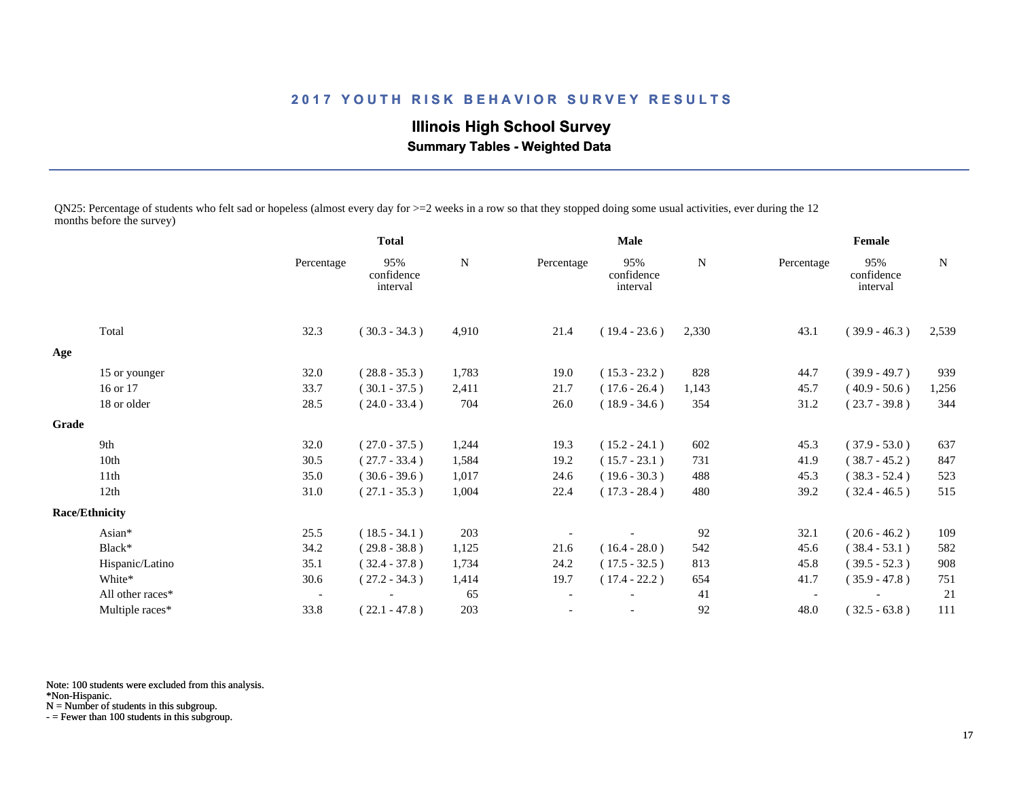**Illinois High School Survey Summary Tables - Weighted Data**

QN25: Percentage of students who felt sad or hopeless (almost every day for >=2 weeks in a row so that they stopped doing some usual activities, ever during the 12 months before the survey)

|       |                       | <b>Total</b>             |                               | Male  |            |                               | Female |                          |                               |             |
|-------|-----------------------|--------------------------|-------------------------------|-------|------------|-------------------------------|--------|--------------------------|-------------------------------|-------------|
|       |                       | Percentage               | 95%<br>confidence<br>interval | N     | Percentage | 95%<br>confidence<br>interval | N      | Percentage               | 95%<br>confidence<br>interval | $\mathbf N$ |
|       | Total                 | 32.3                     | $(30.3 - 34.3)$               | 4,910 | 21.4       | $(19.4 - 23.6)$               | 2,330  | 43.1                     | $(39.9 - 46.3)$               | 2,539       |
| Age   |                       |                          |                               |       |            |                               |        |                          |                               |             |
|       | 15 or younger         | 32.0                     | $(28.8 - 35.3)$               | 1,783 | 19.0       | $(15.3 - 23.2)$               | 828    | 44.7                     | $(39.9 - 49.7)$               | 939         |
|       | 16 or 17              | 33.7                     | $(30.1 - 37.5)$               | 2,411 | 21.7       | $(17.6 - 26.4)$               | 1,143  | 45.7                     | $(40.9 - 50.6)$               | 1,256       |
|       | 18 or older           | 28.5                     | $(24.0 - 33.4)$               | 704   | 26.0       | $(18.9 - 34.6)$               | 354    | 31.2                     | $(23.7 - 39.8)$               | 344         |
| Grade |                       |                          |                               |       |            |                               |        |                          |                               |             |
|       | 9th                   | 32.0                     | $(27.0 - 37.5)$               | 1,244 | 19.3       | $(15.2 - 24.1)$               | 602    | 45.3                     | $(37.9 - 53.0)$               | 637         |
|       | 10th                  | 30.5                     | $(27.7 - 33.4)$               | 1,584 | 19.2       | $(15.7 - 23.1)$               | 731    | 41.9                     | $(38.7 - 45.2)$               | 847         |
|       | 11 <sup>th</sup>      | 35.0                     | $(30.6 - 39.6)$               | 1,017 | 24.6       | $(19.6 - 30.3)$               | 488    | 45.3                     | $(38.3 - 52.4)$               | 523         |
|       | 12th                  | 31.0                     | $(27.1 - 35.3)$               | 1,004 | 22.4       | $(17.3 - 28.4)$               | 480    | 39.2                     | $(32.4 - 46.5)$               | 515         |
|       | <b>Race/Ethnicity</b> |                          |                               |       |            |                               |        |                          |                               |             |
|       | Asian*                | 25.5                     | $(18.5 - 34.1)$               | 203   |            |                               | 92     | 32.1                     | $(20.6 - 46.2)$               | 109         |
|       | Black*                | 34.2                     | $(29.8 - 38.8)$               | 1,125 | 21.6       | $(16.4 - 28.0)$               | 542    | 45.6                     | $(38.4 - 53.1)$               | 582         |
|       | Hispanic/Latino       | 35.1                     | $(32.4 - 37.8)$               | 1,734 | 24.2       | $(17.5 - 32.5)$               | 813    | 45.8                     | $(39.5 - 52.3)$               | 908         |
|       | White*                | 30.6                     | $(27.2 - 34.3)$               | 1,414 | 19.7       | $(17.4 - 22.2)$               | 654    | 41.7                     | $(35.9 - 47.8)$               | 751         |
|       | All other races*      | $\overline{\phantom{a}}$ |                               | 65    |            |                               | 41     | $\overline{\phantom{a}}$ |                               | 21          |
|       | Multiple races*       | 33.8                     | $(22.1 - 47.8)$               | 203   |            |                               | 92     | 48.0                     | $(32.5 - 63.8)$               | 111         |
|       |                       |                          |                               |       |            |                               |        |                          |                               |             |

Note: 100 students were excluded from this analysis.

\*Non-Hispanic.

N = Number of students in this subgroup.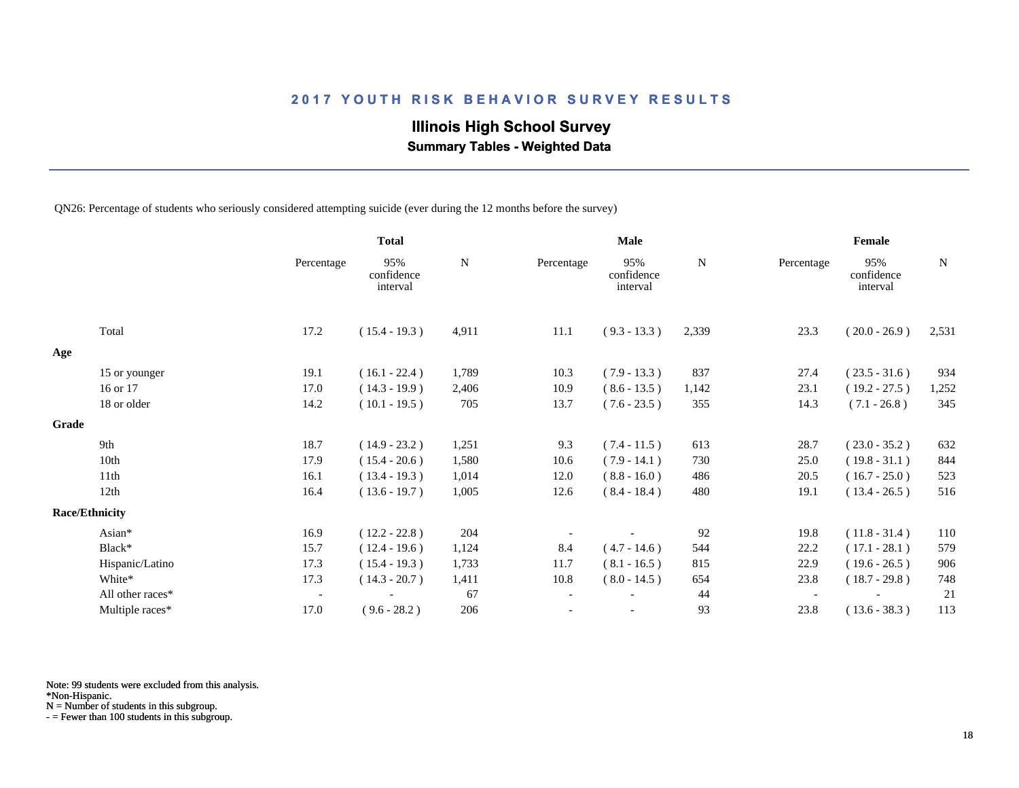# **Illinois High School Survey**

 **Summary Tables - Weighted Data**

QN26: Percentage of students who seriously considered attempting suicide (ever during the 12 months before the survey)

|       |                       |                          | <b>Total</b>                  |           |            | <b>Male</b>                   |       |                          | Female                        |       |
|-------|-----------------------|--------------------------|-------------------------------|-----------|------------|-------------------------------|-------|--------------------------|-------------------------------|-------|
|       |                       | Percentage               | 95%<br>confidence<br>interval | ${\bf N}$ | Percentage | 95%<br>confidence<br>interval | N     | Percentage               | 95%<br>confidence<br>interval | N     |
|       | Total                 | 17.2                     | $(15.4 - 19.3)$               | 4,911     | 11.1       | $(9.3 - 13.3)$                | 2,339 | 23.3                     | $(20.0 - 26.9)$               | 2,531 |
| Age   |                       |                          |                               |           |            |                               |       |                          |                               |       |
|       | 15 or younger         | 19.1                     | $(16.1 - 22.4)$               | 1,789     | 10.3       | $(7.9 - 13.3)$                | 837   | 27.4                     | $(23.5 - 31.6)$               | 934   |
|       | 16 or 17              | 17.0                     | $(14.3 - 19.9)$               | 2,406     | 10.9       | $(8.6 - 13.5)$                | 1,142 | 23.1                     | $(19.2 - 27.5)$               | 1,252 |
|       | 18 or older           | 14.2                     | $(10.1 - 19.5)$               | 705       | 13.7       | $(7.6 - 23.5)$                | 355   | 14.3                     | $(7.1 - 26.8)$                | 345   |
| Grade |                       |                          |                               |           |            |                               |       |                          |                               |       |
|       | 9th                   | 18.7                     | $(14.9 - 23.2)$               | 1,251     | 9.3        | $(7.4 - 11.5)$                | 613   | 28.7                     | $(23.0 - 35.2)$               | 632   |
|       | 10th                  | 17.9                     | $(15.4 - 20.6)$               | 1,580     | 10.6       | $(7.9 - 14.1)$                | 730   | 25.0                     | $(19.8 - 31.1)$               | 844   |
|       | 11th                  | 16.1                     | $(13.4 - 19.3)$               | 1,014     | 12.0       | $(8.8 - 16.0)$                | 486   | 20.5                     | $(16.7 - 25.0)$               | 523   |
|       | 12th                  | 16.4                     | $(13.6 - 19.7)$               | 1,005     | 12.6       | $(8.4 - 18.4)$                | 480   | 19.1                     | $(13.4 - 26.5)$               | 516   |
|       | <b>Race/Ethnicity</b> |                          |                               |           |            |                               |       |                          |                               |       |
|       | Asian*                | 16.9                     | $(12.2 - 22.8)$               | 204       |            |                               | 92    | 19.8                     | $(11.8 - 31.4)$               | 110   |
|       | Black*                | 15.7                     | $(12.4 - 19.6)$               | 1,124     | 8.4        | $(4.7 - 14.6)$                | 544   | 22.2                     | $(17.1 - 28.1)$               | 579   |
|       | Hispanic/Latino       | 17.3                     | $(15.4 - 19.3)$               | 1,733     | 11.7       | $(8.1 - 16.5)$                | 815   | 22.9                     | $(19.6 - 26.5)$               | 906   |
|       | White*                | 17.3                     | $(14.3 - 20.7)$               | 1,411     | 10.8       | $(8.0 - 14.5)$                | 654   | 23.8                     | $(18.7 - 29.8)$               | 748   |
|       | All other races*      | $\overline{\phantom{a}}$ |                               | 67        |            |                               | 44    | $\overline{\phantom{a}}$ |                               | 21    |
|       | Multiple races*       | 17.0                     | $(9.6 - 28.2)$                | 206       |            | $\overline{\phantom{a}}$      | 93    | 23.8                     | $(13.6 - 38.3)$               | 113   |

Note: 99 students were excluded from this analysis.

\*Non-Hispanic.

N = Number of students in this subgroup.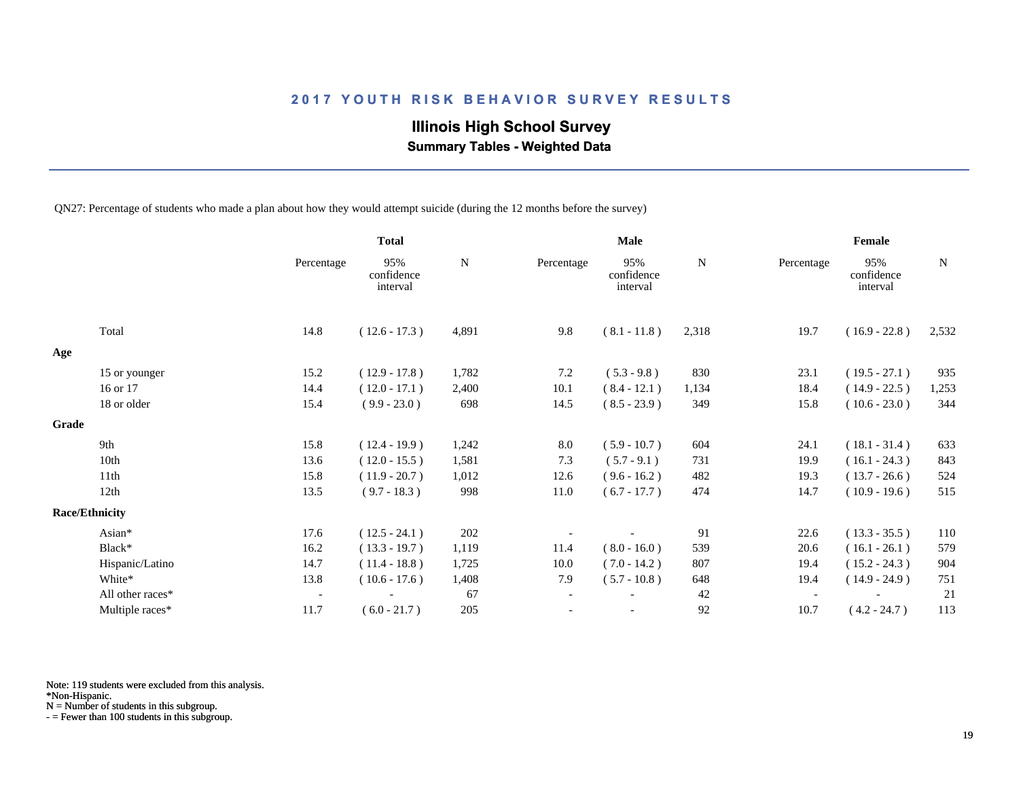# **Illinois High School Survey**

 **Summary Tables - Weighted Data**

QN27: Percentage of students who made a plan about how they would attempt suicide (during the 12 months before the survey)

|       |                       |                          | <b>Total</b>                  |       |                          | <b>Male</b>                   |       |            | Female                        |             |
|-------|-----------------------|--------------------------|-------------------------------|-------|--------------------------|-------------------------------|-------|------------|-------------------------------|-------------|
|       |                       | Percentage               | 95%<br>confidence<br>interval | N     | Percentage               | 95%<br>confidence<br>interval | N     | Percentage | 95%<br>confidence<br>interval | $\mathbf N$ |
|       | Total                 | 14.8                     | $(12.6 - 17.3)$               | 4,891 | 9.8                      | $(8.1 - 11.8)$                | 2,318 | 19.7       | $(16.9 - 22.8)$               | 2,532       |
| Age   |                       |                          |                               |       |                          |                               |       |            |                               |             |
|       | 15 or younger         | 15.2                     | $(12.9 - 17.8)$               | 1,782 | 7.2                      | $(5.3 - 9.8)$                 | 830   | 23.1       | $(19.5 - 27.1)$               | 935         |
|       | 16 or 17              | 14.4                     | $(12.0 - 17.1)$               | 2,400 | 10.1                     | $(8.4 - 12.1)$                | 1,134 | 18.4       | $(14.9 - 22.5)$               | 1,253       |
|       | 18 or older           | 15.4                     | $(9.9 - 23.0)$                | 698   | 14.5                     | $(8.5 - 23.9)$                | 349   | 15.8       | $(10.6 - 23.0)$               | 344         |
| Grade |                       |                          |                               |       |                          |                               |       |            |                               |             |
|       | 9th                   | 15.8                     | $(12.4 - 19.9)$               | 1,242 | 8.0                      | $(5.9 - 10.7)$                | 604   | 24.1       | $(18.1 - 31.4)$               | 633         |
|       | 10th                  | 13.6                     | $(12.0 - 15.5)$               | 1,581 | 7.3                      | $(5.7 - 9.1)$                 | 731   | 19.9       | $(16.1 - 24.3)$               | 843         |
|       | 11th                  | 15.8                     | $(11.9 - 20.7)$               | 1,012 | 12.6                     | $(9.6 - 16.2)$                | 482   | 19.3       | $(13.7 - 26.6)$               | 524         |
|       | 12th                  | 13.5                     | $(9.7 - 18.3)$                | 998   | 11.0                     | $(6.7 - 17.7)$                | 474   | 14.7       | $(10.9 - 19.6)$               | 515         |
|       | <b>Race/Ethnicity</b> |                          |                               |       |                          |                               |       |            |                               |             |
|       | Asian*                | 17.6                     | $(12.5 - 24.1)$               | 202   |                          |                               | 91    | 22.6       | $(13.3 - 35.5)$               | 110         |
|       | Black*                | 16.2                     | $(13.3 - 19.7)$               | 1,119 | 11.4                     | $(8.0 - 16.0)$                | 539   | 20.6       | $(16.1 - 26.1)$               | 579         |
|       | Hispanic/Latino       | 14.7                     | $(11.4 - 18.8)$               | 1,725 | 10.0                     | $(7.0 - 14.2)$                | 807   | 19.4       | $(15.2 - 24.3)$               | 904         |
|       | White*                | 13.8                     | $(10.6 - 17.6)$               | 1,408 | 7.9                      | $(5.7 - 10.8)$                | 648   | 19.4       | $(14.9 - 24.9)$               | 751         |
|       | All other races*      | $\overline{\phantom{a}}$ |                               | 67    | $\overline{\phantom{a}}$ |                               | 42    |            |                               | 21          |
|       | Multiple races*       | 11.7                     | $(6.0 - 21.7)$                | 205   |                          | $\overline{\phantom{a}}$      | 92    | 10.7       | $(4.2 - 24.7)$                | 113         |

Note: 119 students were excluded from this analysis.

\*Non-Hispanic.

N = Number of students in this subgroup.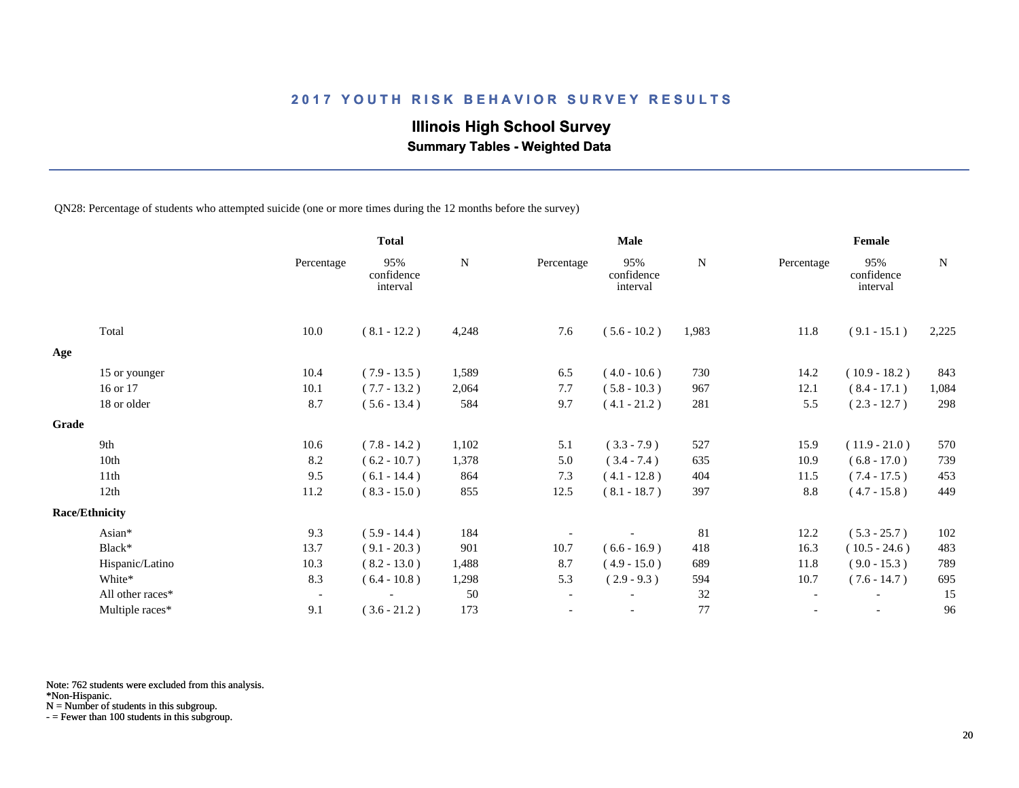# **Illinois High School Survey**

 **Summary Tables - Weighted Data**

QN28: Percentage of students who attempted suicide (one or more times during the 12 months before the survey)

|       |                       |                          | <b>Total</b>                  |       |                          | <b>Male</b>                   |       |                          | Female                        |       |
|-------|-----------------------|--------------------------|-------------------------------|-------|--------------------------|-------------------------------|-------|--------------------------|-------------------------------|-------|
|       |                       | Percentage               | 95%<br>confidence<br>interval | N     | Percentage               | 95%<br>confidence<br>interval | N     | Percentage               | 95%<br>confidence<br>interval | N     |
|       | Total                 | 10.0                     | $(8.1 - 12.2)$                | 4,248 | 7.6                      | $(5.6 - 10.2)$                | 1,983 | 11.8                     | $(9.1 - 15.1)$                | 2,225 |
| Age   |                       |                          |                               |       |                          |                               |       |                          |                               |       |
|       | 15 or younger         | 10.4                     | $(7.9 - 13.5)$                | 1,589 | 6.5                      | $(4.0 - 10.6)$                | 730   | 14.2                     | $(10.9 - 18.2)$               | 843   |
|       | 16 or 17              | 10.1                     | $(7.7 - 13.2)$                | 2,064 | 7.7                      | $(5.8 - 10.3)$                | 967   | 12.1                     | $(8.4 - 17.1)$                | 1,084 |
|       | 18 or older           | 8.7                      | $(5.6 - 13.4)$                | 584   | 9.7                      | $(4.1 - 21.2)$                | 281   | 5.5                      | $(2.3 - 12.7)$                | 298   |
| Grade |                       |                          |                               |       |                          |                               |       |                          |                               |       |
|       | 9th                   | 10.6                     | $(7.8 - 14.2)$                | 1,102 | 5.1                      | $(3.3 - 7.9)$                 | 527   | 15.9                     | $(11.9 - 21.0)$               | 570   |
|       | 10th                  | 8.2                      | $(6.2 - 10.7)$                | 1,378 | 5.0                      | $(3.4 - 7.4)$                 | 635   | 10.9                     | $(6.8 - 17.0)$                | 739   |
|       | 11th                  | 9.5                      | $(6.1 - 14.4)$                | 864   | 7.3                      | $(4.1 - 12.8)$                | 404   | 11.5                     | $(7.4 - 17.5)$                | 453   |
|       | 12th                  | 11.2                     | $(8.3 - 15.0)$                | 855   | 12.5                     | $(8.1 - 18.7)$                | 397   | 8.8                      | $(4.7 - 15.8)$                | 449   |
|       | <b>Race/Ethnicity</b> |                          |                               |       |                          |                               |       |                          |                               |       |
|       | Asian*                | 9.3                      | $(5.9 - 14.4)$                | 184   |                          |                               | 81    | 12.2                     | $(5.3 - 25.7)$                | 102   |
|       | Black*                | 13.7                     | $(9.1 - 20.3)$                | 901   | 10.7                     | $(6.6 - 16.9)$                | 418   | 16.3                     | $(10.5 - 24.6)$               | 483   |
|       | Hispanic/Latino       | 10.3                     | $(8.2 - 13.0)$                | 1,488 | 8.7                      | $(4.9 - 15.0)$                | 689   | 11.8                     | $(9.0 - 15.3)$                | 789   |
|       | White*                | 8.3                      | $(6.4 - 10.8)$                | 1,298 | 5.3                      | $(2.9 - 9.3)$                 | 594   | 10.7                     | $(7.6 - 14.7)$                | 695   |
|       | All other races*      | $\overline{\phantom{a}}$ |                               | 50    | $\overline{\phantom{a}}$ |                               | 32    | $\overline{\phantom{a}}$ |                               | 15    |
|       | Multiple races*       | 9.1                      | $(3.6 - 21.2)$                | 173   |                          | $\overline{\phantom{a}}$      | 77    |                          | $\overline{\phantom{a}}$      | 96    |

Note: 762 students were excluded from this analysis.

N = Number of students in this subgroup.

<sup>\*</sup>Non-Hispanic.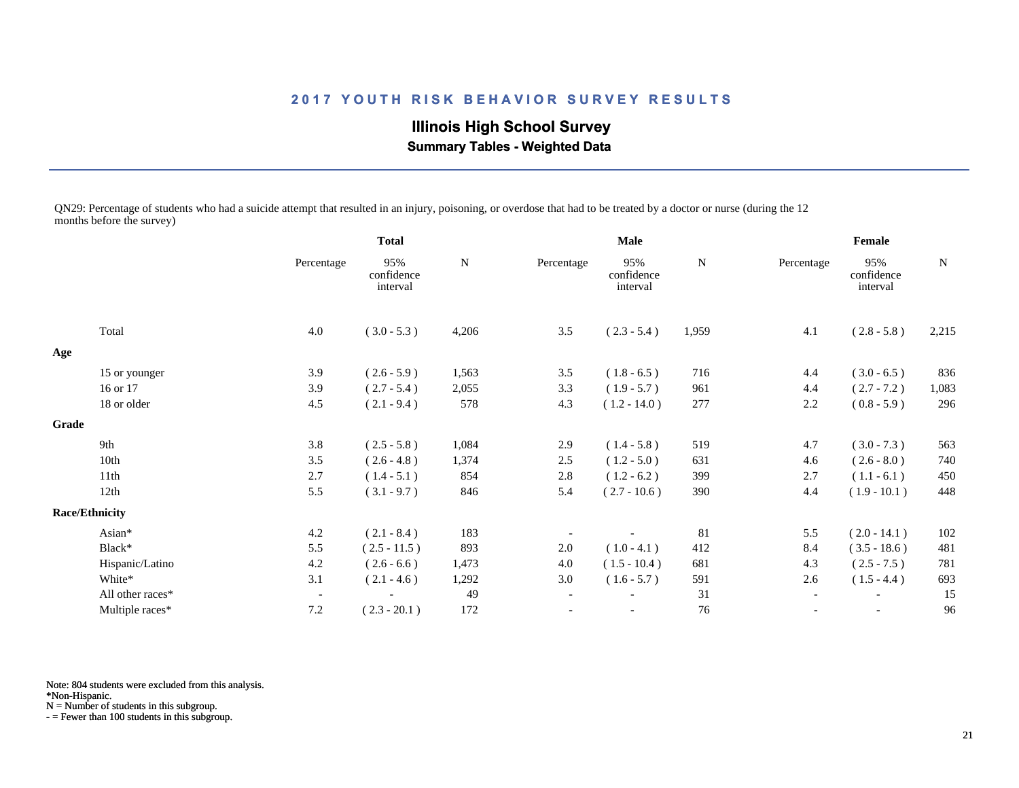**Illinois High School Survey Summary Tables - Weighted Data**

QN29: Percentage of students who had a suicide attempt that resulted in an injury, poisoning, or overdose that had to be treated by a doctor or nurse (during the 12 months before the survey)

|       |                       |                          | <b>Total</b>                  |             | <b>Male</b>              |                               |             | Female                   |                               |       |
|-------|-----------------------|--------------------------|-------------------------------|-------------|--------------------------|-------------------------------|-------------|--------------------------|-------------------------------|-------|
|       |                       | Percentage               | 95%<br>confidence<br>interval | $\mathbf N$ | Percentage               | 95%<br>confidence<br>interval | $\mathbf N$ | Percentage               | 95%<br>confidence<br>interval | N     |
|       | Total                 | 4.0                      | $(3.0 - 5.3)$                 | 4,206       | 3.5                      | $(2.3 - 5.4)$                 | 1,959       | 4.1                      | $(2.8 - 5.8)$                 | 2,215 |
| Age   |                       |                          |                               |             |                          |                               |             |                          |                               |       |
|       | 15 or younger         | 3.9                      | $(2.6 - 5.9)$                 | 1,563       | 3.5                      | $(1.8 - 6.5)$                 | 716         | 4.4                      | $(3.0 - 6.5)$                 | 836   |
|       | 16 or 17              | 3.9                      | $(2.7 - 5.4)$                 | 2,055       | 3.3                      | $(1.9 - 5.7)$                 | 961         | 4.4                      | $(2.7 - 7.2)$                 | 1,083 |
|       | 18 or older           | 4.5                      | $(2.1 - 9.4)$                 | 578         | 4.3                      | $(1.2 - 14.0)$                | 277         | 2.2                      | $(0.8 - 5.9)$                 | 296   |
| Grade |                       |                          |                               |             |                          |                               |             |                          |                               |       |
|       | 9th                   | 3.8                      | $(2.5 - 5.8)$                 | 1,084       | 2.9                      | $(1.4 - 5.8)$                 | 519         | 4.7                      | $(3.0 - 7.3)$                 | 563   |
|       | 10th                  | 3.5                      | $(2.6 - 4.8)$                 | 1,374       | 2.5                      | $(1.2 - 5.0)$                 | 631         | 4.6                      | $(2.6 - 8.0)$                 | 740   |
|       | 11th                  | 2.7                      | $(1.4 - 5.1)$                 | 854         | 2.8                      | $(1.2 - 6.2)$                 | 399         | 2.7                      | $(1.1 - 6.1)$                 | 450   |
|       | 12th                  | 5.5                      | $(3.1 - 9.7)$                 | 846         | 5.4                      | $(2.7 - 10.6)$                | 390         | 4.4                      | $(1.9 - 10.1)$                | 448   |
|       | <b>Race/Ethnicity</b> |                          |                               |             |                          |                               |             |                          |                               |       |
|       | Asian*                | 4.2                      | $(2.1 - 8.4)$                 | 183         |                          |                               | 81          | 5.5                      | $(2.0 - 14.1)$                | 102   |
|       | Black*                | 5.5                      | $(2.5 - 11.5)$                | 893         | 2.0                      | $(1.0 - 4.1)$                 | 412         | 8.4                      | $(3.5 - 18.6)$                | 481   |
|       | Hispanic/Latino       | 4.2                      | $(2.6 - 6.6)$                 | 1,473       | 4.0                      | $(1.5 - 10.4)$                | 681         | 4.3                      | $(2.5 - 7.5)$                 | 781   |
|       | White*                | 3.1                      | $(2.1 - 4.6)$                 | 1,292       | 3.0                      | $(1.6 - 5.7)$                 | 591         | 2.6                      | $(1.5 - 4.4)$                 | 693   |
|       | All other races*      | $\overline{\phantom{a}}$ |                               | 49          | $\overline{\phantom{a}}$ |                               | 31          | $\overline{\phantom{a}}$ | $\blacksquare$                | 15    |
|       | Multiple races*       | 7.2                      | $(2.3 - 20.1)$                | 172         | $\overline{\phantom{a}}$ |                               | 76          | $\overline{\phantom{a}}$ | $\overline{\phantom{a}}$      | 96    |

Note: 804 students were excluded from this analysis.

\*Non-Hispanic.

N = Number of students in this subgroup.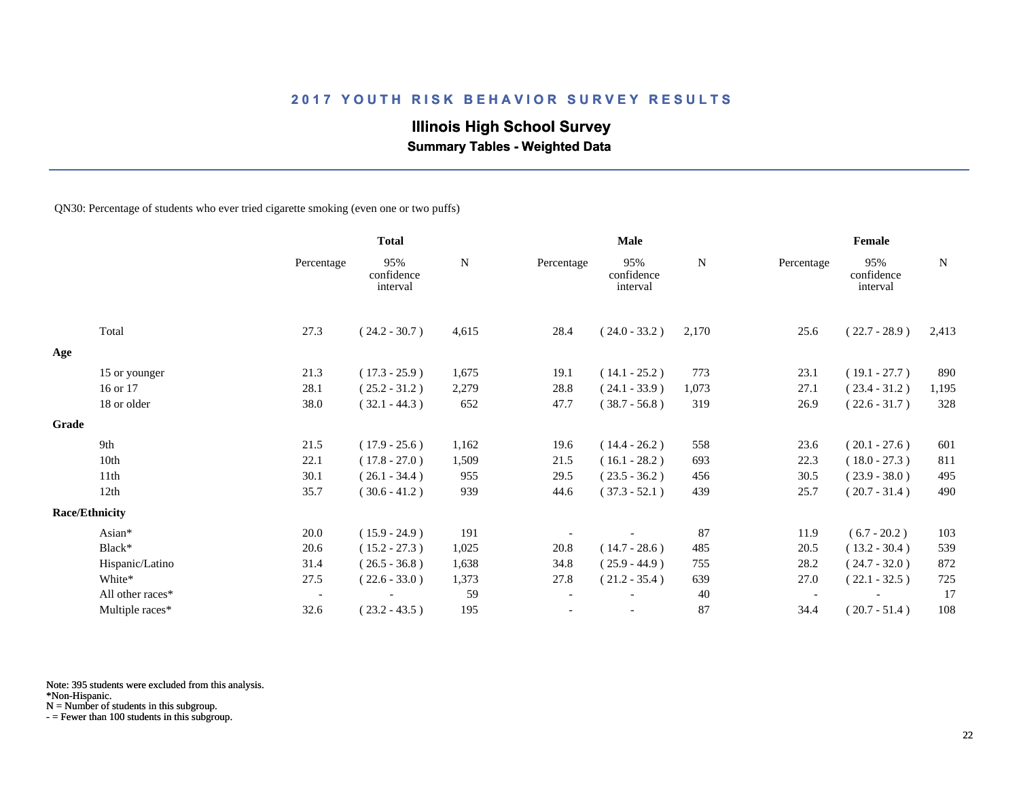# **Illinois High School Survey**

 **Summary Tables - Weighted Data**

QN30: Percentage of students who ever tried cigarette smoking (even one or two puffs)

|       |                       |                          | <b>Total</b>                  |       |                          | <b>Male</b>                   |       |            | Female                        |             |
|-------|-----------------------|--------------------------|-------------------------------|-------|--------------------------|-------------------------------|-------|------------|-------------------------------|-------------|
|       |                       | Percentage               | 95%<br>confidence<br>interval | N     | Percentage               | 95%<br>confidence<br>interval | N     | Percentage | 95%<br>confidence<br>interval | $\mathbf N$ |
|       | Total                 | 27.3                     | $(24.2 - 30.7)$               | 4,615 | 28.4                     | $(24.0 - 33.2)$               | 2,170 | 25.6       | $(22.7 - 28.9)$               | 2,413       |
| Age   |                       |                          |                               |       |                          |                               |       |            |                               |             |
|       | 15 or younger         | 21.3                     | $(17.3 - 25.9)$               | 1,675 | 19.1                     | $(14.1 - 25.2)$               | 773   | 23.1       | $(19.1 - 27.7)$               | 890         |
|       | 16 or 17              | 28.1                     | $(25.2 - 31.2)$               | 2,279 | 28.8                     | $(24.1 - 33.9)$               | 1,073 | 27.1       | $(23.4 - 31.2)$               | 1,195       |
|       | 18 or older           | 38.0                     | $(32.1 - 44.3)$               | 652   | 47.7                     | $(38.7 - 56.8)$               | 319   | 26.9       | $(22.6 - 31.7)$               | 328         |
| Grade |                       |                          |                               |       |                          |                               |       |            |                               |             |
|       | 9th                   | 21.5                     | $(17.9 - 25.6)$               | 1,162 | 19.6                     | $(14.4 - 26.2)$               | 558   | 23.6       | $(20.1 - 27.6)$               | 601         |
|       | 10th                  | 22.1                     | $(17.8 - 27.0)$               | 1,509 | 21.5                     | $(16.1 - 28.2)$               | 693   | 22.3       | $(18.0 - 27.3)$               | 811         |
|       | 11th                  | 30.1                     | $(26.1 - 34.4)$               | 955   | 29.5                     | $(23.5 - 36.2)$               | 456   | 30.5       | $(23.9 - 38.0)$               | 495         |
|       | 12th                  | 35.7                     | $(30.6 - 41.2)$               | 939   | 44.6                     | $(37.3 - 52.1)$               | 439   | 25.7       | $(20.7 - 31.4)$               | 490         |
|       | <b>Race/Ethnicity</b> |                          |                               |       |                          |                               |       |            |                               |             |
|       | Asian*                | 20.0                     | $(15.9 - 24.9)$               | 191   |                          |                               | 87    | 11.9       | $(6.7 - 20.2)$                | 103         |
|       | Black*                | 20.6                     | $(15.2 - 27.3)$               | 1,025 | 20.8                     | $(14.7 - 28.6)$               | 485   | 20.5       | $(13.2 - 30.4)$               | 539         |
|       | Hispanic/Latino       | 31.4                     | $(26.5 - 36.8)$               | 1,638 | 34.8                     | $(25.9 - 44.9)$               | 755   | 28.2       | $(24.7 - 32.0)$               | 872         |
|       | White*                | 27.5                     | $(22.6 - 33.0)$               | 1,373 | 27.8                     | $(21.2 - 35.4)$               | 639   | 27.0       | $(22.1 - 32.5)$               | 725         |
|       | All other races*      | $\overline{\phantom{a}}$ |                               | 59    | $\overline{\phantom{a}}$ |                               | 40    |            |                               | 17          |
|       | Multiple races*       | 32.6                     | $(23.2 - 43.5)$               | 195   |                          | $\overline{\phantom{a}}$      | 87    | 34.4       | $(20.7 - 51.4)$               | 108         |

Note: 395 students were excluded from this analysis.

\*Non-Hispanic.

N = Number of students in this subgroup.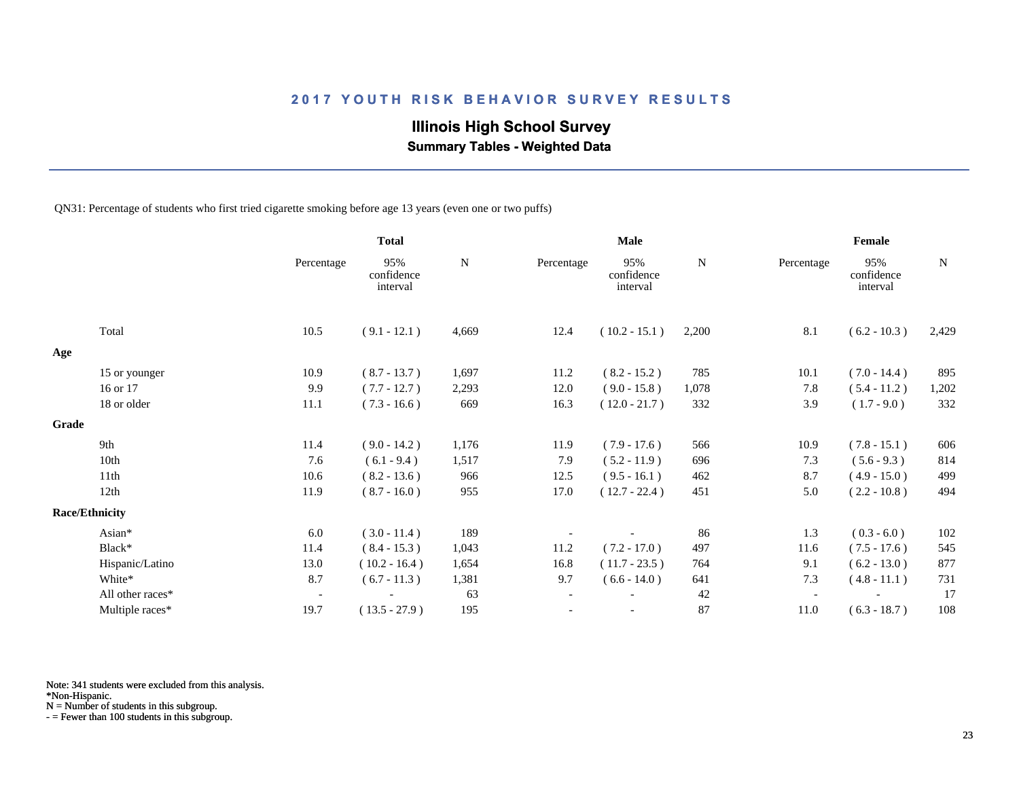# **Illinois High School Survey**

 **Summary Tables - Weighted Data**

QN31: Percentage of students who first tried cigarette smoking before age 13 years (even one or two puffs)

|       |                       |                          | <b>Total</b>                  |           |            | <b>Male</b>                   |       |                          | Female                        |       |
|-------|-----------------------|--------------------------|-------------------------------|-----------|------------|-------------------------------|-------|--------------------------|-------------------------------|-------|
|       |                       | Percentage               | 95%<br>confidence<br>interval | ${\bf N}$ | Percentage | 95%<br>confidence<br>interval | N     | Percentage               | 95%<br>confidence<br>interval | N     |
|       | Total                 | 10.5                     | $(9.1 - 12.1)$                | 4,669     | 12.4       | $(10.2 - 15.1)$               | 2,200 | 8.1                      | $(6.2 - 10.3)$                | 2,429 |
| Age   |                       |                          |                               |           |            |                               |       |                          |                               |       |
|       | 15 or younger         | 10.9                     | $(8.7 - 13.7)$                | 1,697     | 11.2       | $(8.2 - 15.2)$                | 785   | 10.1                     | $(7.0 - 14.4)$                | 895   |
|       | 16 or 17              | 9.9                      | $(7.7 - 12.7)$                | 2,293     | 12.0       | $(9.0 - 15.8)$                | 1,078 | 7.8                      | $(5.4 - 11.2)$                | 1,202 |
|       | 18 or older           | 11.1                     | $(7.3 - 16.6)$                | 669       | 16.3       | $(12.0 - 21.7)$               | 332   | 3.9                      | $(1.7 - 9.0)$                 | 332   |
| Grade |                       |                          |                               |           |            |                               |       |                          |                               |       |
|       | 9th                   | 11.4                     | $(9.0 - 14.2)$                | 1,176     | 11.9       | $(7.9 - 17.6)$                | 566   | 10.9                     | $(7.8 - 15.1)$                | 606   |
|       | 10th                  | 7.6                      | $(6.1 - 9.4)$                 | 1,517     | 7.9        | $(5.2 - 11.9)$                | 696   | 7.3                      | $(5.6 - 9.3)$                 | 814   |
|       | 11th                  | 10.6                     | $(8.2 - 13.6)$                | 966       | 12.5       | $(9.5 - 16.1)$                | 462   | 8.7                      | $(4.9 - 15.0)$                | 499   |
|       | 12th                  | 11.9                     | $(8.7 - 16.0)$                | 955       | 17.0       | $(12.7 - 22.4)$               | 451   | 5.0                      | $(2.2 - 10.8)$                | 494   |
|       | <b>Race/Ethnicity</b> |                          |                               |           |            |                               |       |                          |                               |       |
|       | Asian*                | 6.0                      | $(3.0 - 11.4)$                | 189       |            |                               | 86    | 1.3                      | $(0.3 - 6.0)$                 | 102   |
|       | Black*                | 11.4                     | $(8.4 - 15.3)$                | 1,043     | 11.2       | $(7.2 - 17.0)$                | 497   | 11.6                     | $(7.5 - 17.6)$                | 545   |
|       | Hispanic/Latino       | 13.0                     | $(10.2 - 16.4)$               | 1,654     | 16.8       | $(11.7 - 23.5)$               | 764   | 9.1                      | $(6.2 - 13.0)$                | 877   |
|       | White*                | 8.7                      | $(6.7 - 11.3)$                | 1,381     | 9.7        | $(6.6 - 14.0)$                | 641   | 7.3                      | $(4.8 - 11.1)$                | 731   |
|       | All other races*      | $\overline{\phantom{a}}$ |                               | 63        |            |                               | 42    | $\overline{\phantom{a}}$ |                               | 17    |
|       | Multiple races*       | 19.7                     | $(13.5 - 27.9)$               | 195       |            | $\overline{\phantom{a}}$      | 87    | 11.0                     | $(6.3 - 18.7)$                | 108   |

Note: 341 students were excluded from this analysis.

\*Non-Hispanic.

N = Number of students in this subgroup.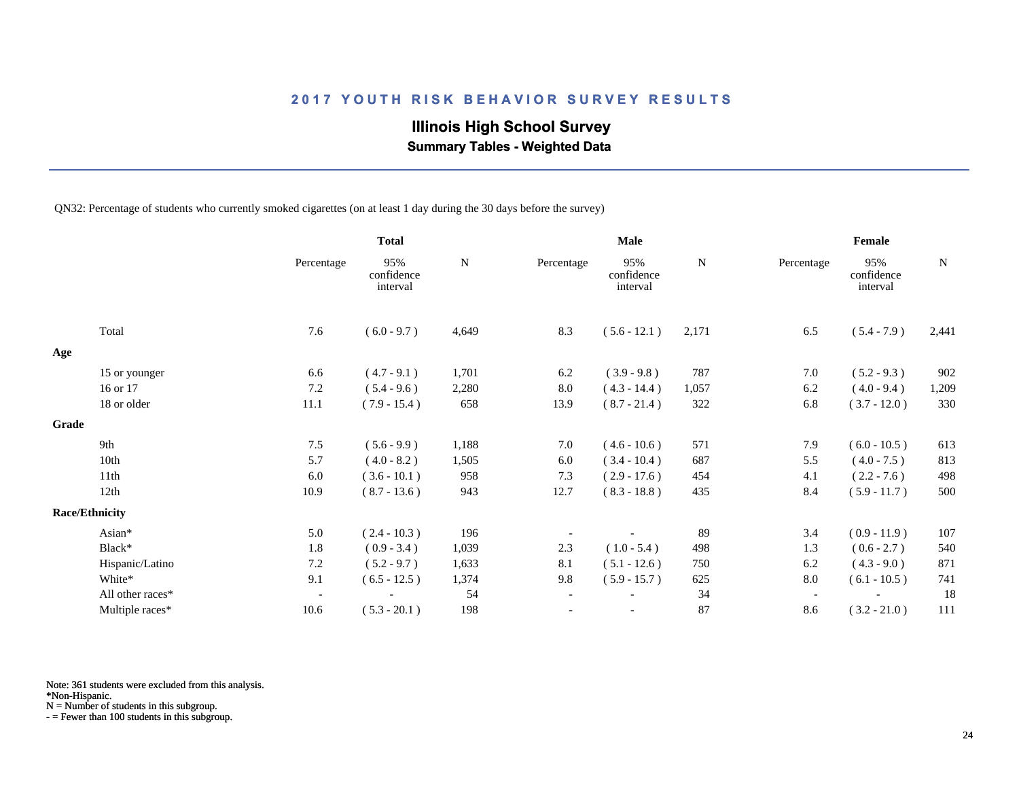# **Illinois High School Survey**

 **Summary Tables - Weighted Data**

QN32: Percentage of students who currently smoked cigarettes (on at least 1 day during the 30 days before the survey)

|       |                       |                          | <b>Total</b>                  |           |                          | <b>Male</b>                   |       |                          | Female                        |       |
|-------|-----------------------|--------------------------|-------------------------------|-----------|--------------------------|-------------------------------|-------|--------------------------|-------------------------------|-------|
|       |                       | Percentage               | 95%<br>confidence<br>interval | ${\bf N}$ | Percentage               | 95%<br>confidence<br>interval | N     | Percentage               | 95%<br>confidence<br>interval | N     |
|       | Total                 | 7.6                      | $(6.0 - 9.7)$                 | 4,649     | 8.3                      | $(5.6 - 12.1)$                | 2,171 | 6.5                      | $(5.4 - 7.9)$                 | 2,441 |
| Age   |                       |                          |                               |           |                          |                               |       |                          |                               |       |
|       | 15 or younger         | 6.6                      | $(4.7 - 9.1)$                 | 1,701     | 6.2                      | $(3.9 - 9.8)$                 | 787   | 7.0                      | $(5.2 - 9.3)$                 | 902   |
|       | 16 or 17              | 7.2                      | $(5.4 - 9.6)$                 | 2,280     | $8.0\,$                  | $(4.3 - 14.4)$                | 1,057 | 6.2                      | $(4.0 - 9.4)$                 | 1,209 |
|       | 18 or older           | 11.1                     | $(7.9 - 15.4)$                | 658       | 13.9                     | $(8.7 - 21.4)$                | 322   | 6.8                      | $(3.7 - 12.0)$                | 330   |
| Grade |                       |                          |                               |           |                          |                               |       |                          |                               |       |
|       | 9th                   | 7.5                      | $(5.6 - 9.9)$                 | 1,188     | 7.0                      | $(4.6 - 10.6)$                | 571   | 7.9                      | $(6.0 - 10.5)$                | 613   |
|       | 10th                  | 5.7                      | $(4.0 - 8.2)$                 | 1,505     | 6.0                      | $(3.4 - 10.4)$                | 687   | 5.5                      | $(4.0 - 7.5)$                 | 813   |
|       | 11th                  | 6.0                      | $(3.6 - 10.1)$                | 958       | 7.3                      | $(2.9 - 17.6)$                | 454   | 4.1                      | $(2.2 - 7.6)$                 | 498   |
|       | 12th                  | 10.9                     | $(8.7 - 13.6)$                | 943       | 12.7                     | $(8.3 - 18.8)$                | 435   | 8.4                      | $(5.9 - 11.7)$                | 500   |
|       | <b>Race/Ethnicity</b> |                          |                               |           |                          |                               |       |                          |                               |       |
|       | Asian*                | 5.0                      | $(2.4 - 10.3)$                | 196       |                          |                               | 89    | 3.4                      | $(0.9 - 11.9)$                | 107   |
|       | Black*                | 1.8                      | $(0.9 - 3.4)$                 | 1,039     | 2.3                      | $(1.0 - 5.4)$                 | 498   | 1.3                      | $(0.6 - 2.7)$                 | 540   |
|       | Hispanic/Latino       | 7.2                      | $(5.2 - 9.7)$                 | 1,633     | 8.1                      | $(5.1 - 12.6)$                | 750   | 6.2                      | $(4.3 - 9.0)$                 | 871   |
|       | White*                | 9.1                      | $(6.5 - 12.5)$                | 1,374     | 9.8                      | $(5.9 - 15.7)$                | 625   | 8.0                      | $(6.1 - 10.5)$                | 741   |
|       | All other races*      | $\overline{\phantom{a}}$ |                               | 54        | $\overline{\phantom{a}}$ |                               | 34    | $\overline{\phantom{a}}$ |                               | 18    |
|       | Multiple races*       | 10.6                     | $(5.3 - 20.1)$                | 198       |                          |                               | 87    | 8.6                      | $(3.2 - 21.0)$                | 111   |

Note: 361 students were excluded from this analysis.

\*Non-Hispanic.

N = Number of students in this subgroup.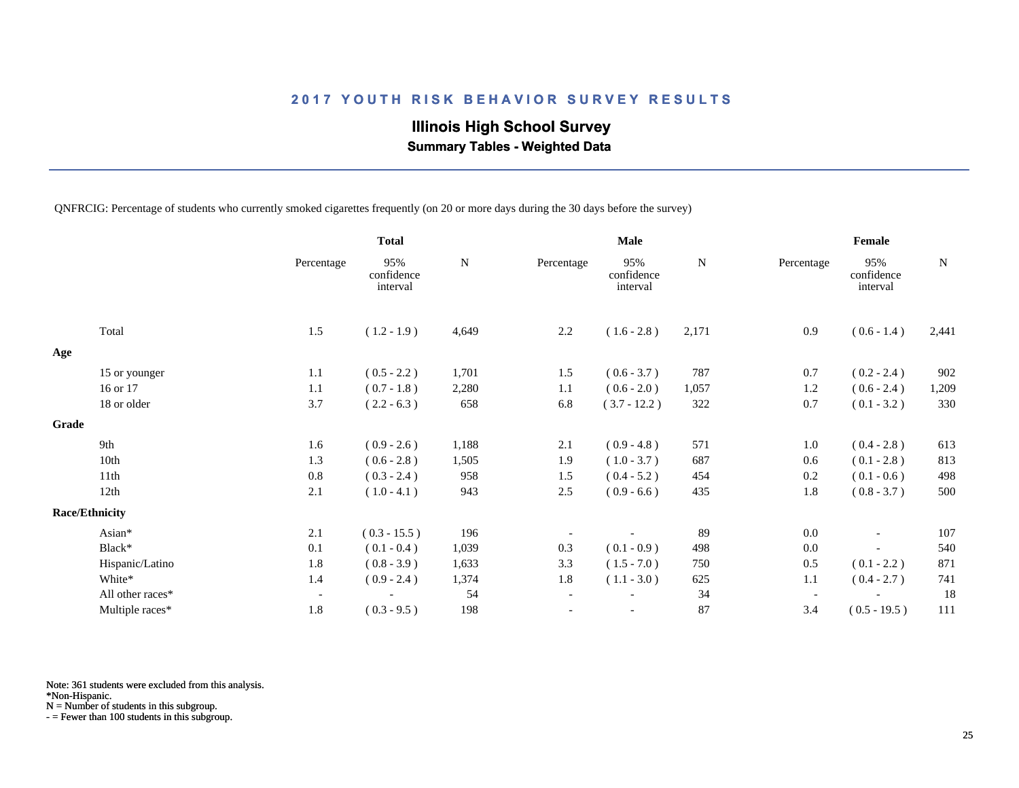# **Illinois High School Survey**

 **Summary Tables - Weighted Data**

QNFRCIG: Percentage of students who currently smoked cigarettes frequently (on 20 or more days during the 30 days before the survey)

|       |                       |                          | <b>Total</b>                  |           |                          | <b>Male</b>                   |           |                          | Female                        |           |
|-------|-----------------------|--------------------------|-------------------------------|-----------|--------------------------|-------------------------------|-----------|--------------------------|-------------------------------|-----------|
|       |                       | Percentage               | 95%<br>confidence<br>interval | ${\bf N}$ | Percentage               | 95%<br>confidence<br>interval | ${\bf N}$ | Percentage               | 95%<br>confidence<br>interval | ${\bf N}$ |
|       | Total                 | 1.5                      | $(1.2 - 1.9)$                 | 4,649     | 2.2                      | $(1.6 - 2.8)$                 | 2,171     | 0.9                      | $(0.6 - 1.4)$                 | 2,441     |
| Age   |                       |                          |                               |           |                          |                               |           |                          |                               |           |
|       | 15 or younger         | 1.1                      | $(0.5 - 2.2)$                 | 1,701     | 1.5                      | $(0.6 - 3.7)$                 | 787       | 0.7                      | $(0.2 - 2.4)$                 | 902       |
|       | 16 or 17              | 1.1                      | $(0.7 - 1.8)$                 | 2,280     | 1.1                      | $(0.6 - 2.0)$                 | 1,057     | 1.2                      | $(0.6 - 2.4)$                 | 1,209     |
|       | 18 or older           | 3.7                      | $(2.2 - 6.3)$                 | 658       | 6.8                      | $(3.7 - 12.2)$                | 322       | 0.7                      | $(0.1 - 3.2)$                 | 330       |
| Grade |                       |                          |                               |           |                          |                               |           |                          |                               |           |
|       | 9th                   | 1.6                      | $(0.9 - 2.6)$                 | 1,188     | 2.1                      | $(0.9 - 4.8)$                 | 571       | 1.0                      | $(0.4 - 2.8)$                 | 613       |
|       | 10th                  | 1.3                      | $(0.6 - 2.8)$                 | 1,505     | 1.9                      | $(1.0 - 3.7)$                 | 687       | 0.6                      | $(0.1 - 2.8)$                 | 813       |
|       | 11th                  | 0.8                      | $(0.3 - 2.4)$                 | 958       | 1.5                      | $(0.4 - 5.2)$                 | 454       | 0.2                      | $(0.1 - 0.6)$                 | 498       |
|       | 12th                  | 2.1                      | $(1.0 - 4.1)$                 | 943       | 2.5                      | $(0.9 - 6.6)$                 | 435       | 1.8                      | $(0.8 - 3.7)$                 | 500       |
|       | <b>Race/Ethnicity</b> |                          |                               |           |                          |                               |           |                          |                               |           |
|       | Asian*                | 2.1                      | $(0.3 - 15.5)$                | 196       |                          |                               | 89        | 0.0                      | $\overline{\phantom{a}}$      | 107       |
|       | Black*                | 0.1                      | $(0.1 - 0.4)$                 | 1,039     | 0.3                      | $(0.1 - 0.9)$                 | 498       | 0.0                      |                               | 540       |
|       | Hispanic/Latino       | 1.8                      | $(0.8 - 3.9)$                 | 1,633     | 3.3                      | $(1.5 - 7.0)$                 | 750       | 0.5                      | $(0.1 - 2.2)$                 | 871       |
|       | White*                | 1.4                      | $(0.9 - 2.4)$                 | 1,374     | 1.8                      | $(1.1 - 3.0)$                 | 625       | 1.1                      | $(0.4 - 2.7)$                 | 741       |
|       | All other races*      | $\overline{\phantom{a}}$ |                               | 54        | $\overline{\phantom{a}}$ |                               | 34        | $\overline{\phantom{a}}$ |                               | 18        |
|       | Multiple races*       | 1.8                      | $(0.3 - 9.5)$                 | 198       |                          |                               | 87        | 3.4                      | $(0.5 - 19.5)$                | 111       |

Note: 361 students were excluded from this analysis.

\*Non-Hispanic.

N = Number of students in this subgroup.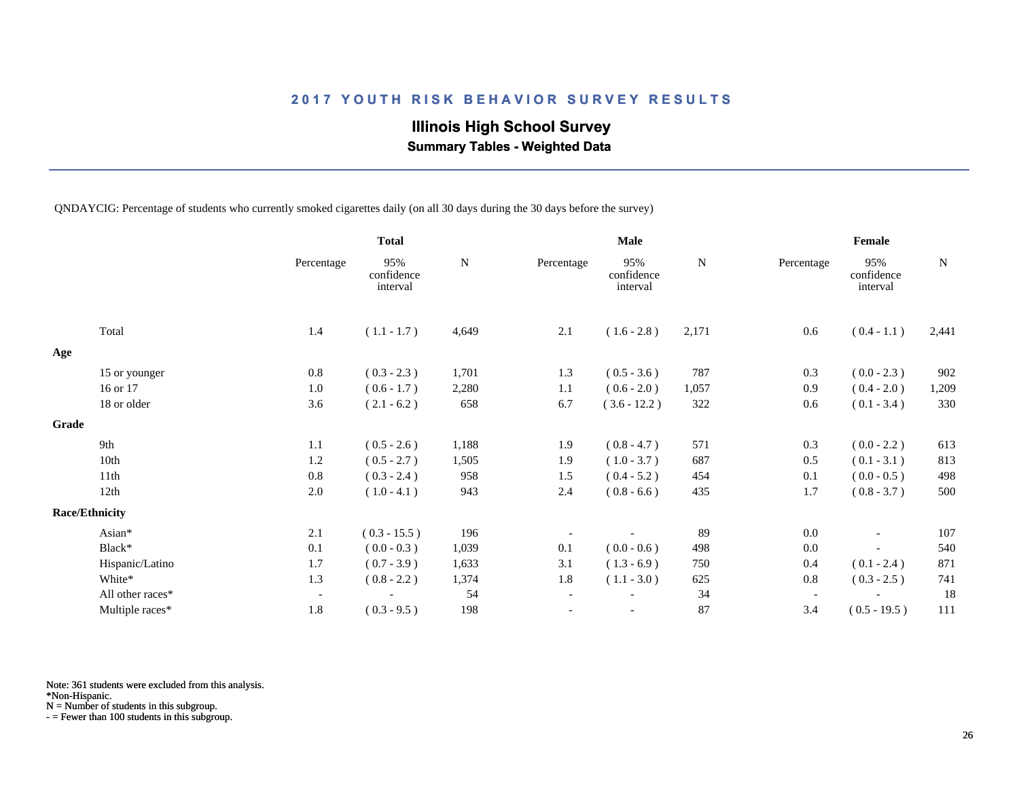# **Illinois High School Survey**

 **Summary Tables - Weighted Data**

QNDAYCIG: Percentage of students who currently smoked cigarettes daily (on all 30 days during the 30 days before the survey)

|       |                       |                          | <b>Total</b>                  |           |                          | <b>Male</b>                   |           |                          | Female                        |           |
|-------|-----------------------|--------------------------|-------------------------------|-----------|--------------------------|-------------------------------|-----------|--------------------------|-------------------------------|-----------|
|       |                       | Percentage               | 95%<br>confidence<br>interval | ${\bf N}$ | Percentage               | 95%<br>confidence<br>interval | ${\bf N}$ | Percentage               | 95%<br>confidence<br>interval | ${\bf N}$ |
|       | Total                 | 1.4                      | $(1.1 - 1.7)$                 | 4,649     | 2.1                      | $(1.6 - 2.8)$                 | 2,171     | 0.6                      | $(0.4 - 1.1)$                 | 2,441     |
| Age   |                       |                          |                               |           |                          |                               |           |                          |                               |           |
|       | 15 or younger         | 0.8                      | $(0.3 - 2.3)$                 | 1,701     | 1.3                      | $(0.5 - 3.6)$                 | 787       | 0.3                      | $(0.0 - 2.3)$                 | 902       |
|       | 16 or 17              | 1.0                      | $(0.6 - 1.7)$                 | 2,280     | 1.1                      | $(0.6 - 2.0)$                 | 1,057     | 0.9                      | $(0.4 - 2.0)$                 | 1,209     |
|       | 18 or older           | 3.6                      | $(2.1 - 6.2)$                 | 658       | 6.7                      | $(3.6 - 12.2)$                | 322       | 0.6                      | $(0.1 - 3.4)$                 | 330       |
| Grade |                       |                          |                               |           |                          |                               |           |                          |                               |           |
|       | 9th                   | 1.1                      | $(0.5 - 2.6)$                 | 1,188     | 1.9                      | $(0.8 - 4.7)$                 | 571       | 0.3                      | $(0.0 - 2.2)$                 | 613       |
|       | 10th                  | 1.2                      | $(0.5 - 2.7)$                 | 1,505     | 1.9                      | $(1.0 - 3.7)$                 | 687       | 0.5                      | $(0.1 - 3.1)$                 | 813       |
|       | 11th                  | 0.8                      | $(0.3 - 2.4)$                 | 958       | 1.5                      | $(0.4 - 5.2)$                 | 454       | 0.1                      | $(0.0 - 0.5)$                 | 498       |
|       | 12th                  | 2.0                      | $(1.0 - 4.1)$                 | 943       | 2.4                      | $(0.8 - 6.6)$                 | 435       | 1.7                      | $(0.8 - 3.7)$                 | 500       |
|       | <b>Race/Ethnicity</b> |                          |                               |           |                          |                               |           |                          |                               |           |
|       | Asian*                | 2.1                      | $(0.3 - 15.5)$                | 196       |                          |                               | 89        | 0.0                      | $\overline{\phantom{a}}$      | 107       |
|       | Black*                | 0.1                      | $(0.0 - 0.3)$                 | 1,039     | 0.1                      | $(0.0 - 0.6)$                 | 498       | 0.0                      |                               | 540       |
|       | Hispanic/Latino       | 1.7                      | $(0.7 - 3.9)$                 | 1,633     | 3.1                      | $(1.3 - 6.9)$                 | 750       | 0.4                      | $(0.1 - 2.4)$                 | 871       |
|       | White*                | 1.3                      | $(0.8 - 2.2)$                 | 1,374     | 1.8                      | $(1.1 - 3.0)$                 | 625       | 0.8                      | $(0.3 - 2.5)$                 | 741       |
|       | All other races*      | $\overline{\phantom{a}}$ |                               | 54        | $\overline{\phantom{a}}$ |                               | 34        | $\overline{\phantom{a}}$ |                               | 18        |
|       | Multiple races*       | 1.8                      | $(0.3 - 9.5)$                 | 198       |                          |                               | 87        | 3.4                      | $(0.5 - 19.5)$                | 111       |

Note: 361 students were excluded from this analysis.

\*Non-Hispanic.

N = Number of students in this subgroup.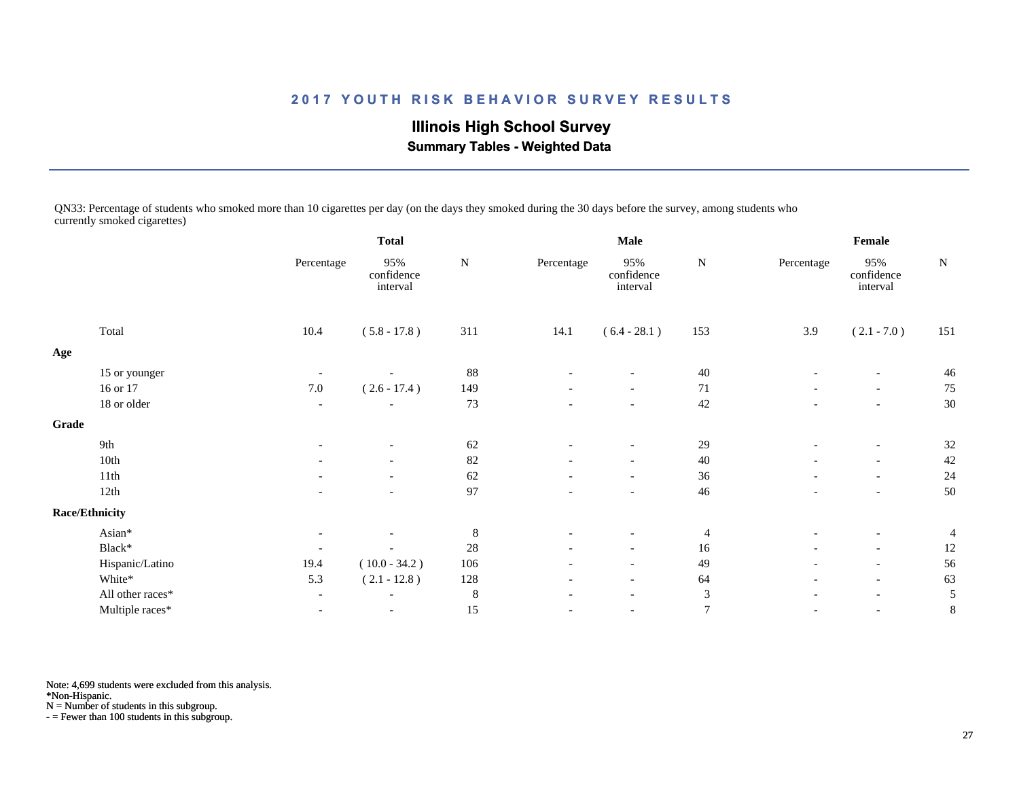**Illinois High School Survey Summary Tables - Weighted Data**

QN33: Percentage of students who smoked more than 10 cigarettes per day (on the days they smoked during the 30 days before the survey, among students who currently smoked cigarettes)

|       |                       |                          | <b>Total</b>                  |           |                          | <b>Male</b>                   |                | Female                   |                               |                |  |
|-------|-----------------------|--------------------------|-------------------------------|-----------|--------------------------|-------------------------------|----------------|--------------------------|-------------------------------|----------------|--|
|       |                       | Percentage               | 95%<br>confidence<br>interval | ${\bf N}$ | Percentage               | 95%<br>confidence<br>interval | ${\bf N}$      | Percentage               | 95%<br>confidence<br>interval | ${\bf N}$      |  |
|       | Total                 | 10.4                     | $(5.8 - 17.8)$                | 311       | 14.1                     | $(6.4 - 28.1)$                | 153            | 3.9                      | $(2.1 - 7.0)$                 | 151            |  |
| Age   |                       |                          |                               |           |                          |                               |                |                          |                               |                |  |
|       | 15 or younger         |                          |                               | 88        |                          |                               | $40\,$         |                          | $\overline{\phantom{a}}$      | 46             |  |
|       | 16 or 17              | $7.0\,$                  | $(2.6 - 17.4)$                | 149       |                          | -                             | 71             |                          | $\overline{\phantom{a}}$      | 75             |  |
|       | 18 or older           |                          |                               | 73        |                          | $\overline{\phantom{a}}$      | 42             |                          | $\overline{\phantom{0}}$      | 30             |  |
| Grade |                       |                          |                               |           |                          |                               |                |                          |                               |                |  |
|       | 9th                   |                          |                               | 62        |                          |                               | 29             |                          | $\overline{\phantom{a}}$      | 32             |  |
|       | 10th                  |                          |                               | 82        |                          | $\overline{\phantom{a}}$      | 40             |                          | $\overline{\phantom{a}}$      | 42             |  |
|       | 11th                  |                          |                               | 62        |                          | $\overline{\phantom{a}}$      | 36             |                          | $\overline{\phantom{a}}$      | 24             |  |
|       | 12th                  |                          |                               | 97        |                          | $\overline{\phantom{a}}$      | 46             |                          | $\overline{\phantom{a}}$      | 50             |  |
|       | <b>Race/Ethnicity</b> |                          |                               |           |                          |                               |                |                          |                               |                |  |
|       | Asian*                |                          |                               | $\,8\,$   |                          |                               | $\overline{4}$ |                          | $\overline{\phantom{a}}$      | $\overline{4}$ |  |
|       | Black*                |                          |                               | $28\,$    |                          | $\overline{\phantom{a}}$      | 16             |                          | $\overline{\phantom{a}}$      | 12             |  |
|       | Hispanic/Latino       | 19.4                     | $(10.0 - 34.2)$               | 106       |                          | $\overline{\phantom{a}}$      | 49             | $\overline{\phantom{0}}$ | $\overline{\phantom{a}}$      | 56             |  |
|       | White*                | 5.3                      | $(2.1 - 12.8)$                | 128       | $\overline{\phantom{a}}$ | $-$                           | 64             | $\overline{\phantom{a}}$ | $\overline{\phantom{a}}$      | 63             |  |
|       | All other races*      | $\overline{\phantom{a}}$ | $\overline{\phantom{0}}$      | 8         | $\overline{\phantom{a}}$ | $\overline{\phantom{a}}$      | 3              | $\overline{\phantom{a}}$ | $\overline{\phantom{a}}$      | 5              |  |
|       | Multiple races*       | $\overline{\phantom{a}}$ | $\overline{\phantom{a}}$      | 15        |                          | $\overline{\phantom{a}}$      | $\overline{7}$ | $\overline{\phantom{a}}$ | $\overline{\phantom{a}}$      | 8              |  |

Note: 4,699 students were excluded from this analysis.

\*Non-Hispanic.

N = Number of students in this subgroup.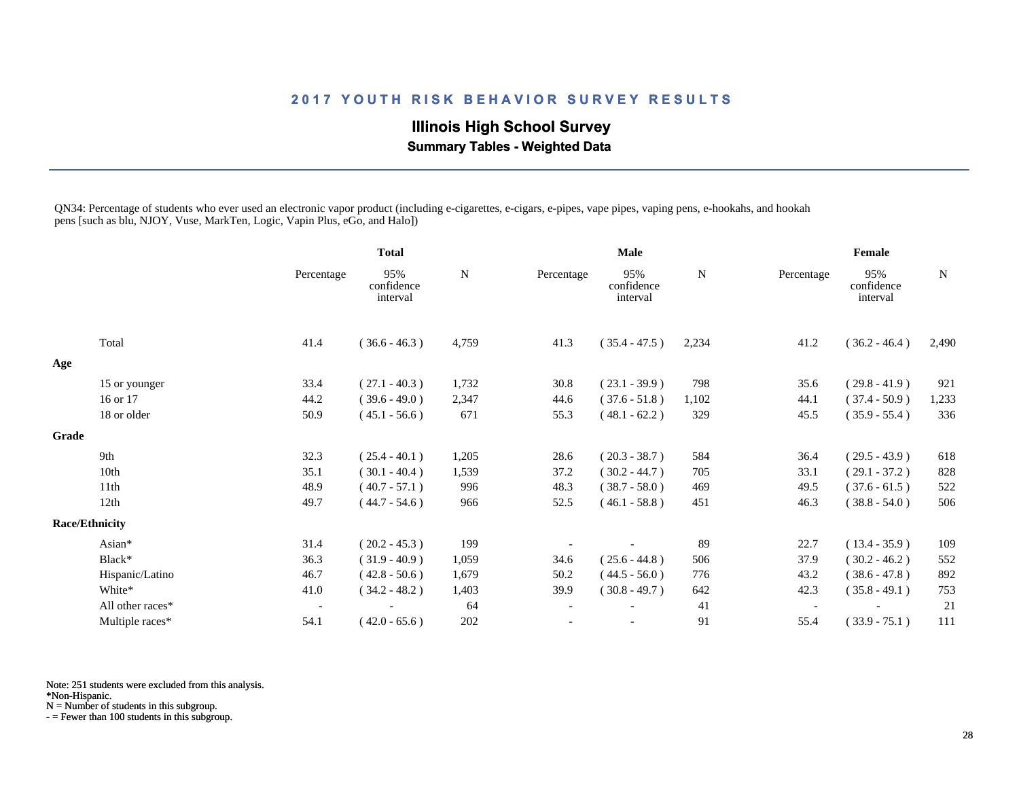# **Illinois High School Survey Summary Tables - Weighted Data**

QN34: Percentage of students who ever used an electronic vapor product (including e-cigarettes, e-cigars, e-pipes, vape pipes, vaping pens, e-hookahs, and hookah pens [such as blu, NJOY, Vuse, MarkTen, Logic, Vapin Plus, eGo, and Halo])

|       |                       |                          | <b>Total</b>                  |       | <b>Male</b>              |                               |             | Female                   |                               |       |
|-------|-----------------------|--------------------------|-------------------------------|-------|--------------------------|-------------------------------|-------------|--------------------------|-------------------------------|-------|
|       |                       | Percentage               | 95%<br>confidence<br>interval | N     | Percentage               | 95%<br>confidence<br>interval | $\mathbf N$ | Percentage               | 95%<br>confidence<br>interval | N     |
|       | Total                 | 41.4                     | $(36.6 - 46.3)$               | 4,759 | 41.3                     | $(35.4 - 47.5)$               | 2,234       | 41.2                     | $(36.2 - 46.4)$               | 2,490 |
| Age   |                       |                          |                               |       |                          |                               |             |                          |                               |       |
|       | 15 or younger         | 33.4                     | $(27.1 - 40.3)$               | 1,732 | 30.8                     | $(23.1 - 39.9)$               | 798         | 35.6                     | $(29.8 - 41.9)$               | 921   |
|       | 16 or 17              | 44.2                     | $(39.6 - 49.0)$               | 2,347 | 44.6                     | $(37.6 - 51.8)$               | 1,102       | 44.1                     | $(37.4 - 50.9)$               | 1,233 |
|       | 18 or older           | 50.9                     | $(45.1 - 56.6)$               | 671   | 55.3                     | $(48.1 - 62.2)$               | 329         | 45.5                     | $(35.9 - 55.4)$               | 336   |
| Grade |                       |                          |                               |       |                          |                               |             |                          |                               |       |
|       | 9th                   | 32.3                     | $(25.4 - 40.1)$               | 1,205 | 28.6                     | $(20.3 - 38.7)$               | 584         | 36.4                     | $(29.5 - 43.9)$               | 618   |
|       | 10th                  | 35.1                     | $(30.1 - 40.4)$               | 1,539 | 37.2                     | $(30.2 - 44.7)$               | 705         | 33.1                     | $(29.1 - 37.2)$               | 828   |
|       | 11th                  | 48.9                     | $(40.7 - 57.1)$               | 996   | 48.3                     | $(38.7 - 58.0)$               | 469         | 49.5                     | $(37.6 - 61.5)$               | 522   |
|       | 12th                  | 49.7                     | $(44.7 - 54.6)$               | 966   | 52.5                     | $(46.1 - 58.8)$               | 451         | 46.3                     | $(38.8 - 54.0)$               | 506   |
|       | <b>Race/Ethnicity</b> |                          |                               |       |                          |                               |             |                          |                               |       |
|       | Asian*                | 31.4                     | $(20.2 - 45.3)$               | 199   |                          |                               | 89          | 22.7                     | $(13.4 - 35.9)$               | 109   |
|       | Black*                | 36.3                     | $(31.9 - 40.9)$               | 1,059 | 34.6                     | $(25.6 - 44.8)$               | 506         | 37.9                     | $(30.2 - 46.2)$               | 552   |
|       | Hispanic/Latino       | 46.7                     | $(42.8 - 50.6)$               | 1,679 | 50.2                     | $(44.5 - 56.0)$               | 776         | 43.2                     | $(38.6 - 47.8)$               | 892   |
|       | White*                | 41.0                     | $(34.2 - 48.2)$               | 1,403 | 39.9                     | $(30.8 - 49.7)$               | 642         | 42.3                     | $(35.8 - 49.1)$               | 753   |
|       | All other races*      | $\overline{\phantom{a}}$ |                               | 64    | $\overline{\phantom{a}}$ |                               | 41          | $\overline{\phantom{a}}$ |                               | 21    |
|       | Multiple races*       | 54.1                     | $(42.0 - 65.6)$               | 202   |                          |                               | 91          | 55.4                     | $(33.9 - 75.1)$               | 111   |

Note: 251 students were excluded from this analysis.

\*Non-Hispanic.

N = Number of students in this subgroup.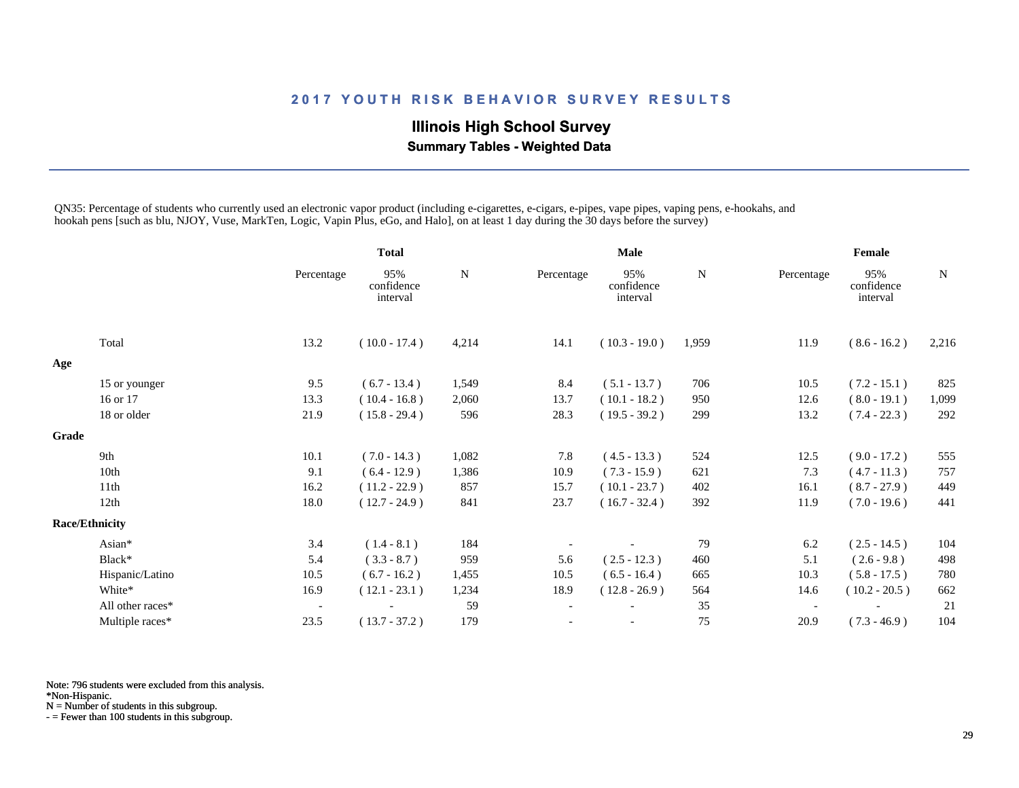# **Illinois High School Survey**

 **Summary Tables - Weighted Data**

QN35: Percentage of students who currently used an electronic vapor product (including e-cigarettes, e-cigars, e-pipes, vape pipes, vaping pens, e-hookahs, and hookah pens [such as blu, NJOY, Vuse, MarkTen, Logic, Vapin Plus, eGo, and Halo], on at least 1 day during the 30 days before the survey)

|       |                       |                          | <b>Total</b>                  |       | <b>Male</b>              |                               |           | Female                   |                               |           |
|-------|-----------------------|--------------------------|-------------------------------|-------|--------------------------|-------------------------------|-----------|--------------------------|-------------------------------|-----------|
|       |                       | Percentage               | 95%<br>confidence<br>interval | N     | Percentage               | 95%<br>confidence<br>interval | ${\bf N}$ | Percentage               | 95%<br>confidence<br>interval | ${\bf N}$ |
|       | Total                 | 13.2                     | $(10.0 - 17.4)$               | 4,214 | 14.1                     | $(10.3 - 19.0)$               | 1,959     | 11.9                     | $(8.6 - 16.2)$                | 2,216     |
| Age   |                       |                          |                               |       |                          |                               |           |                          |                               |           |
|       | 15 or younger         | 9.5                      | $(6.7 - 13.4)$                | 1,549 | 8.4                      | $(5.1 - 13.7)$                | 706       | 10.5                     | $(7.2 - 15.1)$                | 825       |
|       | 16 or 17              | 13.3                     | $(10.4 - 16.8)$               | 2,060 | 13.7                     | $(10.1 - 18.2)$               | 950       | 12.6                     | $(8.0 - 19.1)$                | 1,099     |
|       | 18 or older           | 21.9                     | $(15.8 - 29.4)$               | 596   | 28.3                     | $(19.5 - 39.2)$               | 299       | 13.2                     | $(7.4 - 22.3)$                | 292       |
| Grade |                       |                          |                               |       |                          |                               |           |                          |                               |           |
|       | 9th                   | 10.1                     | $(7.0 - 14.3)$                | 1,082 | 7.8                      | $(4.5 - 13.3)$                | 524       | 12.5                     | $(9.0 - 17.2)$                | 555       |
|       | 10th                  | 9.1                      | $(6.4 - 12.9)$                | 1,386 | 10.9                     | $(7.3 - 15.9)$                | 621       | 7.3                      | $(4.7 - 11.3)$                | 757       |
|       | 11th                  | 16.2                     | $(11.2 - 22.9)$               | 857   | 15.7                     | $(10.1 - 23.7)$               | 402       | 16.1                     | $(8.7 - 27.9)$                | 449       |
|       | 12th                  | 18.0                     | $(12.7 - 24.9)$               | 841   | 23.7                     | $(16.7 - 32.4)$               | 392       | 11.9                     | $(7.0 - 19.6)$                | 441       |
|       | <b>Race/Ethnicity</b> |                          |                               |       |                          |                               |           |                          |                               |           |
|       | Asian*                | 3.4                      | $(1.4 - 8.1)$                 | 184   |                          |                               | 79        | 6.2                      | $(2.5 - 14.5)$                | 104       |
|       | Black*                | 5.4                      | $(3.3 - 8.7)$                 | 959   | 5.6                      | $(2.5 - 12.3)$                | 460       | 5.1                      | $(2.6 - 9.8)$                 | 498       |
|       | Hispanic/Latino       | 10.5                     | $(6.7 - 16.2)$                | 1,455 | 10.5                     | $(6.5 - 16.4)$                | 665       | 10.3                     | $(5.8 - 17.5)$                | 780       |
|       | White*                | 16.9                     | $(12.1 - 23.1)$               | 1,234 | 18.9                     | $(12.8 - 26.9)$               | 564       | 14.6                     | $(10.2 - 20.5)$               | 662       |
|       | All other races*      | $\overline{\phantom{a}}$ |                               | 59    | $\overline{\phantom{a}}$ |                               | 35        | $\overline{\phantom{a}}$ |                               | 21        |
|       | Multiple races*       | 23.5                     | $(13.7 - 37.2)$               | 179   |                          |                               | $75\,$    | 20.9                     | $(7.3 - 46.9)$                | 104       |

Note: 796 students were excluded from this analysis.

\*Non-Hispanic.

N = Number of students in this subgroup.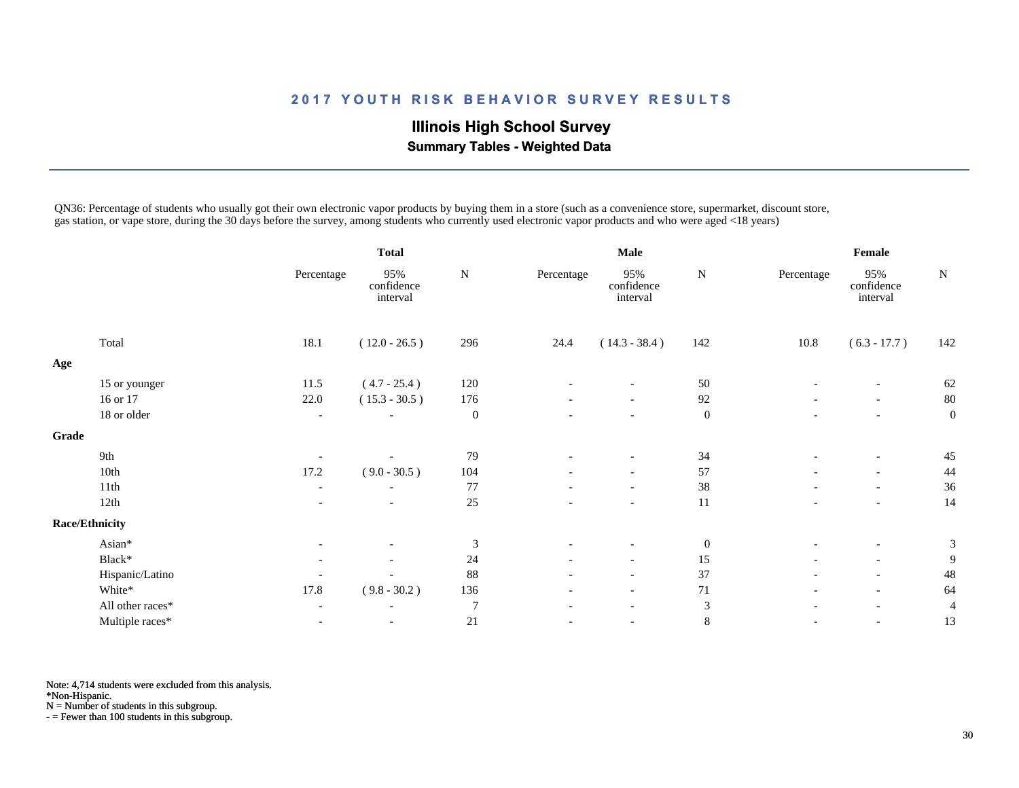# **Illinois High School Survey Summary Tables - Weighted Data**

QN36: Percentage of students who usually got their own electronic vapor products by buying them in a store (such as a convenience store, supermarket, discount store, gas station, or vape store, during the 30 days before the survey, among students who currently used electronic vapor products and who were aged <18 years)

|              |                       |                          | <b>Total</b>                  |                  | <b>Male</b>              |                               |                  | Female                   |                               |              |
|--------------|-----------------------|--------------------------|-------------------------------|------------------|--------------------------|-------------------------------|------------------|--------------------------|-------------------------------|--------------|
|              |                       | Percentage               | 95%<br>confidence<br>interval | N                | Percentage               | 95%<br>confidence<br>interval | ${\bf N}$        | Percentage               | 95%<br>confidence<br>interval | ${\bf N}$    |
|              | Total                 | 18.1                     | $(12.0 - 26.5)$               | 296              | 24.4                     | $(14.3 - 38.4)$               | 142              | 10.8                     | $(6.3 - 17.7)$                | 142          |
| Age          |                       |                          |                               |                  |                          |                               |                  |                          |                               |              |
|              | 15 or younger         | 11.5                     | $(4.7 - 25.4)$                | 120              |                          |                               | 50               |                          | $\overline{\phantom{a}}$      | 62           |
|              | 16 or 17              | 22.0                     | $(15.3 - 30.5)$               | 176              | $\overline{\phantom{a}}$ | $\overline{\phantom{a}}$      | 92               | $\overline{\phantom{0}}$ | $\overline{\phantom{a}}$      | 80           |
|              | 18 or older           | $\overline{\phantom{a}}$ |                               | $\boldsymbol{0}$ |                          |                               | $\boldsymbol{0}$ |                          | $\overline{\phantom{a}}$      | $\mathbf{0}$ |
| <b>Grade</b> |                       |                          |                               |                  |                          |                               |                  |                          |                               |              |
|              | 9th                   | $\overline{\phantom{a}}$ |                               | 79               |                          |                               | 34               |                          | $\blacksquare$                | 45           |
|              | 10th                  | 17.2                     | $(9.0 - 30.5)$                | 104              |                          | $\overline{\phantom{a}}$      | 57               |                          | $\overline{\phantom{a}}$      | 44           |
|              | 11th                  | $\overline{\phantom{a}}$ |                               | 77               |                          |                               | $38\,$           |                          | $\overline{\phantom{a}}$      | 36           |
|              | 12th                  |                          |                               | $25\,$           |                          | $\overline{\phantom{a}}$      | 11               |                          | $\blacksquare$                | 14           |
|              | <b>Race/Ethnicity</b> |                          |                               |                  |                          |                               |                  |                          |                               |              |
|              | Asian*                |                          |                               | 3                |                          |                               | $\boldsymbol{0}$ |                          | $\overline{\phantom{a}}$      | 3            |
|              | $Black*$              | $\overline{\phantom{a}}$ |                               | 24               | $\overline{\phantom{a}}$ | $\overline{\phantom{a}}$      | 15               |                          | $\overline{\phantom{a}}$      | 9            |
|              | Hispanic/Latino       |                          |                               | 88               | $\overline{\phantom{a}}$ | $\overline{\phantom{a}}$      | 37               |                          | $\overline{\phantom{a}}$      | 48           |
|              | White*                | 17.8                     | $(9.8 - 30.2)$                | 136              | $\overline{\phantom{a}}$ | $-$                           | $71\,$           | $\overline{\phantom{a}}$ | $\overline{\phantom{a}}$      | 64           |
|              | All other races*      | $\overline{\phantom{a}}$ | $\overline{\phantom{a}}$      | $\tau$           | $\overline{\phantom{a}}$ | $\overline{\phantom{a}}$      | $\mathfrak{Z}$   | $\overline{\phantom{a}}$ | $\overline{\phantom{a}}$      | 4            |
|              | Multiple races*       | $\overline{\phantom{a}}$ | $\overline{\phantom{a}}$      | 21               | $\overline{\phantom{a}}$ | $\overline{\phantom{a}}$      | $\,8\,$          | $\overline{\phantom{a}}$ | $\overline{\phantom{a}}$      | 13           |

Note: 4,714 students were excluded from this analysis.

\*Non-Hispanic.

N = Number of students in this subgroup.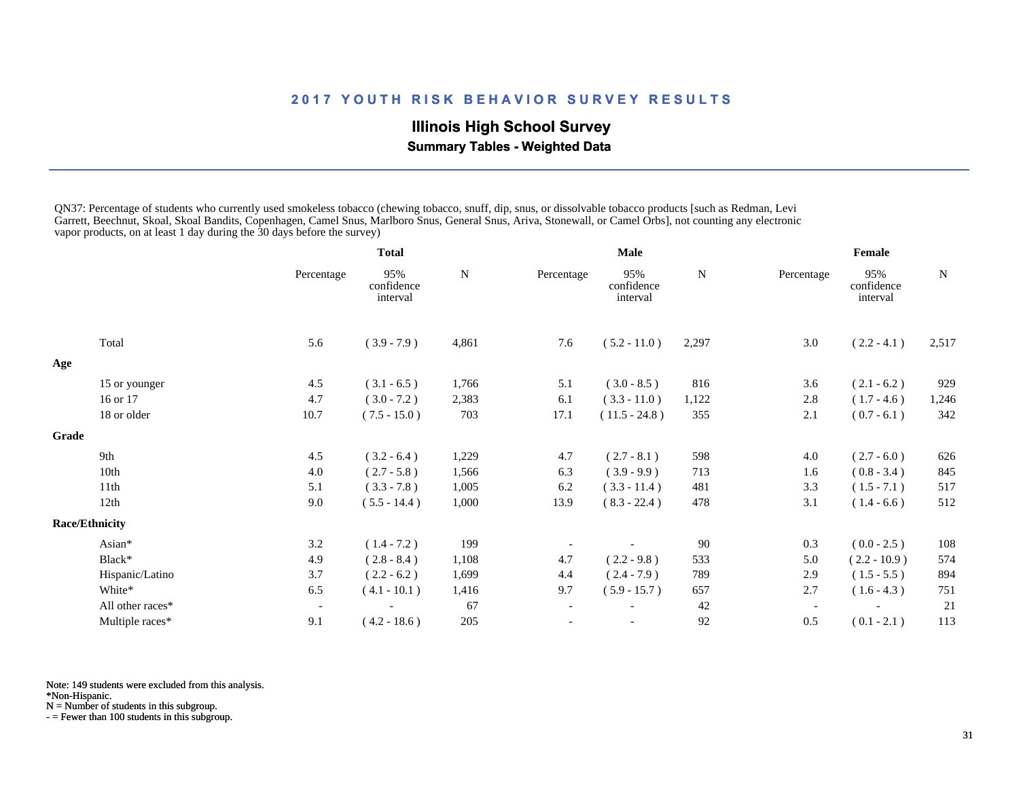# **Illinois High School Survey**

 **Summary Tables - Weighted Data**

QN37: Percentage of students who currently used smokeless tobacco (chewing tobacco, snuff, dip, snus, or dissolvable tobacco products [such as Redman, Levi Garrett, Beechnut, Skoal, Skoal Bandits, Copenhagen, Camel Snus, Marlboro Snus, General Snus, Ariva, Stonewall, or Camel Orbs], not counting any electronic vapor products, on at least 1 day during the 30 days before the survey)

|       |                       |                          | <b>Total</b>                  |           | <b>Male</b>              |                               |       | Female                   |                               |           |
|-------|-----------------------|--------------------------|-------------------------------|-----------|--------------------------|-------------------------------|-------|--------------------------|-------------------------------|-----------|
|       |                       | Percentage               | 95%<br>confidence<br>interval | ${\bf N}$ | Percentage               | 95%<br>confidence<br>interval | N     | Percentage               | 95%<br>confidence<br>interval | ${\bf N}$ |
|       | Total                 | 5.6                      | $(3.9 - 7.9)$                 | 4,861     | 7.6                      | $(5.2 - 11.0)$                | 2,297 | 3.0                      | $(2.2 - 4.1)$                 | 2,517     |
| Age   |                       |                          |                               |           |                          |                               |       |                          |                               |           |
|       | 15 or younger         | 4.5                      | $(3.1 - 6.5)$                 | 1,766     | 5.1                      | $(3.0 - 8.5)$                 | 816   | 3.6                      | $(2.1 - 6.2)$                 | 929       |
|       | 16 or 17              | 4.7                      | $(3.0 - 7.2)$                 | 2,383     | 6.1                      | $(3.3 - 11.0)$                | 1,122 | 2.8                      | $(1.7 - 4.6)$                 | 1,246     |
|       | 18 or older           | 10.7                     | $(7.5 - 15.0)$                | 703       | 17.1                     | $(11.5 - 24.8)$               | 355   | 2.1                      | $(0.7 - 6.1)$                 | 342       |
| Grade |                       |                          |                               |           |                          |                               |       |                          |                               |           |
|       | 9th                   | 4.5                      | $(3.2 - 6.4)$                 | 1,229     | 4.7                      | $(2.7 - 8.1)$                 | 598   | 4.0                      | $(2.7 - 6.0)$                 | 626       |
|       | 10th                  | 4.0                      | $(2.7 - 5.8)$                 | 1,566     | 6.3                      | $(3.9 - 9.9)$                 | 713   | 1.6                      | $(0.8 - 3.4)$                 | 845       |
|       | 11th                  | 5.1                      | $(3.3 - 7.8)$                 | 1,005     | 6.2                      | $(3.3 - 11.4)$                | 481   | 3.3                      | $(1.5 - 7.1)$                 | 517       |
|       | 12th                  | 9.0                      | $(5.5 - 14.4)$                | 1,000     | 13.9                     | $(8.3 - 22.4)$                | 478   | 3.1                      | $(1.4 - 6.6)$                 | 512       |
|       | <b>Race/Ethnicity</b> |                          |                               |           |                          |                               |       |                          |                               |           |
|       | Asian*                | 3.2                      | $(1.4 - 7.2)$                 | 199       |                          |                               | 90    | 0.3                      | $(0.0 - 2.5)$                 | 108       |
|       | Black*                | 4.9                      | $(2.8 - 8.4)$                 | 1,108     | 4.7                      | $(2.2 - 9.8)$                 | 533   | 5.0                      | $(2.2 - 10.9)$                | 574       |
|       | Hispanic/Latino       | 3.7                      | $(2.2 - 6.2)$                 | 1,699     | 4.4                      | $(2.4 - 7.9)$                 | 789   | 2.9                      | $(1.5 - 5.5)$                 | 894       |
|       | White*                | 6.5                      | $(4.1 - 10.1)$                | 1,416     | 9.7                      | $(5.9 - 15.7)$                | 657   | 2.7                      | $(1.6 - 4.3)$                 | 751       |
|       | All other races*      | $\overline{\phantom{a}}$ |                               | 67        | $\overline{\phantom{a}}$ |                               | 42    | $\overline{\phantom{a}}$ |                               | 21        |
|       | Multiple races*       | 9.1                      | $(4.2 - 18.6)$                | 205       |                          | $\overline{\phantom{a}}$      | 92    | 0.5                      | $(0.1 - 2.1)$                 | 113       |

Note: 149 students were excluded from this analysis.

\*Non-Hispanic.

N = Number of students in this subgroup.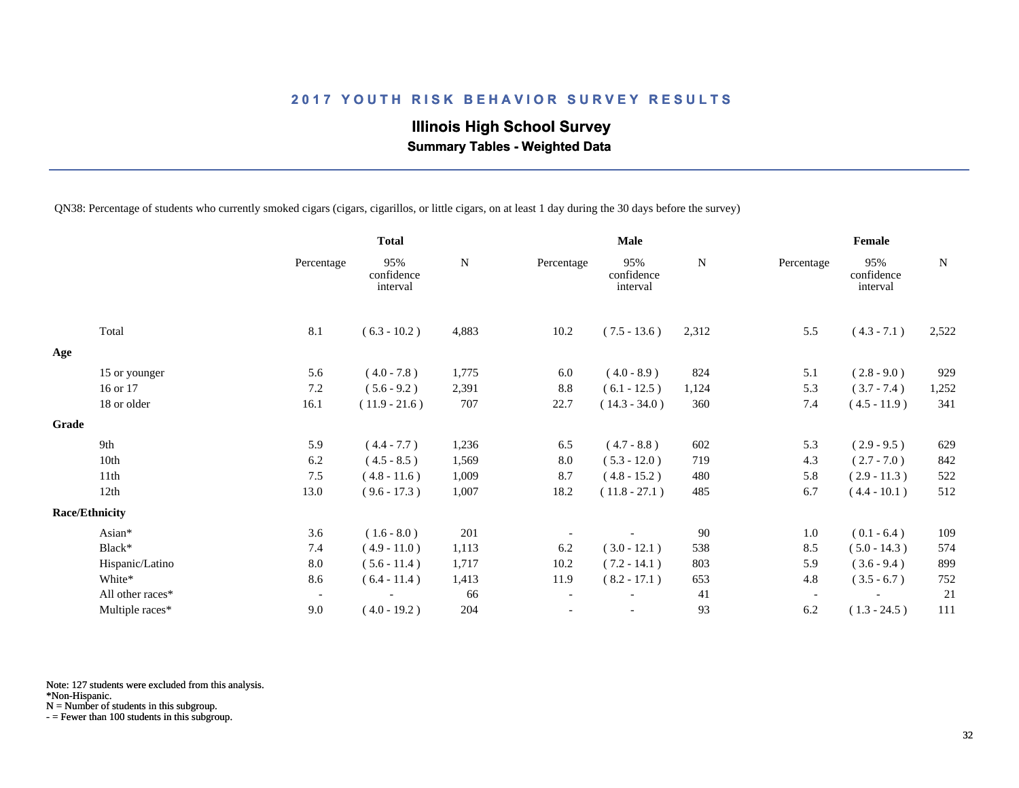# **Illinois High School Survey Summary Tables - Weighted Data**

QN38: Percentage of students who currently smoked cigars (cigars, cigarillos, or little cigars, on at least 1 day during the 30 days before the survey)

|       |                       |                          | <b>Total</b>                  |           |                          | <b>Male</b>                   |           |                          | Female                        |           |
|-------|-----------------------|--------------------------|-------------------------------|-----------|--------------------------|-------------------------------|-----------|--------------------------|-------------------------------|-----------|
|       |                       | Percentage               | 95%<br>confidence<br>interval | ${\bf N}$ | Percentage               | 95%<br>confidence<br>interval | ${\bf N}$ | Percentage               | 95%<br>confidence<br>interval | ${\bf N}$ |
|       | Total                 | 8.1                      | $(6.3 - 10.2)$                | 4,883     | 10.2                     | $(7.5 - 13.6)$                | 2,312     | 5.5                      | $(4.3 - 7.1)$                 | 2,522     |
| Age   |                       |                          |                               |           |                          |                               |           |                          |                               |           |
|       | 15 or younger         | 5.6                      | $(4.0 - 7.8)$                 | 1,775     | 6.0                      | $(4.0 - 8.9)$                 | 824       | 5.1                      | $(2.8 - 9.0)$                 | 929       |
|       | 16 or 17              | 7.2                      | $(5.6 - 9.2)$                 | 2,391     | 8.8                      | $(6.1 - 12.5)$                | 1,124     | 5.3                      | $(3.7 - 7.4)$                 | 1,252     |
|       | 18 or older           | 16.1                     | $(11.9 - 21.6)$               | 707       | 22.7                     | $(14.3 - 34.0)$               | 360       | 7.4                      | $(4.5 - 11.9)$                | 341       |
| Grade |                       |                          |                               |           |                          |                               |           |                          |                               |           |
|       | 9th                   | 5.9                      | $(4.4 - 7.7)$                 | 1,236     | 6.5                      | $(4.7 - 8.8)$                 | 602       | 5.3                      | $(2.9 - 9.5)$                 | 629       |
|       | 10th                  | 6.2                      | $(4.5 - 8.5)$                 | 1,569     | 8.0                      | $(5.3 - 12.0)$                | 719       | 4.3                      | $(2.7 - 7.0)$                 | 842       |
|       | 11th                  | 7.5                      | $(4.8 - 11.6)$                | 1,009     | 8.7                      | $(4.8 - 15.2)$                | 480       | 5.8                      | $(2.9 - 11.3)$                | 522       |
|       | 12th                  | 13.0                     | $(9.6 - 17.3)$                | 1,007     | 18.2                     | $(11.8 - 27.1)$               | 485       | 6.7                      | $(4.4 - 10.1)$                | 512       |
|       | <b>Race/Ethnicity</b> |                          |                               |           |                          |                               |           |                          |                               |           |
|       | Asian*                | 3.6                      | $(1.6 - 8.0)$                 | 201       |                          |                               | 90        | 1.0                      | $(0.1 - 6.4)$                 | 109       |
|       | Black*                | 7.4                      | $(4.9 - 11.0)$                | 1,113     | 6.2                      | $(3.0 - 12.1)$                | 538       | 8.5                      | $(5.0 - 14.3)$                | 574       |
|       | Hispanic/Latino       | 8.0                      | $(5.6 - 11.4)$                | 1,717     | 10.2                     | $(7.2 - 14.1)$                | 803       | 5.9                      | $(3.6 - 9.4)$                 | 899       |
|       | White*                | 8.6                      | $(6.4 - 11.4)$                | 1,413     | 11.9                     | $(8.2 - 17.1)$                | 653       | 4.8                      | $(3.5 - 6.7)$                 | 752       |
|       | All other races*      | $\overline{\phantom{a}}$ |                               | 66        | $\overline{\phantom{a}}$ |                               | 41        | $\overline{\phantom{a}}$ |                               | 21        |
|       | Multiple races*       | 9.0                      | $(4.0 - 19.2)$                | 204       | $\overline{\phantom{a}}$ |                               | 93        | 6.2                      | $(1.3 - 24.5)$                | 111       |

Note: 127 students were excluded from this analysis.

\*Non-Hispanic.

N = Number of students in this subgroup.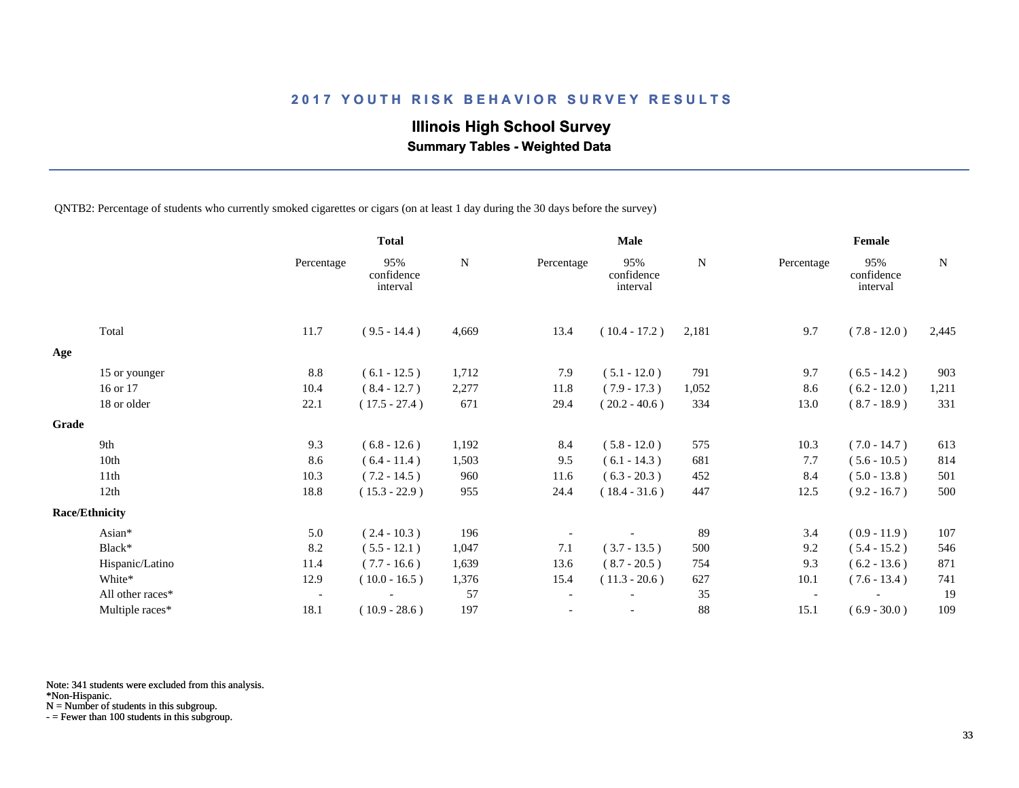# **Illinois High School Survey**

 **Summary Tables - Weighted Data**

QNTB2: Percentage of students who currently smoked cigarettes or cigars (on at least 1 day during the 30 days before the survey)

|       |                       |                          | <b>Total</b>                  |           |                          | <b>Male</b>                   |       |                          | Female                        |       |
|-------|-----------------------|--------------------------|-------------------------------|-----------|--------------------------|-------------------------------|-------|--------------------------|-------------------------------|-------|
|       |                       | Percentage               | 95%<br>confidence<br>interval | ${\bf N}$ | Percentage               | 95%<br>confidence<br>interval | N     | Percentage               | 95%<br>confidence<br>interval | N     |
|       | Total                 | 11.7                     | $(9.5 - 14.4)$                | 4,669     | 13.4                     | $(10.4 - 17.2)$               | 2,181 | 9.7                      | $(7.8 - 12.0)$                | 2,445 |
| Age   |                       |                          |                               |           |                          |                               |       |                          |                               |       |
|       | 15 or younger         | 8.8                      | $(6.1 - 12.5)$                | 1,712     | 7.9                      | $(5.1 - 12.0)$                | 791   | 9.7                      | $(6.5 - 14.2)$                | 903   |
|       | 16 or 17              | 10.4                     | $(8.4 - 12.7)$                | 2,277     | 11.8                     | $(7.9 - 17.3)$                | 1,052 | 8.6                      | $(6.2 - 12.0)$                | 1,211 |
|       | 18 or older           | 22.1                     | $(17.5 - 27.4)$               | 671       | 29.4                     | $(20.2 - 40.6)$               | 334   | 13.0                     | $(8.7 - 18.9)$                | 331   |
| Grade |                       |                          |                               |           |                          |                               |       |                          |                               |       |
|       | 9th                   | 9.3                      | $(6.8 - 12.6)$                | 1,192     | 8.4                      | $(5.8 - 12.0)$                | 575   | 10.3                     | $(7.0 - 14.7)$                | 613   |
|       | 10th                  | 8.6                      | $(6.4 - 11.4)$                | 1,503     | 9.5                      | $(6.1 - 14.3)$                | 681   | 7.7                      | $(5.6 - 10.5)$                | 814   |
|       | 11th                  | 10.3                     | $(7.2 - 14.5)$                | 960       | 11.6                     | $(6.3 - 20.3)$                | 452   | 8.4                      | $(5.0 - 13.8)$                | 501   |
|       | 12th                  | 18.8                     | $(15.3 - 22.9)$               | 955       | 24.4                     | $(18.4 - 31.6)$               | 447   | 12.5                     | $(9.2 - 16.7)$                | 500   |
|       | <b>Race/Ethnicity</b> |                          |                               |           |                          |                               |       |                          |                               |       |
|       | Asian*                | 5.0                      | $(2.4 - 10.3)$                | 196       |                          |                               | 89    | 3.4                      | $(0.9 - 11.9)$                | 107   |
|       | Black*                | 8.2                      | $(5.5 - 12.1)$                | 1,047     | 7.1                      | $(3.7 - 13.5)$                | 500   | 9.2                      | $(5.4 - 15.2)$                | 546   |
|       | Hispanic/Latino       | 11.4                     | $(7.7 - 16.6)$                | 1,639     | 13.6                     | $(8.7 - 20.5)$                | 754   | 9.3                      | $(6.2 - 13.6)$                | 871   |
|       | White*                | 12.9                     | $(10.0 - 16.5)$               | 1,376     | 15.4                     | $(11.3 - 20.6)$               | 627   | 10.1                     | $(7.6 - 13.4)$                | 741   |
|       | All other races*      | $\overline{\phantom{a}}$ |                               | 57        | $\overline{\phantom{a}}$ |                               | 35    | $\overline{\phantom{a}}$ |                               | 19    |
|       | Multiple races*       | 18.1                     | $(10.9 - 28.6)$               | 197       |                          |                               | 88    | 15.1                     | $(6.9 - 30.0)$                | 109   |

Note: 341 students were excluded from this analysis.

\*Non-Hispanic.

N = Number of students in this subgroup.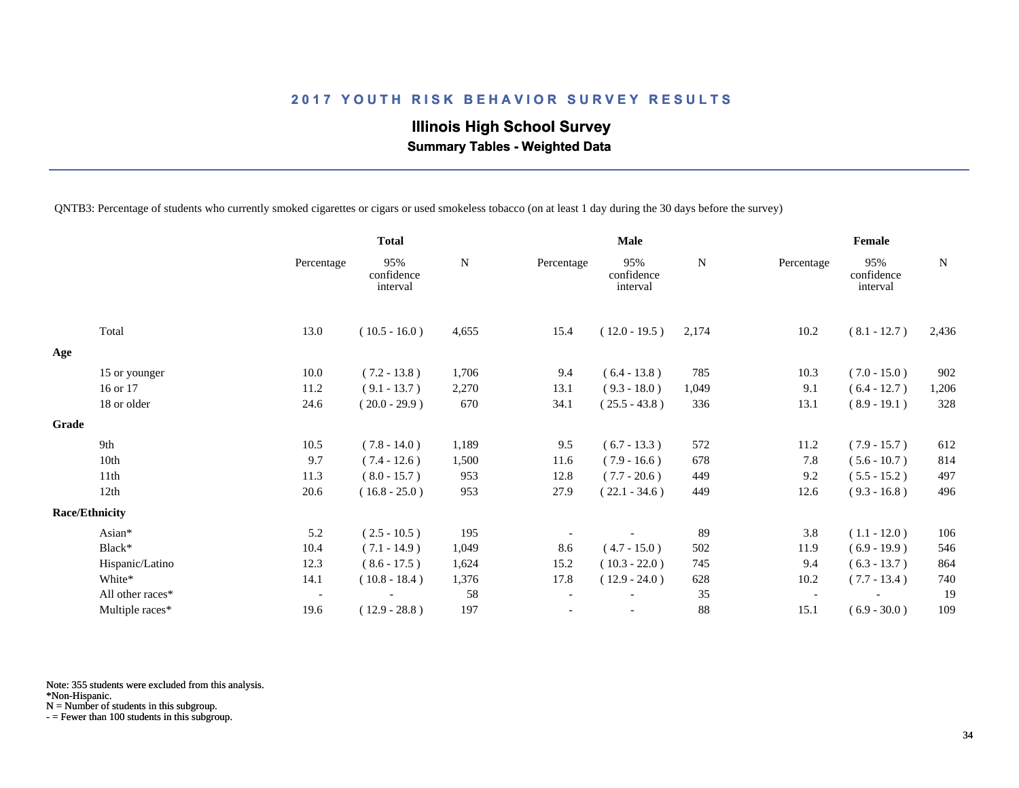# **Illinois High School Survey Summary Tables - Weighted Data**

QNTB3: Percentage of students who currently smoked cigarettes or cigars or used smokeless tobacco (on at least 1 day during the 30 days before the survey)

|       |                       |                          | <b>Total</b>                  |       |                          | <b>Male</b>                   |             |                          | Female                        |       |
|-------|-----------------------|--------------------------|-------------------------------|-------|--------------------------|-------------------------------|-------------|--------------------------|-------------------------------|-------|
|       |                       | Percentage               | 95%<br>confidence<br>interval | N     | Percentage               | 95%<br>confidence<br>interval | $\mathbf N$ | Percentage               | 95%<br>confidence<br>interval | N     |
|       | Total                 | 13.0                     | $(10.5 - 16.0)$               | 4,655 | 15.4                     | $(12.0 - 19.5)$               | 2,174       | 10.2                     | $(8.1 - 12.7)$                | 2,436 |
| Age   |                       |                          |                               |       |                          |                               |             |                          |                               |       |
|       | 15 or younger         | 10.0                     | $(7.2 - 13.8)$                | 1,706 | 9.4                      | $(6.4 - 13.8)$                | 785         | 10.3                     | $(7.0 - 15.0)$                | 902   |
|       | 16 or 17              | 11.2                     | $(9.1 - 13.7)$                | 2,270 | 13.1                     | $(9.3 - 18.0)$                | 1,049       | 9.1                      | $(6.4 - 12.7)$                | 1,206 |
|       | 18 or older           | 24.6                     | $(20.0 - 29.9)$               | 670   | 34.1                     | $(25.5 - 43.8)$               | 336         | 13.1                     | $(8.9 - 19.1)$                | 328   |
| Grade |                       |                          |                               |       |                          |                               |             |                          |                               |       |
|       | 9th                   | 10.5                     | $(7.8 - 14.0)$                | 1,189 | 9.5                      | $(6.7 - 13.3)$                | 572         | 11.2                     | $(7.9 - 15.7)$                | 612   |
|       | 10th                  | 9.7                      | $(7.4 - 12.6)$                | 1,500 | 11.6                     | $(7.9 - 16.6)$                | 678         | 7.8                      | $(5.6 - 10.7)$                | 814   |
|       | 11th                  | 11.3                     | $(8.0 - 15.7)$                | 953   | 12.8                     | $(7.7 - 20.6)$                | 449         | 9.2                      | $(5.5 - 15.2)$                | 497   |
|       | 12th                  | 20.6                     | $(16.8 - 25.0)$               | 953   | 27.9                     | $(22.1 - 34.6)$               | 449         | 12.6                     | $(9.3 - 16.8)$                | 496   |
|       | <b>Race/Ethnicity</b> |                          |                               |       |                          |                               |             |                          |                               |       |
|       | Asian*                | 5.2                      | $(2.5 - 10.5)$                | 195   |                          |                               | 89          | 3.8                      | $(1.1 - 12.0)$                | 106   |
|       | Black*                | 10.4                     | $(7.1 - 14.9)$                | 1,049 | 8.6                      | $(4.7 - 15.0)$                | 502         | 11.9                     | $(6.9 - 19.9)$                | 546   |
|       | Hispanic/Latino       | 12.3                     | $(8.6 - 17.5)$                | 1,624 | 15.2                     | $(10.3 - 22.0)$               | 745         | 9.4                      | $(6.3 - 13.7)$                | 864   |
|       | White*                | 14.1                     | $(10.8 - 18.4)$               | 1,376 | 17.8                     | $(12.9 - 24.0)$               | 628         | 10.2                     | $(7.7 - 13.4)$                | 740   |
|       | All other races*      | $\overline{\phantom{a}}$ |                               | 58    | $\overline{\phantom{a}}$ |                               | 35          | $\overline{\phantom{a}}$ |                               | 19    |
|       | Multiple races*       | 19.6                     | $(12.9 - 28.8)$               | 197   |                          |                               | 88          | 15.1                     | $(6.9 - 30.0)$                | 109   |

Note: 355 students were excluded from this analysis.

\*Non-Hispanic.

N = Number of students in this subgroup.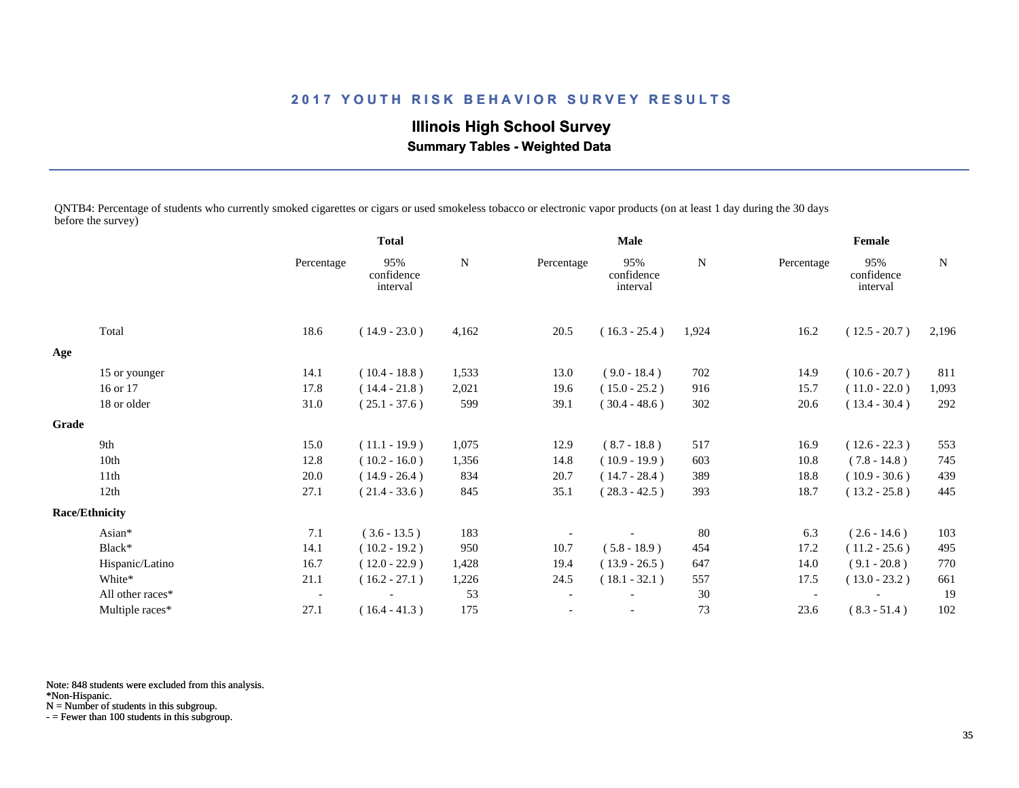**Illinois High School Survey Summary Tables - Weighted Data**

QNTB4: Percentage of students who currently smoked cigarettes or cigars or used smokeless tobacco or electronic vapor products (on at least 1 day during the 30 days before the survey)

|       |                       |                          | <b>Total</b>                  |             | <b>Male</b>              |                               |             | Female     |                               |             |
|-------|-----------------------|--------------------------|-------------------------------|-------------|--------------------------|-------------------------------|-------------|------------|-------------------------------|-------------|
|       |                       | Percentage               | 95%<br>confidence<br>interval | $\mathbf N$ | Percentage               | 95%<br>confidence<br>interval | $\mathbf N$ | Percentage | 95%<br>confidence<br>interval | $\mathbf N$ |
|       | Total                 | 18.6                     | $(14.9 - 23.0)$               | 4,162       | 20.5                     | $(16.3 - 25.4)$               | 1,924       | 16.2       | $(12.5 - 20.7)$               | 2,196       |
| Age   |                       |                          |                               |             |                          |                               |             |            |                               |             |
|       | 15 or younger         | 14.1                     | $(10.4 - 18.8)$               | 1,533       | 13.0                     | $(9.0 - 18.4)$                | 702         | 14.9       | $(10.6 - 20.7)$               | 811         |
|       | 16 or 17              | 17.8                     | $(14.4 - 21.8)$               | 2,021       | 19.6                     | $(15.0 - 25.2)$               | 916         | 15.7       | $(11.0 - 22.0)$               | 1,093       |
|       | 18 or older           | 31.0                     | $(25.1 - 37.6)$               | 599         | 39.1                     | $(30.4 - 48.6)$               | 302         | 20.6       | $(13.4 - 30.4)$               | 292         |
| Grade |                       |                          |                               |             |                          |                               |             |            |                               |             |
|       | 9th                   | 15.0                     | $(11.1 - 19.9)$               | 1,075       | 12.9                     | $(8.7 - 18.8)$                | 517         | 16.9       | $(12.6 - 22.3)$               | 553         |
|       | 10th                  | 12.8                     | $(10.2 - 16.0)$               | 1,356       | 14.8                     | $(10.9 - 19.9)$               | 603         | 10.8       | $(7.8 - 14.8)$                | 745         |
|       | 11th                  | 20.0                     | $(14.9 - 26.4)$               | 834         | 20.7                     | $(14.7 - 28.4)$               | 389         | 18.8       | $(10.9 - 30.6)$               | 439         |
|       | 12th                  | 27.1                     | $(21.4 - 33.6)$               | 845         | 35.1                     | $(28.3 - 42.5)$               | 393         | 18.7       | $(13.2 - 25.8)$               | 445         |
|       | <b>Race/Ethnicity</b> |                          |                               |             |                          |                               |             |            |                               |             |
|       | Asian*                | 7.1                      | $(3.6 - 13.5)$                | 183         |                          |                               | 80          | 6.3        | $(2.6 - 14.6)$                | 103         |
|       | Black*                | 14.1                     | $(10.2 - 19.2)$               | 950         | 10.7                     | $(5.8 - 18.9)$                | 454         | 17.2       | $(11.2 - 25.6)$               | 495         |
|       | Hispanic/Latino       | 16.7                     | $(12.0 - 22.9)$               | 1,428       | 19.4                     | $(13.9 - 26.5)$               | 647         | 14.0       | $(9.1 - 20.8)$                | 770         |
|       | White*                | 21.1                     | $(16.2 - 27.1)$               | 1,226       | 24.5                     | $(18.1 - 32.1)$               | 557         | 17.5       | $(13.0 - 23.2)$               | 661         |
|       | All other races*      | $\overline{\phantom{a}}$ |                               | 53          | $\overline{\phantom{a}}$ |                               | 30          |            |                               | 19          |
|       | Multiple races*       | 27.1                     | $(16.4 - 41.3)$               | 175         |                          |                               | 73          | 23.6       | $(8.3 - 51.4)$                | 102         |

Note: 848 students were excluded from this analysis.

\*Non-Hispanic.

N = Number of students in this subgroup.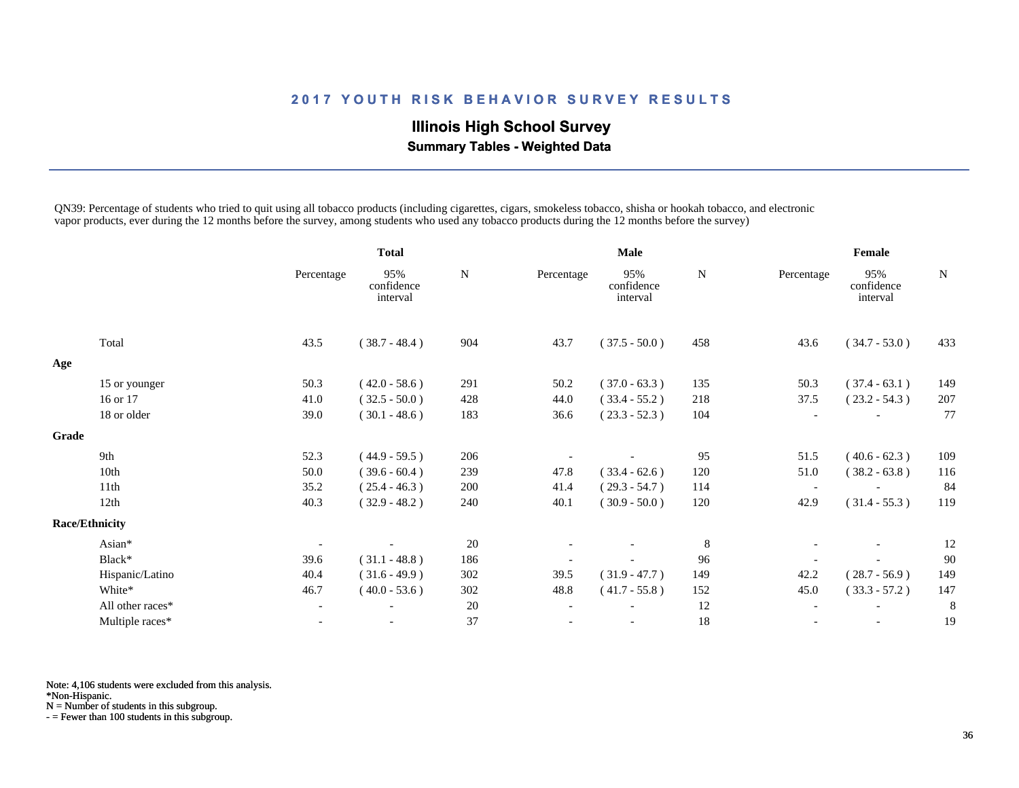# **Illinois High School Survey Summary Tables - Weighted Data**

QN39: Percentage of students who tried to quit using all tobacco products (including cigarettes, cigars, smokeless tobacco, shisha or hookah tobacco, and electronic vapor products, ever during the 12 months before the survey, among students who used any tobacco products during the 12 months before the survey)

|              |                       |                          | <b>Total</b>                  |             | <b>Male</b>              |                               |         | Female                   |                               |           |
|--------------|-----------------------|--------------------------|-------------------------------|-------------|--------------------------|-------------------------------|---------|--------------------------|-------------------------------|-----------|
|              |                       | Percentage               | 95%<br>confidence<br>interval | $\mathbf N$ | Percentage               | 95%<br>confidence<br>interval | N       | Percentage               | 95%<br>confidence<br>interval | ${\bf N}$ |
|              | Total                 | 43.5                     | $(38.7 - 48.4)$               | 904         | 43.7                     | $(37.5 - 50.0)$               | 458     | 43.6                     | $(34.7 - 53.0)$               | 433       |
| Age          |                       |                          |                               |             |                          |                               |         |                          |                               |           |
|              | 15 or younger         | 50.3                     | $(42.0 - 58.6)$               | 291         | 50.2                     | $(37.0 - 63.3)$               | 135     | 50.3                     | $(37.4 - 63.1)$               | 149       |
|              | 16 or 17              | 41.0                     | $(32.5 - 50.0)$               | 428         | 44.0                     | $(33.4 - 55.2)$               | 218     | 37.5                     | $(23.2 - 54.3)$               | 207       |
|              | 18 or older           | 39.0                     | $(30.1 - 48.6)$               | 183         | 36.6                     | $(23.3 - 52.3)$               | 104     |                          |                               | 77        |
| <b>Grade</b> |                       |                          |                               |             |                          |                               |         |                          |                               |           |
|              | 9th                   | 52.3                     | $(44.9 - 59.5)$               | 206         |                          |                               | 95      | 51.5                     | $(40.6 - 62.3)$               | 109       |
|              | 10th                  | 50.0                     | $(39.6 - 60.4)$               | 239         | 47.8                     | $(33.4 - 62.6)$               | 120     | 51.0                     | $(38.2 - 63.8)$               | 116       |
|              | 11th                  | 35.2                     | $(25.4 - 46.3)$               | 200         | 41.4                     | $(29.3 - 54.7)$               | 114     | $\overline{\phantom{a}}$ |                               | 84        |
|              | 12th                  | 40.3                     | $(32.9 - 48.2)$               | 240         | 40.1                     | $(30.9 - 50.0)$               | 120     | 42.9                     | $(31.4 - 55.3)$               | 119       |
|              | <b>Race/Ethnicity</b> |                          |                               |             |                          |                               |         |                          |                               |           |
|              | Asian*                |                          |                               | 20          |                          |                               | $\,8\,$ |                          | $\overline{\phantom{a}}$      | 12        |
|              | Black*                | 39.6                     | $(31.1 - 48.8)$               | 186         |                          |                               | 96      |                          |                               | 90        |
|              | Hispanic/Latino       | 40.4                     | $(31.6 - 49.9)$               | 302         | 39.5                     | $(31.9 - 47.7)$               | 149     | 42.2                     | $(28.7 - 56.9)$               | 149       |
|              | White*                | 46.7                     | $(40.0 - 53.6)$               | 302         | 48.8                     | $(41.7 - 55.8)$               | 152     | 45.0                     | $(33.3 - 57.2)$               | 147       |
|              | All other races*      | $\overline{\phantom{a}}$ |                               | 20          | $\overline{\phantom{a}}$ |                               | 12      |                          |                               | 8         |
|              | Multiple races*       |                          |                               | 37          |                          |                               | $18\,$  |                          |                               | 19        |

Note: 4,106 students were excluded from this analysis.

\*Non-Hispanic.

N = Number of students in this subgroup.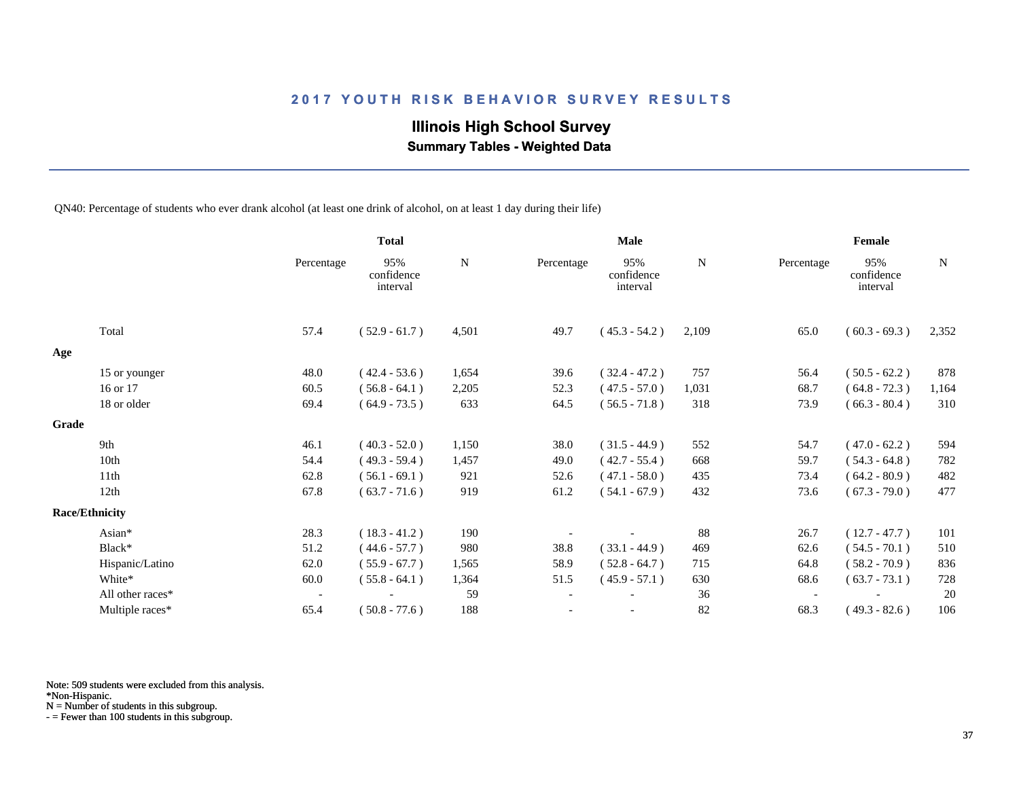# **Illinois High School Survey**

 **Summary Tables - Weighted Data**

QN40: Percentage of students who ever drank alcohol (at least one drink of alcohol, on at least 1 day during their life)

|       |                       |                          | <b>Total</b>                  |           |            | Male                          |           |                          | Female                        |             |
|-------|-----------------------|--------------------------|-------------------------------|-----------|------------|-------------------------------|-----------|--------------------------|-------------------------------|-------------|
|       |                       | Percentage               | 95%<br>confidence<br>interval | ${\bf N}$ | Percentage | 95%<br>confidence<br>interval | ${\bf N}$ | Percentage               | 95%<br>confidence<br>interval | $\mathbf N$ |
|       | Total                 | 57.4                     | $(52.9 - 61.7)$               | 4,501     | 49.7       | $(45.3 - 54.2)$               | 2,109     | 65.0                     | $(60.3 - 69.3)$               | 2,352       |
| Age   |                       |                          |                               |           |            |                               |           |                          |                               |             |
|       | 15 or younger         | 48.0                     | $(42.4 - 53.6)$               | 1,654     | 39.6       | $(32.4 - 47.2)$               | 757       | 56.4                     | $(50.5 - 62.2)$               | 878         |
|       | 16 or 17              | 60.5                     | $(56.8 - 64.1)$               | 2,205     | 52.3       | $(47.5 - 57.0)$               | 1,031     | 68.7                     | $(64.8 - 72.3)$               | 1,164       |
|       | 18 or older           | 69.4                     | $(64.9 - 73.5)$               | 633       | 64.5       | $(56.5 - 71.8)$               | 318       | 73.9                     | $(66.3 - 80.4)$               | 310         |
| Grade |                       |                          |                               |           |            |                               |           |                          |                               |             |
|       | 9th                   | 46.1                     | $(40.3 - 52.0)$               | 1,150     | 38.0       | $(31.5 - 44.9)$               | 552       | 54.7                     | $(47.0 - 62.2)$               | 594         |
|       | 10th                  | 54.4                     | $(49.3 - 59.4)$               | 1,457     | 49.0       | $(42.7 - 55.4)$               | 668       | 59.7                     | $(54.3 - 64.8)$               | 782         |
|       | 11th                  | 62.8                     | $(56.1 - 69.1)$               | 921       | 52.6       | $(47.1 - 58.0)$               | 435       | 73.4                     | $(64.2 - 80.9)$               | 482         |
|       | 12th                  | 67.8                     | $(63.7 - 71.6)$               | 919       | 61.2       | $(54.1 - 67.9)$               | 432       | 73.6                     | $(67.3 - 79.0)$               | 477         |
|       | <b>Race/Ethnicity</b> |                          |                               |           |            |                               |           |                          |                               |             |
|       | Asian*                | 28.3                     | $(18.3 - 41.2)$               | 190       |            |                               | 88        | 26.7                     | $(12.7 - 47.7)$               | 101         |
|       | Black*                | 51.2                     | $(44.6 - 57.7)$               | 980       | 38.8       | $(33.1 - 44.9)$               | 469       | 62.6                     | $(54.5 - 70.1)$               | 510         |
|       | Hispanic/Latino       | 62.0                     | $(55.9 - 67.7)$               | 1,565     | 58.9       | $(52.8 - 64.7)$               | 715       | 64.8                     | $(58.2 - 70.9)$               | 836         |
|       | White*                | 60.0                     | $(55.8 - 64.1)$               | 1,364     | 51.5       | $(45.9 - 57.1)$               | 630       | 68.6                     | $(63.7 - 73.1)$               | 728         |
|       | All other races*      | $\overline{\phantom{a}}$ |                               | 59        |            |                               | 36        | $\overline{\phantom{a}}$ |                               | 20          |
|       | Multiple races*       | 65.4                     | $(50.8 - 77.6)$               | 188       |            |                               | 82        | 68.3                     | $(49.3 - 82.6)$               | 106         |

Note: 509 students were excluded from this analysis.

\*Non-Hispanic.

N = Number of students in this subgroup.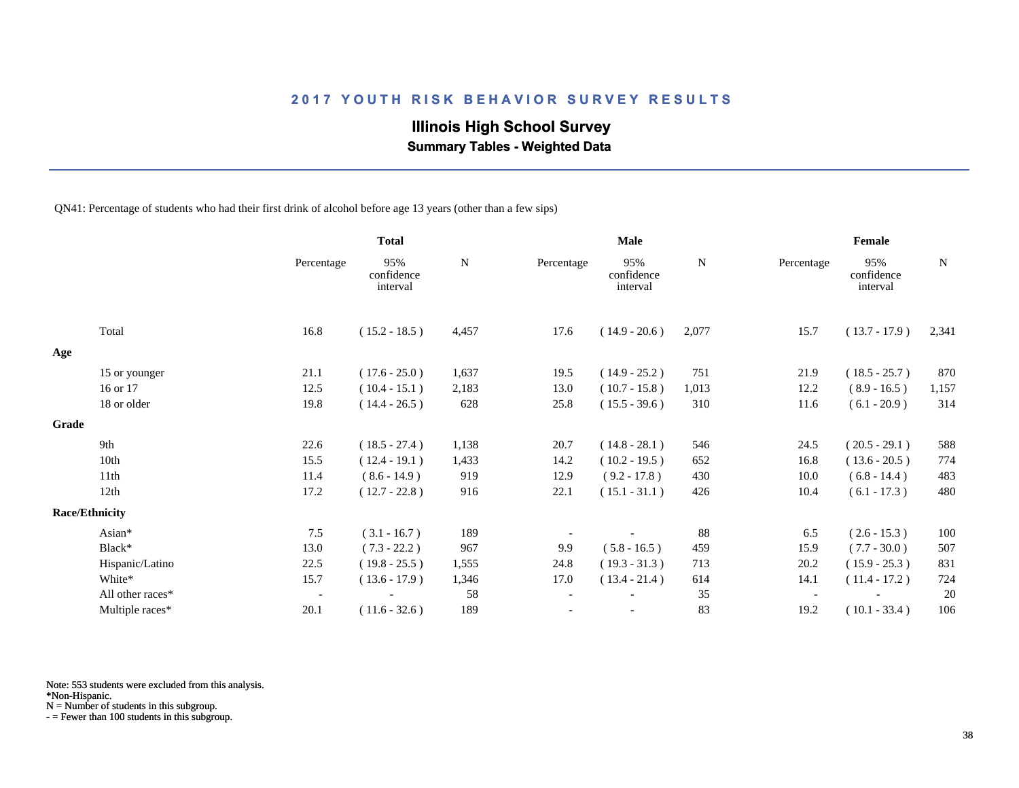# **Illinois High School Survey**

 **Summary Tables - Weighted Data**

QN41: Percentage of students who had their first drink of alcohol before age 13 years (other than a few sips)

|       |                       |                          | <b>Total</b>                  |           |            | <b>Male</b>                   |           |                          | Female                        |             |
|-------|-----------------------|--------------------------|-------------------------------|-----------|------------|-------------------------------|-----------|--------------------------|-------------------------------|-------------|
|       |                       | Percentage               | 95%<br>confidence<br>interval | ${\bf N}$ | Percentage | 95%<br>confidence<br>interval | ${\bf N}$ | Percentage               | 95%<br>confidence<br>interval | $\mathbf N$ |
|       | Total                 | 16.8                     | $(15.2 - 18.5)$               | 4,457     | 17.6       | $(14.9 - 20.6)$               | 2,077     | 15.7                     | $(13.7 - 17.9)$               | 2,341       |
| Age   |                       |                          |                               |           |            |                               |           |                          |                               |             |
|       | 15 or younger         | 21.1                     | $(17.6 - 25.0)$               | 1,637     | 19.5       | $(14.9 - 25.2)$               | 751       | 21.9                     | $(18.5 - 25.7)$               | 870         |
|       | 16 or 17              | 12.5                     | $(10.4 - 15.1)$               | 2,183     | 13.0       | $(10.7 - 15.8)$               | 1,013     | 12.2                     | $(8.9 - 16.5)$                | 1,157       |
|       | 18 or older           | 19.8                     | $(14.4 - 26.5)$               | 628       | 25.8       | $(15.5 - 39.6)$               | 310       | 11.6                     | $(6.1 - 20.9)$                | 314         |
| Grade |                       |                          |                               |           |            |                               |           |                          |                               |             |
|       | 9th                   | 22.6                     | $(18.5 - 27.4)$               | 1,138     | 20.7       | $(14.8 - 28.1)$               | 546       | 24.5                     | $(20.5 - 29.1)$               | 588         |
|       | 10th                  | 15.5                     | $(12.4 - 19.1)$               | 1,433     | 14.2       | $(10.2 - 19.5)$               | 652       | 16.8                     | $(13.6 - 20.5)$               | 774         |
|       | 11th                  | 11.4                     | $(8.6 - 14.9)$                | 919       | 12.9       | $(9.2 - 17.8)$                | 430       | 10.0                     | $(6.8 - 14.4)$                | 483         |
|       | 12th                  | 17.2                     | $(12.7 - 22.8)$               | 916       | 22.1       | $(15.1 - 31.1)$               | 426       | 10.4                     | $(6.1 - 17.3)$                | 480         |
|       | <b>Race/Ethnicity</b> |                          |                               |           |            |                               |           |                          |                               |             |
|       | Asian*                | 7.5                      | $(3.1 - 16.7)$                | 189       |            |                               | 88        | 6.5                      | $(2.6 - 15.3)$                | 100         |
|       | Black*                | 13.0                     | $(7.3 - 22.2)$                | 967       | 9.9        | $(5.8 - 16.5)$                | 459       | 15.9                     | $(7.7 - 30.0)$                | 507         |
|       | Hispanic/Latino       | 22.5                     | $(19.8 - 25.5)$               | 1,555     | 24.8       | $(19.3 - 31.3)$               | 713       | 20.2                     | $(15.9 - 25.3)$               | 831         |
|       | White*                | 15.7                     | $(13.6 - 17.9)$               | 1,346     | 17.0       | $(13.4 - 21.4)$               | 614       | 14.1                     | $(11.4 - 17.2)$               | 724         |
|       | All other races*      | $\overline{\phantom{a}}$ |                               | 58        |            |                               | 35        | $\overline{\phantom{a}}$ |                               | 20          |
|       | Multiple races*       | 20.1                     | $(11.6 - 32.6)$               | 189       |            |                               | 83        | 19.2                     | $(10.1 - 33.4)$               | 106         |

Note: 553 students were excluded from this analysis.

N = Number of students in this subgroup.

<sup>\*</sup>Non-Hispanic.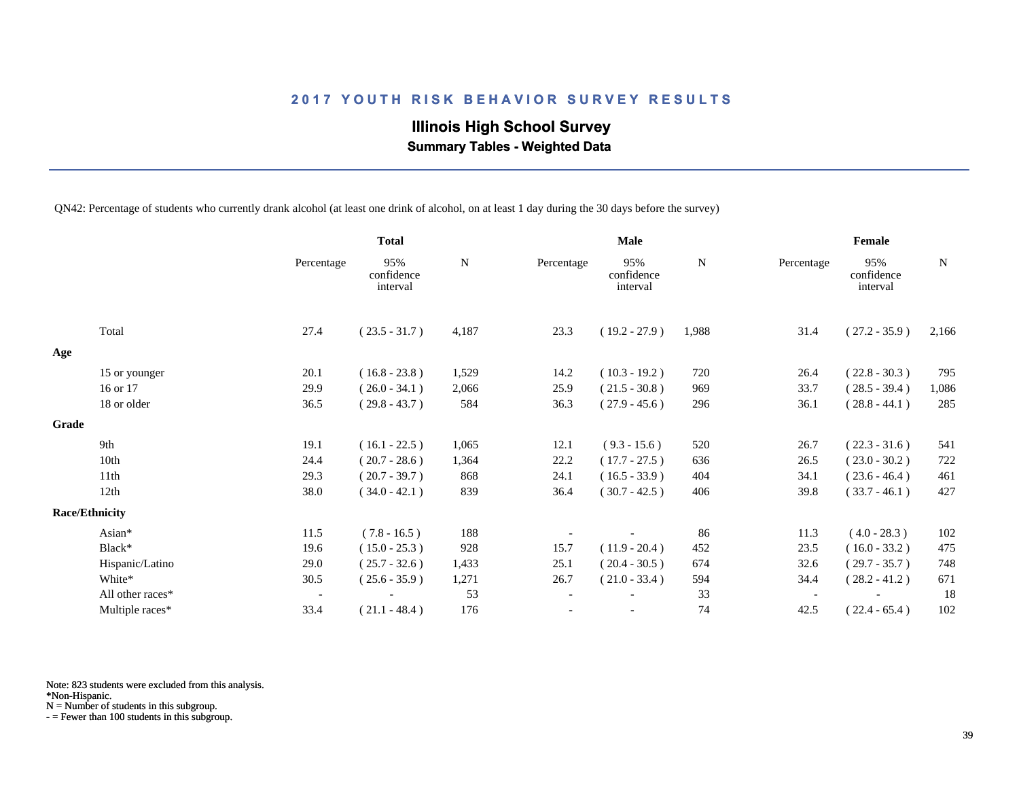# **Illinois High School Survey Summary Tables - Weighted Data**

QN42: Percentage of students who currently drank alcohol (at least one drink of alcohol, on at least 1 day during the 30 days before the survey)

|       |                       |                          | <b>Total</b>                  |           |                          | <b>Male</b>                   |           |                          | Female                        |           |
|-------|-----------------------|--------------------------|-------------------------------|-----------|--------------------------|-------------------------------|-----------|--------------------------|-------------------------------|-----------|
|       |                       | Percentage               | 95%<br>confidence<br>interval | ${\bf N}$ | Percentage               | 95%<br>confidence<br>interval | ${\bf N}$ | Percentage               | 95%<br>confidence<br>interval | ${\bf N}$ |
|       | Total                 | 27.4                     | $(23.5 - 31.7)$               | 4,187     | 23.3                     | $(19.2 - 27.9)$               | 1,988     | 31.4                     | $(27.2 - 35.9)$               | 2,166     |
| Age   |                       |                          |                               |           |                          |                               |           |                          |                               |           |
|       | 15 or younger         | 20.1                     | $(16.8 - 23.8)$               | 1,529     | 14.2                     | $(10.3 - 19.2)$               | 720       | 26.4                     | $(22.8 - 30.3)$               | 795       |
|       | 16 or 17              | 29.9                     | $(26.0 - 34.1)$               | 2,066     | 25.9                     | $(21.5 - 30.8)$               | 969       | 33.7                     | $(28.5 - 39.4)$               | 1,086     |
|       | 18 or older           | 36.5                     | $(29.8 - 43.7)$               | 584       | 36.3                     | $(27.9 - 45.6)$               | 296       | 36.1                     | $(28.8 - 44.1)$               | 285       |
| Grade |                       |                          |                               |           |                          |                               |           |                          |                               |           |
|       | 9th                   | 19.1                     | $(16.1 - 22.5)$               | 1,065     | 12.1                     | $(9.3 - 15.6)$                | 520       | 26.7                     | $(22.3 - 31.6)$               | 541       |
|       | 10th                  | 24.4                     | $(20.7 - 28.6)$               | 1,364     | 22.2                     | $(17.7 - 27.5)$               | 636       | 26.5                     | $(23.0 - 30.2)$               | 722       |
|       | 11th                  | 29.3                     | $(20.7 - 39.7)$               | 868       | 24.1                     | $(16.5 - 33.9)$               | 404       | 34.1                     | $(23.6 - 46.4)$               | 461       |
|       | 12th                  | 38.0                     | $(34.0 - 42.1)$               | 839       | 36.4                     | $(30.7 - 42.5)$               | 406       | 39.8                     | $(33.7 - 46.1)$               | 427       |
|       | <b>Race/Ethnicity</b> |                          |                               |           |                          |                               |           |                          |                               |           |
|       | Asian*                | 11.5                     | $(7.8 - 16.5)$                | 188       |                          |                               | 86        | 11.3                     | $(4.0 - 28.3)$                | 102       |
|       | Black*                | 19.6                     | $(15.0 - 25.3)$               | 928       | 15.7                     | $(11.9 - 20.4)$               | 452       | 23.5                     | $(16.0 - 33.2)$               | 475       |
|       | Hispanic/Latino       | 29.0                     | $(25.7 - 32.6)$               | 1,433     | 25.1                     | $(20.4 - 30.5)$               | 674       | 32.6                     | $(29.7 - 35.7)$               | 748       |
|       | White*                | 30.5                     | $(25.6 - 35.9)$               | 1,271     | 26.7                     | $(21.0 - 33.4)$               | 594       | 34.4                     | $(28.2 - 41.2)$               | 671       |
|       | All other races*      | $\overline{\phantom{a}}$ |                               | 53        | $\overline{\phantom{a}}$ |                               | 33        | $\overline{\phantom{a}}$ |                               | 18        |
|       | Multiple races*       | 33.4                     | $(21.1 - 48.4)$               | 176       |                          |                               | 74        | 42.5                     | $(22.4 - 65.4)$               | 102       |

Note: 823 students were excluded from this analysis.

\*Non-Hispanic.

N = Number of students in this subgroup.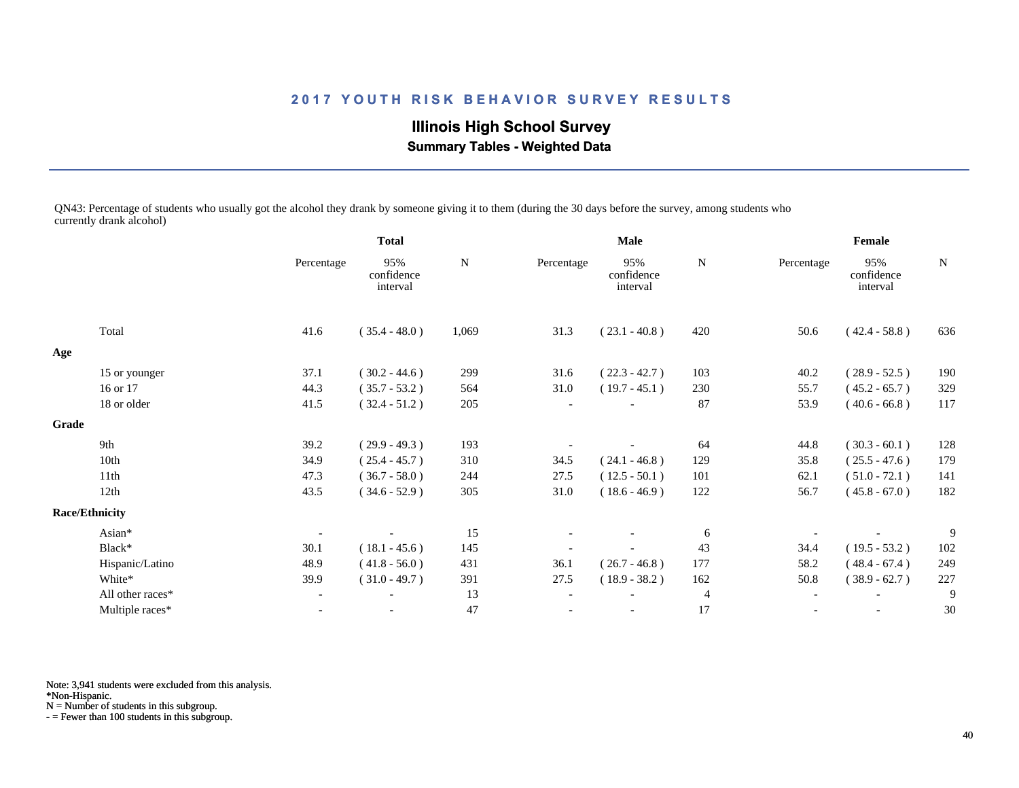# **Illinois High School Survey Summary Tables - Weighted Data**

QN43: Percentage of students who usually got the alcohol they drank by someone giving it to them (during the 30 days before the survey, among students who currently drank alcohol)

|       |                       |                | <b>Total</b>                  |             | <b>Male</b> |                               |                | Female     |                               |     |
|-------|-----------------------|----------------|-------------------------------|-------------|-------------|-------------------------------|----------------|------------|-------------------------------|-----|
|       |                       | Percentage     | 95%<br>confidence<br>interval | $\mathbf N$ | Percentage  | 95%<br>confidence<br>interval | N              | Percentage | 95%<br>confidence<br>interval | N   |
|       | Total                 | 41.6           | $(35.4 - 48.0)$               | 1,069       | 31.3        | $(23.1 - 40.8)$               | 420            | 50.6       | $(42.4 - 58.8)$               | 636 |
| Age   |                       |                |                               |             |             |                               |                |            |                               |     |
|       | 15 or younger         | 37.1           | $(30.2 - 44.6)$               | 299         | 31.6        | $(22.3 - 42.7)$               | 103            | 40.2       | $(28.9 - 52.5)$               | 190 |
|       | 16 or 17              | 44.3           | $(35.7 - 53.2)$               | 564         | 31.0        | $(19.7 - 45.1)$               | 230            | 55.7       | $(45.2 - 65.7)$               | 329 |
|       | 18 or older           | 41.5           | $(32.4 - 51.2)$               | 205         |             |                               | 87             | 53.9       | $(40.6 - 66.8)$               | 117 |
| Grade |                       |                |                               |             |             |                               |                |            |                               |     |
|       | 9th                   | 39.2           | $(29.9 - 49.3)$               | 193         |             |                               | 64             | 44.8       | $(30.3 - 60.1)$               | 128 |
|       | 10th                  | 34.9           | $(25.4 - 45.7)$               | 310         | 34.5        | $(24.1 - 46.8)$               | 129            | 35.8       | $(25.5 - 47.6)$               | 179 |
|       | 11th                  | 47.3           | $(36.7 - 58.0)$               | 244         | 27.5        | $(12.5 - 50.1)$               | 101            | 62.1       | $(51.0 - 72.1)$               | 141 |
|       | 12th                  | 43.5           | $(34.6 - 52.9)$               | 305         | 31.0        | $(18.6 - 46.9)$               | 122            | 56.7       | $(45.8 - 67.0)$               | 182 |
|       | <b>Race/Ethnicity</b> |                |                               |             |             |                               |                |            |                               |     |
|       | Asian*                |                |                               | 15          |             |                               | 6              |            |                               | 9   |
|       | Black*                | 30.1           | $(18.1 - 45.6)$               | 145         |             |                               | 43             | 34.4       | $(19.5 - 53.2)$               | 102 |
|       | Hispanic/Latino       | 48.9           | $(41.8 - 56.0)$               | 431         | 36.1        | $(26.7 - 46.8)$               | 177            | 58.2       | $(48.4 - 67.4)$               | 249 |
|       | White*                | 39.9           | $(31.0 - 49.7)$               | 391         | 27.5        | $(18.9 - 38.2)$               | 162            | 50.8       | $(38.9 - 62.7)$               | 227 |
|       | All other races*      |                |                               | 13          |             |                               | $\overline{4}$ |            |                               | 9   |
|       | Multiple races*       | $\blacksquare$ | $\overline{\phantom{a}}$      | 47          |             | $\overline{\phantom{a}}$      | 17             |            | $\overline{\phantom{a}}$      | 30  |

Note: 3,941 students were excluded from this analysis.

\*Non-Hispanic.

N = Number of students in this subgroup.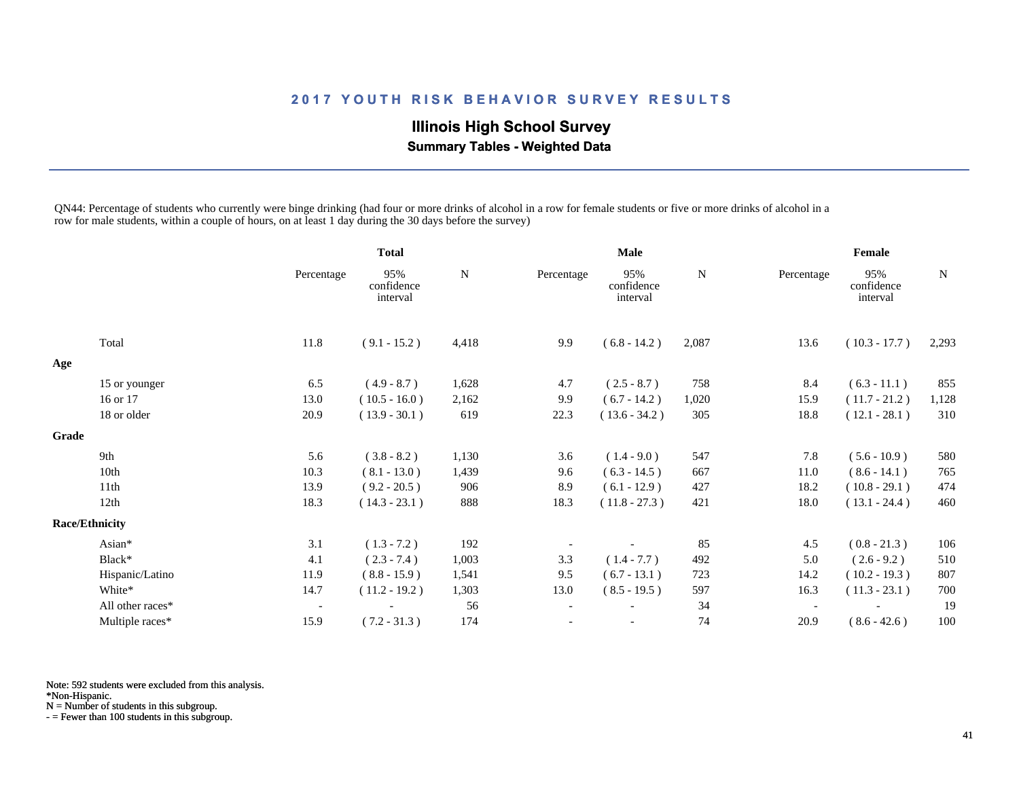# **Illinois High School Survey Summary Tables - Weighted Data**

QN44: Percentage of students who currently were binge drinking (had four or more drinks of alcohol in a row for female students or five or more drinks of alcohol in a row for male students, within a couple of hours, on at least 1 day during the 30 days before the survey)

|              |                       |                          | <b>Total</b>                  |           | <b>Male</b>              |                               |             | Female                   |                               |       |
|--------------|-----------------------|--------------------------|-------------------------------|-----------|--------------------------|-------------------------------|-------------|--------------------------|-------------------------------|-------|
|              |                       | Percentage               | 95%<br>confidence<br>interval | ${\bf N}$ | Percentage               | 95%<br>confidence<br>interval | $\mathbf N$ | Percentage               | 95%<br>confidence<br>interval | N     |
|              | Total                 | 11.8                     | $(9.1 - 15.2)$                | 4,418     | 9.9                      | $(6.8 - 14.2)$                | 2,087       | 13.6                     | $(10.3 - 17.7)$               | 2,293 |
| Age          |                       |                          |                               |           |                          |                               |             |                          |                               |       |
|              | 15 or younger         | 6.5                      | $(4.9 - 8.7)$                 | 1,628     | 4.7                      | $(2.5 - 8.7)$                 | 758         | 8.4                      | $(6.3 - 11.1)$                | 855   |
|              | 16 or 17              | 13.0                     | $(10.5 - 16.0)$               | 2,162     | 9.9                      | $(6.7 - 14.2)$                | 1,020       | 15.9                     | $(11.7 - 21.2)$               | 1,128 |
|              | 18 or older           | 20.9                     | $(13.9 - 30.1)$               | 619       | 22.3                     | $(13.6 - 34.2)$               | 305         | 18.8                     | $(12.1 - 28.1)$               | 310   |
| <b>Grade</b> |                       |                          |                               |           |                          |                               |             |                          |                               |       |
|              | 9th                   | 5.6                      | $(3.8 - 8.2)$                 | 1,130     | 3.6                      | $(1.4 - 9.0)$                 | 547         | 7.8                      | $(5.6 - 10.9)$                | 580   |
|              | 10th                  | 10.3                     | $(8.1 - 13.0)$                | 1,439     | 9.6                      | $(6.3 - 14.5)$                | 667         | 11.0                     | $(8.6 - 14.1)$                | 765   |
|              | 11th                  | 13.9                     | $(9.2 - 20.5)$                | 906       | 8.9                      | $(6.1 - 12.9)$                | 427         | 18.2                     | $(10.8 - 29.1)$               | 474   |
|              | 12th                  | 18.3                     | $(14.3 - 23.1)$               | 888       | 18.3                     | $(11.8 - 27.3)$               | 421         | 18.0                     | $(13.1 - 24.4)$               | 460   |
|              | <b>Race/Ethnicity</b> |                          |                               |           |                          |                               |             |                          |                               |       |
|              | Asian*                | 3.1                      | $(1.3 - 7.2)$                 | 192       |                          |                               | 85          | 4.5                      | $(0.8 - 21.3)$                | 106   |
|              | Black*                | 4.1                      | $(2.3 - 7.4)$                 | 1,003     | 3.3                      | $(1.4 - 7.7)$                 | 492         | 5.0                      | $(2.6 - 9.2)$                 | 510   |
|              | Hispanic/Latino       | 11.9                     | $(8.8 - 15.9)$                | 1,541     | 9.5                      | $(6.7 - 13.1)$                | 723         | 14.2                     | $(10.2 - 19.3)$               | 807   |
|              | White*                | 14.7                     | $(11.2 - 19.2)$               | 1,303     | 13.0                     | $(8.5 - 19.5)$                | 597         | 16.3                     | $(11.3 - 23.1)$               | 700   |
|              | All other races*      | $\overline{\phantom{a}}$ |                               | 56        | $\overline{\phantom{a}}$ |                               | 34          | $\overline{\phantom{a}}$ |                               | 19    |
|              | Multiple races*       | 15.9                     | $(7.2 - 31.3)$                | 174       | $\overline{\phantom{a}}$ |                               | 74          | 20.9                     | $(8.6 - 42.6)$                | 100   |

Note: 592 students were excluded from this analysis.

\*Non-Hispanic.

N = Number of students in this subgroup.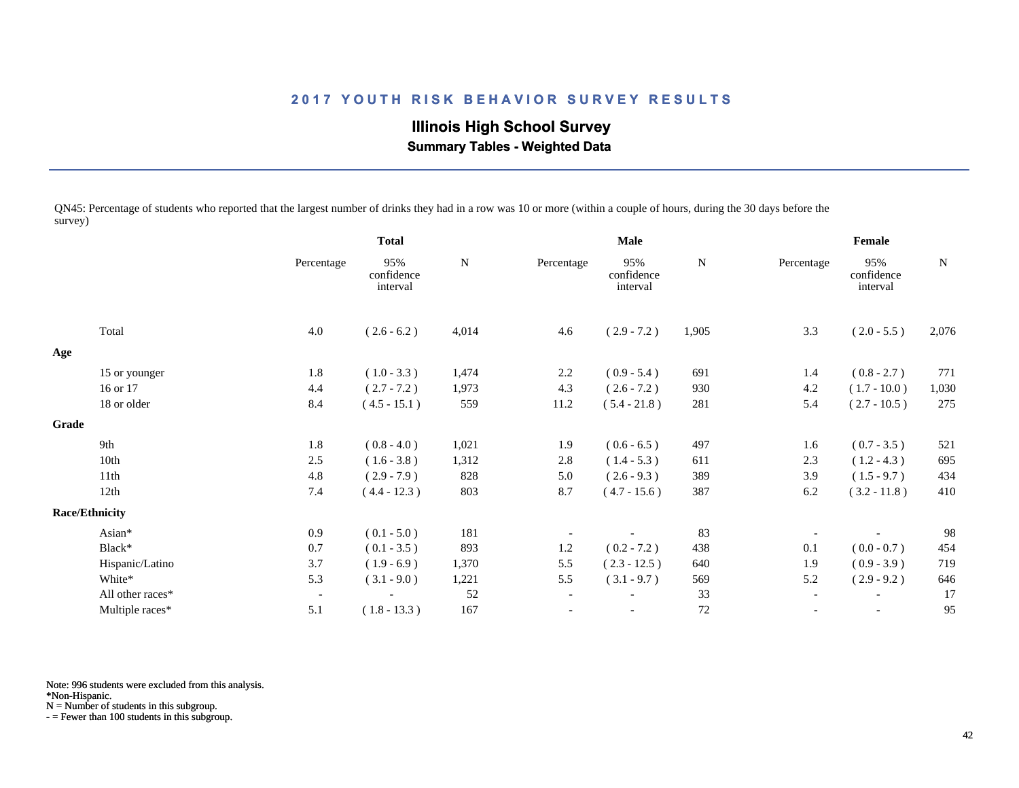**Illinois High School Survey Summary Tables - Weighted Data**

QN45: Percentage of students who reported that the largest number of drinks they had in a row was 10 or more (within a couple of hours, during the 30 days before the survey)

|              |                       |                          | <b>Total</b>                  |           | <b>Male</b>              |                               |             | Female                   |                               |       |
|--------------|-----------------------|--------------------------|-------------------------------|-----------|--------------------------|-------------------------------|-------------|--------------------------|-------------------------------|-------|
|              |                       | Percentage               | 95%<br>confidence<br>interval | ${\bf N}$ | Percentage               | 95%<br>confidence<br>interval | $\mathbf N$ | Percentage               | 95%<br>confidence<br>interval | N     |
|              | Total                 | 4.0                      | $(2.6 - 6.2)$                 | 4,014     | 4.6                      | $(2.9 - 7.2)$                 | 1,905       | 3.3                      | $(2.0 - 5.5)$                 | 2,076 |
| Age          |                       |                          |                               |           |                          |                               |             |                          |                               |       |
|              | 15 or younger         | 1.8                      | $(1.0 - 3.3)$                 | 1,474     | 2.2                      | $(0.9 - 5.4)$                 | 691         | 1.4                      | $(0.8 - 2.7)$                 | 771   |
|              | 16 or 17              | 4.4                      | $(2.7 - 7.2)$                 | 1,973     | 4.3                      | $(2.6 - 7.2)$                 | 930         | 4.2                      | $(1.7 - 10.0)$                | 1,030 |
|              | 18 or older           | 8.4                      | $(4.5 - 15.1)$                | 559       | 11.2                     | $(5.4 - 21.8)$                | 281         | 5.4                      | $(2.7 - 10.5)$                | 275   |
| <b>Grade</b> |                       |                          |                               |           |                          |                               |             |                          |                               |       |
|              | 9th                   | 1.8                      | $(0.8 - 4.0)$                 | 1,021     | 1.9                      | $(0.6 - 6.5)$                 | 497         | 1.6                      | $(0.7 - 3.5)$                 | 521   |
|              | 10th                  | 2.5                      | $(1.6 - 3.8)$                 | 1,312     | 2.8                      | $(1.4 - 5.3)$                 | 611         | 2.3                      | $(1.2 - 4.3)$                 | 695   |
|              | 11th                  | 4.8                      | $(2.9 - 7.9)$                 | 828       | 5.0                      | $(2.6 - 9.3)$                 | 389         | 3.9                      | $(1.5 - 9.7)$                 | 434   |
|              | 12th                  | 7.4                      | $(4.4 - 12.3)$                | 803       | 8.7                      | $(4.7 - 15.6)$                | 387         | 6.2                      | $(3.2 - 11.8)$                | 410   |
|              | <b>Race/Ethnicity</b> |                          |                               |           |                          |                               |             |                          |                               |       |
|              | Asian*                | 0.9                      | $(0.1 - 5.0)$                 | 181       |                          |                               | 83          |                          |                               | 98    |
|              | Black*                | 0.7                      | $(0.1 - 3.5)$                 | 893       | 1.2                      | $(0.2 - 7.2)$                 | 438         | 0.1                      | $(0.0 - 0.7)$                 | 454   |
|              | Hispanic/Latino       | 3.7                      | $(1.9 - 6.9)$                 | 1,370     | 5.5                      | $(2.3 - 12.5)$                | 640         | 1.9                      | $(0.9 - 3.9)$                 | 719   |
|              | White*                | 5.3                      | $(3.1 - 9.0)$                 | 1,221     | 5.5                      | $(3.1 - 9.7)$                 | 569         | 5.2                      | $(2.9 - 9.2)$                 | 646   |
|              | All other races*      | $\overline{\phantom{a}}$ |                               | 52        | $\overline{\phantom{a}}$ |                               | 33          | $\overline{\phantom{a}}$ | $\blacksquare$                | 17    |
|              | Multiple races*       | 5.1                      | $(1.8 - 13.3)$                | 167       | $\overline{\phantom{a}}$ |                               | $72\,$      | $\overline{\phantom{a}}$ | $\overline{\phantom{a}}$      | 95    |

Note: 996 students were excluded from this analysis.

\*Non-Hispanic.

N = Number of students in this subgroup.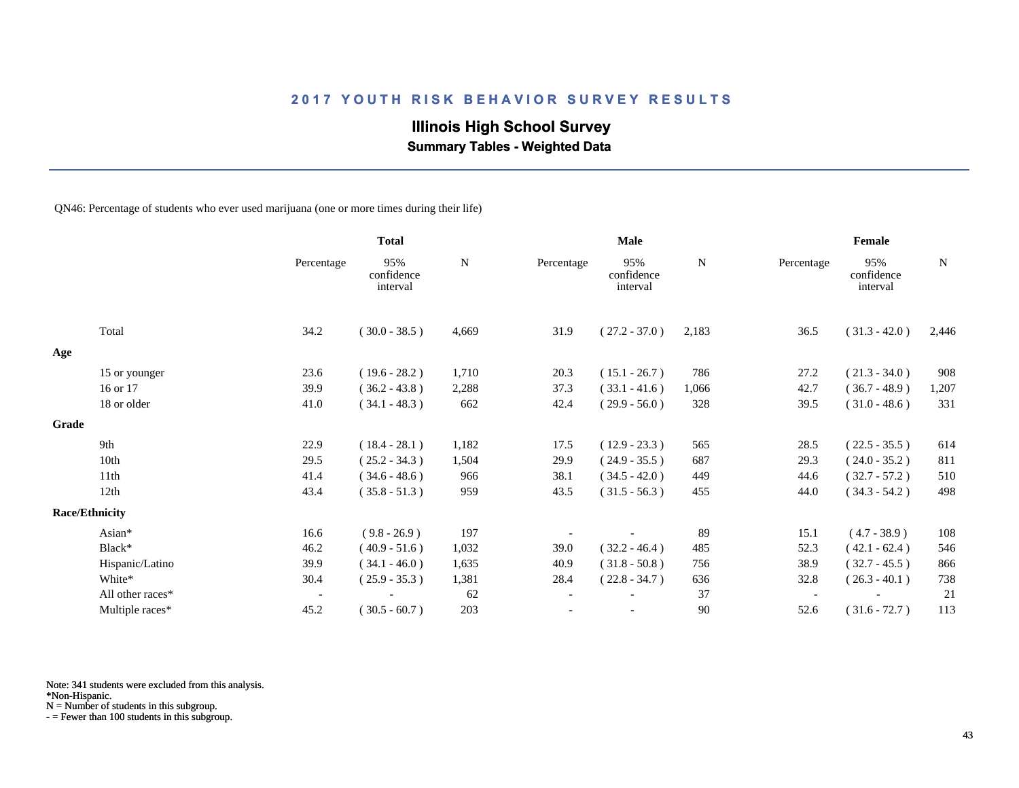# **Illinois High School Survey**

 **Summary Tables - Weighted Data**

QN46: Percentage of students who ever used marijuana (one or more times during their life)

|       |                       |                          | <b>Total</b>                  |             | Male                     |                               |             | Female     |                               |             |
|-------|-----------------------|--------------------------|-------------------------------|-------------|--------------------------|-------------------------------|-------------|------------|-------------------------------|-------------|
|       |                       | Percentage               | 95%<br>confidence<br>interval | $\mathbf N$ | Percentage               | 95%<br>confidence<br>interval | $\mathbf N$ | Percentage | 95%<br>confidence<br>interval | $\mathbf N$ |
|       | Total                 | 34.2                     | $(30.0 - 38.5)$               | 4,669       | 31.9                     | $(27.2 - 37.0)$               | 2,183       | 36.5       | $(31.3 - 42.0)$               | 2,446       |
| Age   |                       |                          |                               |             |                          |                               |             |            |                               |             |
|       | 15 or younger         | 23.6                     | $(19.6 - 28.2)$               | 1,710       | 20.3                     | $(15.1 - 26.7)$               | 786         | 27.2       | $(21.3 - 34.0)$               | 908         |
|       | 16 or 17              | 39.9                     | $(36.2 - 43.8)$               | 2,288       | 37.3                     | $(33.1 - 41.6)$               | 1,066       | 42.7       | $(36.7 - 48.9)$               | 1,207       |
|       | 18 or older           | 41.0                     | $(34.1 - 48.3)$               | 662         | 42.4                     | $(29.9 - 56.0)$               | 328         | 39.5       | $(31.0 - 48.6)$               | 331         |
| Grade |                       |                          |                               |             |                          |                               |             |            |                               |             |
|       | 9th                   | 22.9                     | $(18.4 - 28.1)$               | 1,182       | 17.5                     | $(12.9 - 23.3)$               | 565         | 28.5       | $(22.5 - 35.5)$               | 614         |
|       | 10th                  | 29.5                     | $(25.2 - 34.3)$               | 1,504       | 29.9                     | $(24.9 - 35.5)$               | 687         | 29.3       | $(24.0 - 35.2)$               | 811         |
|       | 11th                  | 41.4                     | $(34.6 - 48.6)$               | 966         | 38.1                     | $(34.5 - 42.0)$               | 449         | 44.6       | $(32.7 - 57.2)$               | 510         |
|       | 12th                  | 43.4                     | $(35.8 - 51.3)$               | 959         | 43.5                     | $(31.5 - 56.3)$               | 455         | 44.0       | $(34.3 - 54.2)$               | 498         |
|       | <b>Race/Ethnicity</b> |                          |                               |             |                          |                               |             |            |                               |             |
|       | Asian*                | 16.6                     | $(9.8 - 26.9)$                | 197         |                          |                               | 89          | 15.1       | $(4.7 - 38.9)$                | 108         |
|       | Black*                | 46.2                     | $(40.9 - 51.6)$               | 1,032       | 39.0                     | $(32.2 - 46.4)$               | 485         | 52.3       | $(42.1 - 62.4)$               | 546         |
|       | Hispanic/Latino       | 39.9                     | $(34.1 - 46.0)$               | 1,635       | 40.9                     | $(31.8 - 50.8)$               | 756         | 38.9       | $(32.7 - 45.5)$               | 866         |
|       | White*                | 30.4                     | $(25.9 - 35.3)$               | 1,381       | 28.4                     | $(22.8 - 34.7)$               | 636         | 32.8       | $(26.3 - 40.1)$               | 738         |
|       | All other races*      | $\overline{\phantom{a}}$ |                               | 62          | $\overline{\phantom{a}}$ |                               | 37          |            |                               | 21          |
|       | Multiple races*       | 45.2                     | $(30.5 - 60.7)$               | 203         |                          |                               | 90          | 52.6       | $(31.6 - 72.7)$               | 113         |

Note: 341 students were excluded from this analysis.

N = Number of students in this subgroup.

<sup>\*</sup>Non-Hispanic.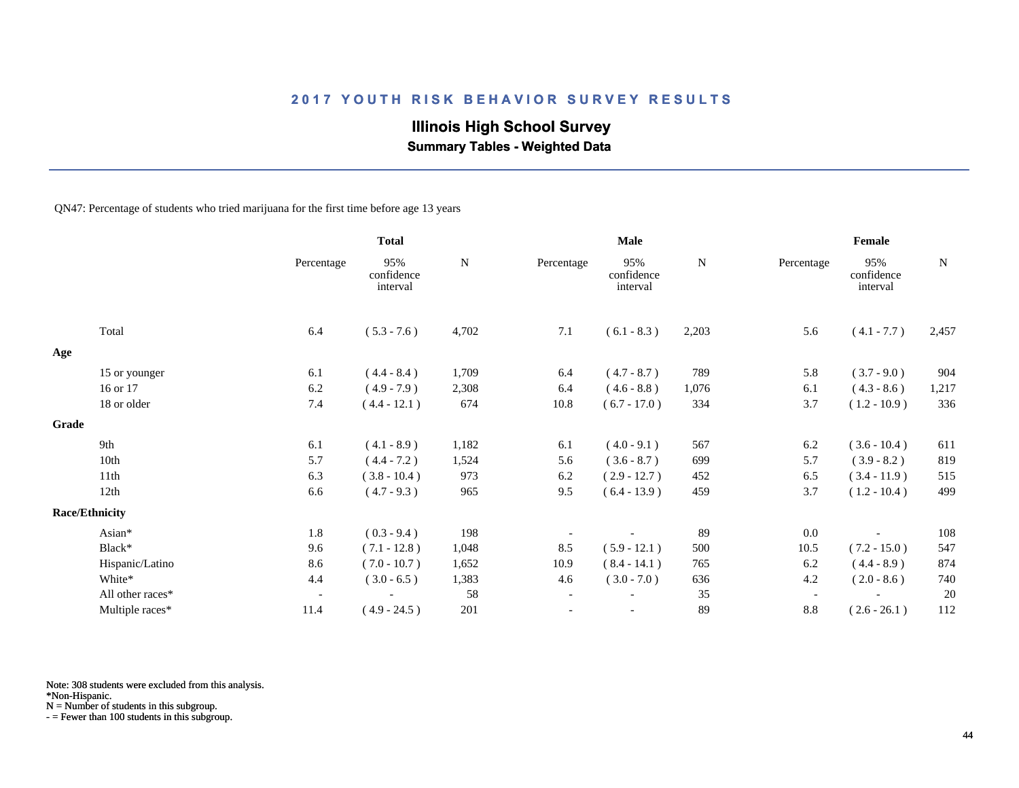# **Illinois High School Survey**

 **Summary Tables - Weighted Data**

QN47: Percentage of students who tried marijuana for the first time before age 13 years

|       |                       |                          | <b>Total</b>                  |       |                          | <b>Male</b>                   |       |                          | Female                        |             |
|-------|-----------------------|--------------------------|-------------------------------|-------|--------------------------|-------------------------------|-------|--------------------------|-------------------------------|-------------|
|       |                       | Percentage               | 95%<br>confidence<br>interval | N     | Percentage               | 95%<br>confidence<br>interval | N     | Percentage               | 95%<br>confidence<br>interval | $\mathbf N$ |
|       | Total                 | 6.4                      | $(5.3 - 7.6)$                 | 4,702 | 7.1                      | $(6.1 - 8.3)$                 | 2,203 | 5.6                      | $(4.1 - 7.7)$                 | 2,457       |
| Age   |                       |                          |                               |       |                          |                               |       |                          |                               |             |
|       | 15 or younger         | 6.1                      | $(4.4 - 8.4)$                 | 1,709 | 6.4                      | $(4.7 - 8.7)$                 | 789   | 5.8                      | $(3.7 - 9.0)$                 | 904         |
|       | 16 or 17              | 6.2                      | $(4.9 - 7.9)$                 | 2,308 | 6.4                      | $(4.6 - 8.8)$                 | 1,076 | 6.1                      | $(4.3 - 8.6)$                 | 1,217       |
|       | 18 or older           | 7.4                      | $(4.4 - 12.1)$                | 674   | 10.8                     | $(6.7 - 17.0)$                | 334   | 3.7                      | $(1.2 - 10.9)$                | 336         |
| Grade |                       |                          |                               |       |                          |                               |       |                          |                               |             |
|       | 9th                   | 6.1                      | $(4.1 - 8.9)$                 | 1,182 | 6.1                      | $(4.0 - 9.1)$                 | 567   | 6.2                      | $(3.6 - 10.4)$                | 611         |
|       | 10th                  | 5.7                      | $(4.4 - 7.2)$                 | 1,524 | 5.6                      | $(3.6 - 8.7)$                 | 699   | 5.7                      | $(3.9 - 8.2)$                 | 819         |
|       | 11th                  | 6.3                      | $(3.8 - 10.4)$                | 973   | 6.2                      | $(2.9 - 12.7)$                | 452   | 6.5                      | $(3.4 - 11.9)$                | 515         |
|       | 12th                  | 6.6                      | $(4.7 - 9.3)$                 | 965   | 9.5                      | $(6.4 - 13.9)$                | 459   | 3.7                      | $(1.2 - 10.4)$                | 499         |
|       | <b>Race/Ethnicity</b> |                          |                               |       |                          |                               |       |                          |                               |             |
|       | Asian*                | 1.8                      | $(0.3 - 9.4)$                 | 198   |                          |                               | 89    | 0.0                      |                               | 108         |
|       | Black*                | 9.6                      | $(7.1 - 12.8)$                | 1,048 | 8.5                      | $(5.9 - 12.1)$                | 500   | 10.5                     | $(7.2 - 15.0)$                | 547         |
|       | Hispanic/Latino       | 8.6                      | $(7.0 - 10.7)$                | 1,652 | 10.9                     | $(8.4 - 14.1)$                | 765   | 6.2                      | $(4.4 - 8.9)$                 | 874         |
|       | White*                | 4.4                      | $(3.0 - 6.5)$                 | 1,383 | 4.6                      | $(3.0 - 7.0)$                 | 636   | 4.2                      | $(2.0 - 8.6)$                 | 740         |
|       | All other races*      | $\overline{\phantom{a}}$ |                               | 58    | $\overline{\phantom{a}}$ |                               | 35    | $\overline{\phantom{a}}$ |                               | 20          |
|       | Multiple races*       | 11.4                     | $(4.9 - 24.5)$                | 201   |                          | $\overline{\phantom{a}}$      | 89    | $8.8\,$                  | $(2.6 - 26.1)$                | 112         |

Note: 308 students were excluded from this analysis.

N = Number of students in this subgroup.

<sup>\*</sup>Non-Hispanic.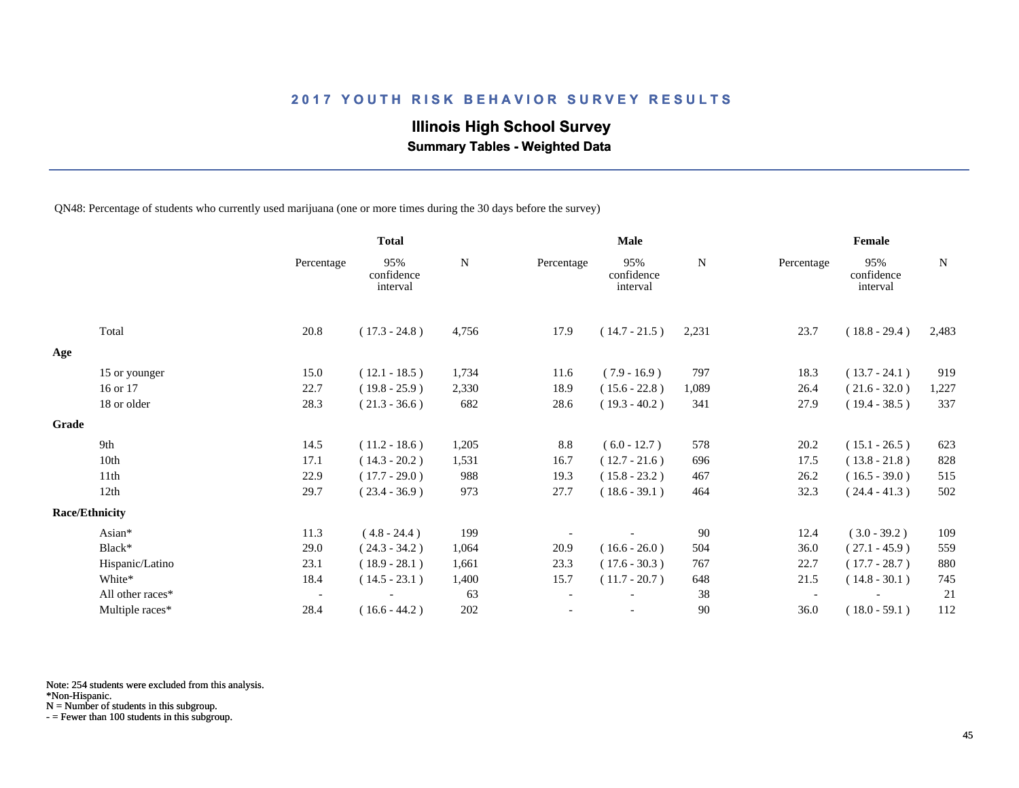# **Illinois High School Survey**

 **Summary Tables - Weighted Data**

QN48: Percentage of students who currently used marijuana (one or more times during the 30 days before the survey)

|       |                       |                          | <b>Total</b>                  |       |            | Male                          |       |                          | Female                        |       |
|-------|-----------------------|--------------------------|-------------------------------|-------|------------|-------------------------------|-------|--------------------------|-------------------------------|-------|
|       |                       | Percentage               | 95%<br>confidence<br>interval | N     | Percentage | 95%<br>confidence<br>interval | N     | Percentage               | 95%<br>confidence<br>interval | N     |
|       | Total                 | 20.8                     | $(17.3 - 24.8)$               | 4,756 | 17.9       | $(14.7 - 21.5)$               | 2,231 | 23.7                     | $(18.8 - 29.4)$               | 2,483 |
| Age   |                       |                          |                               |       |            |                               |       |                          |                               |       |
|       | 15 or younger         | 15.0                     | $(12.1 - 18.5)$               | 1,734 | 11.6       | $(7.9 - 16.9)$                | 797   | 18.3                     | $(13.7 - 24.1)$               | 919   |
|       | 16 or 17              | 22.7                     | $(19.8 - 25.9)$               | 2,330 | 18.9       | $(15.6 - 22.8)$               | 1,089 | 26.4                     | $(21.6 - 32.0)$               | 1,227 |
|       | 18 or older           | 28.3                     | $(21.3 - 36.6)$               | 682   | 28.6       | $(19.3 - 40.2)$               | 341   | 27.9                     | $(19.4 - 38.5)$               | 337   |
| Grade |                       |                          |                               |       |            |                               |       |                          |                               |       |
|       | 9th                   | 14.5                     | $(11.2 - 18.6)$               | 1,205 | 8.8        | $(6.0 - 12.7)$                | 578   | 20.2                     | $(15.1 - 26.5)$               | 623   |
|       | 10th                  | 17.1                     | $(14.3 - 20.2)$               | 1,531 | 16.7       | $(12.7 - 21.6)$               | 696   | 17.5                     | $(13.8 - 21.8)$               | 828   |
|       | 11th                  | 22.9                     | $(17.7 - 29.0)$               | 988   | 19.3       | $(15.8 - 23.2)$               | 467   | 26.2                     | $(16.5 - 39.0)$               | 515   |
|       | 12th                  | 29.7                     | $(23.4 - 36.9)$               | 973   | 27.7       | $(18.6 - 39.1)$               | 464   | 32.3                     | $(24.4 - 41.3)$               | 502   |
|       | <b>Race/Ethnicity</b> |                          |                               |       |            |                               |       |                          |                               |       |
|       | Asian*                | 11.3                     | $(4.8 - 24.4)$                | 199   |            |                               | 90    | 12.4                     | $(3.0 - 39.2)$                | 109   |
|       | Black*                | 29.0                     | $(24.3 - 34.2)$               | 1,064 | 20.9       | $(16.6 - 26.0)$               | 504   | 36.0                     | $(27.1 - 45.9)$               | 559   |
|       | Hispanic/Latino       | 23.1                     | $(18.9 - 28.1)$               | 1,661 | 23.3       | $(17.6 - 30.3)$               | 767   | 22.7                     | $(17.7 - 28.7)$               | 880   |
|       | White*                | 18.4                     | $(14.5 - 23.1)$               | 1,400 | 15.7       | $(11.7 - 20.7)$               | 648   | 21.5                     | $(14.8 - 30.1)$               | 745   |
|       | All other races*      | $\overline{\phantom{a}}$ |                               | 63    |            |                               | 38    | $\overline{\phantom{a}}$ |                               | 21    |
|       | Multiple races*       | 28.4                     | $(16.6 - 44.2)$               | 202   |            |                               | 90    | 36.0                     | $(18.0 - 59.1)$               | 112   |

Note: 254 students were excluded from this analysis.

\*Non-Hispanic.

N = Number of students in this subgroup.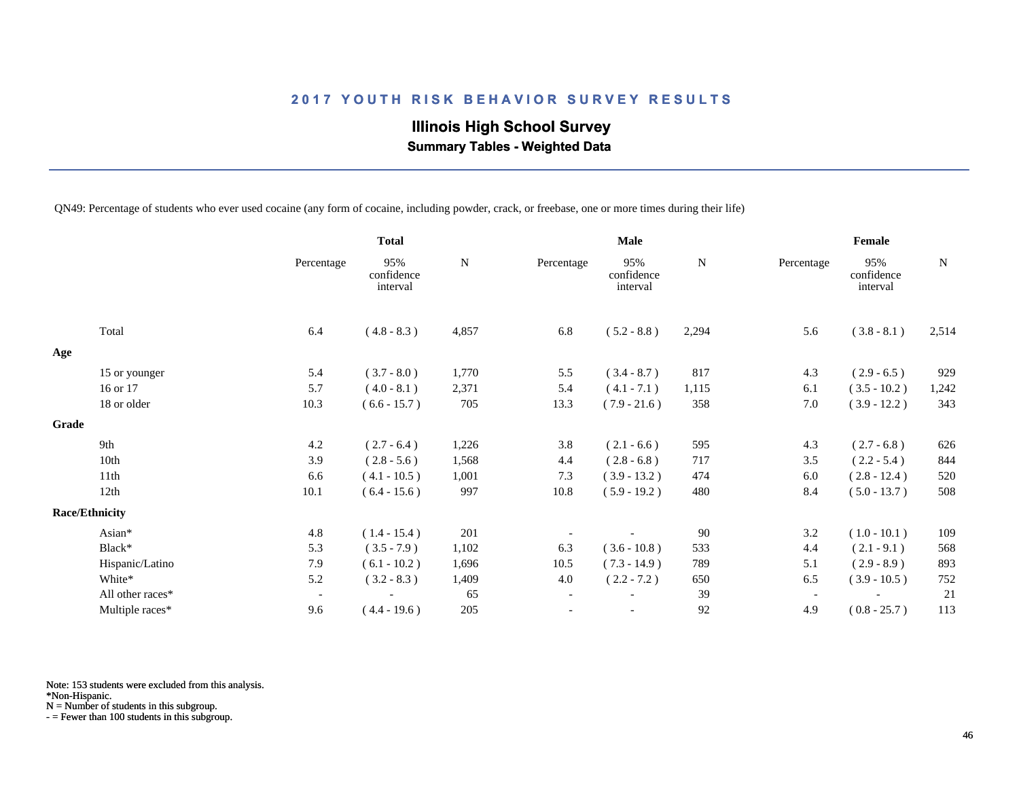# **Illinois High School Survey Summary Tables - Weighted Data**

QN49: Percentage of students who ever used cocaine (any form of cocaine, including powder, crack, or freebase, one or more times during their life)

|       |                       |                          | <b>Total</b>                  |           |                          | <b>Male</b>                   |           |                          | Female                        |           |
|-------|-----------------------|--------------------------|-------------------------------|-----------|--------------------------|-------------------------------|-----------|--------------------------|-------------------------------|-----------|
|       |                       | Percentage               | 95%<br>confidence<br>interval | ${\bf N}$ | Percentage               | 95%<br>confidence<br>interval | ${\bf N}$ | Percentage               | 95%<br>confidence<br>interval | ${\bf N}$ |
|       | Total                 | 6.4                      | $(4.8 - 8.3)$                 | 4,857     | 6.8                      | $(5.2 - 8.8)$                 | 2,294     | 5.6                      | $(3.8 - 8.1)$                 | 2,514     |
| Age   |                       |                          |                               |           |                          |                               |           |                          |                               |           |
|       | 15 or younger         | 5.4                      | $(3.7 - 8.0)$                 | 1,770     | 5.5                      | $(3.4 - 8.7)$                 | 817       | 4.3                      | $(2.9 - 6.5)$                 | 929       |
|       | 16 or 17              | 5.7                      | $(4.0 - 8.1)$                 | 2,371     | 5.4                      | $(4.1 - 7.1)$                 | 1,115     | 6.1                      | $(3.5 - 10.2)$                | 1,242     |
|       | 18 or older           | 10.3                     | $(6.6 - 15.7)$                | 705       | 13.3                     | $(7.9 - 21.6)$                | 358       | 7.0                      | $(3.9 - 12.2)$                | 343       |
| Grade |                       |                          |                               |           |                          |                               |           |                          |                               |           |
|       | 9th                   | 4.2                      | $(2.7 - 6.4)$                 | 1,226     | 3.8                      | $(2.1 - 6.6)$                 | 595       | 4.3                      | $(2.7 - 6.8)$                 | 626       |
|       | 10th                  | 3.9                      | $(2.8 - 5.6)$                 | 1,568     | 4.4                      | $(2.8 - 6.8)$                 | 717       | 3.5                      | $(2.2 - 5.4)$                 | 844       |
|       | 11th                  | 6.6                      | $(4.1 - 10.5)$                | 1,001     | 7.3                      | $(3.9 - 13.2)$                | 474       | 6.0                      | $(2.8 - 12.4)$                | 520       |
|       | 12th                  | 10.1                     | $(6.4 - 15.6)$                | 997       | 10.8                     | $(5.9 - 19.2)$                | 480       | 8.4                      | $(5.0 - 13.7)$                | 508       |
|       | <b>Race/Ethnicity</b> |                          |                               |           |                          |                               |           |                          |                               |           |
|       | Asian*                | 4.8                      | $(1.4 - 15.4)$                | 201       |                          |                               | 90        | 3.2                      | $(1.0 - 10.1)$                | 109       |
|       | Black*                | 5.3                      | $(3.5 - 7.9)$                 | 1,102     | 6.3                      | $(3.6 - 10.8)$                | 533       | 4.4                      | $(2.1 - 9.1)$                 | 568       |
|       | Hispanic/Latino       | 7.9                      | $(6.1 - 10.2)$                | 1,696     | 10.5                     | $(7.3 - 14.9)$                | 789       | 5.1                      | $(2.9 - 8.9)$                 | 893       |
|       | White*                | 5.2                      | $(3.2 - 8.3)$                 | 1,409     | 4.0                      | $(2.2 - 7.2)$                 | 650       | 6.5                      | $(3.9 - 10.5)$                | 752       |
|       | All other races*      | $\overline{\phantom{a}}$ |                               | 65        | $\overline{\phantom{a}}$ |                               | 39        | $\overline{\phantom{a}}$ |                               | 21        |
|       | Multiple races*       | 9.6                      | $(4.4 - 19.6)$                | 205       |                          | $\overline{\phantom{a}}$      | 92        | 4.9                      | $(0.8 - 25.7)$                | 113       |

Note: 153 students were excluded from this analysis.

\*Non-Hispanic.

N = Number of students in this subgroup.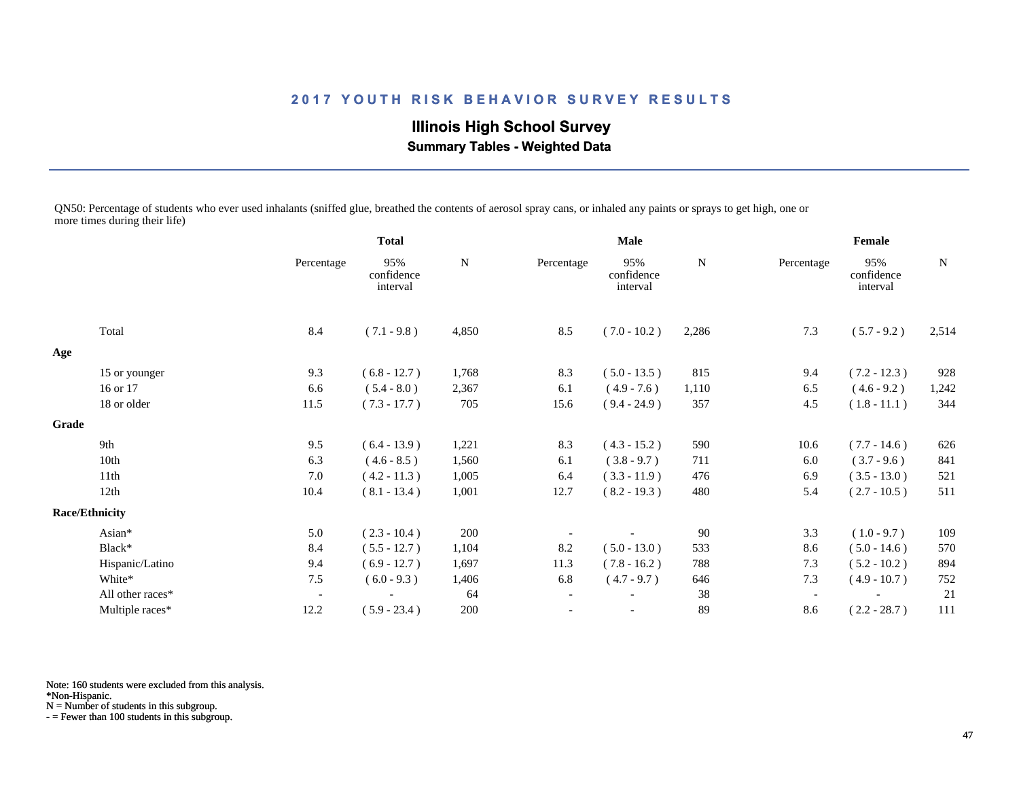**Illinois High School Survey Summary Tables - Weighted Data**

QN50: Percentage of students who ever used inhalants (sniffed glue, breathed the contents of aerosol spray cans, or inhaled any paints or sprays to get high, one or more times during their life)

|                  |                                                 | <b>Total</b>                  |             |                          |                               |             |            |                               |           |
|------------------|-------------------------------------------------|-------------------------------|-------------|--------------------------|-------------------------------|-------------|------------|-------------------------------|-----------|
|                  | Percentage                                      | 95%<br>confidence<br>interval | $\mathbf N$ | Percentage               | 95%<br>confidence<br>interval | ${\bf N}$   | Percentage | 95%<br>confidence<br>interval | ${\bf N}$ |
| Total            | 8.4                                             | $(7.1 - 9.8)$                 | 4,850       | 8.5                      | $(7.0 - 10.2)$                | 2,286       | 7.3        | $(5.7 - 9.2)$                 | 2,514     |
|                  |                                                 |                               |             |                          |                               |             |            |                               |           |
|                  | 9.3                                             | $(6.8 - 12.7)$                | 1,768       | 8.3                      | $(5.0 - 13.5)$                | 815         | 9.4        | $(7.2 - 12.3)$                | 928       |
| 16 or 17         | 6.6                                             | $(5.4 - 8.0)$                 | 2,367       | 6.1                      | $(4.9 - 7.6)$                 | 1,110       | 6.5        | $(4.6 - 9.2)$                 | 1,242     |
| 18 or older      | 11.5                                            | $(7.3 - 17.7)$                | 705         | 15.6                     | $(9.4 - 24.9)$                | 357         | 4.5        | $(1.8 - 11.1)$                | 344       |
|                  |                                                 |                               |             |                          |                               |             |            |                               |           |
| 9th              | 9.5                                             | $(6.4 - 13.9)$                | 1,221       | 8.3                      | $(4.3 - 15.2)$                | 590         | 10.6       | $(7.7 - 14.6)$                | 626       |
| 10th             | 6.3                                             | $(4.6 - 8.5)$                 | 1,560       | 6.1                      | $(3.8 - 9.7)$                 | 711         | 6.0        | $(3.7 - 9.6)$                 | 841       |
| 11th             | 7.0                                             | $(4.2 - 11.3)$                | 1,005       | 6.4                      | $(3.3 - 11.9)$                | 476         | 6.9        | $(3.5 - 13.0)$                | 521       |
| 12th             | 10.4                                            | $(8.1 - 13.4)$                | 1,001       | 12.7                     | $(8.2 - 19.3)$                | 480         | 5.4        | $(2.7 - 10.5)$                | 511       |
|                  |                                                 |                               |             |                          |                               |             |            |                               |           |
| Asian*           | 5.0                                             | $(2.3 - 10.4)$                | 200         |                          |                               | 90          | 3.3        | $(1.0 - 9.7)$                 | 109       |
| Black*           | 8.4                                             | $(5.5 - 12.7)$                | 1,104       | 8.2                      | $(5.0 - 13.0)$                | 533         | 8.6        | $(5.0 - 14.6)$                | 570       |
| Hispanic/Latino  | 9.4                                             | $(6.9 - 12.7)$                | 1,697       | 11.3                     | $(7.8 - 16.2)$                | 788         | 7.3        | $(5.2 - 10.2)$                | 894       |
| White*           | 7.5                                             | $(6.0 - 9.3)$                 | 1,406       | 6.8                      | $(4.7 - 9.7)$                 | 646         | 7.3        | $(4.9 - 10.7)$                | 752       |
| All other races* | $\overline{\phantom{a}}$                        |                               | 64          | $\overline{\phantom{a}}$ |                               | 38          |            |                               | 21        |
| Multiple races*  | 12.2                                            | $(5.9 - 23.4)$                | 200         |                          |                               | 89          | 8.6        | $(2.2 - 28.7)$                | 111       |
|                  | 15 or younger<br>Grade<br><b>Race/Ethnicity</b> |                               |             |                          |                               | <b>Male</b> |            |                               | Female    |

Note: 160 students were excluded from this analysis.

\*Non-Hispanic.

N = Number of students in this subgroup.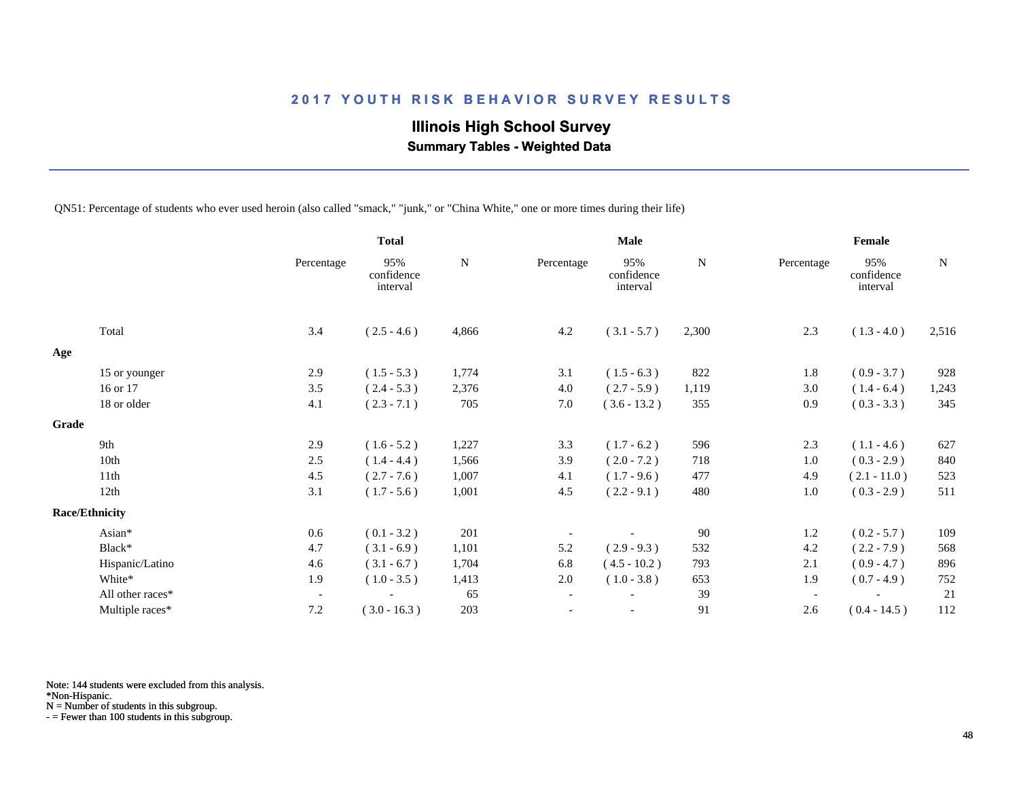# **Illinois High School Survey**

 **Summary Tables - Weighted Data**

QN51: Percentage of students who ever used heroin (also called "smack," "junk," or "China White," one or more times during their life)

|                       |                  |                          | <b>Total</b>                  |           |                          | <b>Male</b>                   |           |                          | Female                        |           |
|-----------------------|------------------|--------------------------|-------------------------------|-----------|--------------------------|-------------------------------|-----------|--------------------------|-------------------------------|-----------|
|                       |                  | Percentage               | 95%<br>confidence<br>interval | ${\bf N}$ | Percentage               | 95%<br>confidence<br>interval | ${\bf N}$ | Percentage               | 95%<br>confidence<br>interval | ${\bf N}$ |
|                       | Total            | 3.4                      | $(2.5 - 4.6)$                 | 4,866     | 4.2                      | $(3.1 - 5.7)$                 | 2,300     | 2.3                      | $(1.3 - 4.0)$                 | 2,516     |
| Age                   |                  |                          |                               |           |                          |                               |           |                          |                               |           |
|                       | 15 or younger    | 2.9                      | $(1.5 - 5.3)$                 | 1,774     | 3.1                      | $(1.5 - 6.3)$                 | 822       | 1.8                      | $(0.9 - 3.7)$                 | 928       |
|                       | 16 or 17         | 3.5                      | $(2.4 - 5.3)$                 | 2,376     | 4.0                      | $(2.7 - 5.9)$                 | 1,119     | 3.0                      | $(1.4 - 6.4)$                 | 1,243     |
|                       | 18 or older      | 4.1                      | $(2.3 - 7.1)$                 | 705       | 7.0                      | $(3.6 - 13.2)$                | 355       | 0.9                      | $(0.3 - 3.3)$                 | 345       |
| Grade                 |                  |                          |                               |           |                          |                               |           |                          |                               |           |
|                       | 9th              | 2.9                      | $(1.6 - 5.2)$                 | 1,227     | 3.3                      | $(1.7 - 6.2)$                 | 596       | 2.3                      | $(1.1 - 4.6)$                 | 627       |
|                       | 10th             | 2.5                      | $(1.4 - 4.4)$                 | 1,566     | 3.9                      | $(2.0 - 7.2)$                 | 718       | 1.0                      | $(0.3 - 2.9)$                 | 840       |
|                       | 11th             | 4.5                      | $(2.7 - 7.6)$                 | 1,007     | 4.1                      | $(1.7 - 9.6)$                 | 477       | 4.9                      | $(2.1 - 11.0)$                | 523       |
|                       | 12th             | 3.1                      | $(1.7 - 5.6)$                 | 1,001     | 4.5                      | $(2.2 - 9.1)$                 | 480       | 1.0                      | $(0.3 - 2.9)$                 | 511       |
| <b>Race/Ethnicity</b> |                  |                          |                               |           |                          |                               |           |                          |                               |           |
|                       | Asian*           | 0.6                      | $(0.1 - 3.2)$                 | 201       |                          |                               | 90        | 1.2                      | $(0.2 - 5.7)$                 | 109       |
|                       | Black*           | 4.7                      | $(3.1 - 6.9)$                 | 1,101     | 5.2                      | $(2.9 - 9.3)$                 | 532       | 4.2                      | $(2.2 - 7.9)$                 | 568       |
|                       | Hispanic/Latino  | 4.6                      | $(3.1 - 6.7)$                 | 1,704     | 6.8                      | $(4.5 - 10.2)$                | 793       | 2.1                      | $(0.9 - 4.7)$                 | 896       |
|                       | White*           | 1.9                      | $(1.0 - 3.5)$                 | 1,413     | $2.0\,$                  | $(1.0 - 3.8)$                 | 653       | 1.9                      | $(0.7 - 4.9)$                 | 752       |
|                       | All other races* | $\overline{\phantom{a}}$ |                               | 65        | $\overline{\phantom{a}}$ |                               | 39        | $\overline{\phantom{a}}$ |                               | 21        |
|                       | Multiple races*  | 7.2                      | $(3.0 - 16.3)$                | 203       |                          | $\overline{\phantom{a}}$      | 91        | 2.6                      | $(0.4 - 14.5)$                | 112       |

Note: 144 students were excluded from this analysis.

\*Non-Hispanic.

N = Number of students in this subgroup.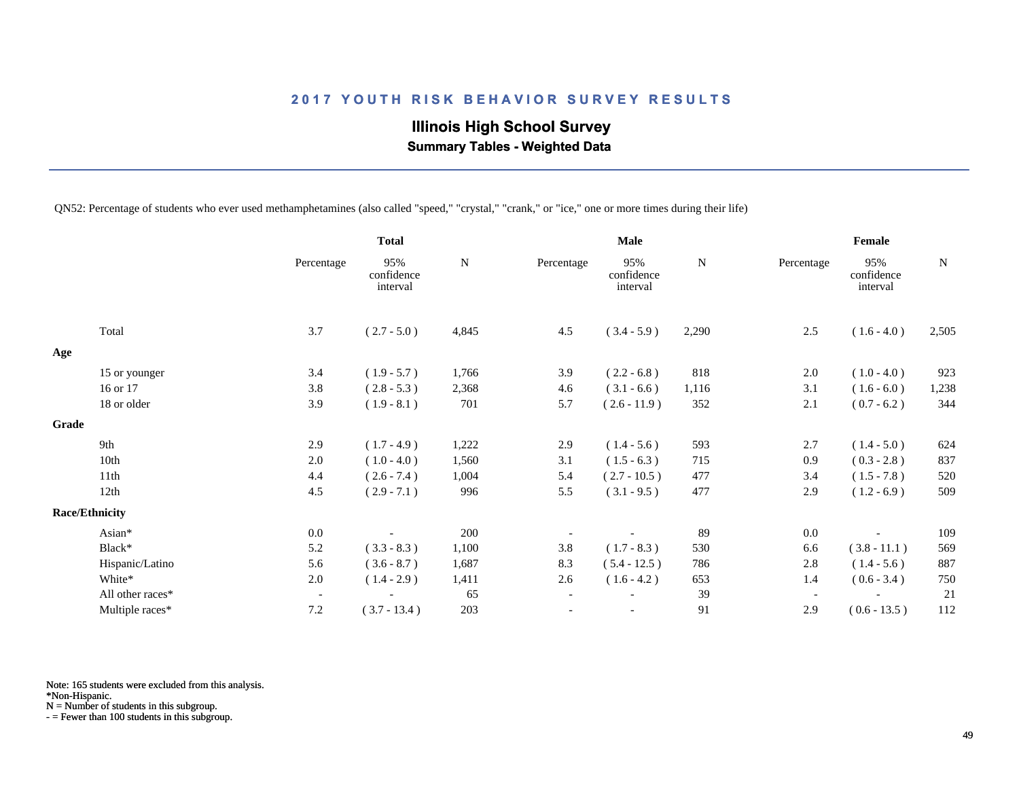# **Illinois High School Survey Summary Tables - Weighted Data**

QN52: Percentage of students who ever used methamphetamines (also called "speed," "crystal," "crank," or "ice," one or more times during their life)

|       |                       |                          | <b>Total</b>                  |       | Male                     |                               |             | Female                   |                               |       |
|-------|-----------------------|--------------------------|-------------------------------|-------|--------------------------|-------------------------------|-------------|--------------------------|-------------------------------|-------|
|       |                       | Percentage               | 95%<br>confidence<br>interval | N     | Percentage               | 95%<br>confidence<br>interval | $\mathbf N$ | Percentage               | 95%<br>confidence<br>interval | N     |
|       | Total                 | 3.7                      | $(2.7 - 5.0)$                 | 4,845 | 4.5                      | $(3.4 - 5.9)$                 | 2,290       | 2.5                      | $(1.6 - 4.0)$                 | 2,505 |
| Age   |                       |                          |                               |       |                          |                               |             |                          |                               |       |
|       | 15 or younger         | 3.4                      | $(1.9 - 5.7)$                 | 1,766 | 3.9                      | $(2.2 - 6.8)$                 | 818         | 2.0                      | $(1.0 - 4.0)$                 | 923   |
|       | 16 or 17              | 3.8                      | $(2.8 - 5.3)$                 | 2,368 | 4.6                      | $(3.1 - 6.6)$                 | 1,116       | 3.1                      | $(1.6 - 6.0)$                 | 1,238 |
|       | 18 or older           | 3.9                      | $(1.9 - 8.1)$                 | 701   | 5.7                      | $(2.6 - 11.9)$                | 352         | 2.1                      | $(0.7 - 6.2)$                 | 344   |
| Grade |                       |                          |                               |       |                          |                               |             |                          |                               |       |
|       | 9th                   | 2.9                      | $(1.7 - 4.9)$                 | 1,222 | 2.9                      | $(1.4 - 5.6)$                 | 593         | 2.7                      | $(1.4 - 5.0)$                 | 624   |
|       | 10th                  | 2.0                      | $(1.0 - 4.0)$                 | 1,560 | 3.1                      | $(1.5 - 6.3)$                 | 715         | 0.9                      | $(0.3 - 2.8)$                 | 837   |
|       | 11th                  | 4.4                      | $(2.6 - 7.4)$                 | 1,004 | 5.4                      | $(2.7 - 10.5)$                | 477         | 3.4                      | $(1.5 - 7.8)$                 | 520   |
|       | 12th                  | 4.5                      | $(2.9 - 7.1)$                 | 996   | 5.5                      | $(3.1 - 9.5)$                 | 477         | 2.9                      | $(1.2 - 6.9)$                 | 509   |
|       | <b>Race/Ethnicity</b> |                          |                               |       |                          |                               |             |                          |                               |       |
|       | Asian*                | 0.0                      |                               | 200   |                          |                               | 89          | 0.0                      |                               | 109   |
|       | Black*                | 5.2                      | $(3.3 - 8.3)$                 | 1,100 | 3.8                      | $(1.7 - 8.3)$                 | 530         | 6.6                      | $(3.8 - 11.1)$                | 569   |
|       | Hispanic/Latino       | 5.6                      | $(3.6 - 8.7)$                 | 1,687 | 8.3                      | $(5.4 - 12.5)$                | 786         | 2.8                      | $(1.4 - 5.6)$                 | 887   |
|       | White*                | $2.0\,$                  | $(1.4 - 2.9)$                 | 1,411 | 2.6                      | $(1.6 - 4.2)$                 | 653         | 1.4                      | $(0.6 - 3.4)$                 | 750   |
|       | All other races*      | $\overline{\phantom{a}}$ |                               | 65    | $\overline{\phantom{a}}$ |                               | 39          | $\overline{\phantom{a}}$ |                               | 21    |
|       | Multiple races*       | 7.2                      | $(3.7 - 13.4)$                | 203   | $\overline{\phantom{a}}$ |                               | 91          | 2.9                      | $(0.6 - 13.5)$                | 112   |

Note: 165 students were excluded from this analysis.

\*Non-Hispanic.

N = Number of students in this subgroup.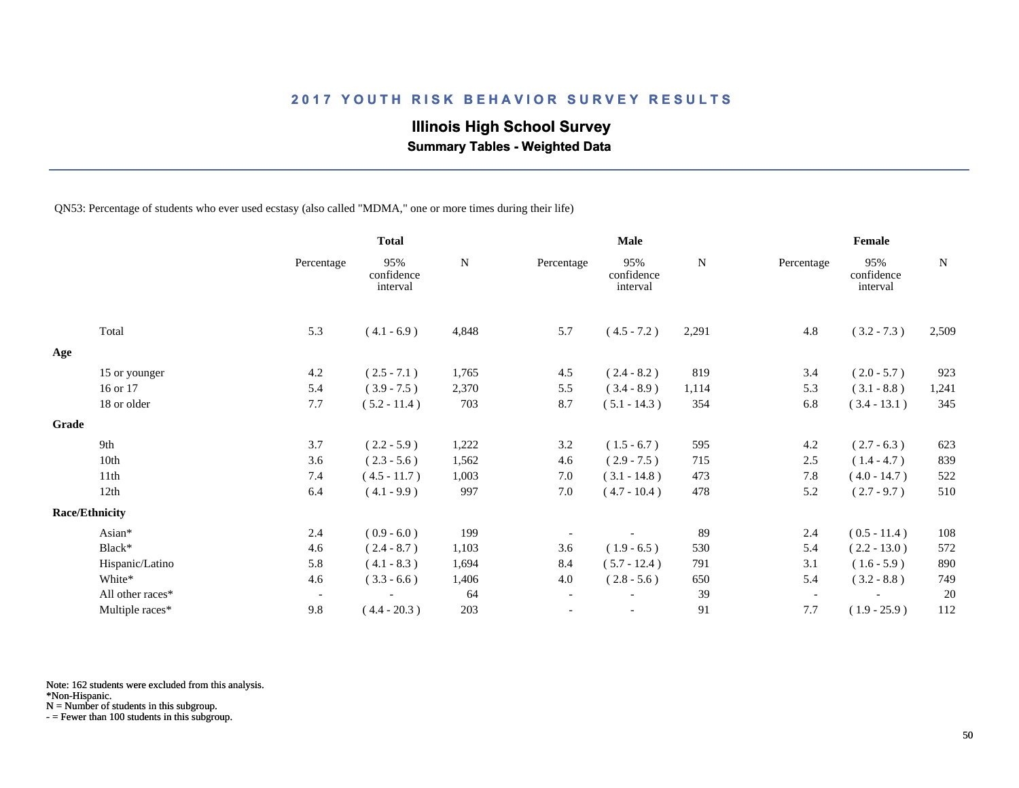# **Illinois High School Survey**

 **Summary Tables - Weighted Data**

QN53: Percentage of students who ever used ecstasy (also called "MDMA," one or more times during their life)

|                       |                  |                          | <b>Total</b>                  |             | <b>Male</b>              |                               |       | Female                   |                               |       |  |
|-----------------------|------------------|--------------------------|-------------------------------|-------------|--------------------------|-------------------------------|-------|--------------------------|-------------------------------|-------|--|
|                       |                  | Percentage               | 95%<br>confidence<br>interval | $\mathbf N$ | Percentage               | 95%<br>confidence<br>interval | N     | Percentage               | 95%<br>confidence<br>interval | N     |  |
| Total                 |                  | 5.3                      | $(4.1 - 6.9)$                 | 4,848       | 5.7                      | $(4.5 - 7.2)$                 | 2,291 | 4.8                      | $(3.2 - 7.3)$                 | 2,509 |  |
| Age                   |                  |                          |                               |             |                          |                               |       |                          |                               |       |  |
|                       | 15 or younger    | 4.2                      | $(2.5 - 7.1)$                 | 1,765       | 4.5                      | $(2.4 - 8.2)$                 | 819   | 3.4                      | $(2.0 - 5.7)$                 | 923   |  |
| 16 or 17              |                  | 5.4                      | $(3.9 - 7.5)$                 | 2,370       | 5.5                      | $(3.4 - 8.9)$                 | 1,114 | 5.3                      | $(3.1 - 8.8)$                 | 1,241 |  |
| 18 or older           |                  | 7.7                      | $(5.2 - 11.4)$                | 703         | 8.7                      | $(5.1 - 14.3)$                | 354   | 6.8                      | $(3.4 - 13.1)$                | 345   |  |
| Grade                 |                  |                          |                               |             |                          |                               |       |                          |                               |       |  |
| 9th                   |                  | 3.7                      | $(2.2 - 5.9)$                 | 1,222       | 3.2                      | $(1.5 - 6.7)$                 | 595   | 4.2                      | $(2.7 - 6.3)$                 | 623   |  |
| 10th                  |                  | 3.6                      | $(2.3 - 5.6)$                 | 1,562       | 4.6                      | $(2.9 - 7.5)$                 | 715   | 2.5                      | $(1.4 - 4.7)$                 | 839   |  |
| 11th                  |                  | 7.4                      | $(4.5 - 11.7)$                | 1,003       | 7.0                      | $(3.1 - 14.8)$                | 473   | 7.8                      | $(4.0 - 14.7)$                | 522   |  |
| 12th                  |                  | 6.4                      | $(4.1 - 9.9)$                 | 997         | 7.0                      | $(4.7 - 10.4)$                | 478   | 5.2                      | $(2.7 - 9.7)$                 | 510   |  |
| <b>Race/Ethnicity</b> |                  |                          |                               |             |                          |                               |       |                          |                               |       |  |
| Asian*                |                  | 2.4                      | $(0.9 - 6.0)$                 | 199         |                          |                               | 89    | 2.4                      | $(0.5 - 11.4)$                | 108   |  |
| Black*                |                  | 4.6                      | $(2.4 - 8.7)$                 | 1,103       | 3.6                      | $(1.9 - 6.5)$                 | 530   | 5.4                      | $(2.2 - 13.0)$                | 572   |  |
|                       | Hispanic/Latino  | 5.8                      | $(4.1 - 8.3)$                 | 1,694       | 8.4                      | $(5.7 - 12.4)$                | 791   | 3.1                      | $(1.6 - 5.9)$                 | 890   |  |
| White*                |                  | 4.6                      | $(3.3 - 6.6)$                 | 1,406       | 4.0                      | $(2.8 - 5.6)$                 | 650   | 5.4                      | $(3.2 - 8.8)$                 | 749   |  |
|                       | All other races* | $\overline{\phantom{a}}$ |                               | 64          | $\overline{\phantom{a}}$ |                               | 39    | $\overline{\phantom{a}}$ |                               | 20    |  |
|                       | Multiple races*  | 9.8                      | $(4.4 - 20.3)$                | 203         |                          |                               | 91    | 7.7                      | $(1.9 - 25.9)$                | 112   |  |

Note: 162 students were excluded from this analysis.

\*Non-Hispanic.

N = Number of students in this subgroup.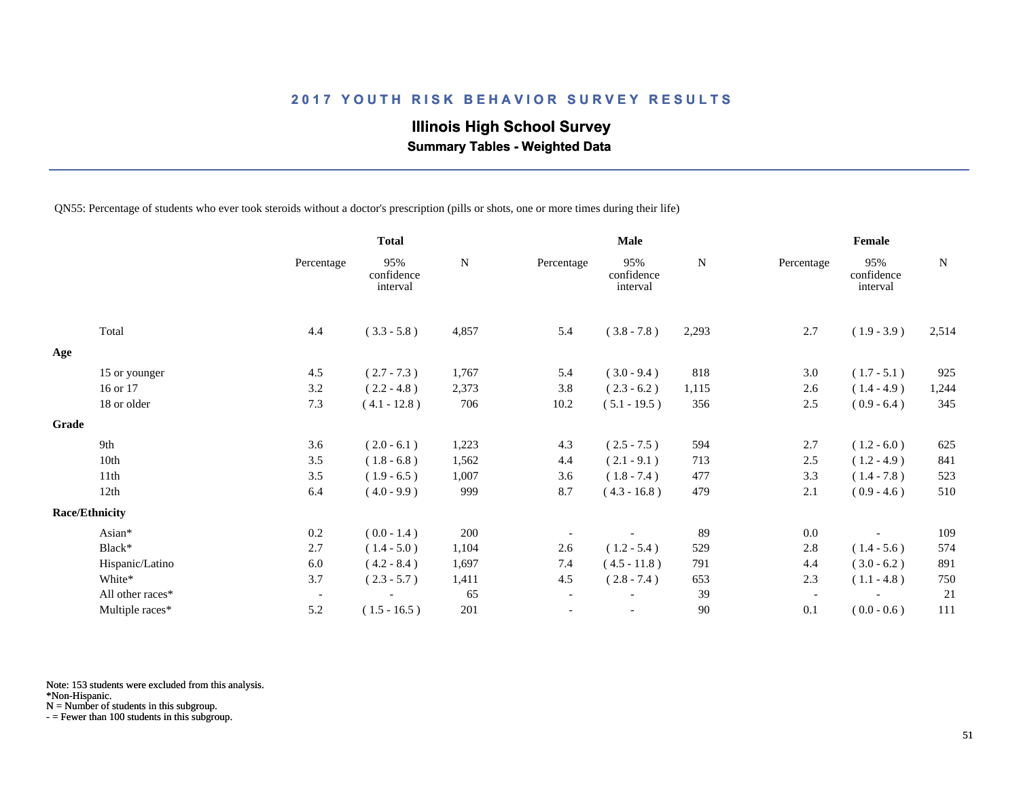# **Illinois High School Survey**

 **Summary Tables - Weighted Data**

QN55: Percentage of students who ever took steroids without a doctor's prescription (pills or shots, one or more times during their life)

|       |                       |                          | <b>Total</b>                  |           |                          | <b>Male</b>                   |        | Female                   |                               |       |  |
|-------|-----------------------|--------------------------|-------------------------------|-----------|--------------------------|-------------------------------|--------|--------------------------|-------------------------------|-------|--|
|       |                       | Percentage               | 95%<br>confidence<br>interval | ${\bf N}$ | Percentage               | 95%<br>confidence<br>interval | N      | Percentage               | 95%<br>confidence<br>interval | N     |  |
|       | Total                 | 4.4                      | $(3.3 - 5.8)$                 | 4,857     | 5.4                      | $(3.8 - 7.8)$                 | 2,293  | 2.7                      | $(1.9 - 3.9)$                 | 2,514 |  |
| Age   |                       |                          |                               |           |                          |                               |        |                          |                               |       |  |
|       | 15 or younger         | 4.5                      | $(2.7 - 7.3)$                 | 1,767     | 5.4                      | $(3.0 - 9.4)$                 | 818    | 3.0                      | $(1.7 - 5.1)$                 | 925   |  |
|       | 16 or 17              | 3.2                      | $(2.2 - 4.8)$                 | 2,373     | 3.8                      | $(2.3 - 6.2)$                 | 1,115  | 2.6                      | $(1.4 - 4.9)$                 | 1,244 |  |
|       | 18 or older           | 7.3                      | $(4.1 - 12.8)$                | 706       | 10.2                     | $(5.1 - 19.5)$                | 356    | 2.5                      | $(0.9 - 6.4)$                 | 345   |  |
| Grade |                       |                          |                               |           |                          |                               |        |                          |                               |       |  |
|       | 9th                   | 3.6                      | $(2.0 - 6.1)$                 | 1,223     | 4.3                      | $(2.5 - 7.5)$                 | 594    | 2.7                      | $(1.2 - 6.0)$                 | 625   |  |
|       | 10th                  | 3.5                      | $(1.8 - 6.8)$                 | 1,562     | 4.4                      | $(2.1 - 9.1)$                 | 713    | 2.5                      | $(1.2 - 4.9)$                 | 841   |  |
|       | 11th                  | 3.5                      | $(1.9 - 6.5)$                 | 1,007     | 3.6                      | $(1.8 - 7.4)$                 | 477    | 3.3                      | $(1.4 - 7.8)$                 | 523   |  |
|       | 12th                  | 6.4                      | $(4.0 - 9.9)$                 | 999       | 8.7                      | $(4.3 - 16.8)$                | 479    | 2.1                      | $(0.9 - 4.6)$                 | 510   |  |
|       | <b>Race/Ethnicity</b> |                          |                               |           |                          |                               |        |                          |                               |       |  |
|       | Asian*                | 0.2                      | $(0.0 - 1.4)$                 | 200       |                          |                               | 89     | 0.0                      |                               | 109   |  |
|       | Black*                | 2.7                      | $(1.4 - 5.0)$                 | 1,104     | 2.6                      | $(1.2 - 5.4)$                 | 529    | 2.8                      | $(1.4 - 5.6)$                 | 574   |  |
|       | Hispanic/Latino       | 6.0                      | $(4.2 - 8.4)$                 | 1,697     | 7.4                      | $(4.5 - 11.8)$                | 791    | 4.4                      | $(3.0 - 6.2)$                 | 891   |  |
|       | White*                | 3.7                      | $(2.3 - 5.7)$                 | 1,411     | 4.5                      | $(2.8 - 7.4)$                 | 653    | 2.3                      | $(1.1 - 4.8)$                 | 750   |  |
|       | All other races*      | $\overline{\phantom{a}}$ |                               | 65        | $\overline{\phantom{a}}$ |                               | 39     | $\overline{\phantom{a}}$ |                               | 21    |  |
|       | Multiple races*       | 5.2                      | $(1.5 - 16.5)$                | 201       |                          |                               | $90\,$ | 0.1                      | $(0.0 - 0.6)$                 | 111   |  |

Note: 153 students were excluded from this analysis.

\*Non-Hispanic.

N = Number of students in this subgroup.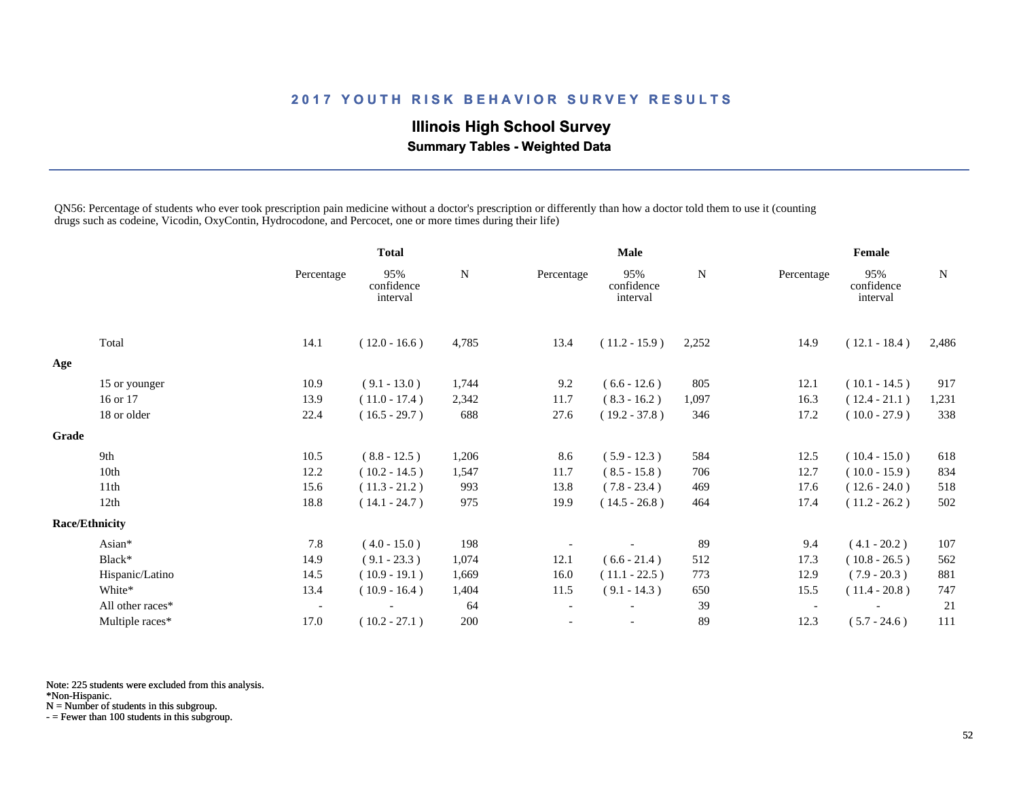# **Illinois High School Survey Summary Tables - Weighted Data**

QN56: Percentage of students who ever took prescription pain medicine without a doctor's prescription or differently than how a doctor told them to use it (counting drugs such as codeine, Vicodin, OxyContin, Hydrocodone, and Percocet, one or more times during their life)

|       |                       |                          | <b>Total</b>                  |       | <b>Male</b>              |                               |           | Female                   |                               |             |
|-------|-----------------------|--------------------------|-------------------------------|-------|--------------------------|-------------------------------|-----------|--------------------------|-------------------------------|-------------|
|       |                       | Percentage               | 95%<br>confidence<br>interval | N     | Percentage               | 95%<br>confidence<br>interval | ${\bf N}$ | Percentage               | 95%<br>confidence<br>interval | $\mathbf N$ |
|       | Total                 | 14.1                     | $(12.0 - 16.6)$               | 4,785 | 13.4                     | $(11.2 - 15.9)$               | 2,252     | 14.9                     | $(12.1 - 18.4)$               | 2,486       |
| Age   |                       |                          |                               |       |                          |                               |           |                          |                               |             |
|       | 15 or younger         | 10.9                     | $(9.1 - 13.0)$                | 1,744 | 9.2                      | $(6.6 - 12.6)$                | 805       | 12.1                     | $(10.1 - 14.5)$               | 917         |
|       | 16 or 17              | 13.9                     | $(11.0 - 17.4)$               | 2,342 | 11.7                     | $(8.3 - 16.2)$                | 1,097     | 16.3                     | $(12.4 - 21.1)$               | 1,231       |
|       | 18 or older           | 22.4                     | $(16.5 - 29.7)$               | 688   | 27.6                     | $(19.2 - 37.8)$               | 346       | 17.2                     | $(10.0 - 27.9)$               | 338         |
| Grade |                       |                          |                               |       |                          |                               |           |                          |                               |             |
|       | 9th                   | 10.5                     | $(8.8 - 12.5)$                | 1,206 | 8.6                      | $(5.9 - 12.3)$                | 584       | 12.5                     | $(10.4 - 15.0)$               | 618         |
|       | 10th                  | 12.2                     | $(10.2 - 14.5)$               | 1,547 | 11.7                     | $(8.5 - 15.8)$                | 706       | 12.7                     | $(10.0 - 15.9)$               | 834         |
|       | 11th                  | 15.6                     | $(11.3 - 21.2)$               | 993   | 13.8                     | $(7.8 - 23.4)$                | 469       | 17.6                     | $(12.6 - 24.0)$               | 518         |
|       | 12th                  | 18.8                     | $(14.1 - 24.7)$               | 975   | 19.9                     | $(14.5 - 26.8)$               | 464       | 17.4                     | $(11.2 - 26.2)$               | 502         |
|       | <b>Race/Ethnicity</b> |                          |                               |       |                          |                               |           |                          |                               |             |
|       | Asian*                | 7.8                      | $(4.0 - 15.0)$                | 198   |                          |                               | 89        | 9.4                      | $(4.1 - 20.2)$                | 107         |
|       | Black*                | 14.9                     | $(9.1 - 23.3)$                | 1,074 | 12.1                     | $(6.6 - 21.4)$                | 512       | 17.3                     | $(10.8 - 26.5)$               | 562         |
|       | Hispanic/Latino       | 14.5                     | $(10.9 - 19.1)$               | 1,669 | 16.0                     | $(11.1 - 22.5)$               | 773       | 12.9                     | $(7.9 - 20.3)$                | 881         |
|       | White*                | 13.4                     | $(10.9 - 16.4)$               | 1,404 | 11.5                     | $(9.1 - 14.3)$                | 650       | 15.5                     | $(11.4 - 20.8)$               | 747         |
|       | All other races*      | $\overline{\phantom{a}}$ |                               | 64    | $\blacksquare$           |                               | 39        | $\overline{\phantom{a}}$ |                               | 21          |
|       | Multiple races*       | 17.0                     | $(10.2 - 27.1)$               | 200   | $\overline{\phantom{a}}$ |                               | 89        | 12.3                     | $(5.7 - 24.6)$                | 111         |

Note: 225 students were excluded from this analysis.

\*Non-Hispanic.

N = Number of students in this subgroup.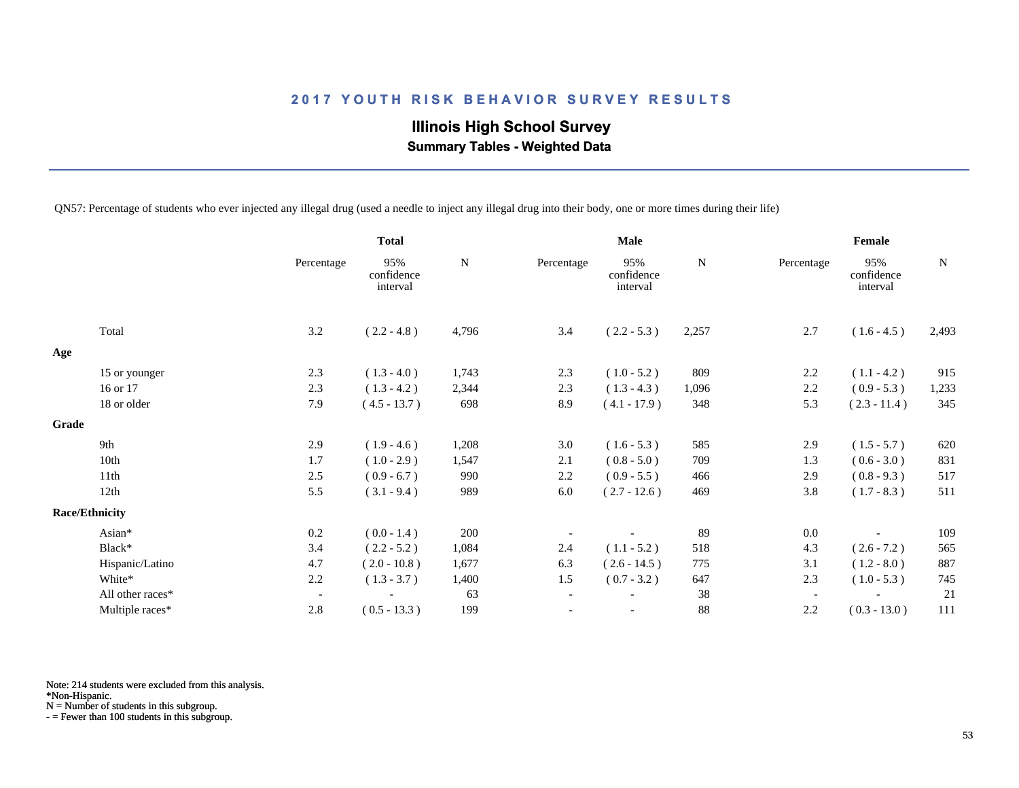# **Illinois High School Survey Summary Tables - Weighted Data**

QN57: Percentage of students who ever injected any illegal drug (used a needle to inject any illegal drug into their body, one or more times during their life)

|                       |                          | <b>Total</b>                  |       | <b>Male</b>              |                               |             | Female                   |                               |             |
|-----------------------|--------------------------|-------------------------------|-------|--------------------------|-------------------------------|-------------|--------------------------|-------------------------------|-------------|
|                       | Percentage               | 95%<br>confidence<br>interval | N     | Percentage               | 95%<br>confidence<br>interval | $\mathbf N$ | Percentage               | 95%<br>confidence<br>interval | $\mathbf N$ |
| Total                 | 3.2                      | $(2.2 - 4.8)$                 | 4,796 | 3.4                      | $(2.2 - 5.3)$                 | 2,257       | 2.7                      | $(1.6 - 4.5)$                 | 2,493       |
| Age                   |                          |                               |       |                          |                               |             |                          |                               |             |
| 15 or younger         | 2.3                      | $(1.3 - 4.0)$                 | 1,743 | 2.3                      | $(1.0 - 5.2)$                 | 809         | 2.2                      | $(1.1 - 4.2)$                 | 915         |
| 16 or 17              | 2.3                      | $(1.3 - 4.2)$                 | 2,344 | 2.3                      | $(1.3 - 4.3)$                 | 1,096       | 2.2                      | $(0.9 - 5.3)$                 | 1,233       |
| 18 or older           | 7.9                      | $(4.5 - 13.7)$                | 698   | 8.9                      | $(4.1 - 17.9)$                | 348         | 5.3                      | $(2.3 - 11.4)$                | 345         |
| Grade                 |                          |                               |       |                          |                               |             |                          |                               |             |
| 9th                   | 2.9                      | $(1.9 - 4.6)$                 | 1,208 | 3.0                      | $(1.6 - 5.3)$                 | 585         | 2.9                      | $(1.5 - 5.7)$                 | 620         |
| 10th                  | 1.7                      | $(1.0 - 2.9)$                 | 1,547 | 2.1                      | $(0.8 - 5.0)$                 | 709         | 1.3                      | $(0.6 - 3.0)$                 | 831         |
| 11th                  | 2.5                      | $(0.9 - 6.7)$                 | 990   | 2.2                      | $(0.9 - 5.5)$                 | 466         | 2.9                      | $(0.8 - 9.3)$                 | 517         |
| 12th                  | 5.5                      | $(3.1 - 9.4)$                 | 989   | 6.0                      | $(2.7 - 12.6)$                | 469         | 3.8                      | $(1.7 - 8.3)$                 | 511         |
| <b>Race/Ethnicity</b> |                          |                               |       |                          |                               |             |                          |                               |             |
| Asian*                | 0.2                      | $(0.0 - 1.4)$                 | 200   |                          |                               | 89          | $0.0\,$                  |                               | 109         |
| Black*                | 3.4                      | $(2.2 - 5.2)$                 | 1,084 | 2.4                      | $(1.1 - 5.2)$                 | 518         | 4.3                      | $(2.6 - 7.2)$                 | 565         |
| Hispanic/Latino       | 4.7                      | $(2.0 - 10.8)$                | 1,677 | 6.3                      | $(2.6 - 14.5)$                | 775         | 3.1                      | $(1.2 - 8.0)$                 | 887         |
| White*                | 2.2                      | $(1.3 - 3.7)$                 | 1,400 | 1.5                      | $(0.7 - 3.2)$                 | 647         | 2.3                      | $(1.0 - 5.3)$                 | 745         |
| All other races*      | $\overline{\phantom{a}}$ |                               | 63    | $\overline{\phantom{a}}$ |                               | 38          | $\overline{\phantom{a}}$ |                               | 21          |
| Multiple races*       | 2.8                      | $(0.5 - 13.3)$                | 199   |                          |                               | 88          | 2.2                      | $(0.3 - 13.0)$                | 111         |

Note: 214 students were excluded from this analysis.

\*Non-Hispanic.

N = Number of students in this subgroup.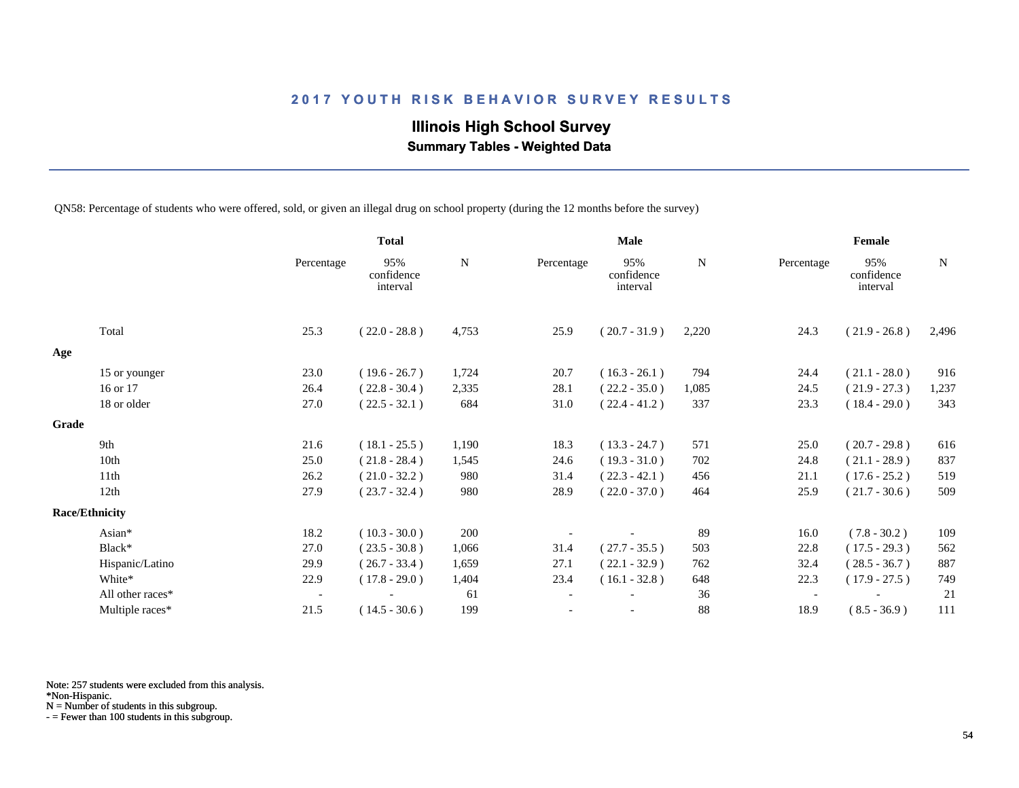# **Illinois High School Survey Summary Tables - Weighted Data**

QN58: Percentage of students who were offered, sold, or given an illegal drug on school property (during the 12 months before the survey)

|       |                       |                          | <b>Total</b>                  |           | <b>Male</b> |                               |       | Female                   |                               |       |  |
|-------|-----------------------|--------------------------|-------------------------------|-----------|-------------|-------------------------------|-------|--------------------------|-------------------------------|-------|--|
|       |                       | Percentage               | 95%<br>confidence<br>interval | ${\bf N}$ | Percentage  | 95%<br>confidence<br>interval | N     | Percentage               | 95%<br>confidence<br>interval | N     |  |
|       | Total                 | 25.3                     | $(22.0 - 28.8)$               | 4,753     | 25.9        | $(20.7 - 31.9)$               | 2,220 | 24.3                     | $(21.9 - 26.8)$               | 2,496 |  |
| Age   |                       |                          |                               |           |             |                               |       |                          |                               |       |  |
|       | 15 or younger         | 23.0                     | $(19.6 - 26.7)$               | 1,724     | 20.7        | $(16.3 - 26.1)$               | 794   | 24.4                     | $(21.1 - 28.0)$               | 916   |  |
|       | 16 or 17              | 26.4                     | $(22.8 - 30.4)$               | 2,335     | 28.1        | $(22.2 - 35.0)$               | 1,085 | 24.5                     | $(21.9 - 27.3)$               | 1,237 |  |
|       | 18 or older           | 27.0                     | $(22.5 - 32.1)$               | 684       | 31.0        | $(22.4 - 41.2)$               | 337   | 23.3                     | $(18.4 - 29.0)$               | 343   |  |
| Grade |                       |                          |                               |           |             |                               |       |                          |                               |       |  |
|       | 9th                   | 21.6                     | $(18.1 - 25.5)$               | 1,190     | 18.3        | $(13.3 - 24.7)$               | 571   | 25.0                     | $(20.7 - 29.8)$               | 616   |  |
|       | 10th                  | 25.0                     | $(21.8 - 28.4)$               | 1,545     | 24.6        | $(19.3 - 31.0)$               | 702   | 24.8                     | $(21.1 - 28.9)$               | 837   |  |
|       | 11th                  | 26.2                     | $(21.0 - 32.2)$               | 980       | 31.4        | $(22.3 - 42.1)$               | 456   | 21.1                     | $(17.6 - 25.2)$               | 519   |  |
|       | 12th                  | 27.9                     | $(23.7 - 32.4)$               | 980       | 28.9        | $(22.0 - 37.0)$               | 464   | 25.9                     | $(21.7 - 30.6)$               | 509   |  |
|       | <b>Race/Ethnicity</b> |                          |                               |           |             |                               |       |                          |                               |       |  |
|       | Asian*                | 18.2                     | $(10.3 - 30.0)$               | 200       |             |                               | 89    | 16.0                     | $(7.8 - 30.2)$                | 109   |  |
|       | Black*                | 27.0                     | $(23.5 - 30.8)$               | 1,066     | 31.4        | $(27.7 - 35.5)$               | 503   | 22.8                     | $(17.5 - 29.3)$               | 562   |  |
|       | Hispanic/Latino       | 29.9                     | $(26.7 - 33.4)$               | 1,659     | 27.1        | $(22.1 - 32.9)$               | 762   | 32.4                     | $(28.5 - 36.7)$               | 887   |  |
|       | White*                | 22.9                     | $(17.8 - 29.0)$               | 1,404     | 23.4        | $(16.1 - 32.8)$               | 648   | 22.3                     | $(17.9 - 27.5)$               | 749   |  |
|       | All other races*      | $\overline{\phantom{a}}$ |                               | 61        |             |                               | 36    | $\overline{\phantom{a}}$ |                               | 21    |  |
|       | Multiple races*       | 21.5                     | $(14.5 - 30.6)$               | 199       |             |                               | 88    | 18.9                     | $(8.5 - 36.9)$                | 111   |  |

Note: 257 students were excluded from this analysis.

\*Non-Hispanic.

N = Number of students in this subgroup.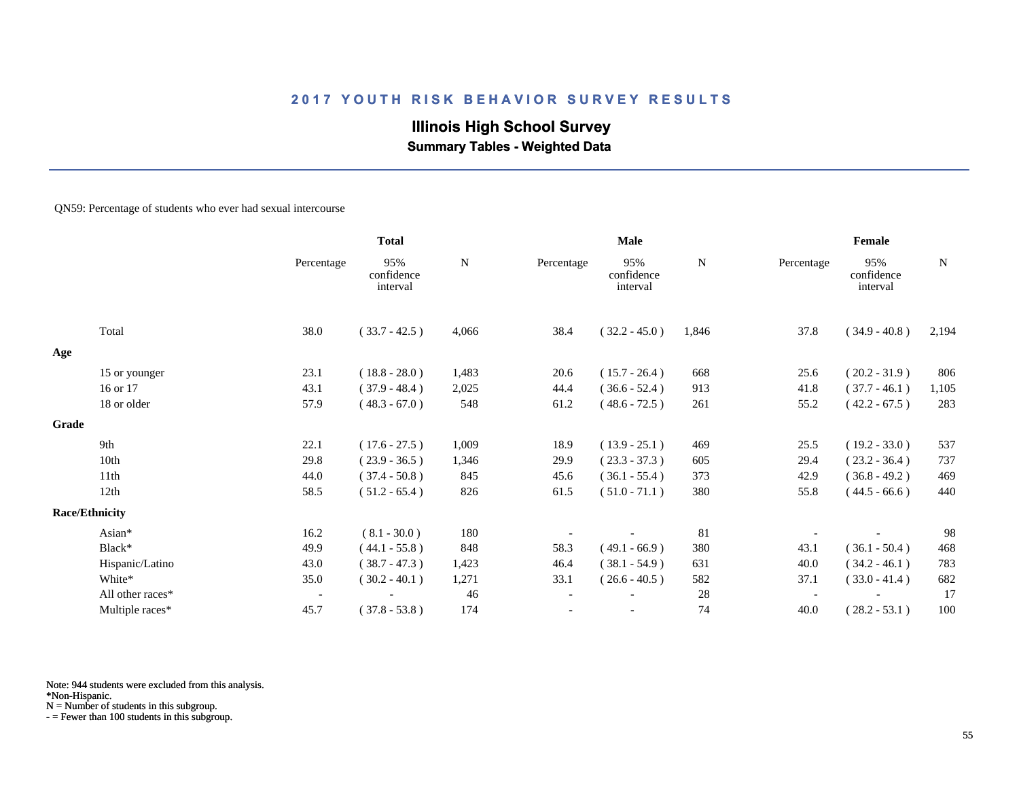# **Illinois High School Survey Summary Tables - Weighted Data**

#### QN59: Percentage of students who ever had sexual intercourse

|       |                       |                          | <b>Total</b>                  |       | <b>Male</b>              |                               |       | Female     |                               |             |  |
|-------|-----------------------|--------------------------|-------------------------------|-------|--------------------------|-------------------------------|-------|------------|-------------------------------|-------------|--|
|       |                       | Percentage               | 95%<br>confidence<br>interval | N     | Percentage               | 95%<br>confidence<br>interval | N     | Percentage | 95%<br>confidence<br>interval | $\mathbf N$ |  |
|       | Total                 | 38.0                     | $(33.7 - 42.5)$               | 4,066 | 38.4                     | $(32.2 - 45.0)$               | 1,846 | 37.8       | $(34.9 - 40.8)$               | 2,194       |  |
| Age   |                       |                          |                               |       |                          |                               |       |            |                               |             |  |
|       | 15 or younger         | 23.1                     | $(18.8 - 28.0)$               | 1,483 | 20.6                     | $(15.7 - 26.4)$               | 668   | 25.6       | $(20.2 - 31.9)$               | 806         |  |
|       | 16 or 17              | 43.1                     | $(37.9 - 48.4)$               | 2,025 | 44.4                     | $(36.6 - 52.4)$               | 913   | 41.8       | $(37.7 - 46.1)$               | 1,105       |  |
|       | 18 or older           | 57.9                     | $(48.3 - 67.0)$               | 548   | 61.2                     | $(48.6 - 72.5)$               | 261   | 55.2       | $(42.2 - 67.5)$               | 283         |  |
| Grade |                       |                          |                               |       |                          |                               |       |            |                               |             |  |
|       | 9th                   | 22.1                     | $(17.6 - 27.5)$               | 1,009 | 18.9                     | $(13.9 - 25.1)$               | 469   | 25.5       | $(19.2 - 33.0)$               | 537         |  |
|       | 10th                  | 29.8                     | $(23.9 - 36.5)$               | 1,346 | 29.9                     | $(23.3 - 37.3)$               | 605   | 29.4       | $(23.2 - 36.4)$               | 737         |  |
|       | 11th                  | 44.0                     | $(37.4 - 50.8)$               | 845   | 45.6                     | $(36.1 - 55.4)$               | 373   | 42.9       | $(36.8 - 49.2)$               | 469         |  |
|       | 12th                  | 58.5                     | $(51.2 - 65.4)$               | 826   | 61.5                     | $(51.0 - 71.1)$               | 380   | 55.8       | $(44.5 - 66.6)$               | 440         |  |
|       | <b>Race/Ethnicity</b> |                          |                               |       |                          |                               |       |            |                               |             |  |
|       | Asian*                | 16.2                     | $(8.1 - 30.0)$                | 180   |                          |                               | 81    |            |                               | 98          |  |
|       | Black*                | 49.9                     | $(44.1 - 55.8)$               | 848   | 58.3                     | $(49.1 - 66.9)$               | 380   | 43.1       | $(36.1 - 50.4)$               | 468         |  |
|       | Hispanic/Latino       | 43.0                     | $(38.7 - 47.3)$               | 1,423 | 46.4                     | $(38.1 - 54.9)$               | 631   | 40.0       | $(34.2 - 46.1)$               | 783         |  |
|       | White*                | 35.0                     | $(30.2 - 40.1)$               | 1,271 | 33.1                     | $(26.6 - 40.5)$               | 582   | 37.1       | $(33.0 - 41.4)$               | 682         |  |
|       | All other races*      | $\overline{\phantom{a}}$ |                               | 46    | $\overline{\phantom{a}}$ |                               | 28    |            |                               | 17          |  |
|       | Multiple races*       | 45.7                     | $(37.8 - 53.8)$               | 174   |                          |                               | 74    | 40.0       | $(28.2 - 53.1)$               | 100         |  |

Note: 944 students were excluded from this analysis.

\*Non-Hispanic.

N = Number of students in this subgroup.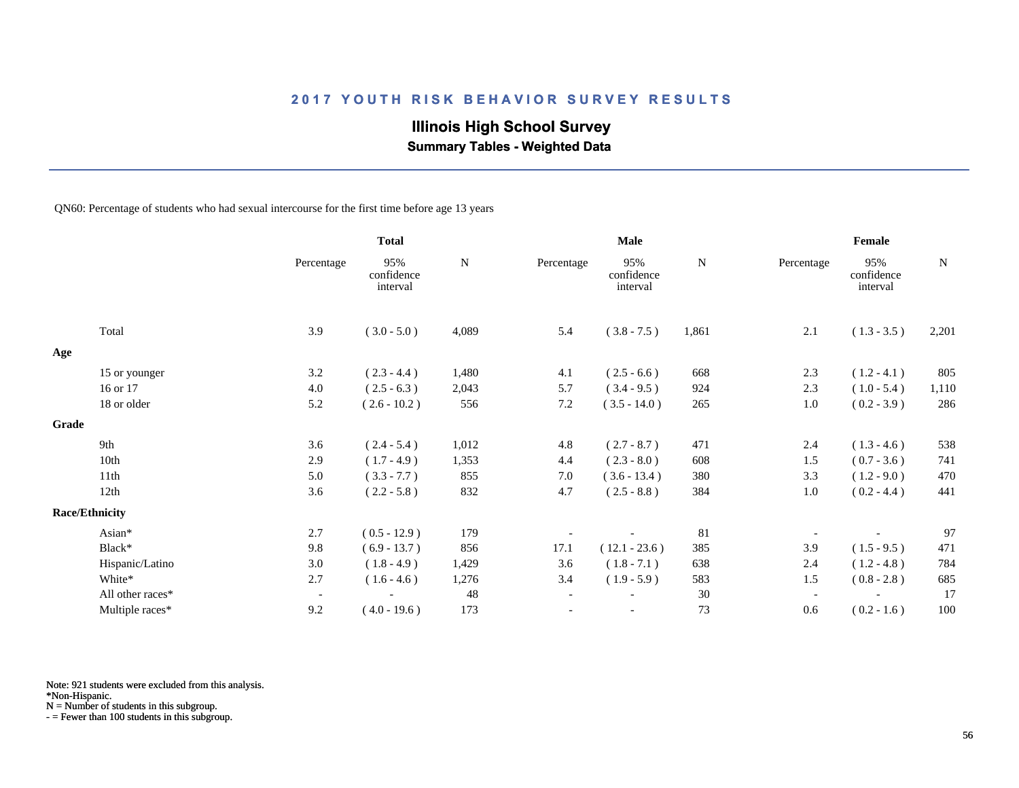# **Illinois High School Survey**

 **Summary Tables - Weighted Data**

QN60: Percentage of students who had sexual intercourse for the first time before age 13 years

|                       |                  |                          | <b>Total</b>                  |             | <b>Male</b>              |                               |             | Female                   |                               |             |
|-----------------------|------------------|--------------------------|-------------------------------|-------------|--------------------------|-------------------------------|-------------|--------------------------|-------------------------------|-------------|
|                       |                  | Percentage               | 95%<br>confidence<br>interval | $\mathbf N$ | Percentage               | 95%<br>confidence<br>interval | $\mathbf N$ | Percentage               | 95%<br>confidence<br>interval | $\mathbf N$ |
|                       | Total            | 3.9                      | $(3.0 - 5.0)$                 | 4,089       | 5.4                      | $(3.8 - 7.5)$                 | 1,861       | 2.1                      | $(1.3 - 3.5)$                 | 2,201       |
| Age                   |                  |                          |                               |             |                          |                               |             |                          |                               |             |
|                       | 15 or younger    | 3.2                      | $(2.3 - 4.4)$                 | 1,480       | 4.1                      | $(2.5 - 6.6)$                 | 668         | 2.3                      | $(1.2 - 4.1)$                 | 805         |
|                       | 16 or 17         | 4.0                      | $(2.5 - 6.3)$                 | 2,043       | 5.7                      | $(3.4 - 9.5)$                 | 924         | 2.3                      | $(1.0 - 5.4)$                 | 1,110       |
|                       | 18 or older      | 5.2                      | $(2.6 - 10.2)$                | 556         | 7.2                      | $(3.5 - 14.0)$                | 265         | 1.0                      | $(0.2 - 3.9)$                 | 286         |
| Grade                 |                  |                          |                               |             |                          |                               |             |                          |                               |             |
|                       | 9th              | 3.6                      | $(2.4 - 5.4)$                 | 1,012       | 4.8                      | $(2.7 - 8.7)$                 | 471         | 2.4                      | $(1.3 - 4.6)$                 | 538         |
|                       | 10th             | 2.9                      | $(1.7 - 4.9)$                 | 1,353       | 4.4                      | $(2.3 - 8.0)$                 | 608         | 1.5                      | $(0.7 - 3.6)$                 | 741         |
|                       | 11th             | 5.0                      | $(3.3 - 7.7)$                 | 855         | 7.0                      | $(3.6 - 13.4)$                | 380         | 3.3                      | $(1.2 - 9.0)$                 | 470         |
|                       | 12th             | 3.6                      | $(2.2 - 5.8)$                 | 832         | 4.7                      | $(2.5 - 8.8)$                 | 384         | 1.0                      | $(0.2 - 4.4)$                 | 441         |
| <b>Race/Ethnicity</b> |                  |                          |                               |             |                          |                               |             |                          |                               |             |
|                       | Asian*           | 2.7                      | $(0.5 - 12.9)$                | 179         |                          |                               | 81          |                          |                               | 97          |
|                       | Black*           | 9.8                      | $(6.9 - 13.7)$                | 856         | 17.1                     | $(12.1 - 23.6)$               | 385         | 3.9                      | $(1.5 - 9.5)$                 | 471         |
|                       | Hispanic/Latino  | 3.0                      | $(1.8 - 4.9)$                 | 1,429       | 3.6                      | $(1.8 - 7.1)$                 | 638         | 2.4                      | $(1.2 - 4.8)$                 | 784         |
|                       | White*           | 2.7                      | $(1.6 - 4.6)$                 | 1,276       | 3.4                      | $(1.9 - 5.9)$                 | 583         | 1.5                      | $(0.8 - 2.8)$                 | 685         |
|                       | All other races* | $\overline{\phantom{a}}$ |                               | 48          | $\overline{\phantom{a}}$ |                               | 30          | $\overline{\phantom{a}}$ |                               | 17          |
|                       | Multiple races*  | 9.2                      | $(4.0 - 19.6)$                | 173         |                          | $\overline{\phantom{a}}$      | 73          | 0.6                      | $(0.2 - 1.6)$                 | 100         |

Note: 921 students were excluded from this analysis.

\*Non-Hispanic.

N = Number of students in this subgroup.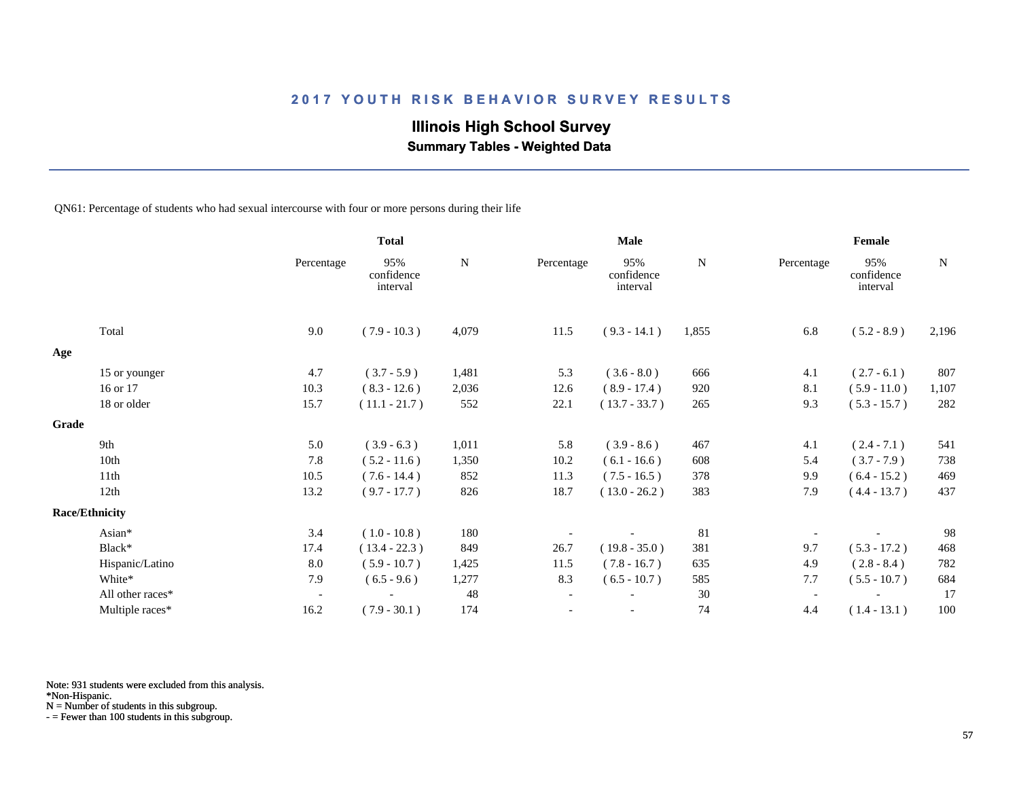# **Illinois High School Survey**

 **Summary Tables - Weighted Data**

QN61: Percentage of students who had sexual intercourse with four or more persons during their life

|       |                       |                          | <b>Total</b>                  |       |                          | Male                          |       |            | Female                        |             |
|-------|-----------------------|--------------------------|-------------------------------|-------|--------------------------|-------------------------------|-------|------------|-------------------------------|-------------|
|       |                       | Percentage               | 95%<br>confidence<br>interval | N     | Percentage               | 95%<br>confidence<br>interval | N     | Percentage | 95%<br>confidence<br>interval | $\mathbf N$ |
|       | Total                 | 9.0                      | $(7.9 - 10.3)$                | 4,079 | 11.5                     | $(9.3 - 14.1)$                | 1,855 | 6.8        | $(5.2 - 8.9)$                 | 2,196       |
| Age   |                       |                          |                               |       |                          |                               |       |            |                               |             |
|       | 15 or younger         | 4.7                      | $(3.7 - 5.9)$                 | 1,481 | 5.3                      | $(3.6 - 8.0)$                 | 666   | 4.1        | $(2.7 - 6.1)$                 | 807         |
|       | 16 or 17              | 10.3                     | $(8.3 - 12.6)$                | 2,036 | 12.6                     | $(8.9 - 17.4)$                | 920   | 8.1        | $(5.9 - 11.0)$                | 1,107       |
|       | 18 or older           | 15.7                     | $(11.1 - 21.7)$               | 552   | 22.1                     | $(13.7 - 33.7)$               | 265   | 9.3        | $(5.3 - 15.7)$                | 282         |
| Grade |                       |                          |                               |       |                          |                               |       |            |                               |             |
|       | 9th                   | 5.0                      | $(3.9 - 6.3)$                 | 1,011 | 5.8                      | $(3.9 - 8.6)$                 | 467   | 4.1        | $(2.4 - 7.1)$                 | 541         |
|       | 10th                  | 7.8                      | $(5.2 - 11.6)$                | 1,350 | 10.2                     | $(6.1 - 16.6)$                | 608   | 5.4        | $(3.7 - 7.9)$                 | 738         |
|       | 11th                  | 10.5                     | $(7.6 - 14.4)$                | 852   | 11.3                     | $(7.5 - 16.5)$                | 378   | 9.9        | $(6.4 - 15.2)$                | 469         |
|       | 12th                  | 13.2                     | $(9.7 - 17.7)$                | 826   | 18.7                     | $(13.0 - 26.2)$               | 383   | 7.9        | $(4.4 - 13.7)$                | 437         |
|       | <b>Race/Ethnicity</b> |                          |                               |       |                          |                               |       |            |                               |             |
|       | Asian*                | 3.4                      | $(1.0 - 10.8)$                | 180   |                          |                               | 81    |            |                               | 98          |
|       | Black*                | 17.4                     | $(13.4 - 22.3)$               | 849   | 26.7                     | $(19.8 - 35.0)$               | 381   | 9.7        | $(5.3 - 17.2)$                | 468         |
|       | Hispanic/Latino       | 8.0                      | $(5.9 - 10.7)$                | 1,425 | 11.5                     | $(7.8 - 16.7)$                | 635   | 4.9        | $(2.8 - 8.4)$                 | 782         |
|       | White*                | 7.9                      | $(6.5 - 9.6)$                 | 1,277 | 8.3                      | $(6.5 - 10.7)$                | 585   | 7.7        | $(5.5 - 10.7)$                | 684         |
|       | All other races*      | $\overline{\phantom{a}}$ |                               | 48    | $\overline{\phantom{a}}$ |                               | 30    |            |                               | 17          |
|       | Multiple races*       | 16.2                     | $(7.9 - 30.1)$                | 174   |                          | $\overline{\phantom{a}}$      | 74    | 4.4        | $(1.4 - 13.1)$                | 100         |

Note: 931 students were excluded from this analysis.

\*Non-Hispanic.

N = Number of students in this subgroup.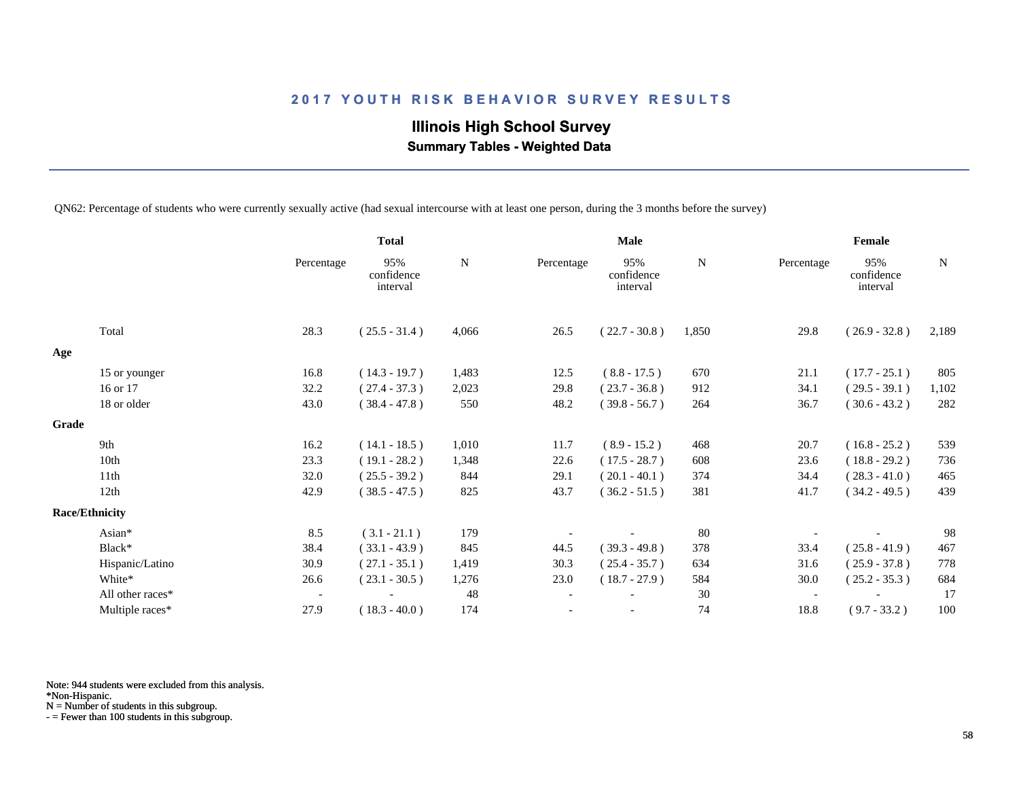# **Illinois High School Survey Summary Tables - Weighted Data**

QN62: Percentage of students who were currently sexually active (had sexual intercourse with at least one person, during the 3 months before the survey)

|       |                       |                          | <b>Total</b>                  |       | <b>Male</b>              |                               |             | Female                   |                               |       |
|-------|-----------------------|--------------------------|-------------------------------|-------|--------------------------|-------------------------------|-------------|--------------------------|-------------------------------|-------|
|       |                       | Percentage               | 95%<br>confidence<br>interval | N     | Percentage               | 95%<br>confidence<br>interval | $\mathbf N$ | Percentage               | 95%<br>confidence<br>interval | N     |
|       | Total                 | 28.3                     | $(25.5 - 31.4)$               | 4,066 | 26.5                     | $(22.7 - 30.8)$               | 1,850       | 29.8                     | $(26.9 - 32.8)$               | 2,189 |
| Age   |                       |                          |                               |       |                          |                               |             |                          |                               |       |
|       | 15 or younger         | 16.8                     | $(14.3 - 19.7)$               | 1,483 | 12.5                     | $(8.8 - 17.5)$                | 670         | 21.1                     | $(17.7 - 25.1)$               | 805   |
|       | 16 or 17              | 32.2                     | $(27.4 - 37.3)$               | 2,023 | 29.8                     | $(23.7 - 36.8)$               | 912         | 34.1                     | $(29.5 - 39.1)$               | 1,102 |
|       | 18 or older           | 43.0                     | $(38.4 - 47.8)$               | 550   | 48.2                     | $(39.8 - 56.7)$               | 264         | 36.7                     | $(30.6 - 43.2)$               | 282   |
| Grade |                       |                          |                               |       |                          |                               |             |                          |                               |       |
|       | 9th                   | 16.2                     | $(14.1 - 18.5)$               | 1,010 | 11.7                     | $(8.9 - 15.2)$                | 468         | 20.7                     | $(16.8 - 25.2)$               | 539   |
|       | 10th                  | 23.3                     | $(19.1 - 28.2)$               | 1,348 | 22.6                     | $(17.5 - 28.7)$               | 608         | 23.6                     | $(18.8 - 29.2)$               | 736   |
|       | 11th                  | 32.0                     | $(25.5 - 39.2)$               | 844   | 29.1                     | $(20.1 - 40.1)$               | 374         | 34.4                     | $(28.3 - 41.0)$               | 465   |
|       | 12th                  | 42.9                     | $(38.5 - 47.5)$               | 825   | 43.7                     | $(36.2 - 51.5)$               | 381         | 41.7                     | $(34.2 - 49.5)$               | 439   |
|       | <b>Race/Ethnicity</b> |                          |                               |       |                          |                               |             |                          |                               |       |
|       | Asian*                | 8.5                      | $(3.1 - 21.1)$                | 179   |                          |                               | 80          |                          |                               | 98    |
|       | Black*                | 38.4                     | $(33.1 - 43.9)$               | 845   | 44.5                     | $(39.3 - 49.8)$               | 378         | 33.4                     | $(25.8 - 41.9)$               | 467   |
|       | Hispanic/Latino       | 30.9                     | $(27.1 - 35.1)$               | 1,419 | 30.3                     | $(25.4 - 35.7)$               | 634         | 31.6                     | $(25.9 - 37.8)$               | 778   |
|       | White*                | 26.6                     | $(23.1 - 30.5)$               | 1,276 | 23.0                     | $(18.7 - 27.9)$               | 584         | 30.0                     | $(25.2 - 35.3)$               | 684   |
|       | All other races*      | $\overline{\phantom{a}}$ |                               | 48    | $\overline{\phantom{a}}$ |                               | 30          | $\overline{\phantom{a}}$ |                               | 17    |
|       | Multiple races*       | 27.9                     | $(18.3 - 40.0)$               | 174   |                          |                               | 74          | 18.8                     | $(9.7 - 33.2)$                | 100   |

Note: 944 students were excluded from this analysis.

\*Non-Hispanic.

N = Number of students in this subgroup.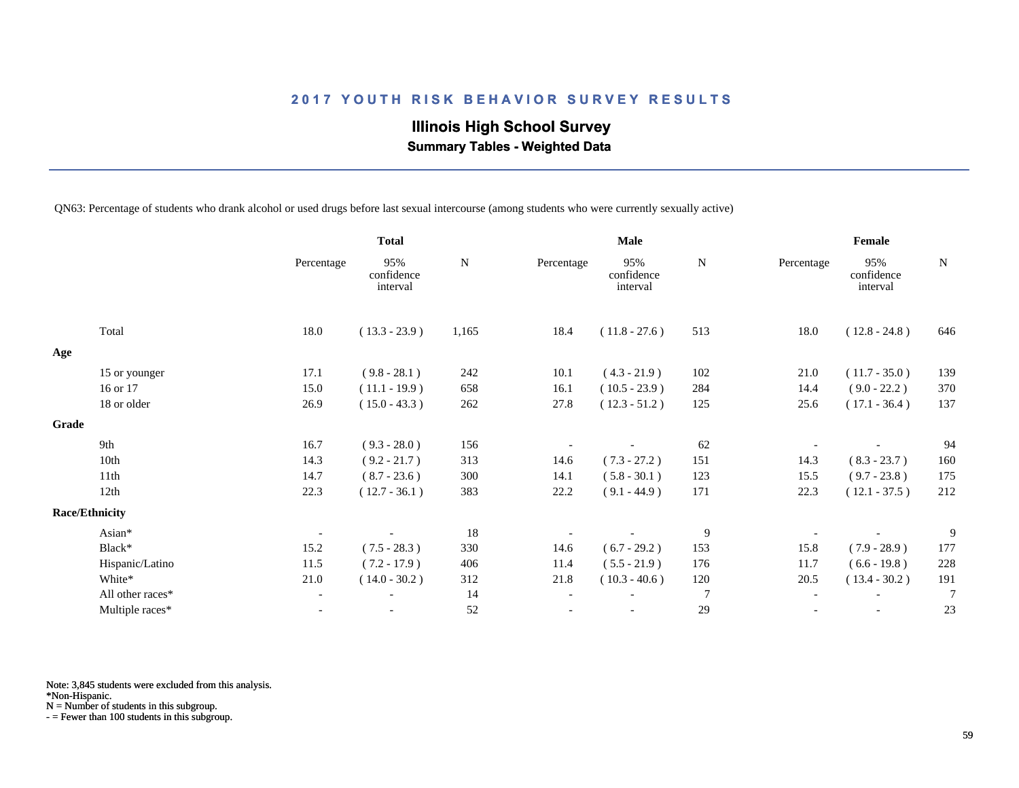**Illinois High School Survey Summary Tables - Weighted Data**

QN63: Percentage of students who drank alcohol or used drugs before last sexual intercourse (among students who were currently sexually active)

|       |                       |                          | <b>Total</b>                  |           | <b>Male</b>              |                               |                | Female                   |                               |                |
|-------|-----------------------|--------------------------|-------------------------------|-----------|--------------------------|-------------------------------|----------------|--------------------------|-------------------------------|----------------|
|       |                       | Percentage               | 95%<br>confidence<br>interval | ${\bf N}$ | Percentage               | 95%<br>confidence<br>interval | N              | Percentage               | 95%<br>confidence<br>interval | N              |
|       | Total                 | 18.0                     | $(13.3 - 23.9)$               | 1,165     | 18.4                     | $(11.8 - 27.6)$               | 513            | 18.0                     | $(12.8 - 24.8)$               | 646            |
| Age   |                       |                          |                               |           |                          |                               |                |                          |                               |                |
|       | 15 or younger         | 17.1                     | $(9.8 - 28.1)$                | 242       | 10.1                     | $(4.3 - 21.9)$                | 102            | 21.0                     | $(11.7 - 35.0)$               | 139            |
|       | 16 or 17              | 15.0                     | $(11.1 - 19.9)$               | 658       | 16.1                     | $(10.5 - 23.9)$               | 284            | 14.4                     | $(9.0 - 22.2)$                | 370            |
|       | 18 or older           | 26.9                     | $(15.0 - 43.3)$               | 262       | 27.8                     | $(12.3 - 51.2)$               | 125            | 25.6                     | $(17.1 - 36.4)$               | 137            |
| Grade |                       |                          |                               |           |                          |                               |                |                          |                               |                |
|       | 9th                   | 16.7                     | $(9.3 - 28.0)$                | 156       |                          |                               | 62             |                          |                               | 94             |
|       | 10th                  | 14.3                     | $(9.2 - 21.7)$                | 313       | 14.6                     | $(7.3 - 27.2)$                | 151            | 14.3                     | $(8.3 - 23.7)$                | 160            |
|       | 11th                  | 14.7                     | $(8.7 - 23.6)$                | 300       | 14.1                     | $(5.8 - 30.1)$                | 123            | 15.5                     | $(9.7 - 23.8)$                | 175            |
|       | 12th                  | 22.3                     | $(12.7 - 36.1)$               | 383       | 22.2                     | $(9.1 - 44.9)$                | 171            | 22.3                     | $(12.1 - 37.5)$               | 212            |
|       | <b>Race/Ethnicity</b> |                          |                               |           |                          |                               |                |                          |                               |                |
|       | Asian*                |                          |                               | 18        |                          |                               | $\overline{9}$ |                          |                               | 9              |
|       | Black*                | 15.2                     | $(7.5 - 28.3)$                | 330       | 14.6                     | $(6.7 - 29.2)$                | 153            | 15.8                     | $(7.9 - 28.9)$                | 177            |
|       | Hispanic/Latino       | 11.5                     | $(7.2 - 17.9)$                | 406       | 11.4                     | $(5.5 - 21.9)$                | 176            | 11.7                     | $(6.6 - 19.8)$                | 228            |
|       | White*                | 21.0                     | $(14.0 - 30.2)$               | 312       | 21.8                     | $(10.3 - 40.6)$               | 120            | 20.5                     | $(13.4 - 30.2)$               | 191            |
|       | All other races*      | $\overline{\phantom{a}}$ |                               | 14        | $\overline{\phantom{a}}$ |                               | $\overline{7}$ | $\overline{\phantom{a}}$ | $\overline{\phantom{a}}$      | $\overline{7}$ |
|       | Multiple races*       | $\overline{\phantom{a}}$ | $\overline{\phantom{a}}$      | 52        |                          |                               | 29             | $\overline{\phantom{a}}$ | $\overline{\phantom{a}}$      | 23             |

Note: 3,845 students were excluded from this analysis.

\*Non-Hispanic.

N = Number of students in this subgroup.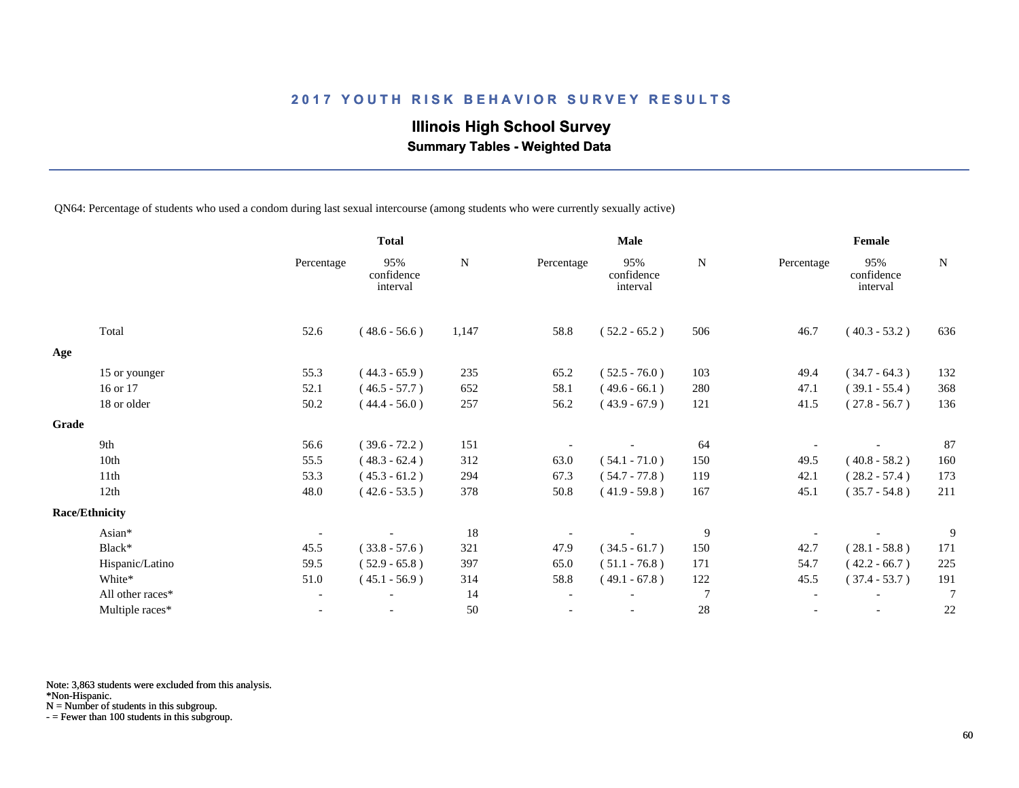# **Illinois High School Survey**

 **Summary Tables - Weighted Data**

QN64: Percentage of students who used a condom during last sexual intercourse (among students who were currently sexually active)

|                       |                  |                          | <b>Total</b>                  |       | <b>Male</b>              |                               |                  | Female                   |                               |                |
|-----------------------|------------------|--------------------------|-------------------------------|-------|--------------------------|-------------------------------|------------------|--------------------------|-------------------------------|----------------|
|                       |                  | Percentage               | 95%<br>confidence<br>interval | N     | Percentage               | 95%<br>confidence<br>interval | $\mathbf N$      | Percentage               | 95%<br>confidence<br>interval | N              |
|                       | Total            | 52.6                     | $(48.6 - 56.6)$               | 1,147 | 58.8                     | $(52.2 - 65.2)$               | 506              | 46.7                     | $(40.3 - 53.2)$               | 636            |
| Age                   |                  |                          |                               |       |                          |                               |                  |                          |                               |                |
|                       | 15 or younger    | 55.3                     | $(44.3 - 65.9)$               | 235   | 65.2                     | $(52.5 - 76.0)$               | 103              | 49.4                     | $(34.7 - 64.3)$               | 132            |
|                       | 16 or 17         | 52.1                     | $(46.5 - 57.7)$               | 652   | 58.1                     | $(49.6 - 66.1)$               | 280              | 47.1                     | $(39.1 - 55.4)$               | 368            |
|                       | 18 or older      | 50.2                     | $(44.4 - 56.0)$               | 257   | 56.2                     | $(43.9 - 67.9)$               | 121              | 41.5                     | $(27.8 - 56.7)$               | 136            |
| Grade                 |                  |                          |                               |       |                          |                               |                  |                          |                               |                |
|                       | 9th              | 56.6                     | $(39.6 - 72.2)$               | 151   |                          |                               | 64               |                          |                               | 87             |
|                       | 10th             | 55.5                     | $(48.3 - 62.4)$               | 312   | 63.0                     | $(54.1 - 71.0)$               | 150              | 49.5                     | $(40.8 - 58.2)$               | 160            |
|                       | 11th             | 53.3                     | $(45.3 - 61.2)$               | 294   | 67.3                     | $(54.7 - 77.8)$               | 119              | 42.1                     | $(28.2 - 57.4)$               | 173            |
|                       | 12th             | 48.0                     | $(42.6 - 53.5)$               | 378   | 50.8                     | $(41.9 - 59.8)$               | 167              | 45.1                     | $(35.7 - 54.8)$               | 211            |
| <b>Race/Ethnicity</b> |                  |                          |                               |       |                          |                               |                  |                          |                               |                |
|                       | Asian*           |                          |                               | 18    |                          |                               | $\boldsymbol{9}$ |                          |                               | 9              |
|                       | Black*           | 45.5                     | $(33.8 - 57.6)$               | 321   | 47.9                     | $(34.5 - 61.7)$               | 150              | 42.7                     | $(28.1 - 58.8)$               | 171            |
|                       | Hispanic/Latino  | 59.5                     | $(52.9 - 65.8)$               | 397   | 65.0                     | $(51.1 - 76.8)$               | 171              | 54.7                     | $(42.2 - 66.7)$               | 225            |
|                       | White*           | 51.0                     | $(45.1 - 56.9)$               | 314   | 58.8                     | $(49.1 - 67.8)$               | 122              | 45.5                     | $(37.4 - 53.7)$               | 191            |
|                       | All other races* | $\overline{\phantom{a}}$ |                               | 14    | $\overline{\phantom{a}}$ |                               | $\overline{7}$   | $\overline{\phantom{a}}$ | $\overline{\phantom{a}}$      | $\overline{7}$ |
|                       | Multiple races*  | $\overline{\phantom{a}}$ |                               | 50    |                          |                               | $28\,$           |                          | $\overline{\phantom{a}}$      | 22             |

Note: 3,863 students were excluded from this analysis.

\*Non-Hispanic.

N = Number of students in this subgroup.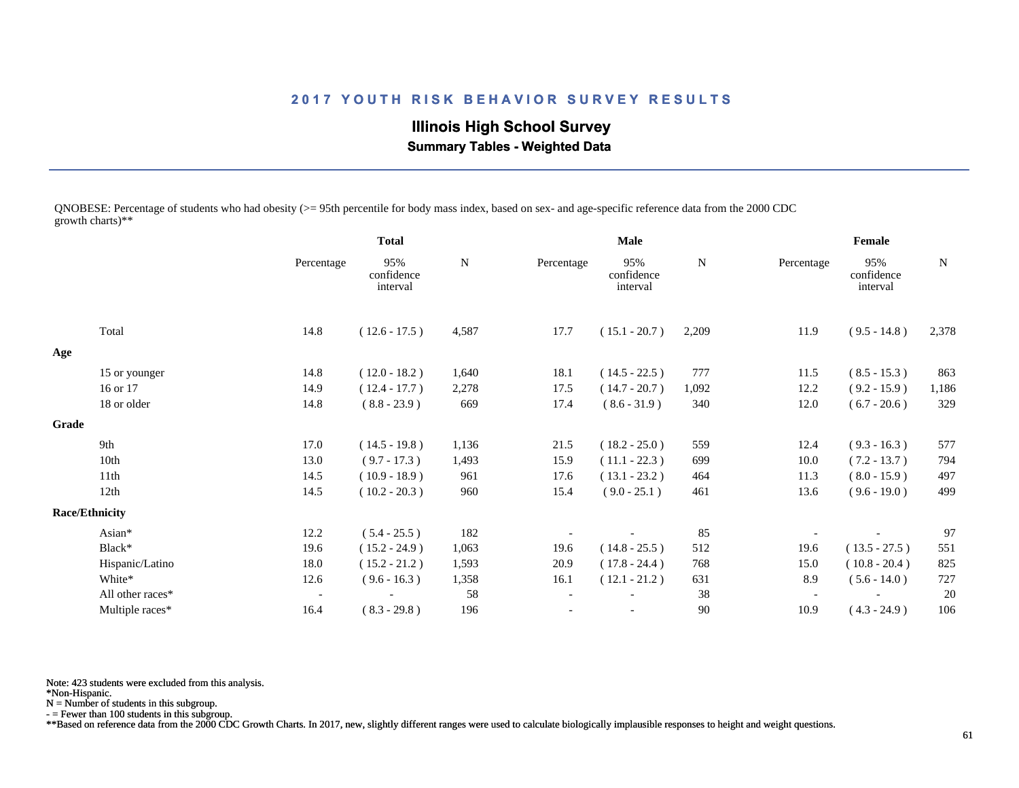**Illinois High School Survey Summary Tables - Weighted Data**

QNOBESE: Percentage of students who had obesity (>= 95th percentile for body mass index, based on sex- and age-specific reference data from the 2000 CDC growth charts)\*\*

|       |                       |                          | <b>Total</b>                  |           |                          | <b>Male</b>                   |           |                          | Female                        |           |
|-------|-----------------------|--------------------------|-------------------------------|-----------|--------------------------|-------------------------------|-----------|--------------------------|-------------------------------|-----------|
|       |                       | Percentage               | 95%<br>confidence<br>interval | ${\bf N}$ | Percentage               | 95%<br>confidence<br>interval | ${\bf N}$ | Percentage               | 95%<br>confidence<br>interval | ${\bf N}$ |
|       | Total                 | 14.8                     | $(12.6 - 17.5)$               | 4,587     | 17.7                     | $(15.1 - 20.7)$               | 2,209     | 11.9                     | $(9.5 - 14.8)$                | 2,378     |
| Age   |                       |                          |                               |           |                          |                               |           |                          |                               |           |
|       | 15 or younger         | 14.8                     | $(12.0 - 18.2)$               | 1,640     | 18.1                     | $(14.5 - 22.5)$               | 777       | 11.5                     | $(8.5 - 15.3)$                | 863       |
|       | 16 or 17              | 14.9                     | $(12.4 - 17.7)$               | 2,278     | 17.5                     | $(14.7 - 20.7)$               | 1,092     | 12.2                     | $(9.2 - 15.9)$                | 1,186     |
|       | 18 or older           | 14.8                     | $(8.8 - 23.9)$                | 669       | 17.4                     | $(8.6 - 31.9)$                | 340       | 12.0                     | $(6.7 - 20.6)$                | 329       |
| Grade |                       |                          |                               |           |                          |                               |           |                          |                               |           |
|       | 9th                   | 17.0                     | $(14.5 - 19.8)$               | 1,136     | 21.5                     | $(18.2 - 25.0)$               | 559       | 12.4                     | $(9.3 - 16.3)$                | 577       |
|       | 10th                  | 13.0                     | $(9.7 - 17.3)$                | 1,493     | 15.9                     | $(11.1 - 22.3)$               | 699       | 10.0                     | $(7.2 - 13.7)$                | 794       |
|       | 11th                  | 14.5                     | $(10.9 - 18.9)$               | 961       | 17.6                     | $(13.1 - 23.2)$               | 464       | 11.3                     | $(8.0 - 15.9)$                | 497       |
|       | 12th                  | 14.5                     | $(10.2 - 20.3)$               | 960       | 15.4                     | $(9.0 - 25.1)$                | 461       | 13.6                     | $(9.6 - 19.0)$                | 499       |
|       | <b>Race/Ethnicity</b> |                          |                               |           |                          |                               |           |                          |                               |           |
|       | Asian*                | 12.2                     | $(5.4 - 25.5)$                | 182       |                          |                               | 85        |                          |                               | 97        |
|       | Black*                | 19.6                     | $(15.2 - 24.9)$               | 1,063     | 19.6                     | $(14.8 - 25.5)$               | 512       | 19.6                     | $(13.5 - 27.5)$               | 551       |
|       | Hispanic/Latino       | 18.0                     | $(15.2 - 21.2)$               | 1,593     | 20.9                     | $(17.8 - 24.4)$               | 768       | 15.0                     | $(10.8 - 20.4)$               | 825       |
|       | White*                | 12.6                     | $(9.6 - 16.3)$                | 1,358     | 16.1                     | $(12.1 - 21.2)$               | 631       | 8.9                      | $(5.6 - 14.0)$                | 727       |
|       | All other races*      | $\overline{\phantom{a}}$ |                               | 58        | $\overline{\phantom{a}}$ |                               | 38        | $\overline{\phantom{a}}$ |                               | 20        |
|       | Multiple races*       | 16.4                     | $(8.3 - 29.8)$                | 196       |                          |                               | $90\,$    | 10.9                     | $(4.3 - 24.9)$                | 106       |

Note: 423 students were excluded from this analysis.

\*Non-Hispanic.

N = Number of students in this subgroup.

- = Fewer than 100 students in this subgroup.

\*\*Based on reference data from the 2000 CDC Growth Charts. In 2017, new, slightly different ranges were used to calculate biologically implausible responses to height and weight questions.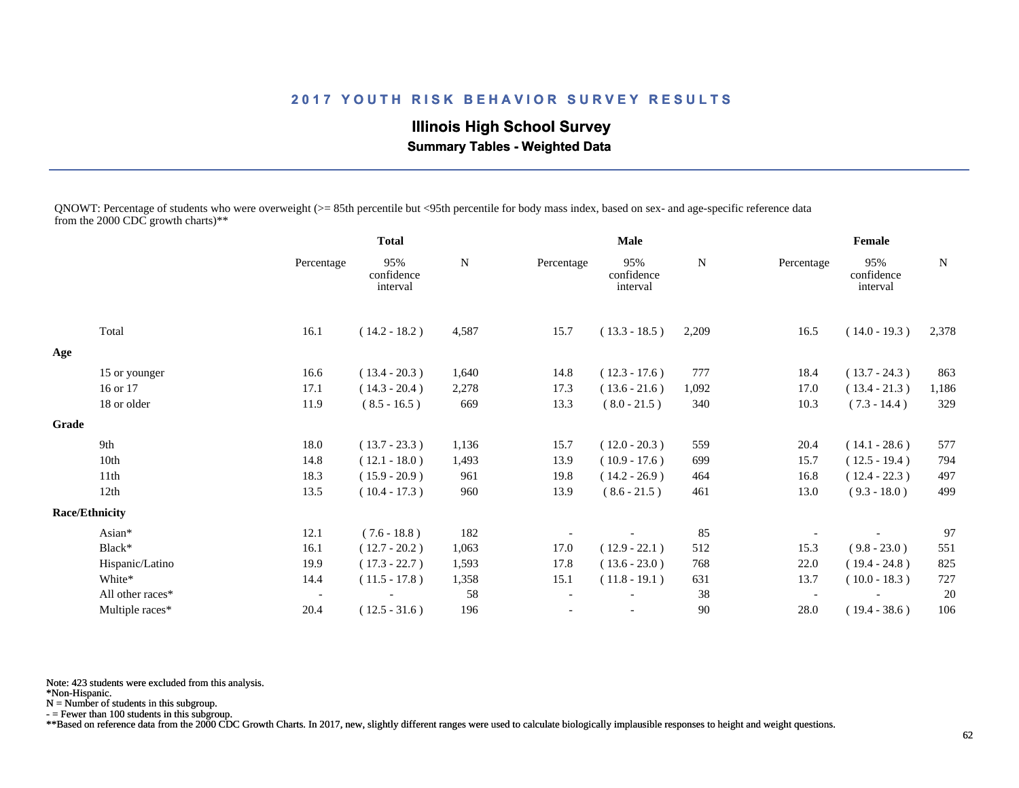# **Illinois High School Survey**

 **Summary Tables - Weighted Data**

QNOWT: Percentage of students who were overweight (>= 85th percentile but <95th percentile for body mass index, based on sex- and age-specific reference data from the 2000 CDC growth charts)\*\*

|       |                       |                          | <b>Total</b>                  |             |                          | <b>Male</b>                   |        |                          | Female                        |             |
|-------|-----------------------|--------------------------|-------------------------------|-------------|--------------------------|-------------------------------|--------|--------------------------|-------------------------------|-------------|
|       |                       | Percentage               | 95%<br>confidence<br>interval | $\mathbf N$ | Percentage               | 95%<br>confidence<br>interval | N      | Percentage               | 95%<br>confidence<br>interval | $\mathbf N$ |
|       | Total                 | 16.1                     | $(14.2 - 18.2)$               | 4,587       | 15.7                     | $(13.3 - 18.5)$               | 2,209  | 16.5                     | $(14.0 - 19.3)$               | 2,378       |
| Age   |                       |                          |                               |             |                          |                               |        |                          |                               |             |
|       | 15 or younger         | 16.6                     | $(13.4 - 20.3)$               | 1,640       | 14.8                     | $(12.3 - 17.6)$               | 777    | 18.4                     | $(13.7 - 24.3)$               | 863         |
|       | 16 or 17              | 17.1                     | $(14.3 - 20.4)$               | 2,278       | 17.3                     | $(13.6 - 21.6)$               | 1,092  | 17.0                     | $(13.4 - 21.3)$               | 1,186       |
|       | 18 or older           | 11.9                     | $(8.5 - 16.5)$                | 669         | 13.3                     | $(8.0 - 21.5)$                | 340    | 10.3                     | $(7.3 - 14.4)$                | 329         |
| Grade |                       |                          |                               |             |                          |                               |        |                          |                               |             |
|       | 9th                   | 18.0                     | $(13.7 - 23.3)$               | 1,136       | 15.7                     | $(12.0 - 20.3)$               | 559    | 20.4                     | $(14.1 - 28.6)$               | 577         |
|       | 10th                  | 14.8                     | $(12.1 - 18.0)$               | 1,493       | 13.9                     | $(10.9 - 17.6)$               | 699    | 15.7                     | $(12.5 - 19.4)$               | 794         |
|       | 11 <sup>th</sup>      | 18.3                     | $(15.9 - 20.9)$               | 961         | 19.8                     | $(14.2 - 26.9)$               | 464    | 16.8                     | $(12.4 - 22.3)$               | 497         |
|       | 12th                  | 13.5                     | $(10.4 - 17.3)$               | 960         | 13.9                     | $(8.6 - 21.5)$                | 461    | 13.0                     | $(9.3 - 18.0)$                | 499         |
|       | <b>Race/Ethnicity</b> |                          |                               |             |                          |                               |        |                          |                               |             |
|       | Asian*                | 12.1                     | $(7.6 - 18.8)$                | 182         |                          |                               | 85     |                          |                               | 97          |
|       | Black*                | 16.1                     | $(12.7 - 20.2)$               | 1,063       | 17.0                     | $(12.9 - 22.1)$               | 512    | 15.3                     | $(9.8 - 23.0)$                | 551         |
|       | Hispanic/Latino       | 19.9                     | $(17.3 - 22.7)$               | 1,593       | 17.8                     | $(13.6 - 23.0)$               | 768    | 22.0                     | $(19.4 - 24.8)$               | 825         |
|       | White*                | 14.4                     | $(11.5 - 17.8)$               | 1,358       | 15.1                     | $(11.8 - 19.1)$               | 631    | 13.7                     | $(10.0 - 18.3)$               | 727         |
|       | All other races*      | $\overline{\phantom{a}}$ |                               | 58          | $\overline{\phantom{a}}$ |                               | 38     | $\overline{\phantom{a}}$ |                               | 20          |
|       | Multiple races*       | 20.4                     | $(12.5 - 31.6)$               | 196         |                          |                               | $90\,$ | 28.0                     | $(19.4 - 38.6)$               | 106         |

Note: 423 students were excluded from this analysis.

\*Non-Hispanic.

N = Number of students in this subgroup.

- = Fewer than 100 students in this subgroup.

\*\*Based on reference data from the 2000 CDC Growth Charts. In 2017, new, slightly different ranges were used to calculate biologically implausible responses to height and weight questions.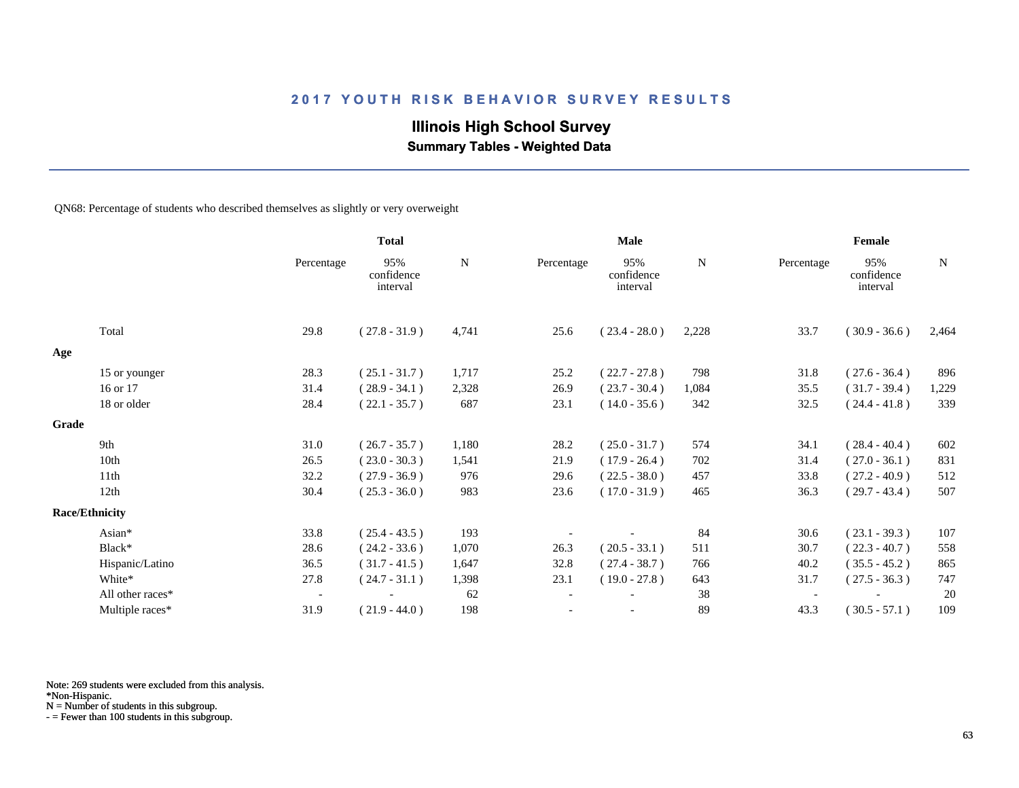# **Illinois High School Survey**

 **Summary Tables - Weighted Data**

QN68: Percentage of students who described themselves as slightly or very overweight

|       |                       |                          | <b>Total</b>                  |       | <b>Male</b>              |                               |       | Female     |                               |             |  |
|-------|-----------------------|--------------------------|-------------------------------|-------|--------------------------|-------------------------------|-------|------------|-------------------------------|-------------|--|
|       |                       | Percentage               | 95%<br>confidence<br>interval | N     | Percentage               | 95%<br>confidence<br>interval | N     | Percentage | 95%<br>confidence<br>interval | $\mathbf N$ |  |
|       | Total                 | 29.8                     | $(27.8 - 31.9)$               | 4,741 | 25.6                     | $(23.4 - 28.0)$               | 2,228 | 33.7       | $(30.9 - 36.6)$               | 2,464       |  |
| Age   |                       |                          |                               |       |                          |                               |       |            |                               |             |  |
|       | 15 or younger         | 28.3                     | $(25.1 - 31.7)$               | 1,717 | 25.2                     | $(22.7 - 27.8)$               | 798   | 31.8       | $(27.6 - 36.4)$               | 896         |  |
|       | 16 or 17              | 31.4                     | $(28.9 - 34.1)$               | 2,328 | 26.9                     | $(23.7 - 30.4)$               | 1,084 | 35.5       | $(31.7 - 39.4)$               | 1,229       |  |
|       | 18 or older           | 28.4                     | $(22.1 - 35.7)$               | 687   | 23.1                     | $(14.0 - 35.6)$               | 342   | 32.5       | $(24.4 - 41.8)$               | 339         |  |
| Grade |                       |                          |                               |       |                          |                               |       |            |                               |             |  |
|       | 9th                   | 31.0                     | $(26.7 - 35.7)$               | 1,180 | 28.2                     | $(25.0 - 31.7)$               | 574   | 34.1       | $(28.4 - 40.4)$               | 602         |  |
|       | 10th                  | 26.5                     | $(23.0 - 30.3)$               | 1,541 | 21.9                     | $(17.9 - 26.4)$               | 702   | 31.4       | $(27.0 - 36.1)$               | 831         |  |
|       | 11th                  | 32.2                     | $(27.9 - 36.9)$               | 976   | 29.6                     | $(22.5 - 38.0)$               | 457   | 33.8       | $(27.2 - 40.9)$               | 512         |  |
|       | 12th                  | 30.4                     | $(25.3 - 36.0)$               | 983   | 23.6                     | $(17.0 - 31.9)$               | 465   | 36.3       | $(29.7 - 43.4)$               | 507         |  |
|       | <b>Race/Ethnicity</b> |                          |                               |       |                          |                               |       |            |                               |             |  |
|       | Asian*                | 33.8                     | $(25.4 - 43.5)$               | 193   |                          |                               | 84    | 30.6       | $(23.1 - 39.3)$               | 107         |  |
|       | Black*                | 28.6                     | $(24.2 - 33.6)$               | 1,070 | 26.3                     | $(20.5 - 33.1)$               | 511   | 30.7       | $(22.3 - 40.7)$               | 558         |  |
|       | Hispanic/Latino       | 36.5                     | $(31.7 - 41.5)$               | 1,647 | 32.8                     | $(27.4 - 38.7)$               | 766   | 40.2       | $(35.5 - 45.2)$               | 865         |  |
|       | White*                | 27.8                     | $(24.7 - 31.1)$               | 1,398 | 23.1                     | $(19.0 - 27.8)$               | 643   | 31.7       | $(27.5 - 36.3)$               | 747         |  |
|       | All other races*      | $\overline{\phantom{a}}$ |                               | 62    | $\overline{\phantom{a}}$ |                               | 38    |            |                               | 20          |  |
|       | Multiple races*       | 31.9                     | $(21.9 - 44.0)$               | 198   |                          | $\overline{\phantom{a}}$      | 89    | 43.3       | $(30.5 - 57.1)$               | 109         |  |

Note: 269 students were excluded from this analysis.

N = Number of students in this subgroup.

<sup>\*</sup>Non-Hispanic.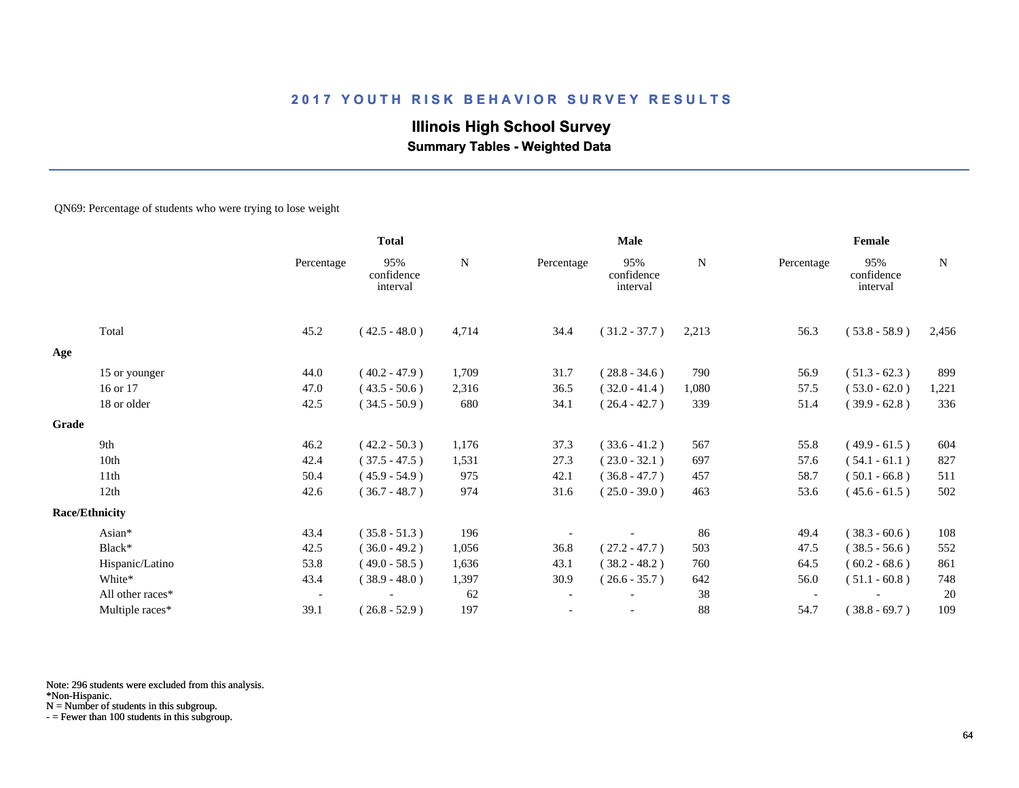# **Illinois High School Survey Summary Tables - Weighted Data**

#### QN69: Percentage of students who were trying to lose weight

|       |                       |                          | <b>Total</b>                  |           |                          | Male                          |       |            | Female                        |             |
|-------|-----------------------|--------------------------|-------------------------------|-----------|--------------------------|-------------------------------|-------|------------|-------------------------------|-------------|
|       |                       | Percentage               | 95%<br>confidence<br>interval | ${\bf N}$ | Percentage               | 95%<br>confidence<br>interval | N     | Percentage | 95%<br>confidence<br>interval | $\mathbf N$ |
|       | Total                 | 45.2                     | $(42.5 - 48.0)$               | 4,714     | 34.4                     | $(31.2 - 37.7)$               | 2,213 | 56.3       | $(53.8 - 58.9)$               | 2,456       |
| Age   |                       |                          |                               |           |                          |                               |       |            |                               |             |
|       | 15 or younger         | 44.0                     | $(40.2 - 47.9)$               | 1,709     | 31.7                     | $(28.8 - 34.6)$               | 790   | 56.9       | $(51.3 - 62.3)$               | 899         |
|       | 16 or 17              | 47.0                     | $(43.5 - 50.6)$               | 2,316     | 36.5                     | $(32.0 - 41.4)$               | 1,080 | 57.5       | $(53.0 - 62.0)$               | 1,221       |
|       | 18 or older           | 42.5                     | $(34.5 - 50.9)$               | 680       | 34.1                     | $(26.4 - 42.7)$               | 339   | 51.4       | $(39.9 - 62.8)$               | 336         |
| Grade |                       |                          |                               |           |                          |                               |       |            |                               |             |
|       | 9th                   | 46.2                     | $(42.2 - 50.3)$               | 1,176     | 37.3                     | $(33.6 - 41.2)$               | 567   | 55.8       | $(49.9 - 61.5)$               | 604         |
|       | 10th                  | 42.4                     | $(37.5 - 47.5)$               | 1,531     | 27.3                     | $(23.0 - 32.1)$               | 697   | 57.6       | $(54.1 - 61.1)$               | 827         |
|       | 11th                  | 50.4                     | $(45.9 - 54.9)$               | 975       | 42.1                     | $(36.8 - 47.7)$               | 457   | 58.7       | $(50.1 - 66.8)$               | 511         |
|       | 12th                  | 42.6                     | $(36.7 - 48.7)$               | 974       | 31.6                     | $(25.0 - 39.0)$               | 463   | 53.6       | $(45.6 - 61.5)$               | 502         |
|       | <b>Race/Ethnicity</b> |                          |                               |           |                          |                               |       |            |                               |             |
|       | Asian*                | 43.4                     | $(35.8 - 51.3)$               | 196       |                          |                               | 86    | 49.4       | $(38.3 - 60.6)$               | 108         |
|       | Black*                | 42.5                     | $(36.0 - 49.2)$               | 1,056     | 36.8                     | $(27.2 - 47.7)$               | 503   | 47.5       | $(38.5 - 56.6)$               | 552         |
|       | Hispanic/Latino       | 53.8                     | $(49.0 - 58.5)$               | 1,636     | 43.1                     | $(38.2 - 48.2)$               | 760   | 64.5       | $(60.2 - 68.6)$               | 861         |
|       | White*                | 43.4                     | $(38.9 - 48.0)$               | 1,397     | 30.9                     | $(26.6 - 35.7)$               | 642   | 56.0       | $(51.1 - 60.8)$               | 748         |
|       | All other races*      | $\overline{\phantom{a}}$ |                               | 62        | $\overline{\phantom{a}}$ |                               | 38    |            |                               | 20          |
|       | Multiple races*       | 39.1                     | $(26.8 - 52.9)$               | 197       |                          |                               | 88    | 54.7       | $(38.8 - 69.7)$               | 109         |

Note: 296 students were excluded from this analysis.

N = Number of students in this subgroup.

<sup>\*</sup>Non-Hispanic.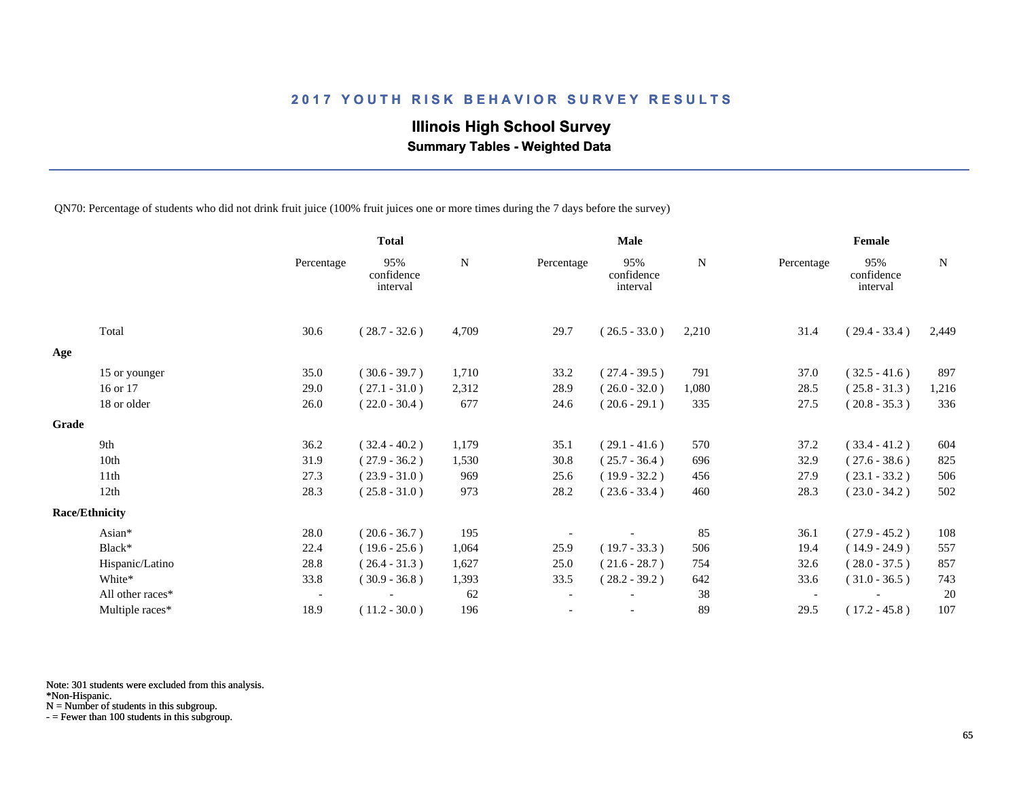# **Illinois High School Survey**

 **Summary Tables - Weighted Data**

QN70: Percentage of students who did not drink fruit juice (100% fruit juices one or more times during the 7 days before the survey)

|       |                       |                          | <b>Total</b>                  |       | Male       |                               |       | Female                   |                               |       |  |
|-------|-----------------------|--------------------------|-------------------------------|-------|------------|-------------------------------|-------|--------------------------|-------------------------------|-------|--|
|       |                       | Percentage               | 95%<br>confidence<br>interval | N     | Percentage | 95%<br>confidence<br>interval | N     | Percentage               | 95%<br>confidence<br>interval | N     |  |
|       | Total                 | 30.6                     | $(28.7 - 32.6)$               | 4,709 | 29.7       | $(26.5 - 33.0)$               | 2,210 | 31.4                     | $(29.4 - 33.4)$               | 2,449 |  |
| Age   |                       |                          |                               |       |            |                               |       |                          |                               |       |  |
|       | 15 or younger         | 35.0                     | $(30.6 - 39.7)$               | 1,710 | 33.2       | $(27.4 - 39.5)$               | 791   | 37.0                     | $(32.5 - 41.6)$               | 897   |  |
|       | 16 or 17              | 29.0                     | $(27.1 - 31.0)$               | 2,312 | 28.9       | $(26.0 - 32.0)$               | 1,080 | 28.5                     | $(25.8 - 31.3)$               | 1,216 |  |
|       | 18 or older           | 26.0                     | $(22.0 - 30.4)$               | 677   | 24.6       | $(20.6 - 29.1)$               | 335   | 27.5                     | $(20.8 - 35.3)$               | 336   |  |
| Grade |                       |                          |                               |       |            |                               |       |                          |                               |       |  |
|       | 9th                   | 36.2                     | $(32.4 - 40.2)$               | 1,179 | 35.1       | $(29.1 - 41.6)$               | 570   | 37.2                     | $(33.4 - 41.2)$               | 604   |  |
|       | 10th                  | 31.9                     | $(27.9 - 36.2)$               | 1,530 | 30.8       | $(25.7 - 36.4)$               | 696   | 32.9                     | $(27.6 - 38.6)$               | 825   |  |
|       | 11th                  | 27.3                     | $(23.9 - 31.0)$               | 969   | 25.6       | $(19.9 - 32.2)$               | 456   | 27.9                     | $(23.1 - 33.2)$               | 506   |  |
|       | 12th                  | 28.3                     | $(25.8 - 31.0)$               | 973   | 28.2       | $(23.6 - 33.4)$               | 460   | 28.3                     | $(23.0 - 34.2)$               | 502   |  |
|       | <b>Race/Ethnicity</b> |                          |                               |       |            |                               |       |                          |                               |       |  |
|       | Asian*                | 28.0                     | $(20.6 - 36.7)$               | 195   |            |                               | 85    | 36.1                     | $(27.9 - 45.2)$               | 108   |  |
|       | Black*                | 22.4                     | $(19.6 - 25.6)$               | 1,064 | 25.9       | $(19.7 - 33.3)$               | 506   | 19.4                     | $(14.9 - 24.9)$               | 557   |  |
|       | Hispanic/Latino       | 28.8                     | $(26.4 - 31.3)$               | 1,627 | 25.0       | $(21.6 - 28.7)$               | 754   | 32.6                     | $(28.0 - 37.5)$               | 857   |  |
|       | White*                | 33.8                     | $(30.9 - 36.8)$               | 1,393 | 33.5       | $(28.2 - 39.2)$               | 642   | 33.6                     | $(31.0 - 36.5)$               | 743   |  |
|       | All other races*      | $\overline{\phantom{a}}$ |                               | 62    |            |                               | 38    | $\overline{\phantom{a}}$ |                               | 20    |  |
|       | Multiple races*       | 18.9                     | $(11.2 - 30.0)$               | 196   |            |                               | 89    | 29.5                     | $(17.2 - 45.8)$               | 107   |  |

Note: 301 students were excluded from this analysis.

\*Non-Hispanic.

N = Number of students in this subgroup.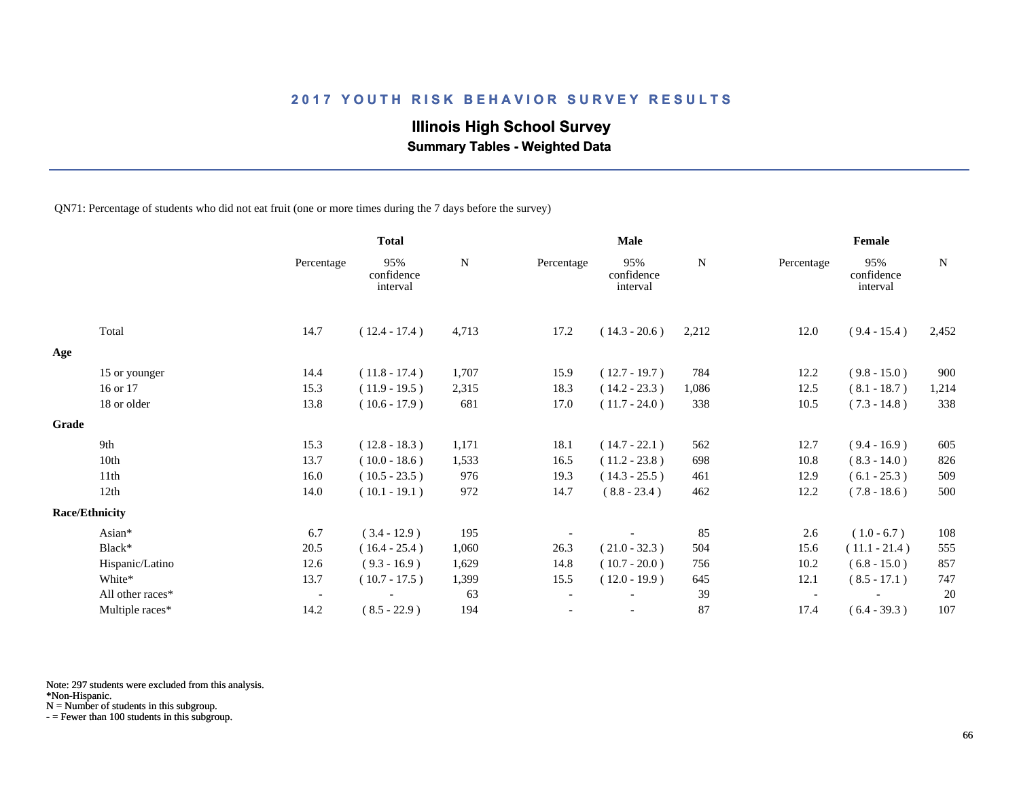# **Illinois High School Survey**

 **Summary Tables - Weighted Data**

QN71: Percentage of students who did not eat fruit (one or more times during the 7 days before the survey)

|       |                       |                          | <b>Total</b>                  |       | Male       |                               |       | Female                   |                               |             |
|-------|-----------------------|--------------------------|-------------------------------|-------|------------|-------------------------------|-------|--------------------------|-------------------------------|-------------|
|       |                       | Percentage               | 95%<br>confidence<br>interval | N     | Percentage | 95%<br>confidence<br>interval | N     | Percentage               | 95%<br>confidence<br>interval | $\mathbf N$ |
|       | Total                 | 14.7                     | $(12.4 - 17.4)$               | 4,713 | 17.2       | $(14.3 - 20.6)$               | 2,212 | 12.0                     | $(9.4 - 15.4)$                | 2,452       |
| Age   |                       |                          |                               |       |            |                               |       |                          |                               |             |
|       | 15 or younger         | 14.4                     | $(11.8 - 17.4)$               | 1,707 | 15.9       | $(12.7 - 19.7)$               | 784   | 12.2                     | $(9.8 - 15.0)$                | 900         |
|       | 16 or 17              | 15.3                     | $(11.9 - 19.5)$               | 2,315 | 18.3       | $(14.2 - 23.3)$               | 1,086 | 12.5                     | $(8.1 - 18.7)$                | 1,214       |
|       | 18 or older           | 13.8                     | $(10.6 - 17.9)$               | 681   | 17.0       | $(11.7 - 24.0)$               | 338   | 10.5                     | $(7.3 - 14.8)$                | 338         |
| Grade |                       |                          |                               |       |            |                               |       |                          |                               |             |
|       | 9th                   | 15.3                     | $(12.8 - 18.3)$               | 1,171 | 18.1       | $(14.7 - 22.1)$               | 562   | 12.7                     | $(9.4 - 16.9)$                | 605         |
|       | 10th                  | 13.7                     | $(10.0 - 18.6)$               | 1,533 | 16.5       | $(11.2 - 23.8)$               | 698   | 10.8                     | $(8.3 - 14.0)$                | 826         |
|       | 11th                  | 16.0                     | $(10.5 - 23.5)$               | 976   | 19.3       | $(14.3 - 25.5)$               | 461   | 12.9                     | $(6.1 - 25.3)$                | 509         |
|       | 12th                  | 14.0                     | $(10.1 - 19.1)$               | 972   | 14.7       | $(8.8 - 23.4)$                | 462   | 12.2                     | $(7.8 - 18.6)$                | 500         |
|       | <b>Race/Ethnicity</b> |                          |                               |       |            |                               |       |                          |                               |             |
|       | Asian*                | 6.7                      | $(3.4 - 12.9)$                | 195   |            |                               | 85    | 2.6                      | $(1.0 - 6.7)$                 | 108         |
|       | Black*                | 20.5                     | $(16.4 - 25.4)$               | 1,060 | 26.3       | $(21.0 - 32.3)$               | 504   | 15.6                     | $(11.1 - 21.4)$               | 555         |
|       | Hispanic/Latino       | 12.6                     | $(9.3 - 16.9)$                | 1,629 | 14.8       | $(10.7 - 20.0)$               | 756   | 10.2                     | $(6.8 - 15.0)$                | 857         |
|       | White*                | 13.7                     | $(10.7 - 17.5)$               | 1,399 | 15.5       | $(12.0 - 19.9)$               | 645   | 12.1                     | $(8.5 - 17.1)$                | 747         |
|       | All other races*      | $\overline{\phantom{a}}$ |                               | 63    |            |                               | 39    | $\overline{\phantom{a}}$ |                               | 20          |
|       | Multiple races*       | 14.2                     | $(8.5 - 22.9)$                | 194   |            | $\overline{\phantom{a}}$      | 87    | 17.4                     | $(6.4 - 39.3)$                | 107         |

Note: 297 students were excluded from this analysis.

\*Non-Hispanic.

N = Number of students in this subgroup.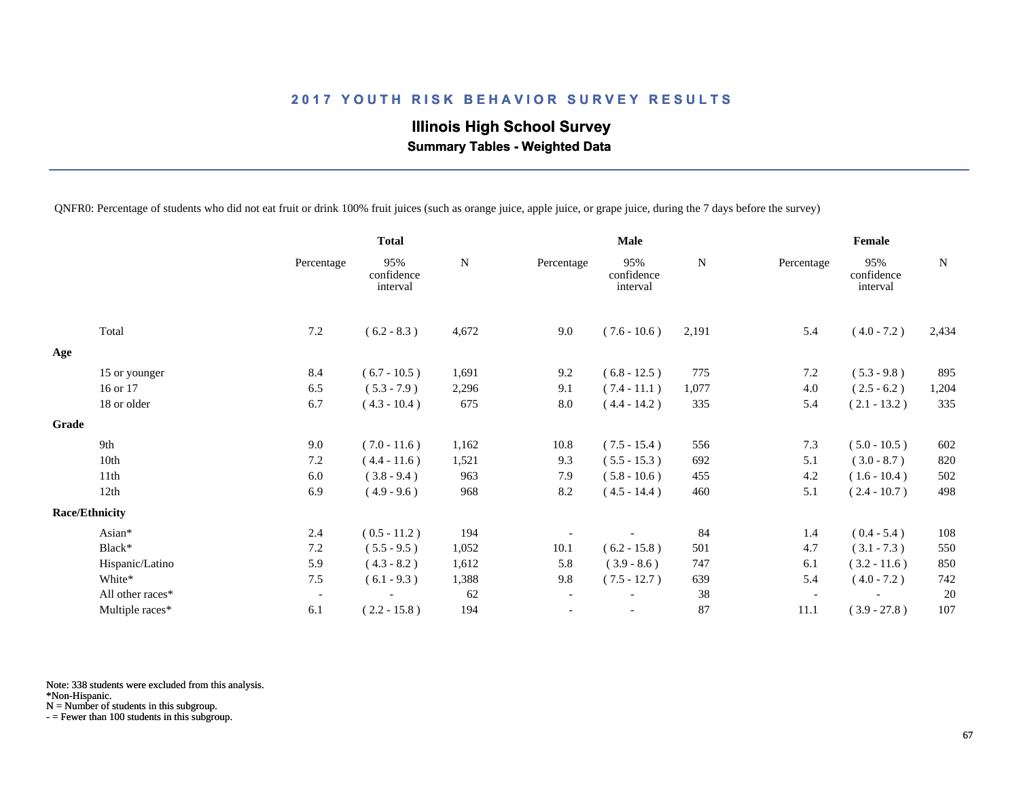# **Illinois High School Survey Summary Tables - Weighted Data**

QNFR0: Percentage of students who did not eat fruit or drink 100% fruit juices (such as orange juice, apple juice, or grape juice, during the 7 days before the survey)

|                       |                  |                          | <b>Total</b>                  |       |                          | <b>Male</b>                   |             |            | Female                        |             |
|-----------------------|------------------|--------------------------|-------------------------------|-------|--------------------------|-------------------------------|-------------|------------|-------------------------------|-------------|
|                       |                  | Percentage               | 95%<br>confidence<br>interval | N     | Percentage               | 95%<br>confidence<br>interval | $\mathbf N$ | Percentage | 95%<br>confidence<br>interval | $\mathbf N$ |
| Total                 |                  | 7.2                      | $(6.2 - 8.3)$                 | 4,672 | 9.0                      | $(7.6 - 10.6)$                | 2,191       | 5.4        | $(4.0 - 7.2)$                 | 2,434       |
| Age                   |                  |                          |                               |       |                          |                               |             |            |                               |             |
|                       | 15 or younger    | 8.4                      | $(6.7 - 10.5)$                | 1,691 | 9.2                      | $(6.8 - 12.5)$                | 775         | 7.2        | $(5.3 - 9.8)$                 | 895         |
| 16 or 17              |                  | 6.5                      | $(5.3 - 7.9)$                 | 2,296 | 9.1                      | $(7.4 - 11.1)$                | 1,077       | 4.0        | $(2.5 - 6.2)$                 | 1,204       |
|                       | 18 or older      | 6.7                      | $(4.3 - 10.4)$                | 675   | 8.0                      | $(4.4 - 14.2)$                | 335         | 5.4        | $(2.1 - 13.2)$                | 335         |
| Grade                 |                  |                          |                               |       |                          |                               |             |            |                               |             |
| 9th                   |                  | 9.0                      | $(7.0 - 11.6)$                | 1,162 | 10.8                     | $(7.5 - 15.4)$                | 556         | 7.3        | $(5.0 - 10.5)$                | 602         |
| 10th                  |                  | 7.2                      | $(4.4 - 11.6)$                | 1,521 | 9.3                      | $(5.5 - 15.3)$                | 692         | 5.1        | $(3.0 - 8.7)$                 | 820         |
| 11th                  |                  | 6.0                      | $(3.8 - 9.4)$                 | 963   | 7.9                      | $(5.8 - 10.6)$                | 455         | 4.2        | $(1.6 - 10.4)$                | 502         |
| 12th                  |                  | 6.9                      | $(4.9 - 9.6)$                 | 968   | 8.2                      | $(4.5 - 14.4)$                | 460         | 5.1        | $(2.4 - 10.7)$                | 498         |
| <b>Race/Ethnicity</b> |                  |                          |                               |       |                          |                               |             |            |                               |             |
| Asian*                |                  | 2.4                      | $(0.5 - 11.2)$                | 194   |                          |                               | 84          | 1.4        | $(0.4 - 5.4)$                 | 108         |
| Black*                |                  | 7.2                      | $(5.5 - 9.5)$                 | 1,052 | 10.1                     | $(6.2 - 15.8)$                | 501         | 4.7        | $(3.1 - 7.3)$                 | 550         |
|                       | Hispanic/Latino  | 5.9                      | $(4.3 - 8.2)$                 | 1,612 | 5.8                      | $(3.9 - 8.6)$                 | 747         | 6.1        | $(3.2 - 11.6)$                | 850         |
| White*                |                  | 7.5                      | $(6.1 - 9.3)$                 | 1,388 | 9.8                      | $(7.5 - 12.7)$                | 639         | 5.4        | $(4.0 - 7.2)$                 | 742         |
|                       | All other races* | $\overline{\phantom{a}}$ |                               | 62    | $\overline{\phantom{a}}$ |                               | 38          |            |                               | 20          |
|                       | Multiple races*  | 6.1                      | $(2.2 - 15.8)$                | 194   |                          | $\overline{\phantom{a}}$      | 87          | 11.1       | $(3.9 - 27.8)$                | 107         |

Note: 338 students were excluded from this analysis.

\*Non-Hispanic.

N = Number of students in this subgroup.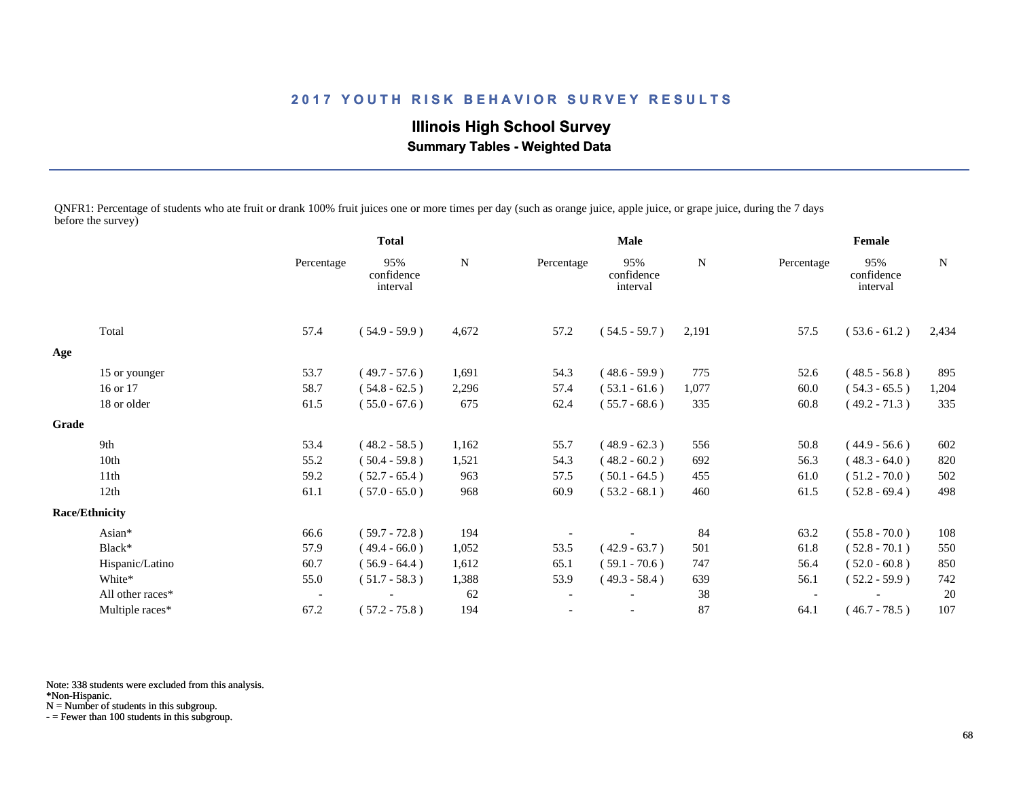**Illinois High School Survey Summary Tables - Weighted Data**

QNFR1: Percentage of students who ate fruit or drank 100% fruit juices one or more times per day (such as orange juice, apple juice, or grape juice, during the 7 days before the survey)

|       |                       |                          | <b>Total</b>                  |             | <b>Male</b> |                               |       | Female                   |                               |       |
|-------|-----------------------|--------------------------|-------------------------------|-------------|-------------|-------------------------------|-------|--------------------------|-------------------------------|-------|
|       |                       | Percentage               | 95%<br>confidence<br>interval | $\mathbf N$ | Percentage  | 95%<br>confidence<br>interval | N     | Percentage               | 95%<br>confidence<br>interval | N     |
|       | Total                 | 57.4                     | $(54.9 - 59.9)$               | 4,672       | 57.2        | $(54.5 - 59.7)$               | 2,191 | 57.5                     | $(53.6 - 61.2)$               | 2,434 |
| Age   |                       |                          |                               |             |             |                               |       |                          |                               |       |
|       | 15 or younger         | 53.7                     | $(49.7 - 57.6)$               | 1,691       | 54.3        | $(48.6 - 59.9)$               | 775   | 52.6                     | $(48.5 - 56.8)$               | 895   |
|       | 16 or 17              | 58.7                     | $(54.8 - 62.5)$               | 2,296       | 57.4        | $(53.1 - 61.6)$               | 1,077 | 60.0                     | $(54.3 - 65.5)$               | 1,204 |
|       | 18 or older           | 61.5                     | $(55.0 - 67.6)$               | 675         | 62.4        | $(55.7 - 68.6)$               | 335   | 60.8                     | $(49.2 - 71.3)$               | 335   |
| Grade |                       |                          |                               |             |             |                               |       |                          |                               |       |
|       | 9th                   | 53.4                     | $(48.2 - 58.5)$               | 1,162       | 55.7        | $(48.9 - 62.3)$               | 556   | 50.8                     | $(44.9 - 56.6)$               | 602   |
|       | 10th                  | 55.2                     | $(50.4 - 59.8)$               | 1,521       | 54.3        | $(48.2 - 60.2)$               | 692   | 56.3                     | $(48.3 - 64.0)$               | 820   |
|       | 11th                  | 59.2                     | $(52.7 - 65.4)$               | 963         | 57.5        | $(50.1 - 64.5)$               | 455   | 61.0                     | $(51.2 - 70.0)$               | 502   |
|       | 12th                  | 61.1                     | $(57.0 - 65.0)$               | 968         | 60.9        | $(53.2 - 68.1)$               | 460   | 61.5                     | $(52.8 - 69.4)$               | 498   |
|       | <b>Race/Ethnicity</b> |                          |                               |             |             |                               |       |                          |                               |       |
|       | Asian*                | 66.6                     | $(59.7 - 72.8)$               | 194         |             |                               | 84    | 63.2                     | $(55.8 - 70.0)$               | 108   |
|       | Black*                | 57.9                     | $(49.4 - 66.0)$               | 1,052       | 53.5        | $(42.9 - 63.7)$               | 501   | 61.8                     | $(52.8 - 70.1)$               | 550   |
|       | Hispanic/Latino       | 60.7                     | $(56.9 - 64.4)$               | 1,612       | 65.1        | $(59.1 - 70.6)$               | 747   | 56.4                     | $(52.0 - 60.8)$               | 850   |
|       | White*                | 55.0                     | $(51.7 - 58.3)$               | 1,388       | 53.9        | $(49.3 - 58.4)$               | 639   | 56.1                     | $(52.2 - 59.9)$               | 742   |
|       | All other races*      | $\overline{\phantom{a}}$ |                               | 62          |             |                               | 38    | $\overline{\phantom{a}}$ |                               | 20    |
|       | Multiple races*       | 67.2                     | $(57.2 - 75.8)$               | 194         |             |                               | 87    | 64.1                     | $(46.7 - 78.5)$               | 107   |

Note: 338 students were excluded from this analysis.

\*Non-Hispanic.

N = Number of students in this subgroup.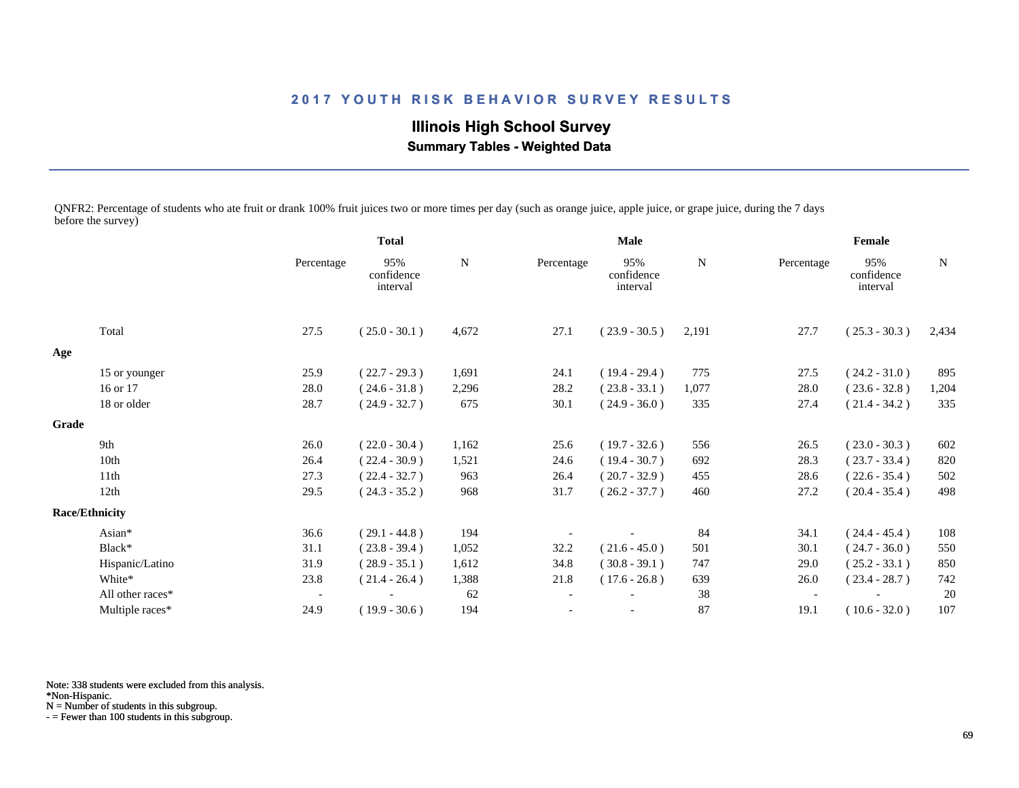**Illinois High School Survey Summary Tables - Weighted Data**

QNFR2: Percentage of students who ate fruit or drank 100% fruit juices two or more times per day (such as orange juice, apple juice, or grape juice, during the 7 days before the survey)

|       |                       | <b>Total</b>             |                               | Male  |            |                               | Female |                          |                               |       |
|-------|-----------------------|--------------------------|-------------------------------|-------|------------|-------------------------------|--------|--------------------------|-------------------------------|-------|
|       |                       | Percentage               | 95%<br>confidence<br>interval | N     | Percentage | 95%<br>confidence<br>interval | N      | Percentage               | 95%<br>confidence<br>interval | N     |
|       | Total                 | 27.5                     | $(25.0 - 30.1)$               | 4,672 | 27.1       | $(23.9 - 30.5)$               | 2,191  | 27.7                     | $(25.3 - 30.3)$               | 2,434 |
| Age   |                       |                          |                               |       |            |                               |        |                          |                               |       |
|       | 15 or younger         | 25.9                     | $(22.7 - 29.3)$               | 1,691 | 24.1       | $(19.4 - 29.4)$               | 775    | 27.5                     | $(24.2 - 31.0)$               | 895   |
|       | 16 or 17              | 28.0                     | $(24.6 - 31.8)$               | 2,296 | 28.2       | $(23.8 - 33.1)$               | 1,077  | 28.0                     | $(23.6 - 32.8)$               | 1,204 |
|       | 18 or older           | 28.7                     | $(24.9 - 32.7)$               | 675   | 30.1       | $(24.9 - 36.0)$               | 335    | 27.4                     | $(21.4 - 34.2)$               | 335   |
| Grade |                       |                          |                               |       |            |                               |        |                          |                               |       |
|       | 9th                   | 26.0                     | $(22.0 - 30.4)$               | 1,162 | 25.6       | $(19.7 - 32.6)$               | 556    | 26.5                     | $(23.0 - 30.3)$               | 602   |
|       | 10th                  | 26.4                     | $(22.4 - 30.9)$               | 1,521 | 24.6       | $(19.4 - 30.7)$               | 692    | 28.3                     | $(23.7 - 33.4)$               | 820   |
|       | 11 <sup>th</sup>      | 27.3                     | $(22.4 - 32.7)$               | 963   | 26.4       | $(20.7 - 32.9)$               | 455    | 28.6                     | $(22.6 - 35.4)$               | 502   |
|       | 12th                  | 29.5                     | $(24.3 - 35.2)$               | 968   | 31.7       | $(26.2 - 37.7)$               | 460    | 27.2                     | $(20.4 - 35.4)$               | 498   |
|       | <b>Race/Ethnicity</b> |                          |                               |       |            |                               |        |                          |                               |       |
|       | Asian*                | 36.6                     | $(29.1 - 44.8)$               | 194   |            |                               | 84     | 34.1                     | $(24.4 - 45.4)$               | 108   |
|       | Black*                | 31.1                     | $(23.8 - 39.4)$               | 1,052 | 32.2       | $(21.6 - 45.0)$               | 501    | 30.1                     | $(24.7 - 36.0)$               | 550   |
|       | Hispanic/Latino       | 31.9                     | $(28.9 - 35.1)$               | 1,612 | 34.8       | $(30.8 - 39.1)$               | 747    | 29.0                     | $(25.2 - 33.1)$               | 850   |
|       | White*                | 23.8                     | $(21.4 - 26.4)$               | 1,388 | 21.8       | $(17.6 - 26.8)$               | 639    | 26.0                     | $(23.4 - 28.7)$               | 742   |
|       | All other races*      | $\overline{\phantom{a}}$ |                               | 62    |            |                               | 38     | $\overline{\phantom{a}}$ |                               | 20    |
|       | Multiple races*       | 24.9                     | $(19.9 - 30.6)$               | 194   |            | $\overline{\phantom{a}}$      | 87     | 19.1                     | $(10.6 - 32.0)$               | 107   |
|       |                       |                          |                               |       |            |                               |        |                          |                               |       |

Note: 338 students were excluded from this analysis.

\*Non-Hispanic.

N = Number of students in this subgroup.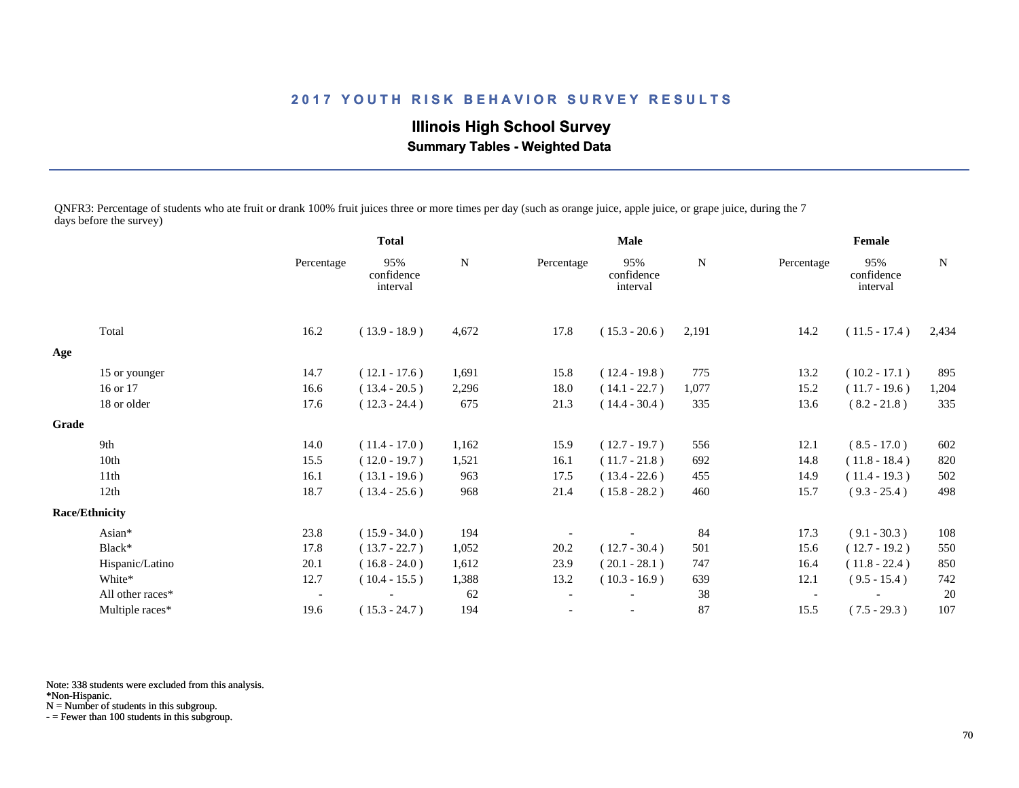**Illinois High School Survey Summary Tables - Weighted Data**

QNFR3: Percentage of students who ate fruit or drank 100% fruit juices three or more times per day (such as orange juice, apple juice, or grape juice, during the 7 days before the survey)

|       |                       |                          | <b>Total</b>                  |             | <b>Male</b>              |                               |       | Female                   |                               |             |  |
|-------|-----------------------|--------------------------|-------------------------------|-------------|--------------------------|-------------------------------|-------|--------------------------|-------------------------------|-------------|--|
|       |                       | Percentage               | 95%<br>confidence<br>interval | $\mathbf N$ | Percentage               | 95%<br>confidence<br>interval | N     | Percentage               | 95%<br>confidence<br>interval | $\mathbf N$ |  |
|       | Total                 | 16.2                     | $(13.9 - 18.9)$               | 4,672       | 17.8                     | $(15.3 - 20.6)$               | 2,191 | 14.2                     | $(11.5 - 17.4)$               | 2,434       |  |
| Age   |                       |                          |                               |             |                          |                               |       |                          |                               |             |  |
|       | 15 or younger         | 14.7                     | $(12.1 - 17.6)$               | 1,691       | 15.8                     | $(12.4 - 19.8)$               | 775   | 13.2                     | $(10.2 - 17.1)$               | 895         |  |
|       | 16 or 17              | 16.6                     | $(13.4 - 20.5)$               | 2,296       | 18.0                     | $(14.1 - 22.7)$               | 1,077 | 15.2                     | $(11.7 - 19.6)$               | 1,204       |  |
|       | 18 or older           | 17.6                     | $(12.3 - 24.4)$               | 675         | 21.3                     | $(14.4 - 30.4)$               | 335   | 13.6                     | $(8.2 - 21.8)$                | 335         |  |
| Grade |                       |                          |                               |             |                          |                               |       |                          |                               |             |  |
|       | 9th                   | 14.0                     | $(11.4 - 17.0)$               | 1,162       | 15.9                     | $(12.7 - 19.7)$               | 556   | 12.1                     | $(8.5 - 17.0)$                | 602         |  |
|       | 10th                  | 15.5                     | $(12.0 - 19.7)$               | 1,521       | 16.1                     | $(11.7 - 21.8)$               | 692   | 14.8                     | $(11.8 - 18.4)$               | 820         |  |
|       | 11th                  | 16.1                     | $(13.1 - 19.6)$               | 963         | 17.5                     | $(13.4 - 22.6)$               | 455   | 14.9                     | $(11.4 - 19.3)$               | 502         |  |
|       | 12th                  | 18.7                     | $(13.4 - 25.6)$               | 968         | 21.4                     | $(15.8 - 28.2)$               | 460   | 15.7                     | $(9.3 - 25.4)$                | 498         |  |
|       | <b>Race/Ethnicity</b> |                          |                               |             |                          |                               |       |                          |                               |             |  |
|       | Asian*                | 23.8                     | $(15.9 - 34.0)$               | 194         |                          |                               | 84    | 17.3                     | $(9.1 - 30.3)$                | 108         |  |
|       | Black*                | 17.8                     | $(13.7 - 22.7)$               | 1,052       | 20.2                     | $(12.7 - 30.4)$               | 501   | 15.6                     | $(12.7 - 19.2)$               | 550         |  |
|       | Hispanic/Latino       | 20.1                     | $(16.8 - 24.0)$               | 1,612       | 23.9                     | $(20.1 - 28.1)$               | 747   | 16.4                     | $(11.8 - 22.4)$               | 850         |  |
|       | White*                | 12.7                     | $(10.4 - 15.5)$               | 1,388       | 13.2                     | $(10.3 - 16.9)$               | 639   | 12.1                     | $(9.5 - 15.4)$                | 742         |  |
|       | All other races*      | $\overline{\phantom{a}}$ |                               | 62          | $\overline{\phantom{a}}$ |                               | 38    | $\overline{\phantom{a}}$ |                               | 20          |  |
|       | Multiple races*       | 19.6                     | $(15.3 - 24.7)$               | 194         |                          |                               | 87    | 15.5                     | $(7.5 - 29.3)$                | 107         |  |

Note: 338 students were excluded from this analysis.

\*Non-Hispanic.

N = Number of students in this subgroup.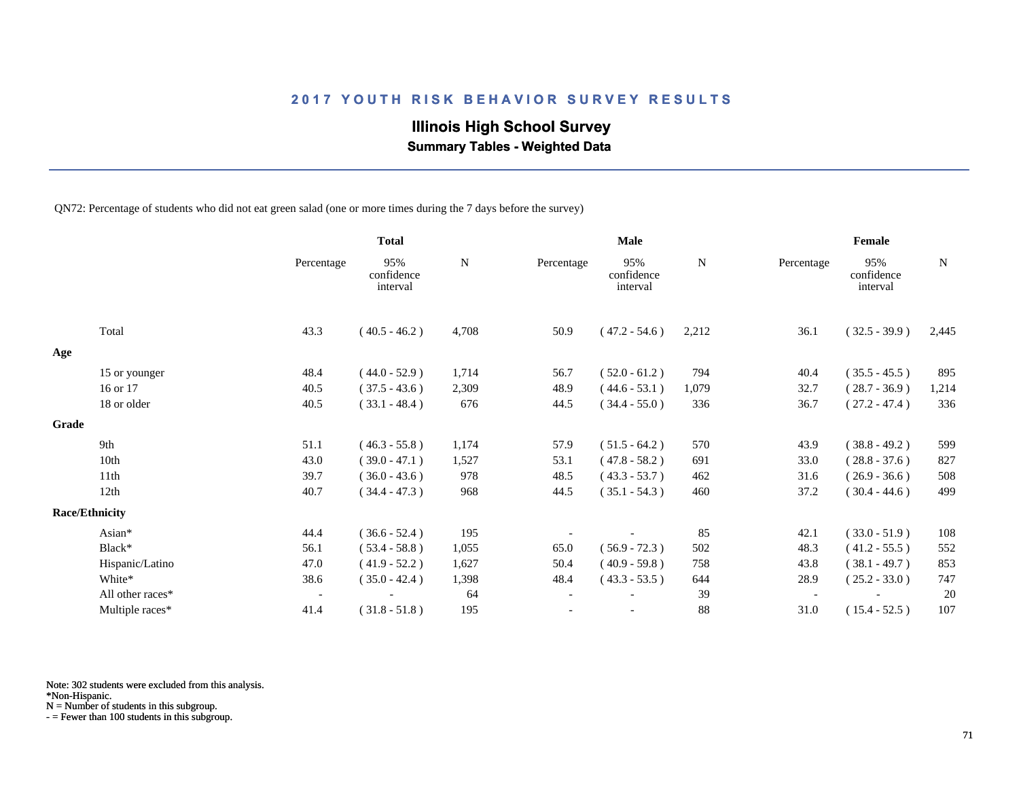# **Illinois High School Survey**

 **Summary Tables - Weighted Data**

QN72: Percentage of students who did not eat green salad (one or more times during the 7 days before the survey)

|       |                       |                          | <b>Total</b>                  |           |                          | <b>Male</b>                   |           |            | Female                        |             |
|-------|-----------------------|--------------------------|-------------------------------|-----------|--------------------------|-------------------------------|-----------|------------|-------------------------------|-------------|
|       |                       | Percentage               | 95%<br>confidence<br>interval | ${\bf N}$ | Percentage               | 95%<br>confidence<br>interval | ${\bf N}$ | Percentage | 95%<br>confidence<br>interval | $\mathbf N$ |
|       | Total                 | 43.3                     | $(40.5 - 46.2)$               | 4,708     | 50.9                     | $(47.2 - 54.6)$               | 2,212     | 36.1       | $(32.5 - 39.9)$               | 2,445       |
| Age   |                       |                          |                               |           |                          |                               |           |            |                               |             |
|       | 15 or younger         | 48.4                     | $(44.0 - 52.9)$               | 1,714     | 56.7                     | $(52.0 - 61.2)$               | 794       | 40.4       | $(35.5 - 45.5)$               | 895         |
|       | 16 or 17              | 40.5                     | $(37.5 - 43.6)$               | 2,309     | 48.9                     | $(44.6 - 53.1)$               | 1,079     | 32.7       | $(28.7 - 36.9)$               | 1,214       |
|       | 18 or older           | 40.5                     | $(33.1 - 48.4)$               | 676       | 44.5                     | $(34.4 - 55.0)$               | 336       | 36.7       | $(27.2 - 47.4)$               | 336         |
| Grade |                       |                          |                               |           |                          |                               |           |            |                               |             |
|       | 9th                   | 51.1                     | $(46.3 - 55.8)$               | 1,174     | 57.9                     | $(51.5 - 64.2)$               | 570       | 43.9       | $(38.8 - 49.2)$               | 599         |
|       | 10th                  | 43.0                     | $(39.0 - 47.1)$               | 1,527     | 53.1                     | $(47.8 - 58.2)$               | 691       | 33.0       | $(28.8 - 37.6)$               | 827         |
|       | 11th                  | 39.7                     | $(36.0 - 43.6)$               | 978       | 48.5                     | $(43.3 - 53.7)$               | 462       | 31.6       | $(26.9 - 36.6)$               | 508         |
|       | 12th                  | 40.7                     | $(34.4 - 47.3)$               | 968       | 44.5                     | $(35.1 - 54.3)$               | 460       | 37.2       | $(30.4 - 44.6)$               | 499         |
|       | <b>Race/Ethnicity</b> |                          |                               |           |                          |                               |           |            |                               |             |
|       | Asian*                | 44.4                     | $(36.6 - 52.4)$               | 195       |                          |                               | 85        | 42.1       | $(33.0 - 51.9)$               | 108         |
|       | Black*                | 56.1                     | $(53.4 - 58.8)$               | 1,055     | 65.0                     | $(56.9 - 72.3)$               | 502       | 48.3       | $(41.2 - 55.5)$               | 552         |
|       | Hispanic/Latino       | 47.0                     | $(41.9 - 52.2)$               | 1,627     | 50.4                     | $(40.9 - 59.8)$               | 758       | 43.8       | $(38.1 - 49.7)$               | 853         |
|       | White*                | 38.6                     | $(35.0 - 42.4)$               | 1,398     | 48.4                     | $(43.3 - 53.5)$               | 644       | 28.9       | $(25.2 - 33.0)$               | 747         |
|       | All other races*      | $\overline{\phantom{a}}$ |                               | 64        | $\overline{\phantom{a}}$ |                               | 39        |            |                               | 20          |
|       | Multiple races*       | 41.4                     | $(31.8 - 51.8)$               | 195       |                          | $\overline{\phantom{a}}$      | 88        | 31.0       | $(15.4 - 52.5)$               | 107         |

Note: 302 students were excluded from this analysis.

N = Number of students in this subgroup.

<sup>\*</sup>Non-Hispanic.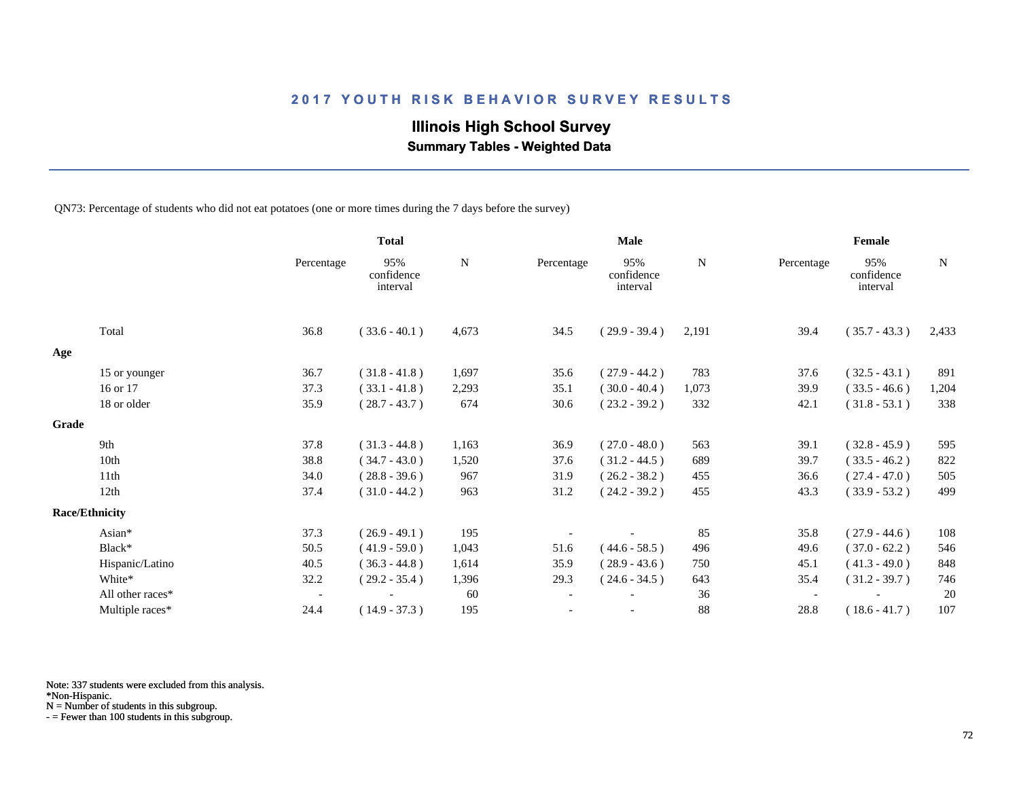# **Illinois High School Survey**

 **Summary Tables - Weighted Data**

QN73: Percentage of students who did not eat potatoes (one or more times during the 7 days before the survey)

|       |                       |                          | <b>Total</b>                  |       | <b>Male</b>              |                               |       | Female     |                               |       |  |
|-------|-----------------------|--------------------------|-------------------------------|-------|--------------------------|-------------------------------|-------|------------|-------------------------------|-------|--|
|       |                       | Percentage               | 95%<br>confidence<br>interval | N     | Percentage               | 95%<br>confidence<br>interval | N     | Percentage | 95%<br>confidence<br>interval | N     |  |
|       | Total                 | 36.8                     | $(33.6 - 40.1)$               | 4,673 | 34.5                     | $(29.9 - 39.4)$               | 2,191 | 39.4       | $(35.7 - 43.3)$               | 2,433 |  |
| Age   |                       |                          |                               |       |                          |                               |       |            |                               |       |  |
|       | 15 or younger         | 36.7                     | $(31.8 - 41.8)$               | 1,697 | 35.6                     | $(27.9 - 44.2)$               | 783   | 37.6       | $(32.5 - 43.1)$               | 891   |  |
|       | 16 or 17              | 37.3                     | $(33.1 - 41.8)$               | 2,293 | 35.1                     | $(30.0 - 40.4)$               | 1,073 | 39.9       | $(33.5 - 46.6)$               | 1,204 |  |
|       | 18 or older           | 35.9                     | $(28.7 - 43.7)$               | 674   | 30.6                     | $(23.2 - 39.2)$               | 332   | 42.1       | $(31.8 - 53.1)$               | 338   |  |
| Grade |                       |                          |                               |       |                          |                               |       |            |                               |       |  |
|       | 9th                   | 37.8                     | $(31.3 - 44.8)$               | 1,163 | 36.9                     | $(27.0 - 48.0)$               | 563   | 39.1       | $(32.8 - 45.9)$               | 595   |  |
|       | 10th                  | 38.8                     | $(34.7 - 43.0)$               | 1,520 | 37.6                     | $(31.2 - 44.5)$               | 689   | 39.7       | $(33.5 - 46.2)$               | 822   |  |
|       | 11th                  | 34.0                     | $(28.8 - 39.6)$               | 967   | 31.9                     | $(26.2 - 38.2)$               | 455   | 36.6       | $(27.4 - 47.0)$               | 505   |  |
|       | 12th                  | 37.4                     | $(31.0 - 44.2)$               | 963   | 31.2                     | $(24.2 - 39.2)$               | 455   | 43.3       | $(33.9 - 53.2)$               | 499   |  |
|       | <b>Race/Ethnicity</b> |                          |                               |       |                          |                               |       |            |                               |       |  |
|       | Asian*                | 37.3                     | $(26.9 - 49.1)$               | 195   |                          |                               | 85    | 35.8       | $(27.9 - 44.6)$               | 108   |  |
|       | Black*                | 50.5                     | $(41.9 - 59.0)$               | 1,043 | 51.6                     | $(44.6 - 58.5)$               | 496   | 49.6       | $(37.0 - 62.2)$               | 546   |  |
|       | Hispanic/Latino       | 40.5                     | $(36.3 - 44.8)$               | 1,614 | 35.9                     | $(28.9 - 43.6)$               | 750   | 45.1       | $(41.3 - 49.0)$               | 848   |  |
|       | White*                | 32.2                     | $(29.2 - 35.4)$               | 1,396 | 29.3                     | $(24.6 - 34.5)$               | 643   | 35.4       | $(31.2 - 39.7)$               | 746   |  |
|       | All other races*      | $\overline{\phantom{a}}$ |                               | 60    | $\overline{\phantom{a}}$ |                               | 36    |            |                               | 20    |  |
|       | Multiple races*       | 24.4                     | $(14.9 - 37.3)$               | 195   |                          |                               | 88    | 28.8       | $(18.6 - 41.7)$               | 107   |  |

Note: 337 students were excluded from this analysis.

N = Number of students in this subgroup.

<sup>\*</sup>Non-Hispanic.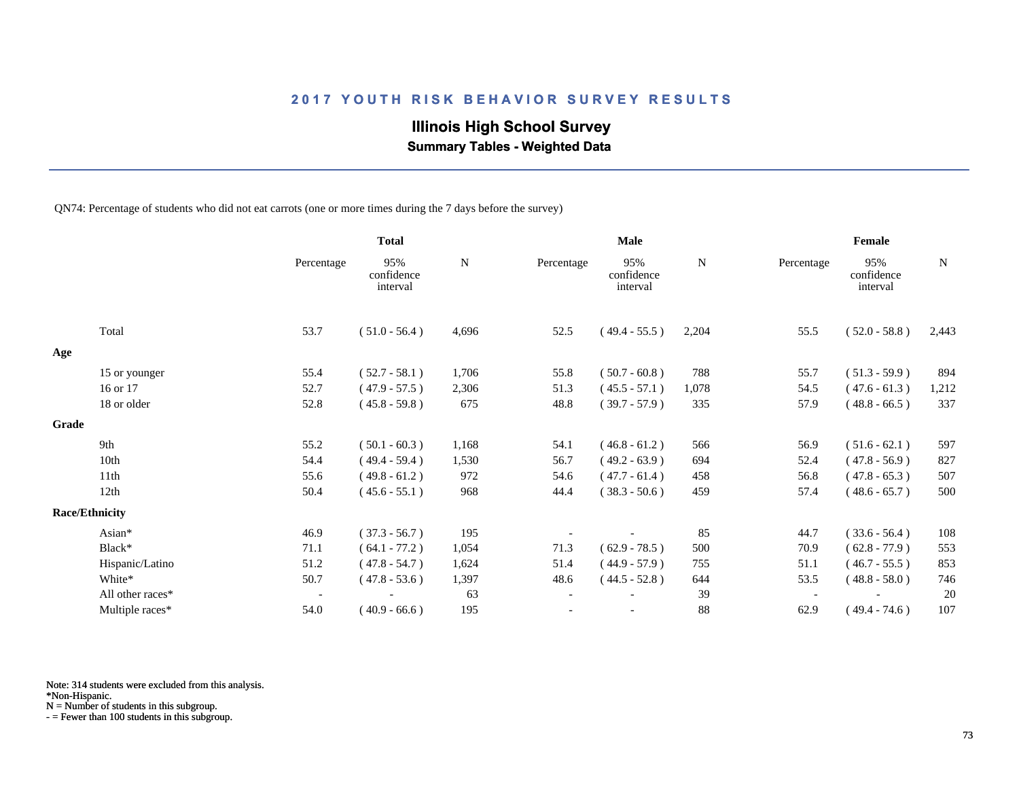## **Illinois High School Survey**

 **Summary Tables - Weighted Data**

QN74: Percentage of students who did not eat carrots (one or more times during the 7 days before the survey)

|       |                       |                          | <b>Total</b>                  |       | <b>Male</b> |                               |       | Female     |                               |             |
|-------|-----------------------|--------------------------|-------------------------------|-------|-------------|-------------------------------|-------|------------|-------------------------------|-------------|
|       |                       | Percentage               | 95%<br>confidence<br>interval | N     | Percentage  | 95%<br>confidence<br>interval | N     | Percentage | 95%<br>confidence<br>interval | $\mathbf N$ |
|       | Total                 | 53.7                     | $(51.0 - 56.4)$               | 4,696 | 52.5        | $(49.4 - 55.5)$               | 2,204 | 55.5       | $(52.0 - 58.8)$               | 2,443       |
| Age   |                       |                          |                               |       |             |                               |       |            |                               |             |
|       | 15 or younger         | 55.4                     | $(52.7 - 58.1)$               | 1,706 | 55.8        | $(50.7 - 60.8)$               | 788   | 55.7       | $(51.3 - 59.9)$               | 894         |
|       | 16 or 17              | 52.7                     | $(47.9 - 57.5)$               | 2,306 | 51.3        | $(45.5 - 57.1)$               | 1,078 | 54.5       | $(47.6 - 61.3)$               | 1,212       |
|       | 18 or older           | 52.8                     | $(45.8 - 59.8)$               | 675   | 48.8        | $(39.7 - 57.9)$               | 335   | 57.9       | $(48.8 - 66.5)$               | 337         |
| Grade |                       |                          |                               |       |             |                               |       |            |                               |             |
|       | 9th                   | 55.2                     | $(50.1 - 60.3)$               | 1,168 | 54.1        | $(46.8 - 61.2)$               | 566   | 56.9       | $(51.6 - 62.1)$               | 597         |
|       | 10th                  | 54.4                     | $(49.4 - 59.4)$               | 1,530 | 56.7        | $(49.2 - 63.9)$               | 694   | 52.4       | $(47.8 - 56.9)$               | 827         |
|       | 11th                  | 55.6                     | $(49.8 - 61.2)$               | 972   | 54.6        | $(47.7 - 61.4)$               | 458   | 56.8       | $(47.8 - 65.3)$               | 507         |
|       | 12th                  | 50.4                     | $(45.6 - 55.1)$               | 968   | 44.4        | $(38.3 - 50.6)$               | 459   | 57.4       | $(48.6 - 65.7)$               | 500         |
|       | <b>Race/Ethnicity</b> |                          |                               |       |             |                               |       |            |                               |             |
|       | Asian*                | 46.9                     | $(37.3 - 56.7)$               | 195   |             |                               | 85    | 44.7       | $(33.6 - 56.4)$               | 108         |
|       | Black*                | 71.1                     | $(64.1 - 77.2)$               | 1,054 | 71.3        | $(62.9 - 78.5)$               | 500   | 70.9       | $(62.8 - 77.9)$               | 553         |
|       | Hispanic/Latino       | 51.2                     | $(47.8 - 54.7)$               | 1,624 | 51.4        | $(44.9 - 57.9)$               | 755   | 51.1       | $(46.7 - 55.5)$               | 853         |
|       | White*                | 50.7                     | $(47.8 - 53.6)$               | 1,397 | 48.6        | $(44.5 - 52.8)$               | 644   | 53.5       | $(48.8 - 58.0)$               | 746         |
|       | All other races*      | $\overline{\phantom{a}}$ |                               | 63    |             |                               | 39    |            |                               | 20          |
|       | Multiple races*       | 54.0                     | $(40.9 - 66.6)$               | 195   |             | $\overline{\phantom{a}}$      | 88    | 62.9       | $(49.4 - 74.6)$               | 107         |

Note: 314 students were excluded from this analysis.

N = Number of students in this subgroup.

<sup>\*</sup>Non-Hispanic.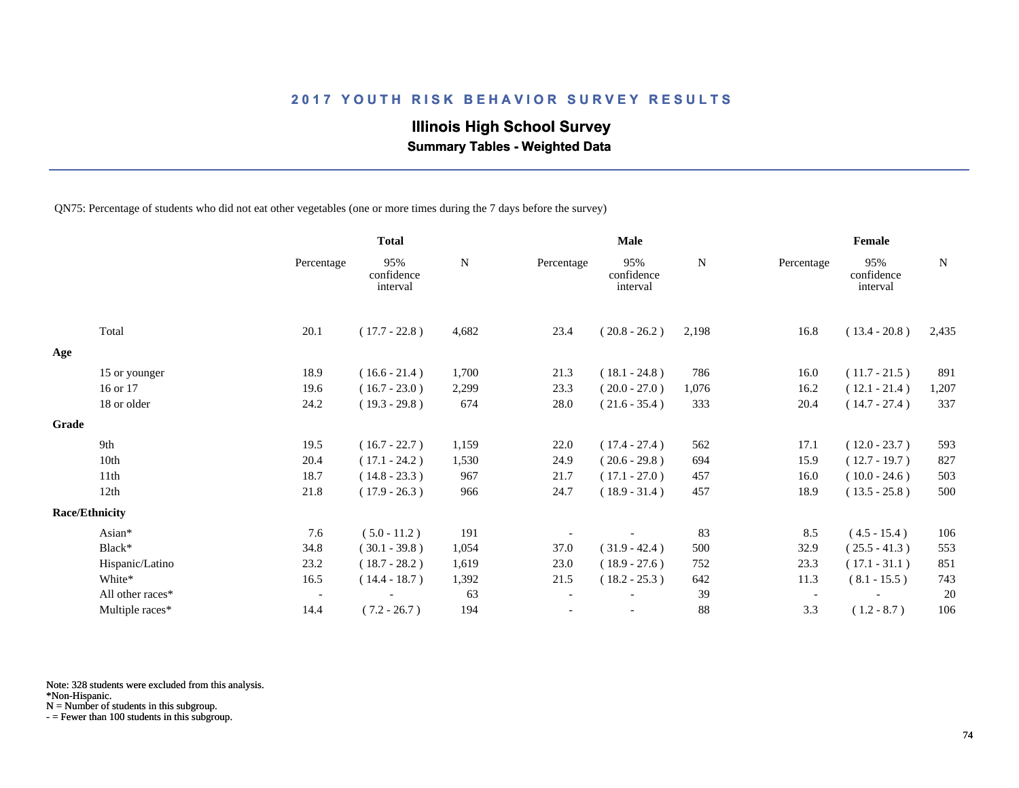## **Illinois High School Survey**

 **Summary Tables - Weighted Data**

QN75: Percentage of students who did not eat other vegetables (one or more times during the 7 days before the survey)

|       |                       |                          | <b>Total</b>                  |       |                          | <b>Male</b>                   |       |                          | Female                        |             |
|-------|-----------------------|--------------------------|-------------------------------|-------|--------------------------|-------------------------------|-------|--------------------------|-------------------------------|-------------|
|       |                       | Percentage               | 95%<br>confidence<br>interval | N     | Percentage               | 95%<br>confidence<br>interval | N     | Percentage               | 95%<br>confidence<br>interval | $\mathbf N$ |
|       | Total                 | 20.1                     | $(17.7 - 22.8)$               | 4,682 | 23.4                     | $(20.8 - 26.2)$               | 2,198 | 16.8                     | $(13.4 - 20.8)$               | 2,435       |
| Age   |                       |                          |                               |       |                          |                               |       |                          |                               |             |
|       | 15 or younger         | 18.9                     | $(16.6 - 21.4)$               | 1,700 | 21.3                     | $(18.1 - 24.8)$               | 786   | 16.0                     | $(11.7 - 21.5)$               | 891         |
|       | 16 or 17              | 19.6                     | $(16.7 - 23.0)$               | 2,299 | 23.3                     | $(20.0 - 27.0)$               | 1,076 | 16.2                     | $(12.1 - 21.4)$               | 1,207       |
|       | 18 or older           | 24.2                     | $(19.3 - 29.8)$               | 674   | 28.0                     | $(21.6 - 35.4)$               | 333   | 20.4                     | $(14.7 - 27.4)$               | 337         |
| Grade |                       |                          |                               |       |                          |                               |       |                          |                               |             |
|       | 9th                   | 19.5                     | $(16.7 - 22.7)$               | 1,159 | 22.0                     | $(17.4 - 27.4)$               | 562   | 17.1                     | $(12.0 - 23.7)$               | 593         |
|       | 10th                  | 20.4                     | $(17.1 - 24.2)$               | 1,530 | 24.9                     | $(20.6 - 29.8)$               | 694   | 15.9                     | $(12.7 - 19.7)$               | 827         |
|       | 11th                  | 18.7                     | $(14.8 - 23.3)$               | 967   | 21.7                     | $(17.1 - 27.0)$               | 457   | 16.0                     | $(10.0 - 24.6)$               | 503         |
|       | 12th                  | 21.8                     | $(17.9 - 26.3)$               | 966   | 24.7                     | $(18.9 - 31.4)$               | 457   | 18.9                     | $(13.5 - 25.8)$               | 500         |
|       | <b>Race/Ethnicity</b> |                          |                               |       |                          |                               |       |                          |                               |             |
|       | Asian*                | 7.6                      | $(5.0 - 11.2)$                | 191   |                          |                               | 83    | 8.5                      | $(4.5 - 15.4)$                | 106         |
|       | Black*                | 34.8                     | $(30.1 - 39.8)$               | 1,054 | 37.0                     | $(31.9 - 42.4)$               | 500   | 32.9                     | $(25.5 - 41.3)$               | 553         |
|       | Hispanic/Latino       | 23.2                     | $(18.7 - 28.2)$               | 1,619 | 23.0                     | $(18.9 - 27.6)$               | 752   | 23.3                     | $(17.1 - 31.1)$               | 851         |
|       | White*                | 16.5                     | $(14.4 - 18.7)$               | 1,392 | 21.5                     | $(18.2 - 25.3)$               | 642   | 11.3                     | $(8.1 - 15.5)$                | 743         |
|       | All other races*      | $\overline{\phantom{a}}$ |                               | 63    | $\overline{\phantom{a}}$ |                               | 39    | $\overline{\phantom{a}}$ |                               | 20          |
|       | Multiple races*       | 14.4                     | $(7.2 - 26.7)$                | 194   |                          | $\overline{\phantom{a}}$      | 88    | 3.3                      | $(1.2 - 8.7)$                 | 106         |

Note: 328 students were excluded from this analysis.

N = Number of students in this subgroup.

<sup>\*</sup>Non-Hispanic.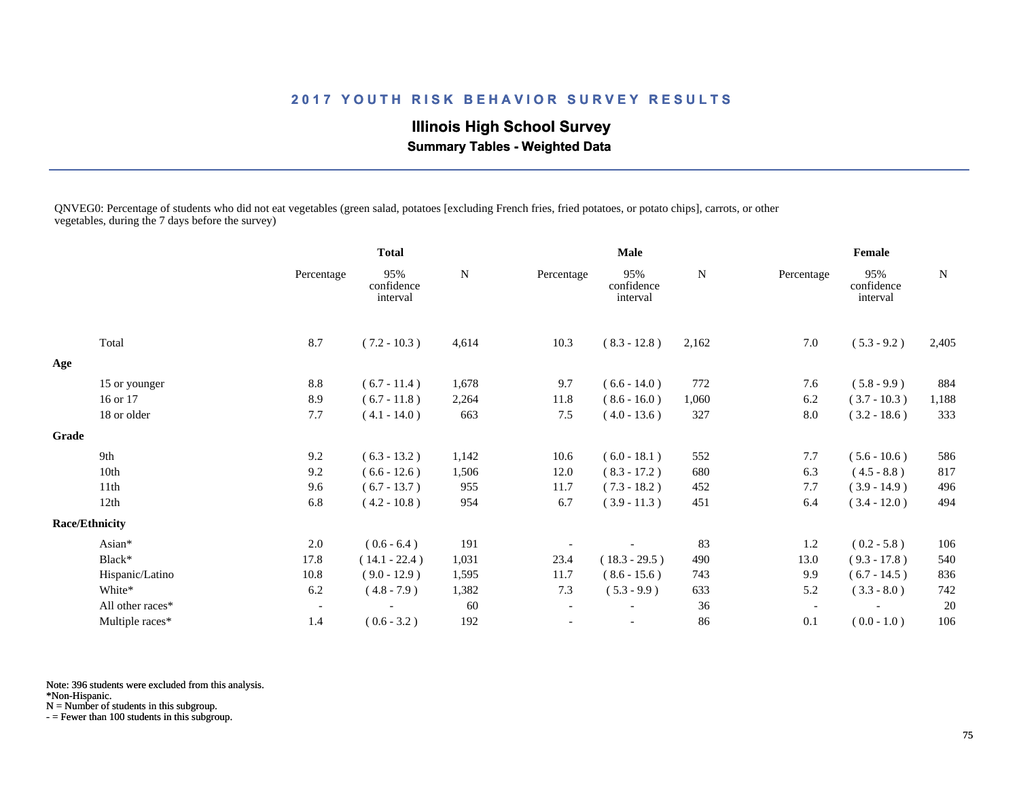## **Illinois High School Survey**

 **Summary Tables - Weighted Data**

QNVEG0: Percentage of students who did not eat vegetables (green salad, potatoes [excluding French fries, fried potatoes, or potato chips], carrots, or other vegetables, during the 7 days before the survey)

|       |                       |                          | <b>Total</b>                  |             | <b>Male</b>              |                               |           | Female                   |                               |           |
|-------|-----------------------|--------------------------|-------------------------------|-------------|--------------------------|-------------------------------|-----------|--------------------------|-------------------------------|-----------|
|       |                       | Percentage               | 95%<br>confidence<br>interval | $\mathbf N$ | Percentage               | 95%<br>confidence<br>interval | ${\bf N}$ | Percentage               | 95%<br>confidence<br>interval | ${\bf N}$ |
|       | Total                 | 8.7                      | $(7.2 - 10.3)$                | 4,614       | 10.3                     | $(8.3 - 12.8)$                | 2,162     | 7.0                      | $(5.3 - 9.2)$                 | 2,405     |
| Age   |                       |                          |                               |             |                          |                               |           |                          |                               |           |
|       | 15 or younger         | 8.8                      | $(6.7 - 11.4)$                | 1,678       | 9.7                      | $(6.6 - 14.0)$                | 772       | 7.6                      | $(5.8 - 9.9)$                 | 884       |
|       | 16 or 17              | 8.9                      | $(6.7 - 11.8)$                | 2,264       | 11.8                     | $(8.6 - 16.0)$                | 1,060     | 6.2                      | $(3.7 - 10.3)$                | 1,188     |
|       | 18 or older           | 7.7                      | $(4.1 - 14.0)$                | 663         | 7.5                      | $(4.0 - 13.6)$                | 327       | 8.0                      | $(3.2 - 18.6)$                | 333       |
| Grade |                       |                          |                               |             |                          |                               |           |                          |                               |           |
|       | 9th                   | 9.2                      | $(6.3 - 13.2)$                | 1,142       | 10.6                     | $(6.0 - 18.1)$                | 552       | 7.7                      | $(5.6 - 10.6)$                | 586       |
|       | 10th                  | 9.2                      | $(6.6 - 12.6)$                | 1,506       | 12.0                     | $(8.3 - 17.2)$                | 680       | 6.3                      | $(4.5 - 8.8)$                 | 817       |
|       | 11th                  | 9.6                      | $(6.7 - 13.7)$                | 955         | 11.7                     | $(7.3 - 18.2)$                | 452       | 7.7                      | $(3.9 - 14.9)$                | 496       |
|       | 12th                  | 6.8                      | $(4.2 - 10.8)$                | 954         | 6.7                      | $(3.9 - 11.3)$                | 451       | 6.4                      | $(3.4 - 12.0)$                | 494       |
|       | <b>Race/Ethnicity</b> |                          |                               |             |                          |                               |           |                          |                               |           |
|       | Asian*                | $2.0\,$                  | $(0.6 - 6.4)$                 | 191         |                          |                               | 83        | 1.2                      | $(0.2 - 5.8)$                 | 106       |
|       | Black*                | 17.8                     | $(14.1 - 22.4)$               | 1,031       | 23.4                     | $(18.3 - 29.5)$               | 490       | 13.0                     | $(9.3 - 17.8)$                | 540       |
|       | Hispanic/Latino       | 10.8                     | $(9.0 - 12.9)$                | 1,595       | 11.7                     | $(8.6 - 15.6)$                | 743       | 9.9                      | $(6.7 - 14.5)$                | 836       |
|       | White*                | 6.2                      | $(4.8 - 7.9)$                 | 1,382       | 7.3                      | $(5.3 - 9.9)$                 | 633       | 5.2                      | $(3.3 - 8.0)$                 | 742       |
|       | All other races*      | $\overline{\phantom{a}}$ |                               | 60          | $\overline{\phantom{a}}$ |                               | 36        | $\overline{\phantom{a}}$ |                               | 20        |
|       | Multiple races*       | 1.4                      | $(0.6 - 3.2)$                 | 192         |                          |                               | 86        | 0.1                      | $(0.0 - 1.0)$                 | 106       |

Note: 396 students were excluded from this analysis.

\*Non-Hispanic.

N = Number of students in this subgroup.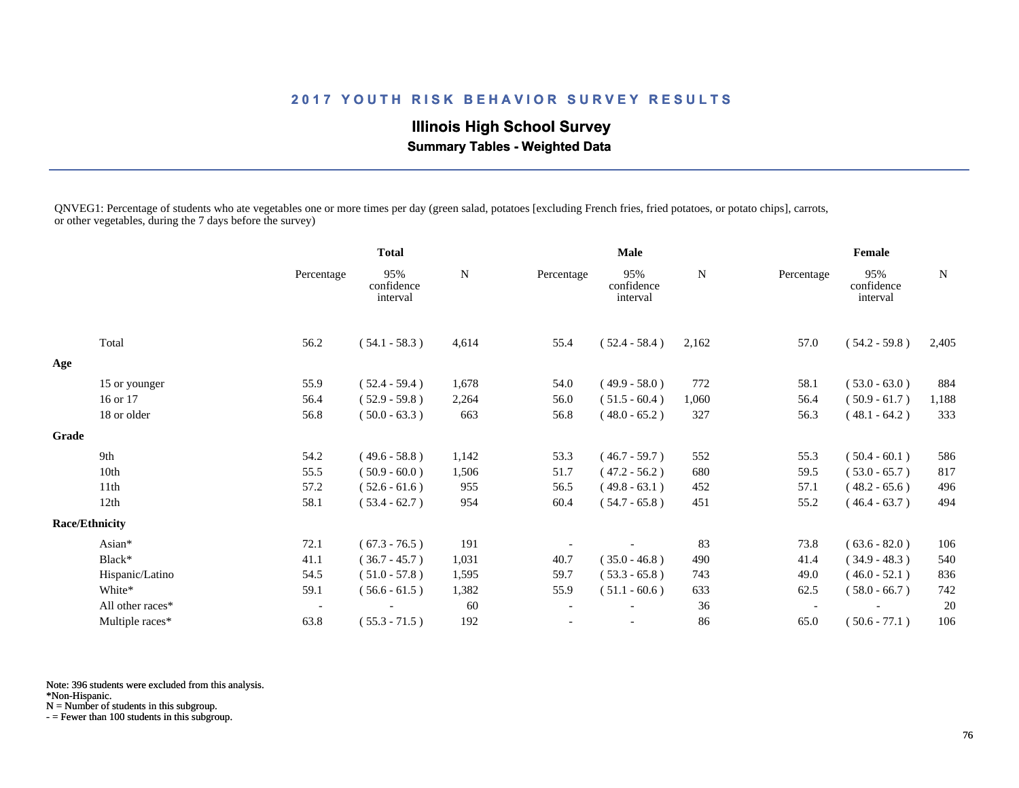## **Illinois High School Survey Summary Tables - Weighted Data**

QNVEG1: Percentage of students who ate vegetables one or more times per day (green salad, potatoes [excluding French fries, fried potatoes, or potato chips], carrots, or other vegetables, during the 7 days before the survey)

|       |                       |                          | <b>Total</b>                  |       |                          | <b>Male</b>                   |             |                          | Female                        |             |
|-------|-----------------------|--------------------------|-------------------------------|-------|--------------------------|-------------------------------|-------------|--------------------------|-------------------------------|-------------|
|       |                       | Percentage               | 95%<br>confidence<br>interval | N     | Percentage               | 95%<br>confidence<br>interval | $\mathbf N$ | Percentage               | 95%<br>confidence<br>interval | $\mathbf N$ |
|       | Total                 | 56.2                     | $(54.1 - 58.3)$               | 4,614 | 55.4                     | $(52.4 - 58.4)$               | 2,162       | 57.0                     | $(54.2 - 59.8)$               | 2,405       |
| Age   |                       |                          |                               |       |                          |                               |             |                          |                               |             |
|       | 15 or younger         | 55.9                     | $(52.4 - 59.4)$               | 1,678 | 54.0                     | $(49.9 - 58.0)$               | 772         | 58.1                     | $(53.0 - 63.0)$               | 884         |
|       | 16 or 17              | 56.4                     | $(52.9 - 59.8)$               | 2,264 | 56.0                     | $(51.5 - 60.4)$               | 1,060       | 56.4                     | $(50.9 - 61.7)$               | 1,188       |
|       | 18 or older           | 56.8                     | $(50.0 - 63.3)$               | 663   | 56.8                     | $(48.0 - 65.2)$               | 327         | 56.3                     | $(48.1 - 64.2)$               | 333         |
| Grade |                       |                          |                               |       |                          |                               |             |                          |                               |             |
|       | 9th                   | 54.2                     | $(49.6 - 58.8)$               | 1,142 | 53.3                     | $(46.7 - 59.7)$               | 552         | 55.3                     | $(50.4 - 60.1)$               | 586         |
|       | 10th                  | 55.5                     | $(50.9 - 60.0)$               | 1,506 | 51.7                     | $(47.2 - 56.2)$               | 680         | 59.5                     | $(53.0 - 65.7)$               | 817         |
|       | 11th                  | 57.2                     | $(52.6 - 61.6)$               | 955   | 56.5                     | $(49.8 - 63.1)$               | 452         | 57.1                     | $(48.2 - 65.6)$               | 496         |
|       | 12th                  | 58.1                     | $(53.4 - 62.7)$               | 954   | 60.4                     | $(54.7 - 65.8)$               | 451         | 55.2                     | $(46.4 - 63.7)$               | 494         |
|       | <b>Race/Ethnicity</b> |                          |                               |       |                          |                               |             |                          |                               |             |
|       | Asian*                | 72.1                     | $(67.3 - 76.5)$               | 191   |                          |                               | 83          | 73.8                     | $(63.6 - 82.0)$               | 106         |
|       | Black*                | 41.1                     | $(36.7 - 45.7)$               | 1,031 | 40.7                     | $(35.0 - 46.8)$               | 490         | 41.4                     | $(34.9 - 48.3)$               | 540         |
|       | Hispanic/Latino       | 54.5                     | $(51.0 - 57.8)$               | 1,595 | 59.7                     | $(53.3 - 65.8)$               | 743         | 49.0                     | $(46.0 - 52.1)$               | 836         |
|       | White*                | 59.1                     | $(56.6 - 61.5)$               | 1,382 | 55.9                     | $(51.1 - 60.6)$               | 633         | 62.5                     | $(58.0 - 66.7)$               | 742         |
|       | All other races*      | $\overline{\phantom{a}}$ |                               | 60    | $\overline{\phantom{a}}$ |                               | 36          | $\overline{\phantom{a}}$ |                               | 20          |
|       | Multiple races*       | 63.8                     | $(55.3 - 71.5)$               | 192   |                          |                               | 86          | 65.0                     | $(50.6 - 77.1)$               | 106         |

Note: 396 students were excluded from this analysis.

\*Non-Hispanic.

N = Number of students in this subgroup.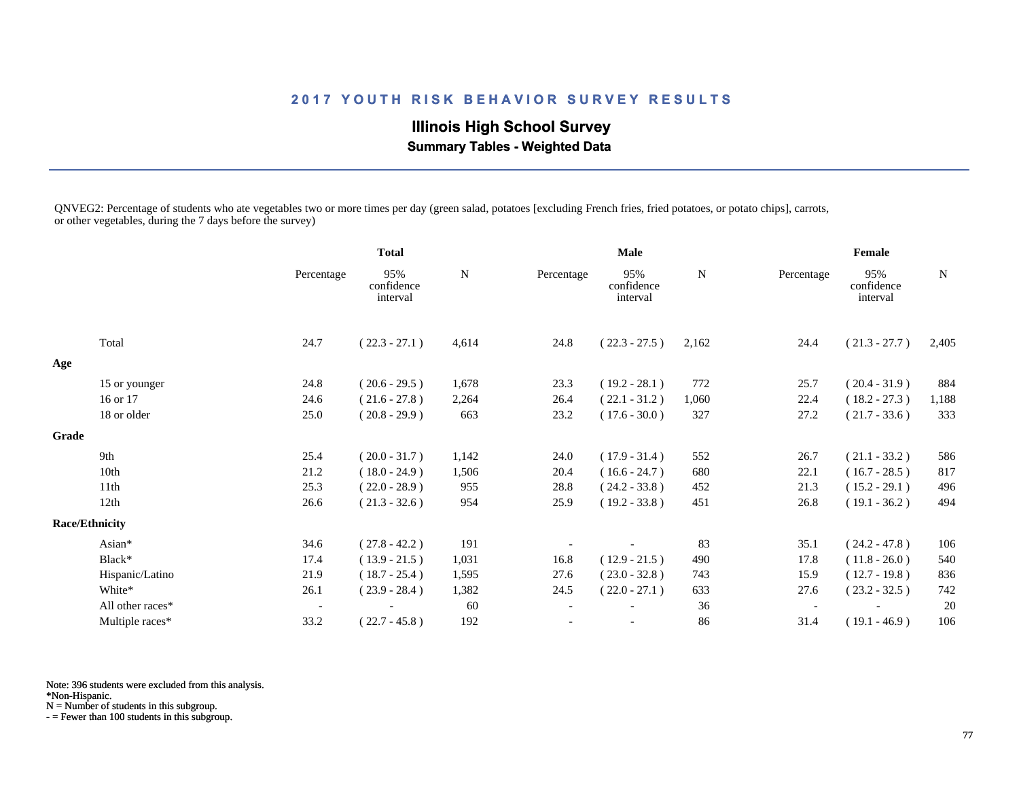**Illinois High School Survey Summary Tables - Weighted Data**

QNVEG2: Percentage of students who ate vegetables two or more times per day (green salad, potatoes [excluding French fries, fried potatoes, or potato chips], carrots, or other vegetables, during the 7 days before the survey)

|       |                       |                          | <b>Total</b>                  |             | <b>Male</b>              |                               |             | Female                   |                               |             |
|-------|-----------------------|--------------------------|-------------------------------|-------------|--------------------------|-------------------------------|-------------|--------------------------|-------------------------------|-------------|
|       |                       | Percentage               | 95%<br>confidence<br>interval | $\mathbf N$ | Percentage               | 95%<br>confidence<br>interval | $\mathbf N$ | Percentage               | 95%<br>confidence<br>interval | $\mathbf N$ |
|       | Total                 | 24.7                     | $(22.3 - 27.1)$               | 4,614       | 24.8                     | $(22.3 - 27.5)$               | 2,162       | 24.4                     | $(21.3 - 27.7)$               | 2,405       |
| Age   |                       |                          |                               |             |                          |                               |             |                          |                               |             |
|       | 15 or younger         | 24.8                     | $(20.6 - 29.5)$               | 1,678       | 23.3                     | $(19.2 - 28.1)$               | 772         | 25.7                     | $(20.4 - 31.9)$               | 884         |
|       | 16 or 17              | 24.6                     | $(21.6 - 27.8)$               | 2,264       | 26.4                     | $(22.1 - 31.2)$               | 1,060       | 22.4                     | $(18.2 - 27.3)$               | 1,188       |
|       | 18 or older           | 25.0                     | $(20.8 - 29.9)$               | 663         | 23.2                     | $(17.6 - 30.0)$               | 327         | 27.2                     | $(21.7 - 33.6)$               | 333         |
| Grade |                       |                          |                               |             |                          |                               |             |                          |                               |             |
|       | 9th                   | 25.4                     | $(20.0 - 31.7)$               | 1,142       | 24.0                     | $(17.9 - 31.4)$               | 552         | 26.7                     | $(21.1 - 33.2)$               | 586         |
|       | 10th                  | 21.2                     | $(18.0 - 24.9)$               | 1,506       | 20.4                     | $(16.6 - 24.7)$               | 680         | 22.1                     | $(16.7 - 28.5)$               | 817         |
|       | 11th                  | 25.3                     | $(22.0 - 28.9)$               | 955         | 28.8                     | $(24.2 - 33.8)$               | 452         | 21.3                     | $(15.2 - 29.1)$               | 496         |
|       | 12th                  | 26.6                     | $(21.3 - 32.6)$               | 954         | 25.9                     | $(19.2 - 33.8)$               | 451         | 26.8                     | $(19.1 - 36.2)$               | 494         |
|       | <b>Race/Ethnicity</b> |                          |                               |             |                          |                               |             |                          |                               |             |
|       | Asian*                | 34.6                     | $(27.8 - 42.2)$               | 191         |                          |                               | 83          | 35.1                     | $(24.2 - 47.8)$               | 106         |
|       | Black*                | 17.4                     | $(13.9 - 21.5)$               | 1,031       | 16.8                     | $(12.9 - 21.5)$               | 490         | 17.8                     | $(11.8 - 26.0)$               | 540         |
|       | Hispanic/Latino       | 21.9                     | $(18.7 - 25.4)$               | 1,595       | 27.6                     | $(23.0 - 32.8)$               | 743         | 15.9                     | $(12.7 - 19.8)$               | 836         |
|       | White*                | 26.1                     | $(23.9 - 28.4)$               | 1,382       | 24.5                     | $(22.0 - 27.1)$               | 633         | 27.6                     | $(23.2 - 32.5)$               | 742         |
|       | All other races*      | $\overline{\phantom{a}}$ |                               | 60          | $\overline{\phantom{a}}$ |                               | 36          | $\overline{\phantom{a}}$ |                               | 20          |
|       | Multiple races*       | 33.2                     | $(22.7 - 45.8)$               | 192         |                          |                               | 86          | 31.4                     | $(19.1 - 46.9)$               | 106         |

Note: 396 students were excluded from this analysis.

\*Non-Hispanic.

N = Number of students in this subgroup.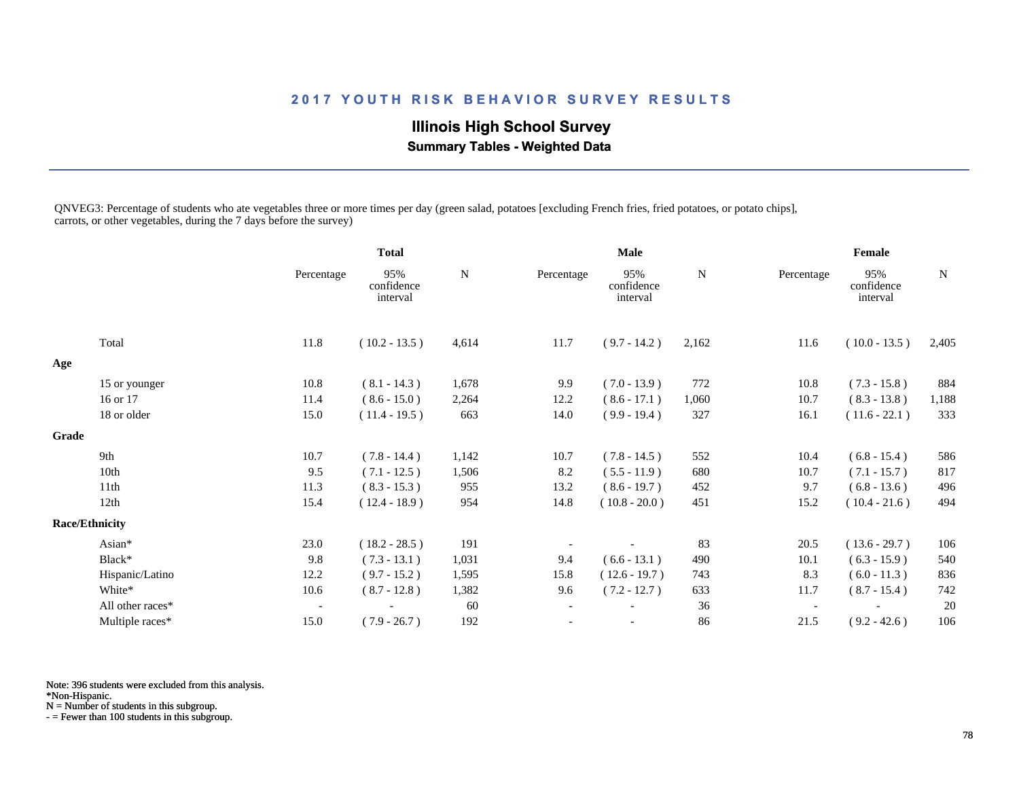## **Illinois High School Survey Summary Tables - Weighted Data**

QNVEG3: Percentage of students who ate vegetables three or more times per day (green salad, potatoes [excluding French fries, fried potatoes, or potato chips], carrots, or other vegetables, during the 7 days before the survey)

|       |                       |                          | <b>Total</b>                  |       | <b>Male</b>              |                               |             | Female     |                               |             |
|-------|-----------------------|--------------------------|-------------------------------|-------|--------------------------|-------------------------------|-------------|------------|-------------------------------|-------------|
|       |                       | Percentage               | 95%<br>confidence<br>interval | N     | Percentage               | 95%<br>confidence<br>interval | $\mathbf N$ | Percentage | 95%<br>confidence<br>interval | $\mathbf N$ |
|       | Total                 | 11.8                     | $(10.2 - 13.5)$               | 4,614 | 11.7                     | $(9.7 - 14.2)$                | 2,162       | 11.6       | $(10.0 - 13.5)$               | 2,405       |
| Age   |                       |                          |                               |       |                          |                               |             |            |                               |             |
|       | 15 or younger         | 10.8                     | $(8.1 - 14.3)$                | 1,678 | 9.9                      | $(7.0 - 13.9)$                | 772         | 10.8       | $(7.3 - 15.8)$                | 884         |
|       | 16 or 17              | 11.4                     | $(8.6 - 15.0)$                | 2,264 | 12.2                     | $(8.6 - 17.1)$                | 1,060       | 10.7       | $(8.3 - 13.8)$                | 1,188       |
|       | 18 or older           | 15.0                     | $(11.4 - 19.5)$               | 663   | 14.0                     | $(9.9 - 19.4)$                | 327         | 16.1       | $(11.6 - 22.1)$               | 333         |
| Grade |                       |                          |                               |       |                          |                               |             |            |                               |             |
|       | 9th                   | 10.7                     | $(7.8 - 14.4)$                | 1,142 | 10.7                     | $(7.8 - 14.5)$                | 552         | 10.4       | $(6.8 - 15.4)$                | 586         |
|       | 10th                  | 9.5                      | $(7.1 - 12.5)$                | 1,506 | 8.2                      | $(5.5 - 11.9)$                | 680         | 10.7       | $(7.1 - 15.7)$                | 817         |
|       | 11th                  | 11.3                     | $(8.3 - 15.3)$                | 955   | 13.2                     | $(8.6 - 19.7)$                | 452         | 9.7        | $(6.8 - 13.6)$                | 496         |
|       | 12th                  | 15.4                     | $(12.4 - 18.9)$               | 954   | 14.8                     | $(10.8 - 20.0)$               | 451         | 15.2       | $(10.4 - 21.6)$               | 494         |
|       | <b>Race/Ethnicity</b> |                          |                               |       |                          |                               |             |            |                               |             |
|       | Asian*                | 23.0                     | $(18.2 - 28.5)$               | 191   |                          |                               | 83          | 20.5       | $(13.6 - 29.7)$               | 106         |
|       | Black*                | 9.8                      | $(7.3 - 13.1)$                | 1,031 | 9.4                      | $(6.6 - 13.1)$                | 490         | 10.1       | $(6.3 - 15.9)$                | 540         |
|       | Hispanic/Latino       | 12.2                     | $(9.7 - 15.2)$                | 1,595 | 15.8                     | $(12.6 - 19.7)$               | 743         | 8.3        | $(6.0 - 11.3)$                | 836         |
|       | White*                | 10.6                     | $(8.7 - 12.8)$                | 1,382 | 9.6                      | $(7.2 - 12.7)$                | 633         | 11.7       | $(8.7 - 15.4)$                | 742         |
|       | All other races*      | $\overline{\phantom{a}}$ |                               | 60    | $\overline{\phantom{a}}$ |                               | 36          |            |                               | 20          |
|       | Multiple races*       | 15.0                     | $(7.9 - 26.7)$                | 192   |                          |                               | 86          | 21.5       | $(9.2 - 42.6)$                | 106         |

Note: 396 students were excluded from this analysis.

\*Non-Hispanic.

N = Number of students in this subgroup.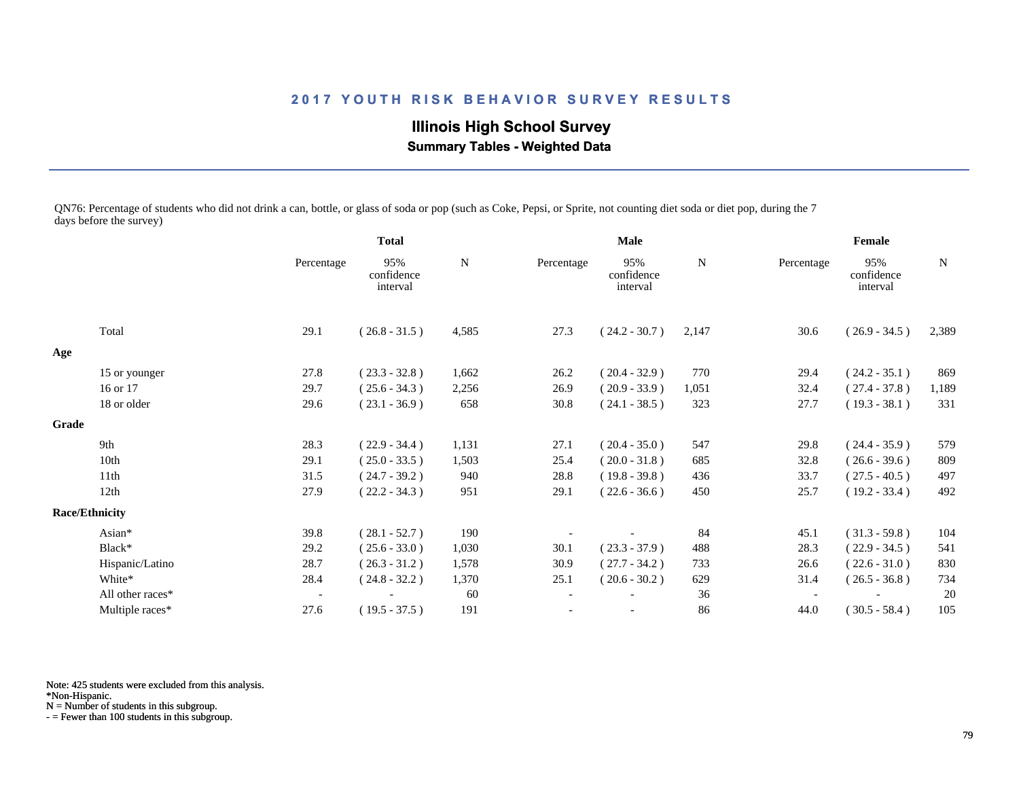**Illinois High School Survey Summary Tables - Weighted Data**

QN76: Percentage of students who did not drink a can, bottle, or glass of soda or pop (such as Coke, Pepsi, or Sprite, not counting diet soda or diet pop, during the 7 days before the survey)

|       |                       |                          | <b>Total</b>                  |       | Male       |                               |       | Female                   |                               |             |
|-------|-----------------------|--------------------------|-------------------------------|-------|------------|-------------------------------|-------|--------------------------|-------------------------------|-------------|
|       |                       | Percentage               | 95%<br>confidence<br>interval | N     | Percentage | 95%<br>confidence<br>interval | N     | Percentage               | 95%<br>confidence<br>interval | $\mathbf N$ |
|       | Total                 | 29.1                     | $(26.8 - 31.5)$               | 4,585 | 27.3       | $(24.2 - 30.7)$               | 2,147 | 30.6                     | $(26.9 - 34.5)$               | 2,389       |
| Age   |                       |                          |                               |       |            |                               |       |                          |                               |             |
|       | 15 or younger         | 27.8                     | $(23.3 - 32.8)$               | 1,662 | 26.2       | $(20.4 - 32.9)$               | 770   | 29.4                     | $(24.2 - 35.1)$               | 869         |
|       | 16 or 17              | 29.7                     | $(25.6 - 34.3)$               | 2,256 | 26.9       | $(20.9 - 33.9)$               | 1,051 | 32.4                     | $(27.4 - 37.8)$               | 1,189       |
|       | 18 or older           | 29.6                     | $(23.1 - 36.9)$               | 658   | 30.8       | $(24.1 - 38.5)$               | 323   | 27.7                     | $(19.3 - 38.1)$               | 331         |
| Grade |                       |                          |                               |       |            |                               |       |                          |                               |             |
|       | 9th                   | 28.3                     | $(22.9 - 34.4)$               | 1,131 | 27.1       | $(20.4 - 35.0)$               | 547   | 29.8                     | $(24.4 - 35.9)$               | 579         |
|       | 10th                  | 29.1                     | $(25.0 - 33.5)$               | 1,503 | 25.4       | $(20.0 - 31.8)$               | 685   | 32.8                     | $(26.6 - 39.6)$               | 809         |
|       | 11 <sup>th</sup>      | 31.5                     | $(24.7 - 39.2)$               | 940   | 28.8       | $(19.8 - 39.8)$               | 436   | 33.7                     | $(27.5 - 40.5)$               | 497         |
|       | 12th                  | 27.9                     | $(22.2 - 34.3)$               | 951   | 29.1       | $(22.6 - 36.6)$               | 450   | 25.7                     | $(19.2 - 33.4)$               | 492         |
|       | <b>Race/Ethnicity</b> |                          |                               |       |            |                               |       |                          |                               |             |
|       | Asian*                | 39.8                     | $(28.1 - 52.7)$               | 190   |            |                               | 84    | 45.1                     | $(31.3 - 59.8)$               | 104         |
|       | Black*                | 29.2                     | $(25.6 - 33.0)$               | 1,030 | 30.1       | $(23.3 - 37.9)$               | 488   | 28.3                     | $(22.9 - 34.5)$               | 541         |
|       | Hispanic/Latino       | 28.7                     | $(26.3 - 31.2)$               | 1,578 | 30.9       | $(27.7 - 34.2)$               | 733   | 26.6                     | $(22.6 - 31.0)$               | 830         |
|       | White*                | 28.4                     | $(24.8 - 32.2)$               | 1,370 | 25.1       | $(20.6 - 30.2)$               | 629   | 31.4                     | $(26.5 - 36.8)$               | 734         |
|       | All other races*      | $\overline{\phantom{a}}$ |                               | 60    |            |                               | 36    | $\overline{\phantom{a}}$ |                               | 20          |
|       | Multiple races*       | 27.6                     | $(19.5 - 37.5)$               | 191   |            |                               | 86    | 44.0                     | $(30.5 - 58.4)$               | 105         |

Note: 425 students were excluded from this analysis.

\*Non-Hispanic.

N = Number of students in this subgroup.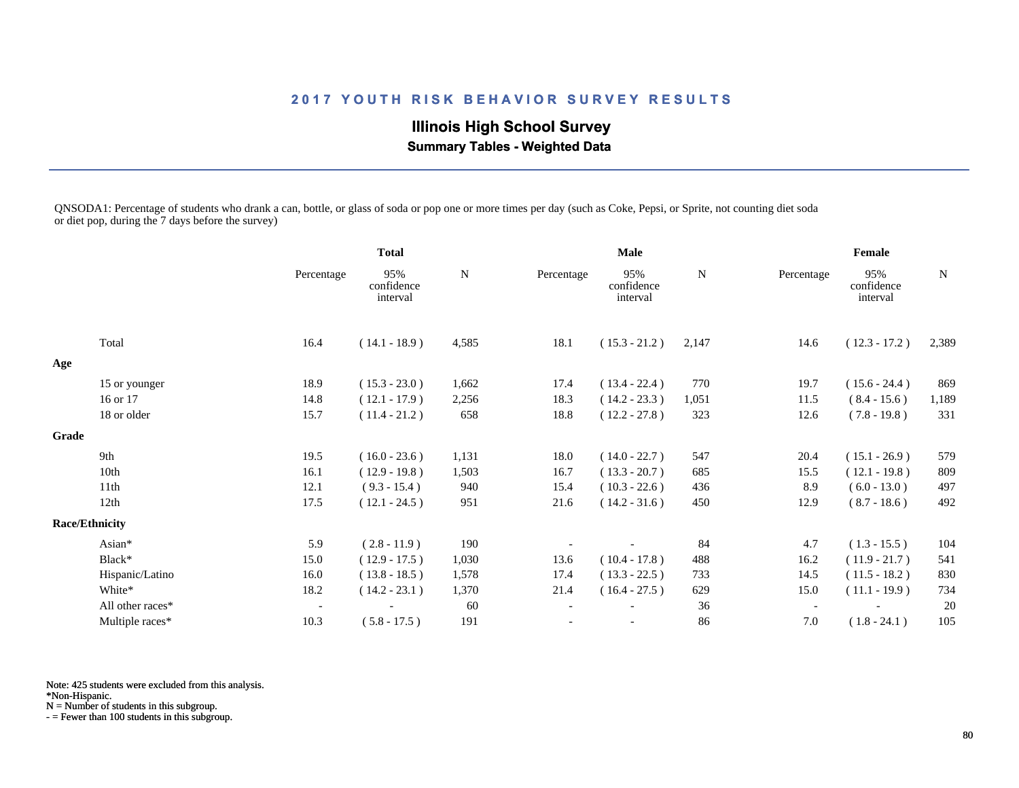# **Illinois High School Survey**

 **Summary Tables - Weighted Data**

QNSODA1: Percentage of students who drank a can, bottle, or glass of soda or pop one or more times per day (such as Coke, Pepsi, or Sprite, not counting diet soda or diet pop, during the 7 days before the survey)

|       |                       |                          | <b>Total</b>                  |             |            | <b>Male</b>                   |             |                          | Female                        |       |
|-------|-----------------------|--------------------------|-------------------------------|-------------|------------|-------------------------------|-------------|--------------------------|-------------------------------|-------|
|       |                       | Percentage               | 95%<br>confidence<br>interval | $\mathbf N$ | Percentage | 95%<br>confidence<br>interval | $\mathbf N$ | Percentage               | 95%<br>confidence<br>interval | N     |
|       | Total                 | 16.4                     | $(14.1 - 18.9)$               | 4,585       | 18.1       | $(15.3 - 21.2)$               | 2,147       | 14.6                     | $(12.3 - 17.2)$               | 2,389 |
| Age   |                       |                          |                               |             |            |                               |             |                          |                               |       |
|       | 15 or younger         | 18.9                     | $(15.3 - 23.0)$               | 1,662       | 17.4       | $(13.4 - 22.4)$               | 770         | 19.7                     | $(15.6 - 24.4)$               | 869   |
|       | 16 or 17              | 14.8                     | $(12.1 - 17.9)$               | 2,256       | 18.3       | $(14.2 - 23.3)$               | 1,051       | 11.5                     | $(8.4 - 15.6)$                | 1,189 |
|       | 18 or older           | 15.7                     | $(11.4 - 21.2)$               | 658         | 18.8       | $(12.2 - 27.8)$               | 323         | 12.6                     | $(7.8 - 19.8)$                | 331   |
| Grade |                       |                          |                               |             |            |                               |             |                          |                               |       |
|       | 9th                   | 19.5                     | $(16.0 - 23.6)$               | 1,131       | 18.0       | $(14.0 - 22.7)$               | 547         | 20.4                     | $(15.1 - 26.9)$               | 579   |
|       | 10th                  | 16.1                     | $(12.9 - 19.8)$               | 1,503       | 16.7       | $(13.3 - 20.7)$               | 685         | 15.5                     | $(12.1 - 19.8)$               | 809   |
|       | 11 <sup>th</sup>      | 12.1                     | $(9.3 - 15.4)$                | 940         | 15.4       | $(10.3 - 22.6)$               | 436         | 8.9                      | $(6.0 - 13.0)$                | 497   |
|       | 12th                  | 17.5                     | $(12.1 - 24.5)$               | 951         | 21.6       | $(14.2 - 31.6)$               | 450         | 12.9                     | $(8.7 - 18.6)$                | 492   |
|       | <b>Race/Ethnicity</b> |                          |                               |             |            |                               |             |                          |                               |       |
|       | Asian*                | 5.9                      | $(2.8 - 11.9)$                | 190         |            |                               | 84          | 4.7                      | $(1.3 - 15.5)$                | 104   |
|       | Black*                | 15.0                     | $(12.9 - 17.5)$               | 1,030       | 13.6       | $(10.4 - 17.8)$               | 488         | 16.2                     | $(11.9 - 21.7)$               | 541   |
|       | Hispanic/Latino       | 16.0                     | $(13.8 - 18.5)$               | 1,578       | 17.4       | $(13.3 - 22.5)$               | 733         | 14.5                     | $(11.5 - 18.2)$               | 830   |
|       | White*                | 18.2                     | $(14.2 - 23.1)$               | 1,370       | 21.4       | $(16.4 - 27.5)$               | 629         | 15.0                     | $(11.1 - 19.9)$               | 734   |
|       | All other races*      | $\overline{\phantom{a}}$ |                               | 60          |            |                               | 36          | $\overline{\phantom{a}}$ |                               | 20    |
|       | Multiple races*       | 10.3                     | $(5.8 - 17.5)$                | 191         |            | $\overline{\phantom{a}}$      | 86          | 7.0                      | $(1.8 - 24.1)$                | 105   |

Note: 425 students were excluded from this analysis.

\*Non-Hispanic.

N = Number of students in this subgroup.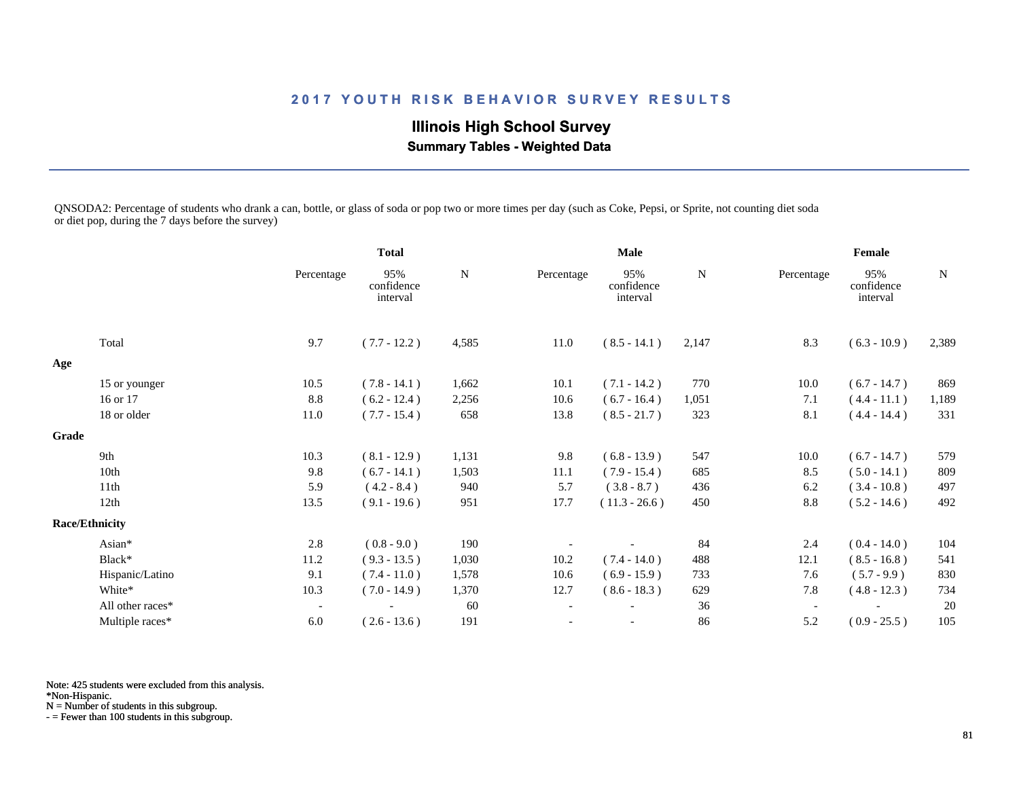## **Illinois High School Survey Summary Tables - Weighted Data**

QNSODA2: Percentage of students who drank a can, bottle, or glass of soda or pop two or more times per day (such as Coke, Pepsi, or Sprite, not counting diet soda or diet pop, during the 7 days before the survey)

|       |                       |                          | <b>Total</b>                  |       |                          | <b>Male</b>                   |           |                          | Female                        |           |
|-------|-----------------------|--------------------------|-------------------------------|-------|--------------------------|-------------------------------|-----------|--------------------------|-------------------------------|-----------|
|       |                       | Percentage               | 95%<br>confidence<br>interval | N     | Percentage               | 95%<br>confidence<br>interval | ${\bf N}$ | Percentage               | 95%<br>confidence<br>interval | ${\bf N}$ |
|       | Total                 | 9.7                      | $(7.7 - 12.2)$                | 4,585 | 11.0                     | $(8.5 - 14.1)$                | 2,147     | 8.3                      | $(6.3 - 10.9)$                | 2,389     |
| Age   |                       |                          |                               |       |                          |                               |           |                          |                               |           |
|       | 15 or younger         | 10.5                     | $(7.8 - 14.1)$                | 1,662 | 10.1                     | $(7.1 - 14.2)$                | 770       | 10.0                     | $(6.7 - 14.7)$                | 869       |
|       | 16 or 17              | 8.8                      | $(6.2 - 12.4)$                | 2,256 | 10.6                     | $(6.7 - 16.4)$                | 1,051     | 7.1                      | $(4.4 - 11.1)$                | 1,189     |
|       | 18 or older           | 11.0                     | $(7.7 - 15.4)$                | 658   | 13.8                     | $(8.5 - 21.7)$                | 323       | 8.1                      | $(4.4 - 14.4)$                | 331       |
| Grade |                       |                          |                               |       |                          |                               |           |                          |                               |           |
|       | 9th                   | 10.3                     | $(8.1 - 12.9)$                | 1,131 | 9.8                      | $(6.8 - 13.9)$                | 547       | 10.0                     | $(6.7 - 14.7)$                | 579       |
|       | 10th                  | 9.8                      | $(6.7 - 14.1)$                | 1,503 | 11.1                     | $(7.9 - 15.4)$                | 685       | 8.5                      | $(5.0 - 14.1)$                | 809       |
|       | 11th                  | 5.9                      | $(4.2 - 8.4)$                 | 940   | 5.7                      | $(3.8 - 8.7)$                 | 436       | 6.2                      | $(3.4 - 10.8)$                | 497       |
|       | 12th                  | 13.5                     | $(9.1 - 19.6)$                | 951   | 17.7                     | $(11.3 - 26.6)$               | 450       | 8.8                      | $(5.2 - 14.6)$                | 492       |
|       | <b>Race/Ethnicity</b> |                          |                               |       |                          |                               |           |                          |                               |           |
|       | Asian*                | 2.8                      | $(0.8 - 9.0)$                 | 190   |                          |                               | 84        | 2.4                      | $(0.4 - 14.0)$                | 104       |
|       | Black*                | 11.2                     | $(9.3 - 13.5)$                | 1,030 | 10.2                     | $(7.4 - 14.0)$                | 488       | 12.1                     | $(8.5 - 16.8)$                | 541       |
|       | Hispanic/Latino       | 9.1                      | $(7.4 - 11.0)$                | 1,578 | 10.6                     | $(6.9 - 15.9)$                | 733       | 7.6                      | $(5.7 - 9.9)$                 | 830       |
|       | White*                | 10.3                     | $(7.0 - 14.9)$                | 1,370 | 12.7                     | $(8.6 - 18.3)$                | 629       | 7.8                      | $(4.8 - 12.3)$                | 734       |
|       | All other races*      | $\overline{\phantom{a}}$ |                               | 60    | $\overline{\phantom{a}}$ |                               | 36        | $\overline{\phantom{a}}$ |                               | 20        |
|       | Multiple races*       | 6.0                      | $(2.6 - 13.6)$                | 191   | $\overline{\phantom{a}}$ |                               | 86        | 5.2                      | $(0.9 - 25.5)$                | 105       |

Note: 425 students were excluded from this analysis.

\*Non-Hispanic.

N = Number of students in this subgroup.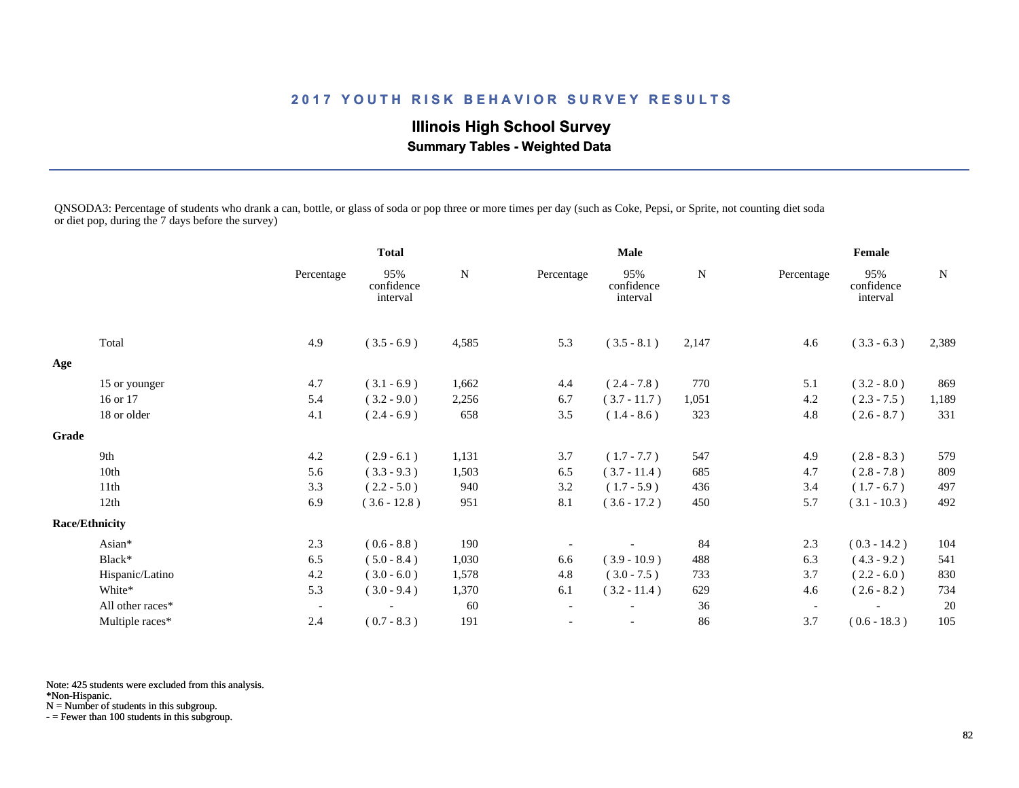**Illinois High School Survey**

 **Summary Tables - Weighted Data**

QNSODA3: Percentage of students who drank a can, bottle, or glass of soda or pop three or more times per day (such as Coke, Pepsi, or Sprite, not counting diet soda or diet pop, during the 7 days before the survey)

|              |                       |                          | <b>Total</b>                  |           | <b>Male</b>              |                               |           | Female                   |                               |           |
|--------------|-----------------------|--------------------------|-------------------------------|-----------|--------------------------|-------------------------------|-----------|--------------------------|-------------------------------|-----------|
|              |                       | Percentage               | 95%<br>confidence<br>interval | ${\bf N}$ | Percentage               | 95%<br>confidence<br>interval | ${\bf N}$ | Percentage               | 95%<br>confidence<br>interval | ${\bf N}$ |
|              | Total                 | 4.9                      | $(3.5 - 6.9)$                 | 4,585     | 5.3                      | $(3.5 - 8.1)$                 | 2,147     | 4.6                      | $(3.3 - 6.3)$                 | 2,389     |
| Age          |                       |                          |                               |           |                          |                               |           |                          |                               |           |
|              | 15 or younger         | 4.7                      | $(3.1 - 6.9)$                 | 1,662     | 4.4                      | $(2.4 - 7.8)$                 | 770       | 5.1                      | $(3.2 - 8.0)$                 | 869       |
|              | 16 or 17              | 5.4                      | $(3.2 - 9.0)$                 | 2,256     | 6.7                      | $(3.7 - 11.7)$                | 1,051     | 4.2                      | $(2.3 - 7.5)$                 | 1,189     |
|              | 18 or older           | 4.1                      | $(2.4 - 6.9)$                 | 658       | 3.5                      | $(1.4 - 8.6)$                 | 323       | 4.8                      | $(2.6 - 8.7)$                 | 331       |
| <b>Grade</b> |                       |                          |                               |           |                          |                               |           |                          |                               |           |
|              | 9th                   | 4.2                      | $(2.9 - 6.1)$                 | 1,131     | 3.7                      | $(1.7 - 7.7)$                 | 547       | 4.9                      | $(2.8 - 8.3)$                 | 579       |
|              | 10th                  | 5.6                      | $(3.3 - 9.3)$                 | 1,503     | 6.5                      | $(3.7 - 11.4)$                | 685       | 4.7                      | $(2.8 - 7.8)$                 | 809       |
|              | 11th                  | 3.3                      | $(2.2 - 5.0)$                 | 940       | 3.2                      | $(1.7 - 5.9)$                 | 436       | 3.4                      | $(1.7 - 6.7)$                 | 497       |
|              | 12th                  | 6.9                      | $(3.6 - 12.8)$                | 951       | 8.1                      | $(3.6 - 17.2)$                | 450       | 5.7                      | $(3.1 - 10.3)$                | 492       |
|              | <b>Race/Ethnicity</b> |                          |                               |           |                          |                               |           |                          |                               |           |
|              | Asian*                | 2.3                      | $(0.6 - 8.8)$                 | 190       |                          |                               | 84        | 2.3                      | $(0.3 - 14.2)$                | 104       |
|              | Black*                | 6.5                      | $(5.0 - 8.4)$                 | 1,030     | 6.6                      | $(3.9 - 10.9)$                | 488       | 6.3                      | $(4.3 - 9.2)$                 | 541       |
|              | Hispanic/Latino       | 4.2                      | $(3.0 - 6.0)$                 | 1,578     | 4.8                      | $(3.0 - 7.5)$                 | 733       | 3.7                      | $(2.2 - 6.0)$                 | 830       |
|              | White*                | 5.3                      | $(3.0 - 9.4)$                 | 1,370     | 6.1                      | $(3.2 - 11.4)$                | 629       | 4.6                      | $(2.6 - 8.2)$                 | 734       |
|              | All other races*      | $\overline{\phantom{a}}$ |                               | 60        | $\overline{\phantom{a}}$ |                               | 36        | $\overline{\phantom{a}}$ |                               | 20        |
|              | Multiple races*       | 2.4                      | $(0.7 - 8.3)$                 | 191       | $\overline{\phantom{a}}$ | $\overline{\phantom{a}}$      | 86        | 3.7                      | $(0.6 - 18.3)$                | 105       |

Note: 425 students were excluded from this analysis.

\*Non-Hispanic.

N = Number of students in this subgroup.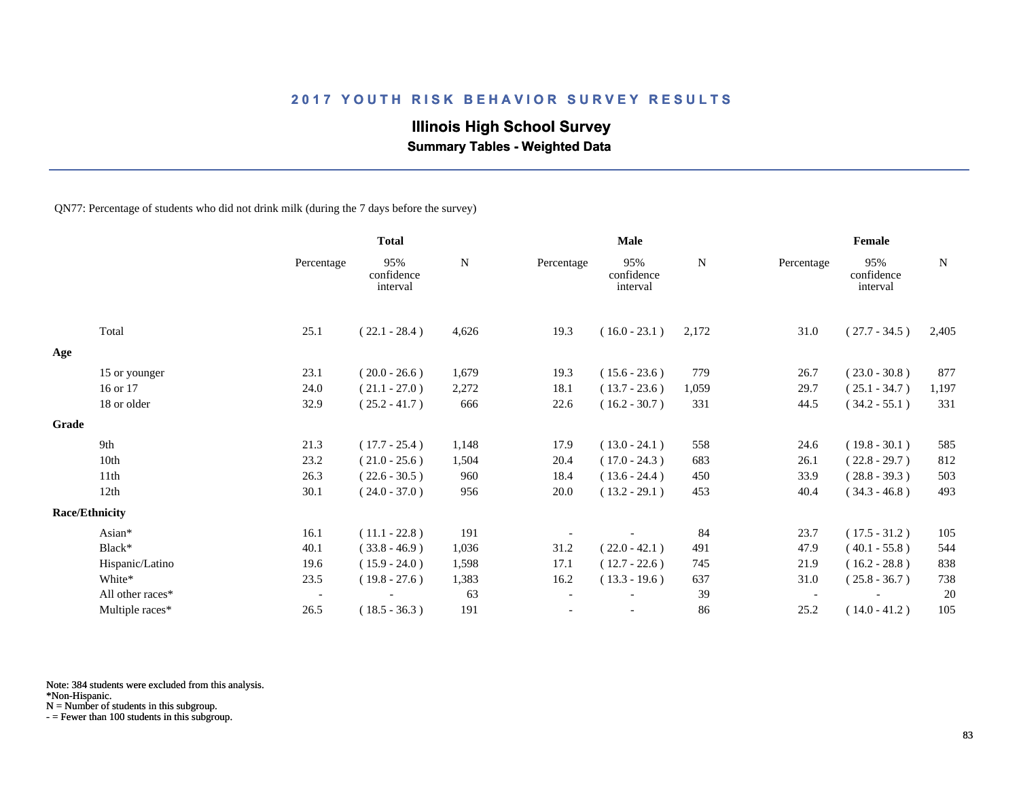## **Illinois High School Survey**

 **Summary Tables - Weighted Data**

QN77: Percentage of students who did not drink milk (during the 7 days before the survey)

|       |                       |                          | <b>Total</b>                  |       |            | Male                          |       |            | Female                        |             |
|-------|-----------------------|--------------------------|-------------------------------|-------|------------|-------------------------------|-------|------------|-------------------------------|-------------|
|       |                       | Percentage               | 95%<br>confidence<br>interval | N     | Percentage | 95%<br>confidence<br>interval | N     | Percentage | 95%<br>confidence<br>interval | $\mathbf N$ |
|       | Total                 | 25.1                     | $(22.1 - 28.4)$               | 4,626 | 19.3       | $(16.0 - 23.1)$               | 2,172 | 31.0       | $(27.7 - 34.5)$               | 2,405       |
| Age   |                       |                          |                               |       |            |                               |       |            |                               |             |
|       | 15 or younger         | 23.1                     | $(20.0 - 26.6)$               | 1,679 | 19.3       | $(15.6 - 23.6)$               | 779   | 26.7       | $(23.0 - 30.8)$               | 877         |
|       | 16 or 17              | 24.0                     | $(21.1 - 27.0)$               | 2,272 | 18.1       | $(13.7 - 23.6)$               | 1,059 | 29.7       | $(25.1 - 34.7)$               | 1,197       |
|       | 18 or older           | 32.9                     | $(25.2 - 41.7)$               | 666   | 22.6       | $(16.2 - 30.7)$               | 331   | 44.5       | $(34.2 - 55.1)$               | 331         |
| Grade |                       |                          |                               |       |            |                               |       |            |                               |             |
|       | 9th                   | 21.3                     | $(17.7 - 25.4)$               | 1,148 | 17.9       | $(13.0 - 24.1)$               | 558   | 24.6       | $(19.8 - 30.1)$               | 585         |
|       | 10th                  | 23.2                     | $(21.0 - 25.6)$               | 1,504 | 20.4       | $(17.0 - 24.3)$               | 683   | 26.1       | $(22.8 - 29.7)$               | 812         |
|       | 11th                  | 26.3                     | $(22.6 - 30.5)$               | 960   | 18.4       | $(13.6 - 24.4)$               | 450   | 33.9       | $(28.8 - 39.3)$               | 503         |
|       | 12th                  | 30.1                     | $(24.0 - 37.0)$               | 956   | 20.0       | $(13.2 - 29.1)$               | 453   | 40.4       | $(34.3 - 46.8)$               | 493         |
|       | <b>Race/Ethnicity</b> |                          |                               |       |            |                               |       |            |                               |             |
|       | Asian*                | 16.1                     | $(11.1 - 22.8)$               | 191   |            |                               | 84    | 23.7       | $(17.5 - 31.2)$               | 105         |
|       | Black*                | 40.1                     | $(33.8 - 46.9)$               | 1,036 | 31.2       | $(22.0 - 42.1)$               | 491   | 47.9       | $(40.1 - 55.8)$               | 544         |
|       | Hispanic/Latino       | 19.6                     | $(15.9 - 24.0)$               | 1,598 | 17.1       | $(12.7 - 22.6)$               | 745   | 21.9       | $(16.2 - 28.8)$               | 838         |
|       | White*                | 23.5                     | $(19.8 - 27.6)$               | 1,383 | 16.2       | $(13.3 - 19.6)$               | 637   | 31.0       | $(25.8 - 36.7)$               | 738         |
|       | All other races*      | $\overline{\phantom{a}}$ |                               | 63    |            |                               | 39    |            |                               | 20          |
|       | Multiple races*       | 26.5                     | $(18.5 - 36.3)$               | 191   |            |                               | 86    | 25.2       | $(14.0 - 41.2)$               | 105         |

Note: 384 students were excluded from this analysis.

N = Number of students in this subgroup.

<sup>\*</sup>Non-Hispanic.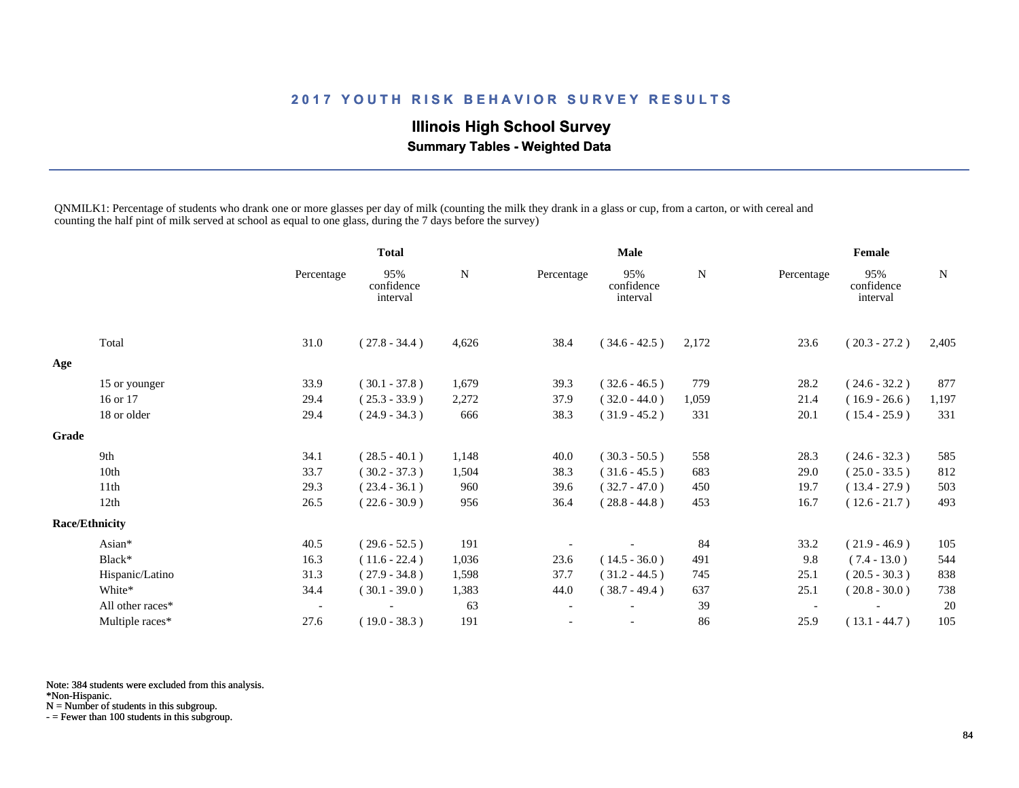## **Illinois High School Survey Summary Tables - Weighted Data**

QNMILK1: Percentage of students who drank one or more glasses per day of milk (counting the milk they drank in a glass or cup, from a carton, or with cereal and counting the half pint of milk served at school as equal to one glass, during the 7 days before the survey)

|       |                       |                          | <b>Total</b>                  |       |                          | <b>Male</b>                   |             |                          | Female                        |       |
|-------|-----------------------|--------------------------|-------------------------------|-------|--------------------------|-------------------------------|-------------|--------------------------|-------------------------------|-------|
|       |                       | Percentage               | 95%<br>confidence<br>interval | N     | Percentage               | 95%<br>confidence<br>interval | $\mathbf N$ | Percentage               | 95%<br>confidence<br>interval | N     |
|       | Total                 | 31.0                     | $(27.8 - 34.4)$               | 4,626 | 38.4                     | $(34.6 - 42.5)$               | 2,172       | 23.6                     | $(20.3 - 27.2)$               | 2,405 |
| Age   |                       |                          |                               |       |                          |                               |             |                          |                               |       |
|       | 15 or younger         | 33.9                     | $(30.1 - 37.8)$               | 1,679 | 39.3                     | $(32.6 - 46.5)$               | 779         | 28.2                     | $(24.6 - 32.2)$               | 877   |
|       | 16 or 17              | 29.4                     | $(25.3 - 33.9)$               | 2,272 | 37.9                     | $(32.0 - 44.0)$               | 1,059       | 21.4                     | $(16.9 - 26.6)$               | 1,197 |
|       | 18 or older           | 29.4                     | $(24.9 - 34.3)$               | 666   | 38.3                     | $(31.9 - 45.2)$               | 331         | 20.1                     | $(15.4 - 25.9)$               | 331   |
| Grade |                       |                          |                               |       |                          |                               |             |                          |                               |       |
|       | 9th                   | 34.1                     | $(28.5 - 40.1)$               | 1,148 | 40.0                     | $(30.3 - 50.5)$               | 558         | 28.3                     | $(24.6 - 32.3)$               | 585   |
|       | 10th                  | 33.7                     | $(30.2 - 37.3)$               | 1,504 | 38.3                     | $(31.6 - 45.5)$               | 683         | 29.0                     | $(25.0 - 33.5)$               | 812   |
|       | 11th                  | 29.3                     | $(23.4 - 36.1)$               | 960   | 39.6                     | $(32.7 - 47.0)$               | 450         | 19.7                     | $(13.4 - 27.9)$               | 503   |
|       | 12th                  | 26.5                     | $(22.6 - 30.9)$               | 956   | 36.4                     | $(28.8 - 44.8)$               | 453         | 16.7                     | $(12.6 - 21.7)$               | 493   |
|       | <b>Race/Ethnicity</b> |                          |                               |       |                          |                               |             |                          |                               |       |
|       | Asian*                | 40.5                     | $(29.6 - 52.5)$               | 191   |                          |                               | 84          | 33.2                     | $(21.9 - 46.9)$               | 105   |
|       | Black*                | 16.3                     | $(11.6 - 22.4)$               | 1,036 | 23.6                     | $(14.5 - 36.0)$               | 491         | 9.8                      | $(7.4 - 13.0)$                | 544   |
|       | Hispanic/Latino       | 31.3                     | $(27.9 - 34.8)$               | 1,598 | 37.7                     | $(31.2 - 44.5)$               | 745         | 25.1                     | $(20.5 - 30.3)$               | 838   |
|       | White*                | 34.4                     | $(30.1 - 39.0)$               | 1,383 | 44.0                     | $(38.7 - 49.4)$               | 637         | 25.1                     | $(20.8 - 30.0)$               | 738   |
|       | All other races*      | $\overline{\phantom{a}}$ |                               | 63    | $\overline{\phantom{a}}$ |                               | 39          | $\overline{\phantom{a}}$ |                               | 20    |
|       | Multiple races*       | 27.6                     | $(19.0 - 38.3)$               | 191   |                          |                               | 86          | 25.9                     | $(13.1 - 44.7)$               | 105   |

Note: 384 students were excluded from this analysis.

\*Non-Hispanic.

N = Number of students in this subgroup.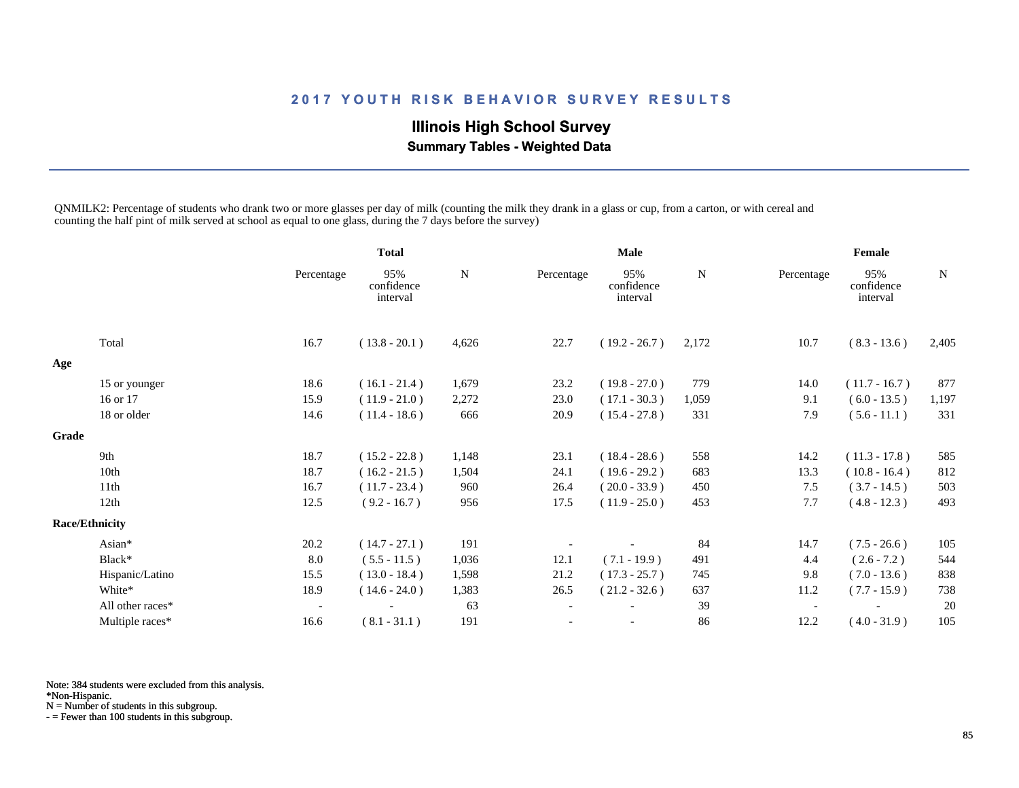## **Illinois High School Survey Summary Tables - Weighted Data**

QNMILK2: Percentage of students who drank two or more glasses per day of milk (counting the milk they drank in a glass or cup, from a carton, or with cereal and counting the half pint of milk served at school as equal to one glass, during the 7 days before the survey)

|              |                       |                          | <b>Total</b>                  |             | <b>Male</b>              |                               |             | Female     |                               |       |
|--------------|-----------------------|--------------------------|-------------------------------|-------------|--------------------------|-------------------------------|-------------|------------|-------------------------------|-------|
|              |                       | Percentage               | 95%<br>confidence<br>interval | $\mathbf N$ | Percentage               | 95%<br>confidence<br>interval | $\mathbf N$ | Percentage | 95%<br>confidence<br>interval | N     |
|              | Total                 | 16.7                     | $(13.8 - 20.1)$               | 4,626       | 22.7                     | $(19.2 - 26.7)$               | 2,172       | 10.7       | $(8.3 - 13.6)$                | 2,405 |
| Age          |                       |                          |                               |             |                          |                               |             |            |                               |       |
|              | 15 or younger         | 18.6                     | $(16.1 - 21.4)$               | 1,679       | 23.2                     | $(19.8 - 27.0)$               | 779         | 14.0       | $(11.7 - 16.7)$               | 877   |
|              | 16 or 17              | 15.9                     | $(11.9 - 21.0)$               | 2,272       | 23.0                     | $(17.1 - 30.3)$               | 1,059       | 9.1        | $(6.0 - 13.5)$                | 1,197 |
|              | 18 or older           | 14.6                     | $(11.4 - 18.6)$               | 666         | 20.9                     | $(15.4 - 27.8)$               | 331         | 7.9        | $(5.6 - 11.1)$                | 331   |
| <b>Grade</b> |                       |                          |                               |             |                          |                               |             |            |                               |       |
|              | 9th                   | 18.7                     | $(15.2 - 22.8)$               | 1,148       | 23.1                     | $(18.4 - 28.6)$               | 558         | 14.2       | $(11.3 - 17.8)$               | 585   |
|              | 10th                  | 18.7                     | $(16.2 - 21.5)$               | 1,504       | 24.1                     | $(19.6 - 29.2)$               | 683         | 13.3       | $(10.8 - 16.4)$               | 812   |
|              | 11th                  | 16.7                     | $(11.7 - 23.4)$               | 960         | 26.4                     | $(20.0 - 33.9)$               | 450         | 7.5        | $(3.7 - 14.5)$                | 503   |
|              | 12th                  | 12.5                     | $(9.2 - 16.7)$                | 956         | 17.5                     | $(11.9 - 25.0)$               | 453         | 7.7        | $(4.8 - 12.3)$                | 493   |
|              | <b>Race/Ethnicity</b> |                          |                               |             |                          |                               |             |            |                               |       |
|              | Asian*                | 20.2                     | $(14.7 - 27.1)$               | 191         |                          |                               | 84          | 14.7       | $(7.5 - 26.6)$                | 105   |
|              | Black*                | 8.0                      | $(5.5 - 11.5)$                | 1,036       | 12.1                     | $(7.1 - 19.9)$                | 491         | 4.4        | $(2.6 - 7.2)$                 | 544   |
|              | Hispanic/Latino       | 15.5                     | $(13.0 - 18.4)$               | 1,598       | 21.2                     | $(17.3 - 25.7)$               | 745         | 9.8        | $(7.0 - 13.6)$                | 838   |
|              | White*                | 18.9                     | $(14.6 - 24.0)$               | 1,383       | 26.5                     | $(21.2 - 32.6)$               | 637         | 11.2       | $(7.7 - 15.9)$                | 738   |
|              | All other races*      | $\overline{\phantom{a}}$ |                               | 63          | $\overline{\phantom{a}}$ |                               | 39          |            |                               | 20    |
|              | Multiple races*       | 16.6                     | $(8.1 - 31.1)$                | 191         |                          | $\overline{\phantom{a}}$      | 86          | 12.2       | $(4.0 - 31.9)$                | 105   |

Note: 384 students were excluded from this analysis.

\*Non-Hispanic.

N = Number of students in this subgroup.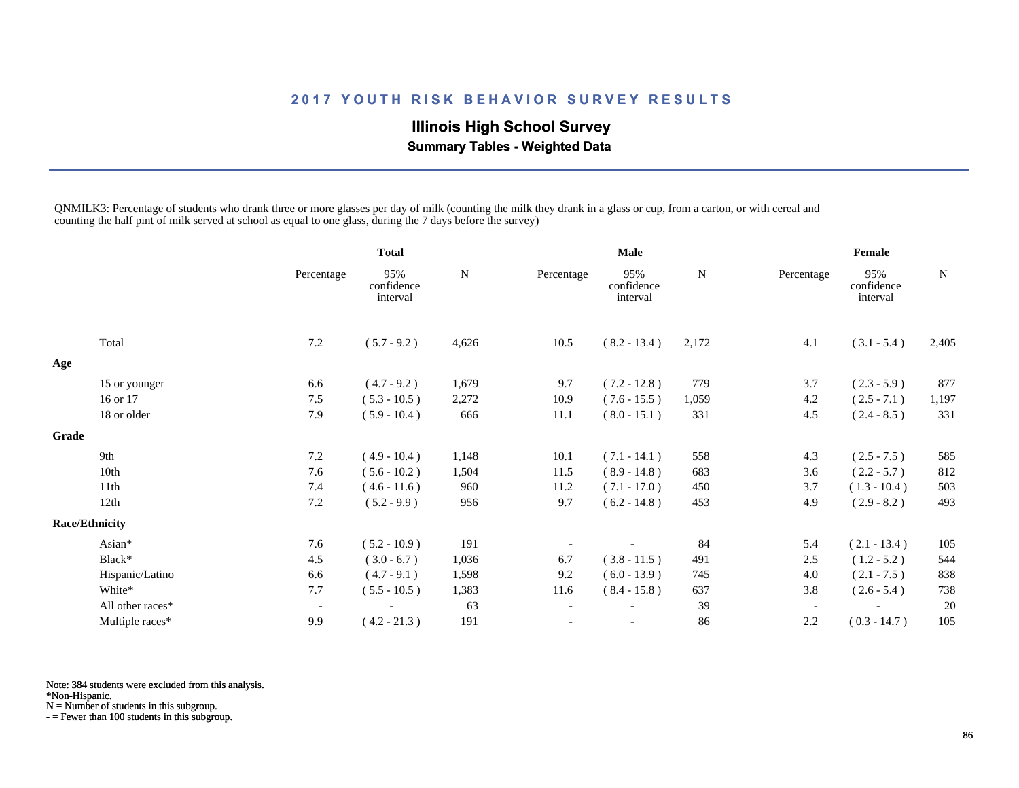## **Illinois High School Survey Summary Tables - Weighted Data**

QNMILK3: Percentage of students who drank three or more glasses per day of milk (counting the milk they drank in a glass or cup, from a carton, or with cereal and counting the half pint of milk served at school as equal to one glass, during the 7 days before the survey)

|              |                       |                          | <b>Total</b>                  |           | <b>Male</b>              |                               |             | Female                   |                               |       |
|--------------|-----------------------|--------------------------|-------------------------------|-----------|--------------------------|-------------------------------|-------------|--------------------------|-------------------------------|-------|
|              |                       | Percentage               | 95%<br>confidence<br>interval | ${\bf N}$ | Percentage               | 95%<br>confidence<br>interval | $\mathbf N$ | Percentage               | 95%<br>confidence<br>interval | N     |
|              | Total                 | 7.2                      | $(5.7 - 9.2)$                 | 4,626     | 10.5                     | $(8.2 - 13.4)$                | 2,172       | 4.1                      | $(3.1 - 5.4)$                 | 2,405 |
| Age          |                       |                          |                               |           |                          |                               |             |                          |                               |       |
|              | 15 or younger         | 6.6                      | $(4.7 - 9.2)$                 | 1,679     | 9.7                      | $(7.2 - 12.8)$                | 779         | 3.7                      | $(2.3 - 5.9)$                 | 877   |
|              | 16 or 17              | 7.5                      | $(5.3 - 10.5)$                | 2,272     | 10.9                     | $(7.6 - 15.5)$                | 1,059       | 4.2                      | $(2.5 - 7.1)$                 | 1,197 |
|              | 18 or older           | 7.9                      | $(5.9 - 10.4)$                | 666       | 11.1                     | $(8.0 - 15.1)$                | 331         | 4.5                      | $(2.4 - 8.5)$                 | 331   |
| <b>Grade</b> |                       |                          |                               |           |                          |                               |             |                          |                               |       |
|              | 9th                   | 7.2                      | $(4.9 - 10.4)$                | 1,148     | 10.1                     | $(7.1 - 14.1)$                | 558         | 4.3                      | $(2.5 - 7.5)$                 | 585   |
|              | 10th                  | 7.6                      | $(5.6 - 10.2)$                | 1,504     | 11.5                     | $(8.9 - 14.8)$                | 683         | 3.6                      | $(2.2 - 5.7)$                 | 812   |
|              | 11th                  | 7.4                      | $(4.6 - 11.6)$                | 960       | 11.2                     | $(7.1 - 17.0)$                | 450         | 3.7                      | $(1.3 - 10.4)$                | 503   |
|              | 12th                  | 7.2                      | $(5.2 - 9.9)$                 | 956       | 9.7                      | $(6.2 - 14.8)$                | 453         | 4.9                      | $(2.9 - 8.2)$                 | 493   |
|              | <b>Race/Ethnicity</b> |                          |                               |           |                          |                               |             |                          |                               |       |
|              | Asian*                | 7.6                      | $(5.2 - 10.9)$                | 191       |                          |                               | 84          | 5.4                      | $(2.1 - 13.4)$                | 105   |
|              | Black*                | 4.5                      | $(3.0 - 6.7)$                 | 1,036     | 6.7                      | $(3.8 - 11.5)$                | 491         | 2.5                      | $(1.2 - 5.2)$                 | 544   |
|              | Hispanic/Latino       | 6.6                      | $(4.7 - 9.1)$                 | 1,598     | 9.2                      | $(6.0 - 13.9)$                | 745         | 4.0                      | $(2.1 - 7.5)$                 | 838   |
|              | White*                | 7.7                      | $(5.5 - 10.5)$                | 1,383     | 11.6                     | $(8.4 - 15.8)$                | 637         | 3.8                      | $(2.6 - 5.4)$                 | 738   |
|              | All other races*      | $\overline{\phantom{a}}$ |                               | 63        | $\overline{\phantom{a}}$ |                               | 39          | $\overline{\phantom{a}}$ |                               | 20    |
|              | Multiple races*       | 9.9                      | $(4.2 - 21.3)$                | 191       | $\overline{\phantom{a}}$ |                               | 86          | 2.2                      | $(0.3 - 14.7)$                | 105   |

Note: 384 students were excluded from this analysis.

\*Non-Hispanic.

N = Number of students in this subgroup.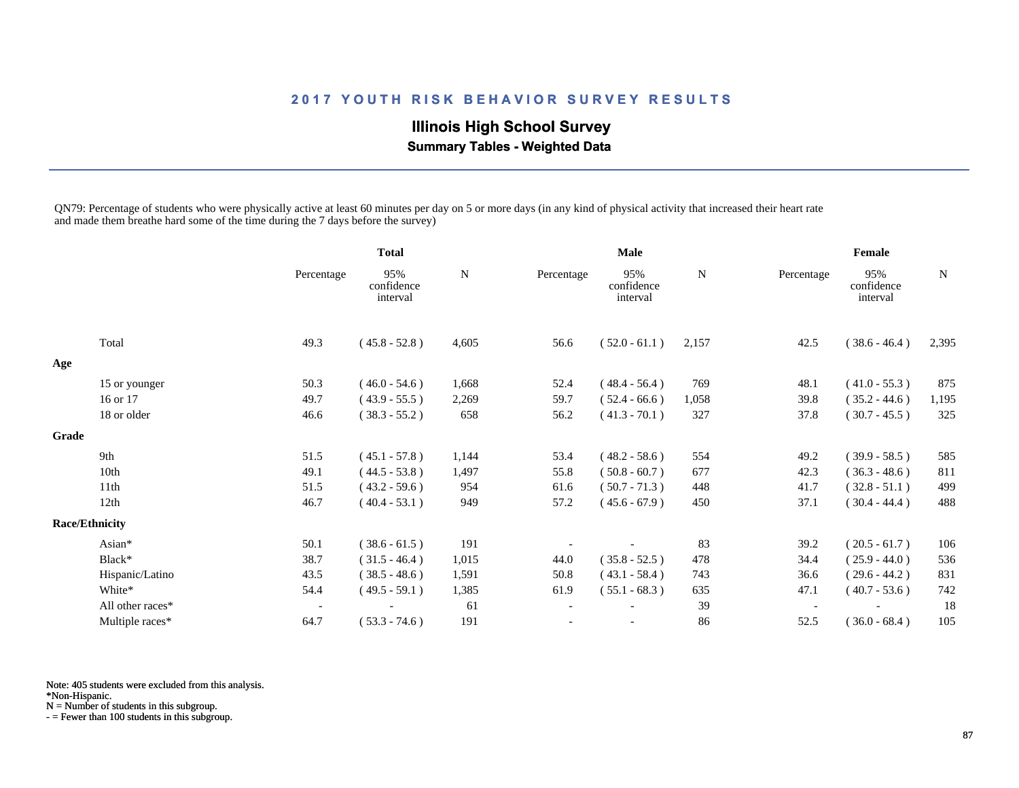## **Illinois High School Survey Summary Tables - Weighted Data**

QN79: Percentage of students who were physically active at least 60 minutes per day on 5 or more days (in any kind of physical activity that increased their heart rate and made them breathe hard some of the time during the 7 days before the survey)

|       |                       |                          | <b>Total</b>                  |           | <b>Male</b>              |                               |           | Female                   |                               |             |
|-------|-----------------------|--------------------------|-------------------------------|-----------|--------------------------|-------------------------------|-----------|--------------------------|-------------------------------|-------------|
|       |                       | Percentage               | 95%<br>confidence<br>interval | ${\bf N}$ | Percentage               | 95%<br>confidence<br>interval | ${\bf N}$ | Percentage               | 95%<br>confidence<br>interval | $\mathbf N$ |
|       | Total                 | 49.3                     | $(45.8 - 52.8)$               | 4,605     | 56.6                     | $(52.0 - 61.1)$               | 2,157     | 42.5                     | $(38.6 - 46.4)$               | 2,395       |
| Age   |                       |                          |                               |           |                          |                               |           |                          |                               |             |
|       | 15 or younger         | 50.3                     | $(46.0 - 54.6)$               | 1,668     | 52.4                     | $(48.4 - 56.4)$               | 769       | 48.1                     | $(41.0 - 55.3)$               | 875         |
|       | 16 or 17              | 49.7                     | $(43.9 - 55.5)$               | 2,269     | 59.7                     | $(52.4 - 66.6)$               | 1,058     | 39.8                     | $(35.2 - 44.6)$               | 1,195       |
|       | 18 or older           | 46.6                     | $(38.3 - 55.2)$               | 658       | 56.2                     | $(41.3 - 70.1)$               | 327       | 37.8                     | $(30.7 - 45.5)$               | 325         |
| Grade |                       |                          |                               |           |                          |                               |           |                          |                               |             |
|       | 9th                   | 51.5                     | $(45.1 - 57.8)$               | 1,144     | 53.4                     | $(48.2 - 58.6)$               | 554       | 49.2                     | $(39.9 - 58.5)$               | 585         |
|       | 10th                  | 49.1                     | $(44.5 - 53.8)$               | 1,497     | 55.8                     | $(50.8 - 60.7)$               | 677       | 42.3                     | $(36.3 - 48.6)$               | 811         |
|       | 11th                  | 51.5                     | $(43.2 - 59.6)$               | 954       | 61.6                     | $(50.7 - 71.3)$               | 448       | 41.7                     | $(32.8 - 51.1)$               | 499         |
|       | 12th                  | 46.7                     | $(40.4 - 53.1)$               | 949       | 57.2                     | $(45.6 - 67.9)$               | 450       | 37.1                     | $(30.4 - 44.4)$               | 488         |
|       | <b>Race/Ethnicity</b> |                          |                               |           |                          |                               |           |                          |                               |             |
|       | Asian*                | 50.1                     | $(38.6 - 61.5)$               | 191       |                          |                               | 83        | 39.2                     | $(20.5 - 61.7)$               | 106         |
|       | Black*                | 38.7                     | $(31.5 - 46.4)$               | 1,015     | 44.0                     | $(35.8 - 52.5)$               | 478       | 34.4                     | $(25.9 - 44.0)$               | 536         |
|       | Hispanic/Latino       | 43.5                     | $(38.5 - 48.6)$               | 1,591     | 50.8                     | $(43.1 - 58.4)$               | 743       | 36.6                     | $(29.6 - 44.2)$               | 831         |
|       | White*                | 54.4                     | $(49.5 - 59.1)$               | 1,385     | 61.9                     | $(55.1 - 68.3)$               | 635       | 47.1                     | $(40.7 - 53.6)$               | 742         |
|       | All other races*      | $\overline{\phantom{a}}$ |                               | 61        | $\overline{\phantom{a}}$ |                               | 39        | $\overline{\phantom{a}}$ |                               | 18          |
|       | Multiple races*       | 64.7                     | $(53.3 - 74.6)$               | 191       |                          |                               | 86        | 52.5                     | $(36.0 - 68.4)$               | 105         |

Note: 405 students were excluded from this analysis.

\*Non-Hispanic.

N = Number of students in this subgroup.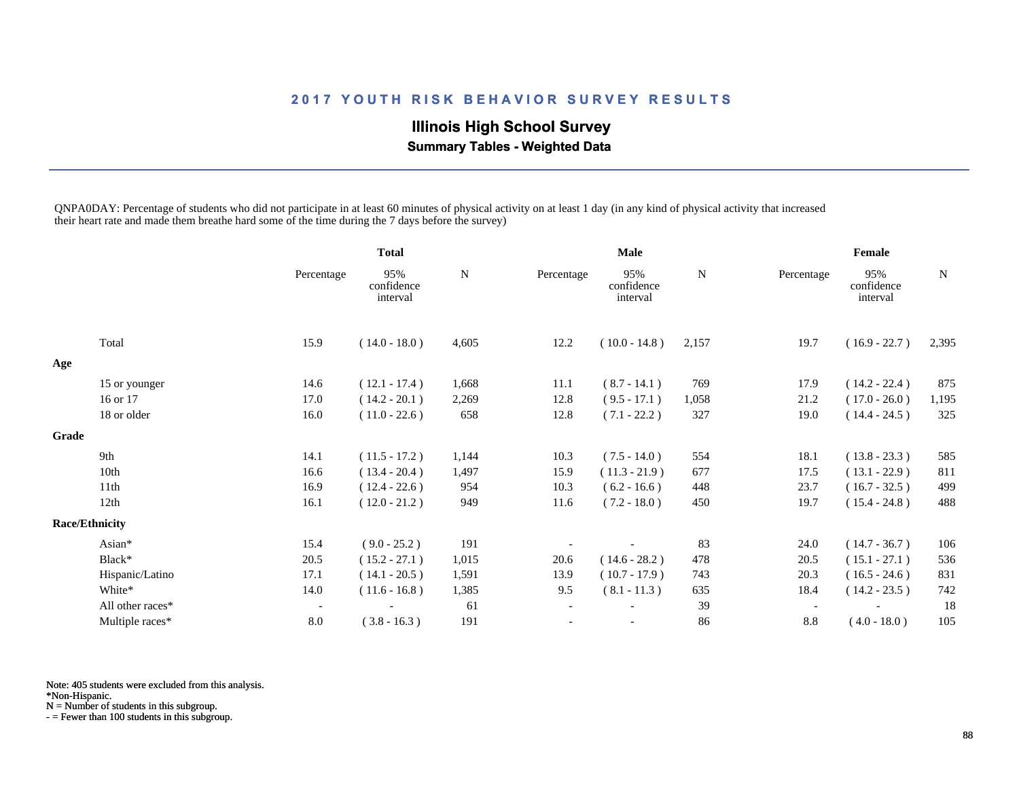## **Illinois High School Survey Summary Tables - Weighted Data**

QNPA0DAY: Percentage of students who did not participate in at least 60 minutes of physical activity on at least 1 day (in any kind of physical activity that increased their heart rate and made them breathe hard some of the time during the 7 days before the survey)

|       |                       |                          | <b>Total</b>                  |             | <b>Male</b>              |                               |             | Female                   |                               |       |
|-------|-----------------------|--------------------------|-------------------------------|-------------|--------------------------|-------------------------------|-------------|--------------------------|-------------------------------|-------|
|       |                       | Percentage               | 95%<br>confidence<br>interval | $\mathbf N$ | Percentage               | 95%<br>confidence<br>interval | $\mathbf N$ | Percentage               | 95%<br>confidence<br>interval | N     |
|       | Total                 | 15.9                     | $(14.0 - 18.0)$               | 4,605       | 12.2                     | $(10.0 - 14.8)$               | 2,157       | 19.7                     | $(16.9 - 22.7)$               | 2,395 |
| Age   |                       |                          |                               |             |                          |                               |             |                          |                               |       |
|       | 15 or younger         | 14.6                     | $(12.1 - 17.4)$               | 1,668       | 11.1                     | $(8.7 - 14.1)$                | 769         | 17.9                     | $(14.2 - 22.4)$               | 875   |
|       | 16 or 17              | 17.0                     | $(14.2 - 20.1)$               | 2,269       | 12.8                     | $(9.5 - 17.1)$                | 1,058       | 21.2                     | $(17.0 - 26.0)$               | 1,195 |
|       | 18 or older           | 16.0                     | $(11.0 - 22.6)$               | 658         | 12.8                     | $(7.1 - 22.2)$                | 327         | 19.0                     | $(14.4 - 24.5)$               | 325   |
| Grade |                       |                          |                               |             |                          |                               |             |                          |                               |       |
|       | 9th                   | 14.1                     | $(11.5 - 17.2)$               | 1,144       | 10.3                     | $(7.5 - 14.0)$                | 554         | 18.1                     | $(13.8 - 23.3)$               | 585   |
|       | 10th                  | 16.6                     | $(13.4 - 20.4)$               | 1,497       | 15.9                     | $(11.3 - 21.9)$               | 677         | 17.5                     | $(13.1 - 22.9)$               | 811   |
|       | 11 <sup>th</sup>      | 16.9                     | $(12.4 - 22.6)$               | 954         | 10.3                     | $(6.2 - 16.6)$                | 448         | 23.7                     | $(16.7 - 32.5)$               | 499   |
|       | 12th                  | 16.1                     | $(12.0 - 21.2)$               | 949         | 11.6                     | $(7.2 - 18.0)$                | 450         | 19.7                     | $(15.4 - 24.8)$               | 488   |
|       | <b>Race/Ethnicity</b> |                          |                               |             |                          |                               |             |                          |                               |       |
|       | Asian*                | 15.4                     | $(9.0 - 25.2)$                | 191         |                          |                               | 83          | 24.0                     | $(14.7 - 36.7)$               | 106   |
|       | Black*                | 20.5                     | $(15.2 - 27.1)$               | 1,015       | 20.6                     | $(14.6 - 28.2)$               | 478         | 20.5                     | $(15.1 - 27.1)$               | 536   |
|       | Hispanic/Latino       | 17.1                     | $(14.1 - 20.5)$               | 1,591       | 13.9                     | $(10.7 - 17.9)$               | 743         | 20.3                     | $(16.5 - 24.6)$               | 831   |
|       | White*                | 14.0                     | $(11.6 - 16.8)$               | 1,385       | 9.5                      | $(8.1 - 11.3)$                | 635         | 18.4                     | $(14.2 - 23.5)$               | 742   |
|       | All other races*      | $\overline{\phantom{a}}$ |                               | 61          | $\overline{\phantom{a}}$ |                               | 39          | $\overline{\phantom{a}}$ |                               | 18    |
|       | Multiple races*       | 8.0                      | $(3.8 - 16.3)$                | 191         |                          | $\overline{\phantom{a}}$      | 86          | 8.8                      | $(4.0 - 18.0)$                | 105   |

Note: 405 students were excluded from this analysis.

\*Non-Hispanic.

N = Number of students in this subgroup.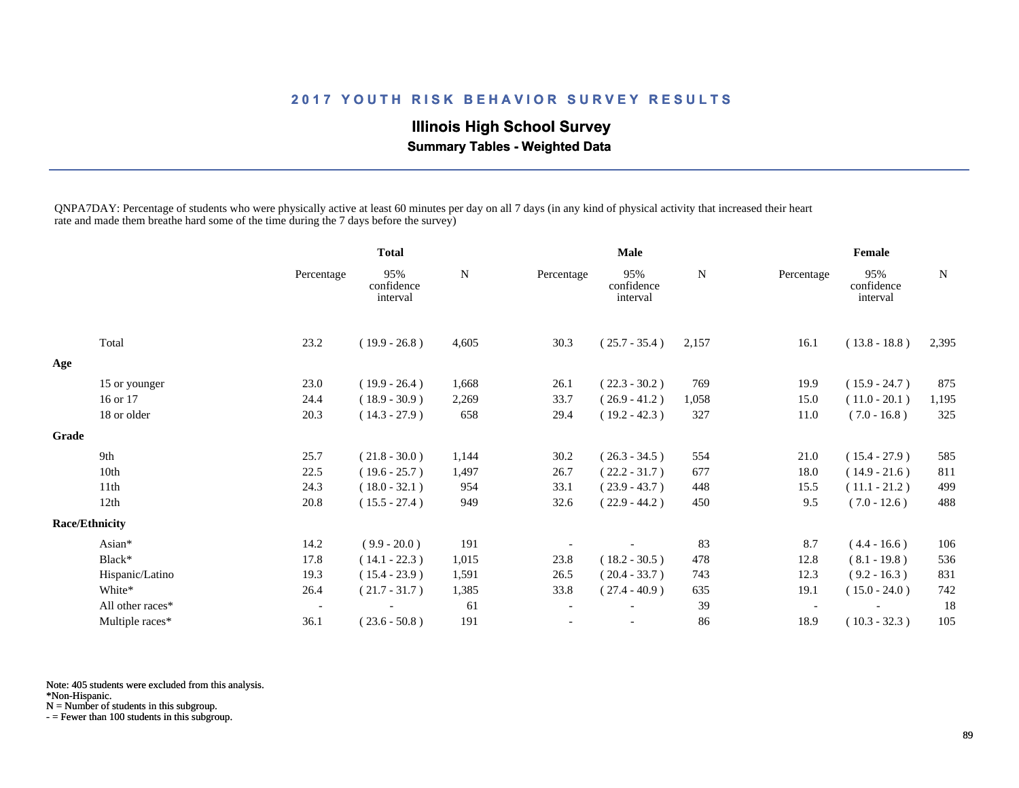## **Illinois High School Survey Summary Tables - Weighted Data**

QNPA7DAY: Percentage of students who were physically active at least 60 minutes per day on all 7 days (in any kind of physical activity that increased their heart rate and made them breathe hard some of the time during the 7 days before the survey)

|       |                       |                          | <b>Total</b>                  |           | <b>Male</b>              |                               |           | Female                   |                               |             |
|-------|-----------------------|--------------------------|-------------------------------|-----------|--------------------------|-------------------------------|-----------|--------------------------|-------------------------------|-------------|
|       |                       | Percentage               | 95%<br>confidence<br>interval | ${\bf N}$ | Percentage               | 95%<br>confidence<br>interval | ${\bf N}$ | Percentage               | 95%<br>confidence<br>interval | $\mathbf N$ |
|       | Total                 | 23.2                     | $(19.9 - 26.8)$               | 4,605     | 30.3                     | $(25.7 - 35.4)$               | 2,157     | 16.1                     | $(13.8 - 18.8)$               | 2,395       |
| Age   |                       |                          |                               |           |                          |                               |           |                          |                               |             |
|       | 15 or younger         | 23.0                     | $(19.9 - 26.4)$               | 1,668     | 26.1                     | $(22.3 - 30.2)$               | 769       | 19.9                     | $(15.9 - 24.7)$               | 875         |
|       | 16 or 17              | 24.4                     | $(18.9 - 30.9)$               | 2,269     | 33.7                     | $(26.9 - 41.2)$               | 1,058     | 15.0                     | $(11.0 - 20.1)$               | 1,195       |
|       | 18 or older           | 20.3                     | $(14.3 - 27.9)$               | 658       | 29.4                     | $(19.2 - 42.3)$               | 327       | 11.0                     | $(7.0 - 16.8)$                | 325         |
| Grade |                       |                          |                               |           |                          |                               |           |                          |                               |             |
|       | 9th                   | 25.7                     | $(21.8 - 30.0)$               | 1,144     | 30.2                     | $(26.3 - 34.5)$               | 554       | 21.0                     | $(15.4 - 27.9)$               | 585         |
|       | 10th                  | 22.5                     | $(19.6 - 25.7)$               | 1,497     | 26.7                     | $(22.2 - 31.7)$               | 677       | 18.0                     | $(14.9 - 21.6)$               | 811         |
|       | 11th                  | 24.3                     | $(18.0 - 32.1)$               | 954       | 33.1                     | $(23.9 - 43.7)$               | 448       | 15.5                     | $(11.1 - 21.2)$               | 499         |
|       | 12th                  | 20.8                     | $(15.5 - 27.4)$               | 949       | 32.6                     | $(22.9 - 44.2)$               | 450       | 9.5                      | $(7.0 - 12.6)$                | 488         |
|       | <b>Race/Ethnicity</b> |                          |                               |           |                          |                               |           |                          |                               |             |
|       | Asian*                | 14.2                     | $(9.9 - 20.0)$                | 191       |                          |                               | 83        | 8.7                      | $(4.4 - 16.6)$                | 106         |
|       | Black*                | 17.8                     | $(14.1 - 22.3)$               | 1,015     | 23.8                     | $(18.2 - 30.5)$               | 478       | 12.8                     | $(8.1 - 19.8)$                | 536         |
|       | Hispanic/Latino       | 19.3                     | $(15.4 - 23.9)$               | 1,591     | 26.5                     | $(20.4 - 33.7)$               | 743       | 12.3                     | $(9.2 - 16.3)$                | 831         |
|       | White*                | 26.4                     | $(21.7 - 31.7)$               | 1,385     | 33.8                     | $(27.4 - 40.9)$               | 635       | 19.1                     | $(15.0 - 24.0)$               | 742         |
|       | All other races*      | $\overline{\phantom{a}}$ |                               | 61        | $\overline{\phantom{a}}$ |                               | 39        | $\overline{\phantom{a}}$ |                               | 18          |
|       | Multiple races*       | 36.1                     | $(23.6 - 50.8)$               | 191       |                          |                               | 86        | 18.9                     | $(10.3 - 32.3)$               | 105         |

Note: 405 students were excluded from this analysis.

\*Non-Hispanic.

N = Number of students in this subgroup.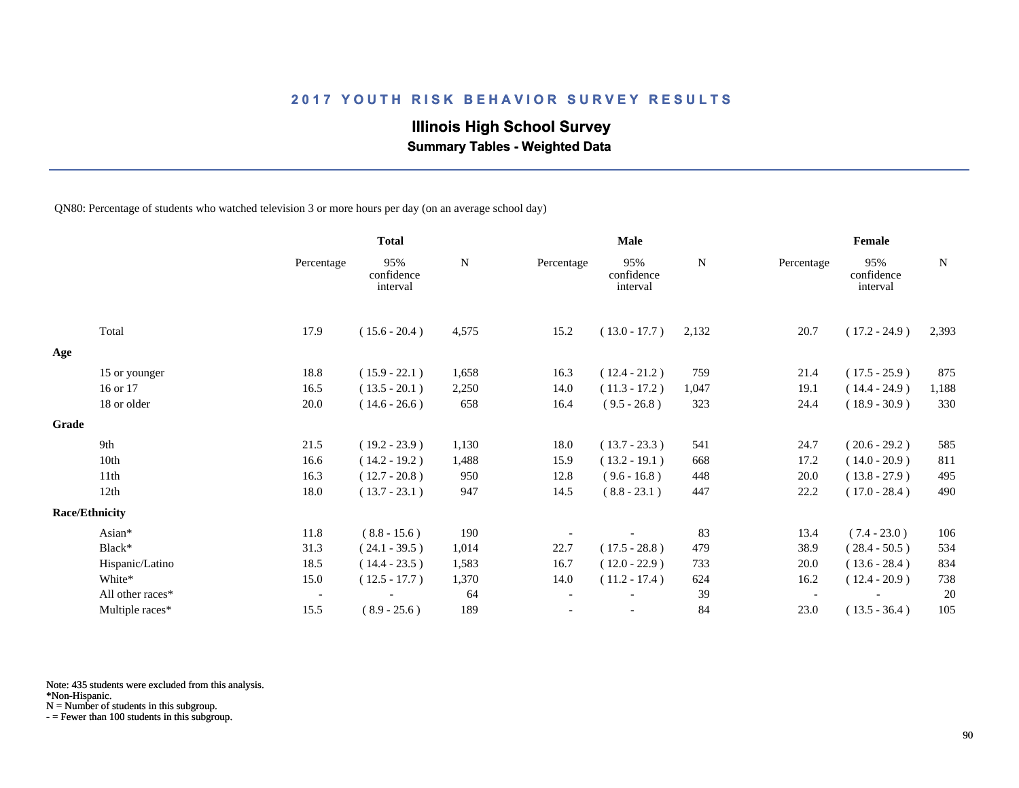## **Illinois High School Survey**

 **Summary Tables - Weighted Data**

QN80: Percentage of students who watched television 3 or more hours per day (on an average school day)

|       |                       |                          | <b>Total</b>                  |       | <b>Male</b>              |                               |       | Female     |                               |             |
|-------|-----------------------|--------------------------|-------------------------------|-------|--------------------------|-------------------------------|-------|------------|-------------------------------|-------------|
|       |                       | Percentage               | 95%<br>confidence<br>interval | N     | Percentage               | 95%<br>confidence<br>interval | N     | Percentage | 95%<br>confidence<br>interval | $\mathbf N$ |
|       | Total                 | 17.9                     | $(15.6 - 20.4)$               | 4,575 | 15.2                     | $(13.0 - 17.7)$               | 2,132 | 20.7       | $(17.2 - 24.9)$               | 2,393       |
| Age   |                       |                          |                               |       |                          |                               |       |            |                               |             |
|       | 15 or younger         | 18.8                     | $(15.9 - 22.1)$               | 1,658 | 16.3                     | $(12.4 - 21.2)$               | 759   | 21.4       | $(17.5 - 25.9)$               | 875         |
|       | 16 or 17              | 16.5                     | $(13.5 - 20.1)$               | 2,250 | 14.0                     | $(11.3 - 17.2)$               | 1,047 | 19.1       | $(14.4 - 24.9)$               | 1,188       |
|       | 18 or older           | 20.0                     | $(14.6 - 26.6)$               | 658   | 16.4                     | $(9.5 - 26.8)$                | 323   | 24.4       | $(18.9 - 30.9)$               | 330         |
| Grade |                       |                          |                               |       |                          |                               |       |            |                               |             |
|       | 9th                   | 21.5                     | $(19.2 - 23.9)$               | 1,130 | 18.0                     | $(13.7 - 23.3)$               | 541   | 24.7       | $(20.6 - 29.2)$               | 585         |
|       | 10th                  | 16.6                     | $(14.2 - 19.2)$               | 1,488 | 15.9                     | $(13.2 - 19.1)$               | 668   | 17.2       | $(14.0 - 20.9)$               | 811         |
|       | 11th                  | 16.3                     | $(12.7 - 20.8)$               | 950   | 12.8                     | $(9.6 - 16.8)$                | 448   | 20.0       | $(13.8 - 27.9)$               | 495         |
|       | 12th                  | 18.0                     | $(13.7 - 23.1)$               | 947   | 14.5                     | $(8.8 - 23.1)$                | 447   | 22.2       | $(17.0 - 28.4)$               | 490         |
|       | <b>Race/Ethnicity</b> |                          |                               |       |                          |                               |       |            |                               |             |
|       | Asian*                | 11.8                     | $(8.8 - 15.6)$                | 190   |                          |                               | 83    | 13.4       | $(7.4 - 23.0)$                | 106         |
|       | Black*                | 31.3                     | $(24.1 - 39.5)$               | 1,014 | 22.7                     | $(17.5 - 28.8)$               | 479   | 38.9       | $(28.4 - 50.5)$               | 534         |
|       | Hispanic/Latino       | 18.5                     | $(14.4 - 23.5)$               | 1,583 | 16.7                     | $(12.0 - 22.9)$               | 733   | 20.0       | $(13.6 - 28.4)$               | 834         |
|       | White*                | 15.0                     | $(12.5 - 17.7)$               | 1,370 | 14.0                     | $(11.2 - 17.4)$               | 624   | 16.2       | $(12.4 - 20.9)$               | 738         |
|       | All other races*      | $\overline{\phantom{a}}$ |                               | 64    | $\overline{\phantom{a}}$ |                               | 39    |            |                               | 20          |
|       | Multiple races*       | 15.5                     | $(8.9 - 25.6)$                | 189   |                          |                               | 84    | 23.0       | $(13.5 - 36.4)$               | 105         |

Note: 435 students were excluded from this analysis.

\*Non-Hispanic.

N = Number of students in this subgroup.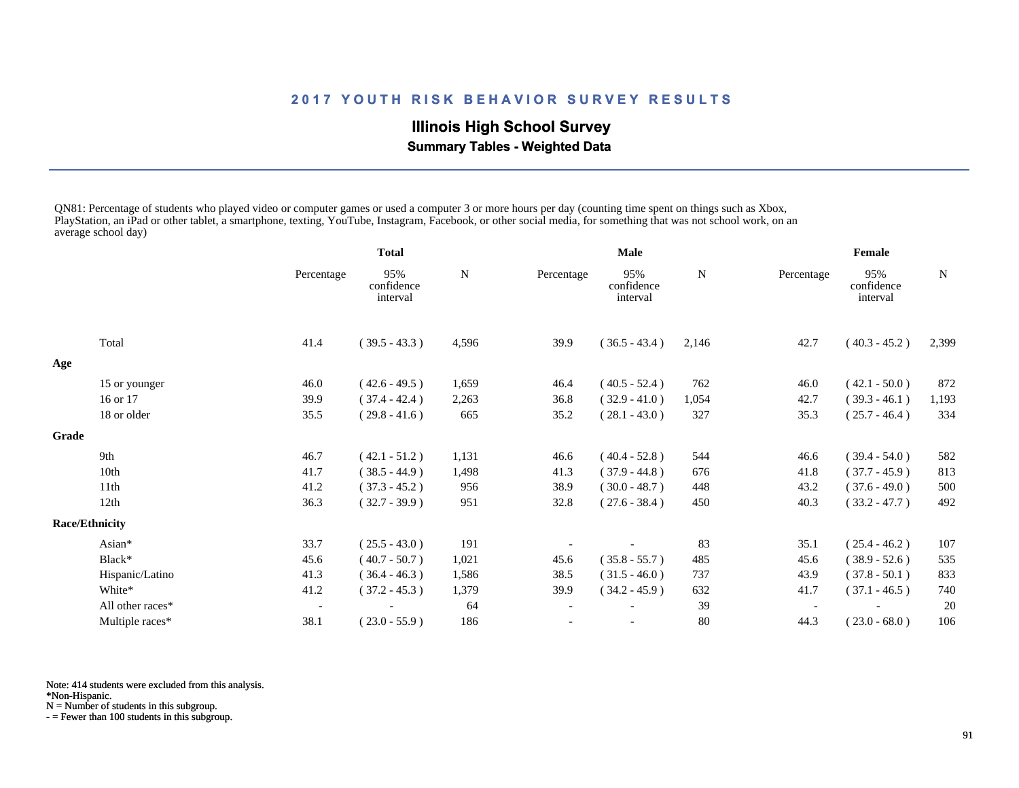## **Illinois High School Survey**

 **Summary Tables - Weighted Data**

QN81: Percentage of students who played video or computer games or used a computer 3 or more hours per day (counting time spent on things such as Xbox, PlayStation, an iPad or other tablet, a smartphone, texting, YouTube, Instagram, Facebook, or other social media, for something that was not school work, on an average school day)

|       |                       |                          | <b>Total</b>                  |             | Male       |                               |       | Female     |                               |       |
|-------|-----------------------|--------------------------|-------------------------------|-------------|------------|-------------------------------|-------|------------|-------------------------------|-------|
|       |                       | Percentage               | 95%<br>confidence<br>interval | $\mathbf N$ | Percentage | 95%<br>confidence<br>interval | N     | Percentage | 95%<br>confidence<br>interval | N     |
|       | Total                 | 41.4                     | $(39.5 - 43.3)$               | 4,596       | 39.9       | $(36.5 - 43.4)$               | 2,146 | 42.7       | $(40.3 - 45.2)$               | 2,399 |
| Age   |                       |                          |                               |             |            |                               |       |            |                               |       |
|       | 15 or younger         | 46.0                     | $(42.6 - 49.5)$               | 1,659       | 46.4       | $(40.5 - 52.4)$               | 762   | 46.0       | $(42.1 - 50.0)$               | 872   |
|       | 16 or 17              | 39.9                     | $(37.4 - 42.4)$               | 2,263       | 36.8       | $(32.9 - 41.0)$               | 1,054 | 42.7       | $(39.3 - 46.1)$               | 1,193 |
|       | 18 or older           | 35.5                     | $(29.8 - 41.6)$               | 665         | 35.2       | $(28.1 - 43.0)$               | 327   | 35.3       | $(25.7 - 46.4)$               | 334   |
| Grade |                       |                          |                               |             |            |                               |       |            |                               |       |
|       | 9th                   | 46.7                     | $(42.1 - 51.2)$               | 1,131       | 46.6       | $(40.4 - 52.8)$               | 544   | 46.6       | $(39.4 - 54.0)$               | 582   |
|       | 10th                  | 41.7                     | $(38.5 - 44.9)$               | 1,498       | 41.3       | $(37.9 - 44.8)$               | 676   | 41.8       | $(37.7 - 45.9)$               | 813   |
|       | 11 <sup>th</sup>      | 41.2                     | $(37.3 - 45.2)$               | 956         | 38.9       | $(30.0 - 48.7)$               | 448   | 43.2       | $(37.6 - 49.0)$               | 500   |
|       | 12th                  | 36.3                     | $(32.7 - 39.9)$               | 951         | 32.8       | $(27.6 - 38.4)$               | 450   | 40.3       | $(33.2 - 47.7)$               | 492   |
|       | <b>Race/Ethnicity</b> |                          |                               |             |            |                               |       |            |                               |       |
|       | Asian*                | 33.7                     | $(25.5 - 43.0)$               | 191         |            |                               | 83    | 35.1       | $(25.4 - 46.2)$               | 107   |
|       | Black*                | 45.6                     | $(40.7 - 50.7)$               | 1,021       | 45.6       | $(35.8 - 55.7)$               | 485   | 45.6       | $(38.9 - 52.6)$               | 535   |
|       | Hispanic/Latino       | 41.3                     | $(36.4 - 46.3)$               | 1,586       | 38.5       | $(31.5 - 46.0)$               | 737   | 43.9       | $(37.8 - 50.1)$               | 833   |
|       | White*                | 41.2                     | $(37.2 - 45.3)$               | 1,379       | 39.9       | $(34.2 - 45.9)$               | 632   | 41.7       | $(37.1 - 46.5)$               | 740   |
|       | All other races*      | $\overline{\phantom{a}}$ |                               | 64          |            |                               | 39    |            |                               | 20    |
|       | Multiple races*       | 38.1                     | $(23.0 - 55.9)$               | 186         |            | $\overline{\phantom{a}}$      | 80    | 44.3       | $(23.0 - 68.0)$               | 106   |

Note: 414 students were excluded from this analysis.

\*Non-Hispanic.

N = Number of students in this subgroup.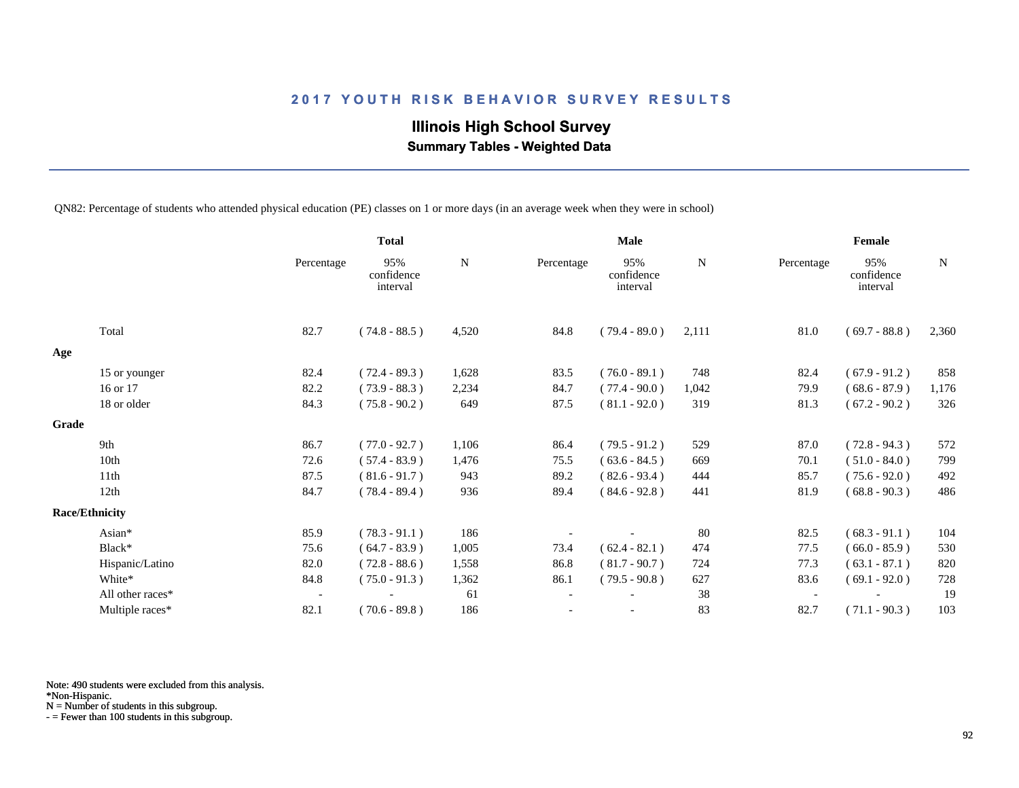## **Illinois High School Survey Summary Tables - Weighted Data**

QN82: Percentage of students who attended physical education (PE) classes on 1 or more days (in an average week when they were in school)

|       |                       |                          | <b>Total</b>                  |           |                          | <b>Male</b>                   |       |                          | Female                        |           |
|-------|-----------------------|--------------------------|-------------------------------|-----------|--------------------------|-------------------------------|-------|--------------------------|-------------------------------|-----------|
|       |                       | Percentage               | 95%<br>confidence<br>interval | ${\bf N}$ | Percentage               | 95%<br>confidence<br>interval | N     | Percentage               | 95%<br>confidence<br>interval | ${\bf N}$ |
|       | Total                 | 82.7                     | $(74.8 - 88.5)$               | 4,520     | 84.8                     | $(79.4 - 89.0)$               | 2,111 | 81.0                     | $(69.7 - 88.8)$               | 2,360     |
| Age   |                       |                          |                               |           |                          |                               |       |                          |                               |           |
|       | 15 or younger         | 82.4                     | $(72.4 - 89.3)$               | 1,628     | 83.5                     | $(76.0 - 89.1)$               | 748   | 82.4                     | $(67.9 - 91.2)$               | 858       |
|       | 16 or 17              | 82.2                     | $(73.9 - 88.3)$               | 2,234     | 84.7                     | $(77.4 - 90.0)$               | 1,042 | 79.9                     | $(68.6 - 87.9)$               | 1,176     |
|       | 18 or older           | 84.3                     | $(75.8 - 90.2)$               | 649       | 87.5                     | $(81.1 - 92.0)$               | 319   | 81.3                     | $(67.2 - 90.2)$               | 326       |
| Grade |                       |                          |                               |           |                          |                               |       |                          |                               |           |
|       | 9th                   | 86.7                     | $(77.0 - 92.7)$               | 1,106     | 86.4                     | $(79.5 - 91.2)$               | 529   | 87.0                     | $(72.8 - 94.3)$               | 572       |
|       | 10th                  | 72.6                     | $(57.4 - 83.9)$               | 1,476     | 75.5                     | $(63.6 - 84.5)$               | 669   | 70.1                     | $(51.0 - 84.0)$               | 799       |
|       | 11th                  | 87.5                     | $(81.6 - 91.7)$               | 943       | 89.2                     | $(82.6 - 93.4)$               | 444   | 85.7                     | $(75.6 - 92.0)$               | 492       |
|       | 12th                  | 84.7                     | $(78.4 - 89.4)$               | 936       | 89.4                     | $(84.6 - 92.8)$               | 441   | 81.9                     | $(68.8 - 90.3)$               | 486       |
|       | <b>Race/Ethnicity</b> |                          |                               |           |                          |                               |       |                          |                               |           |
|       | Asian*                | 85.9                     | $(78.3 - 91.1)$               | 186       |                          |                               | 80    | 82.5                     | $(68.3 - 91.1)$               | 104       |
|       | Black*                | 75.6                     | $(64.7 - 83.9)$               | 1,005     | 73.4                     | $(62.4 - 82.1)$               | 474   | 77.5                     | $(66.0 - 85.9)$               | 530       |
|       | Hispanic/Latino       | 82.0                     | $(72.8 - 88.6)$               | 1,558     | 86.8                     | $(81.7 - 90.7)$               | 724   | 77.3                     | $(63.1 - 87.1)$               | 820       |
|       | White*                | 84.8                     | $(75.0 - 91.3)$               | 1,362     | 86.1                     | $(79.5 - 90.8)$               | 627   | 83.6                     | $(69.1 - 92.0)$               | 728       |
|       | All other races*      | $\overline{\phantom{a}}$ |                               | 61        | $\overline{\phantom{a}}$ |                               | 38    | $\overline{\phantom{a}}$ |                               | 19        |
|       | Multiple races*       | 82.1                     | $(70.6 - 89.8)$               | 186       |                          |                               | 83    | 82.7                     | $(71.1 - 90.3)$               | 103       |

Note: 490 students were excluded from this analysis.

\*Non-Hispanic.

N = Number of students in this subgroup.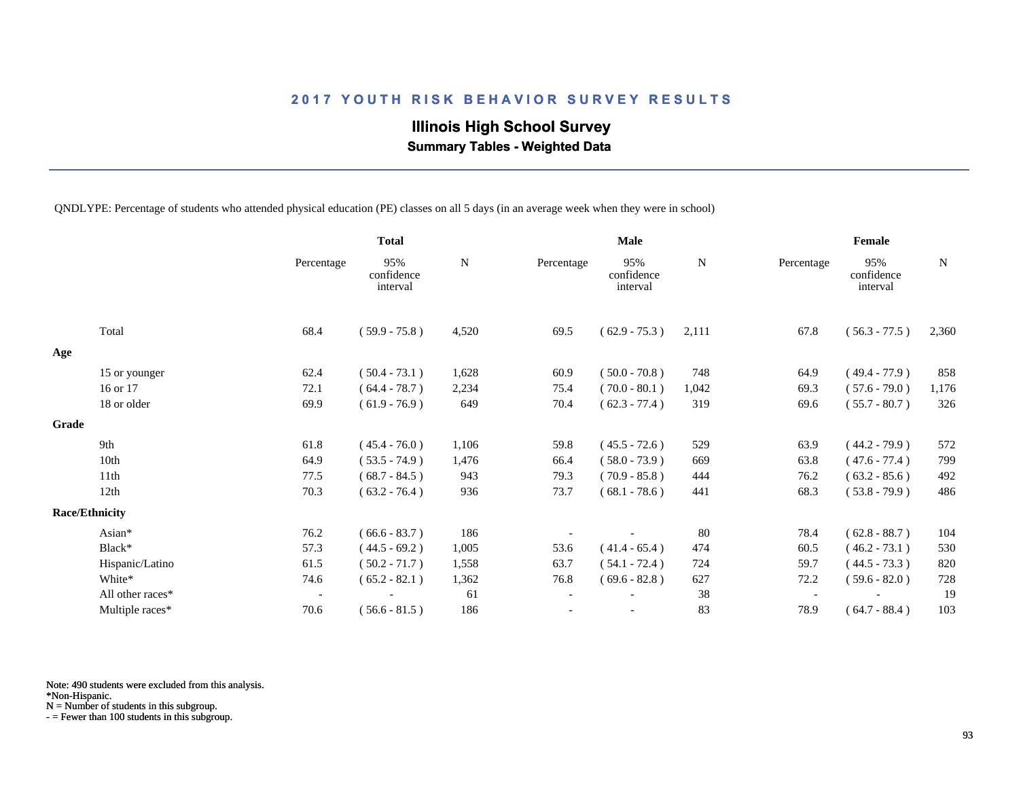## **Illinois High School Survey Summary Tables - Weighted Data**

QNDLYPE: Percentage of students who attended physical education (PE) classes on all 5 days (in an average week when they were in school)

|       |                       |                          | <b>Total</b>                  |           |                          | <b>Male</b>                   |       |                          | Female                        |       |
|-------|-----------------------|--------------------------|-------------------------------|-----------|--------------------------|-------------------------------|-------|--------------------------|-------------------------------|-------|
|       |                       | Percentage               | 95%<br>confidence<br>interval | ${\bf N}$ | Percentage               | 95%<br>confidence<br>interval | N     | Percentage               | 95%<br>confidence<br>interval | N     |
|       | Total                 | 68.4                     | $(59.9 - 75.8)$               | 4,520     | 69.5                     | $(62.9 - 75.3)$               | 2,111 | 67.8                     | $(56.3 - 77.5)$               | 2,360 |
| Age   |                       |                          |                               |           |                          |                               |       |                          |                               |       |
|       | 15 or younger         | 62.4                     | $(50.4 - 73.1)$               | 1,628     | 60.9                     | $(50.0 - 70.8)$               | 748   | 64.9                     | $(49.4 - 77.9)$               | 858   |
|       | 16 or 17              | 72.1                     | $(64.4 - 78.7)$               | 2,234     | 75.4                     | $(70.0 - 80.1)$               | 1,042 | 69.3                     | $(57.6 - 79.0)$               | 1,176 |
|       | 18 or older           | 69.9                     | $(61.9 - 76.9)$               | 649       | 70.4                     | $(62.3 - 77.4)$               | 319   | 69.6                     | $(55.7 - 80.7)$               | 326   |
| Grade |                       |                          |                               |           |                          |                               |       |                          |                               |       |
|       | 9th                   | 61.8                     | $(45.4 - 76.0)$               | 1,106     | 59.8                     | $(45.5 - 72.6)$               | 529   | 63.9                     | $(44.2 - 79.9)$               | 572   |
|       | 10th                  | 64.9                     | $(53.5 - 74.9)$               | 1,476     | 66.4                     | $(58.0 - 73.9)$               | 669   | 63.8                     | $(47.6 - 77.4)$               | 799   |
|       | 11th                  | 77.5                     | $(68.7 - 84.5)$               | 943       | 79.3                     | $(70.9 - 85.8)$               | 444   | 76.2                     | $(63.2 - 85.6)$               | 492   |
|       | 12th                  | 70.3                     | $(63.2 - 76.4)$               | 936       | 73.7                     | $(68.1 - 78.6)$               | 441   | 68.3                     | $(53.8 - 79.9)$               | 486   |
|       | <b>Race/Ethnicity</b> |                          |                               |           |                          |                               |       |                          |                               |       |
|       | Asian*                | 76.2                     | $(66.6 - 83.7)$               | 186       |                          |                               | 80    | 78.4                     | $(62.8 - 88.7)$               | 104   |
|       | Black*                | 57.3                     | $(44.5 - 69.2)$               | 1,005     | 53.6                     | $(41.4 - 65.4)$               | 474   | 60.5                     | $(46.2 - 73.1)$               | 530   |
|       | Hispanic/Latino       | 61.5                     | $(50.2 - 71.7)$               | 1,558     | 63.7                     | $(54.1 - 72.4)$               | 724   | 59.7                     | $(44.5 - 73.3)$               | 820   |
|       | White*                | 74.6                     | $(65.2 - 82.1)$               | 1,362     | 76.8                     | $(69.6 - 82.8)$               | 627   | 72.2                     | $(59.6 - 82.0)$               | 728   |
|       | All other races*      | $\overline{\phantom{a}}$ |                               | 61        | $\overline{\phantom{a}}$ |                               | 38    | $\overline{\phantom{a}}$ |                               | 19    |
|       | Multiple races*       | 70.6                     | $(56.6 - 81.5)$               | 186       |                          |                               | 83    | 78.9                     | $(64.7 - 88.4)$               | 103   |

Note: 490 students were excluded from this analysis.

\*Non-Hispanic.

N = Number of students in this subgroup.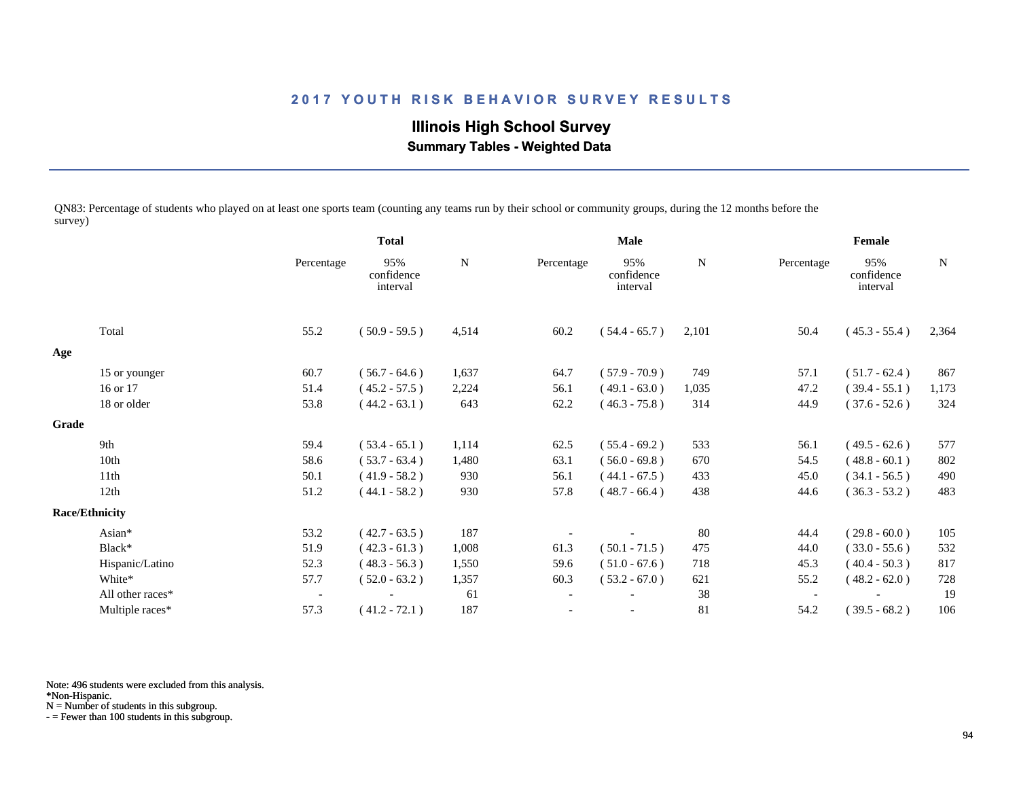## **Illinois High School Survey Summary Tables - Weighted Data**

QN83: Percentage of students who played on at least one sports team (counting any teams run by their school or community groups, during the 12 months before the survey)

|       |                       |                          | <b>Total</b>                  |       | <b>Male</b>              |                               |             | Female                   |                               |       |
|-------|-----------------------|--------------------------|-------------------------------|-------|--------------------------|-------------------------------|-------------|--------------------------|-------------------------------|-------|
|       |                       | Percentage               | 95%<br>confidence<br>interval | N     | Percentage               | 95%<br>confidence<br>interval | $\mathbf N$ | Percentage               | 95%<br>confidence<br>interval | N     |
|       | Total                 | 55.2                     | $(50.9 - 59.5)$               | 4,514 | 60.2                     | $(54.4 - 65.7)$               | 2,101       | 50.4                     | $(45.3 - 55.4)$               | 2,364 |
| Age   |                       |                          |                               |       |                          |                               |             |                          |                               |       |
|       | 15 or younger         | 60.7                     | $(56.7 - 64.6)$               | 1,637 | 64.7                     | $(57.9 - 70.9)$               | 749         | 57.1                     | $(51.7 - 62.4)$               | 867   |
|       | 16 or 17              | 51.4                     | $(45.2 - 57.5)$               | 2,224 | 56.1                     | $(49.1 - 63.0)$               | 1,035       | 47.2                     | $(39.4 - 55.1)$               | 1,173 |
|       | 18 or older           | 53.8                     | $(44.2 - 63.1)$               | 643   | 62.2                     | $(46.3 - 75.8)$               | 314         | 44.9                     | $(37.6 - 52.6)$               | 324   |
| Grade |                       |                          |                               |       |                          |                               |             |                          |                               |       |
|       | 9th                   | 59.4                     | $(53.4 - 65.1)$               | 1,114 | 62.5                     | $(55.4 - 69.2)$               | 533         | 56.1                     | $(49.5 - 62.6)$               | 577   |
|       | 10th                  | 58.6                     | $(53.7 - 63.4)$               | 1,480 | 63.1                     | $(56.0 - 69.8)$               | 670         | 54.5                     | $(48.8 - 60.1)$               | 802   |
|       | 11th                  | 50.1                     | $(41.9 - 58.2)$               | 930   | 56.1                     | $(44.1 - 67.5)$               | 433         | 45.0                     | $(34.1 - 56.5)$               | 490   |
|       | 12th                  | 51.2                     | $(44.1 - 58.2)$               | 930   | 57.8                     | $(48.7 - 66.4)$               | 438         | 44.6                     | $(36.3 - 53.2)$               | 483   |
|       | <b>Race/Ethnicity</b> |                          |                               |       |                          |                               |             |                          |                               |       |
|       | Asian*                | 53.2                     | $(42.7 - 63.5)$               | 187   |                          |                               | 80          | 44.4                     | $(29.8 - 60.0)$               | 105   |
|       | Black*                | 51.9                     | $(42.3 - 61.3)$               | 1,008 | 61.3                     | $(50.1 - 71.5)$               | 475         | 44.0                     | $(33.0 - 55.6)$               | 532   |
|       | Hispanic/Latino       | 52.3                     | $(48.3 - 56.3)$               | 1,550 | 59.6                     | $(51.0 - 67.6)$               | 718         | 45.3                     | $(40.4 - 50.3)$               | 817   |
|       | White*                | 57.7                     | $(52.0 - 63.2)$               | 1,357 | 60.3                     | $(53.2 - 67.0)$               | 621         | 55.2                     | $(48.2 - 62.0)$               | 728   |
|       | All other races*      | $\overline{\phantom{a}}$ |                               | 61    | $\overline{\phantom{a}}$ |                               | 38          | $\overline{\phantom{a}}$ |                               | 19    |
|       | Multiple races*       | 57.3                     | $(41.2 - 72.1)$               | 187   |                          |                               | 81          | 54.2                     | $(39.5 - 68.2)$               | 106   |

Note: 496 students were excluded from this analysis.

\*Non-Hispanic.

N = Number of students in this subgroup.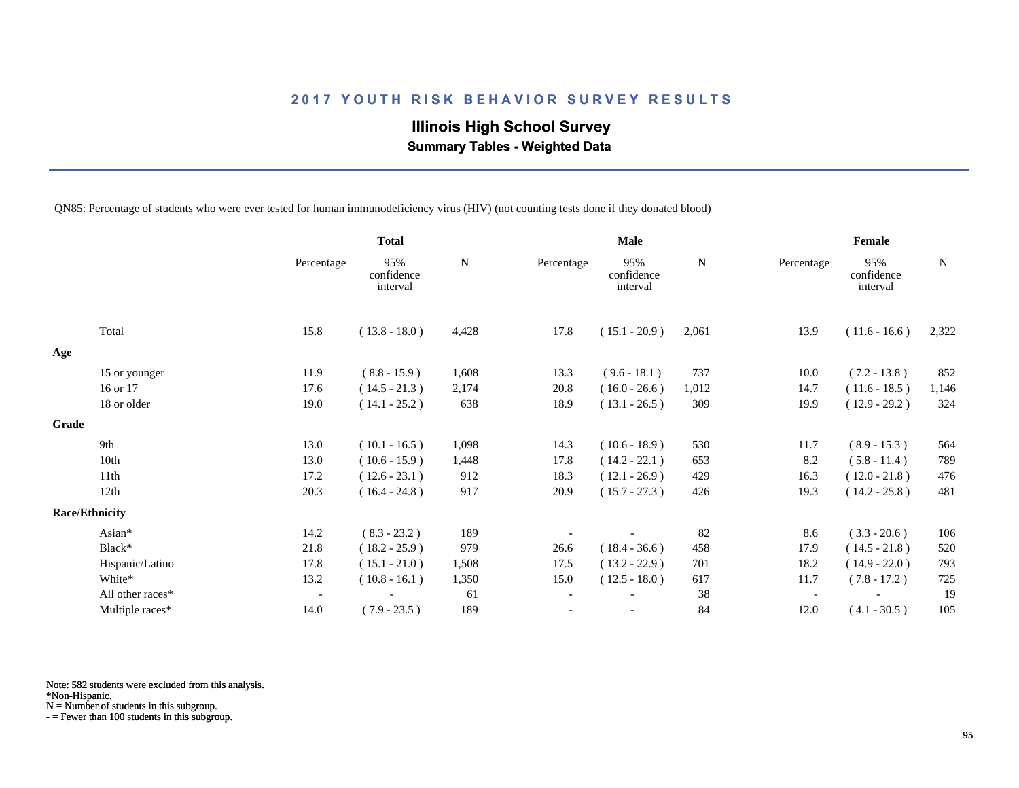## **Illinois High School Survey Summary Tables - Weighted Data**

QN85: Percentage of students who were ever tested for human immunodeficiency virus (HIV) (not counting tests done if they donated blood)

|       |                       |                          | <b>Total</b>                  |           |                          | <b>Male</b>                   |           |            | Female                        |           |
|-------|-----------------------|--------------------------|-------------------------------|-----------|--------------------------|-------------------------------|-----------|------------|-------------------------------|-----------|
|       |                       | Percentage               | 95%<br>confidence<br>interval | ${\bf N}$ | Percentage               | 95%<br>confidence<br>interval | ${\bf N}$ | Percentage | 95%<br>confidence<br>interval | ${\bf N}$ |
|       | Total                 | 15.8                     | $(13.8 - 18.0)$               | 4,428     | 17.8                     | $(15.1 - 20.9)$               | 2,061     | 13.9       | $(11.6 - 16.6)$               | 2,322     |
| Age   |                       |                          |                               |           |                          |                               |           |            |                               |           |
|       | 15 or younger         | 11.9                     | $(8.8 - 15.9)$                | 1,608     | 13.3                     | $(9.6 - 18.1)$                | 737       | 10.0       | $(7.2 - 13.8)$                | 852       |
|       | 16 or 17              | 17.6                     | $(14.5 - 21.3)$               | 2,174     | 20.8                     | $(16.0 - 26.6)$               | 1,012     | 14.7       | $(11.6 - 18.5)$               | 1,146     |
|       | 18 or older           | 19.0                     | $(14.1 - 25.2)$               | 638       | 18.9                     | $(13.1 - 26.5)$               | 309       | 19.9       | $(12.9 - 29.2)$               | 324       |
| Grade |                       |                          |                               |           |                          |                               |           |            |                               |           |
|       | 9th                   | 13.0                     | $(10.1 - 16.5)$               | 1,098     | 14.3                     | $(10.6 - 18.9)$               | 530       | 11.7       | $(8.9 - 15.3)$                | 564       |
|       | 10th                  | 13.0                     | $(10.6 - 15.9)$               | 1,448     | 17.8                     | $(14.2 - 22.1)$               | 653       | 8.2        | $(5.8 - 11.4)$                | 789       |
|       | 11th                  | 17.2                     | $(12.6 - 23.1)$               | 912       | 18.3                     | $(12.1 - 26.9)$               | 429       | 16.3       | $(12.0 - 21.8)$               | 476       |
|       | 12th                  | 20.3                     | $(16.4 - 24.8)$               | 917       | 20.9                     | $(15.7 - 27.3)$               | 426       | 19.3       | $(14.2 - 25.8)$               | 481       |
|       | <b>Race/Ethnicity</b> |                          |                               |           |                          |                               |           |            |                               |           |
|       | Asian*                | 14.2                     | $(8.3 - 23.2)$                | 189       |                          |                               | 82        | 8.6        | $(3.3 - 20.6)$                | 106       |
|       | Black*                | 21.8                     | $(18.2 - 25.9)$               | 979       | 26.6                     | $(18.4 - 36.6)$               | 458       | 17.9       | $(14.5 - 21.8)$               | 520       |
|       | Hispanic/Latino       | 17.8                     | $(15.1 - 21.0)$               | 1,508     | 17.5                     | $(13.2 - 22.9)$               | 701       | 18.2       | $(14.9 - 22.0)$               | 793       |
|       | White*                | 13.2                     | $(10.8 - 16.1)$               | 1,350     | 15.0                     | $(12.5 - 18.0)$               | 617       | 11.7       | $(7.8 - 17.2)$                | 725       |
|       | All other races*      | $\overline{\phantom{a}}$ |                               | 61        | $\overline{\phantom{a}}$ |                               | 38        |            |                               | 19        |
|       | Multiple races*       | 14.0                     | $(7.9 - 23.5)$                | 189       |                          |                               | 84        | 12.0       | $(4.1 - 30.5)$                | 105       |

Note: 582 students were excluded from this analysis.

\*Non-Hispanic.

N = Number of students in this subgroup.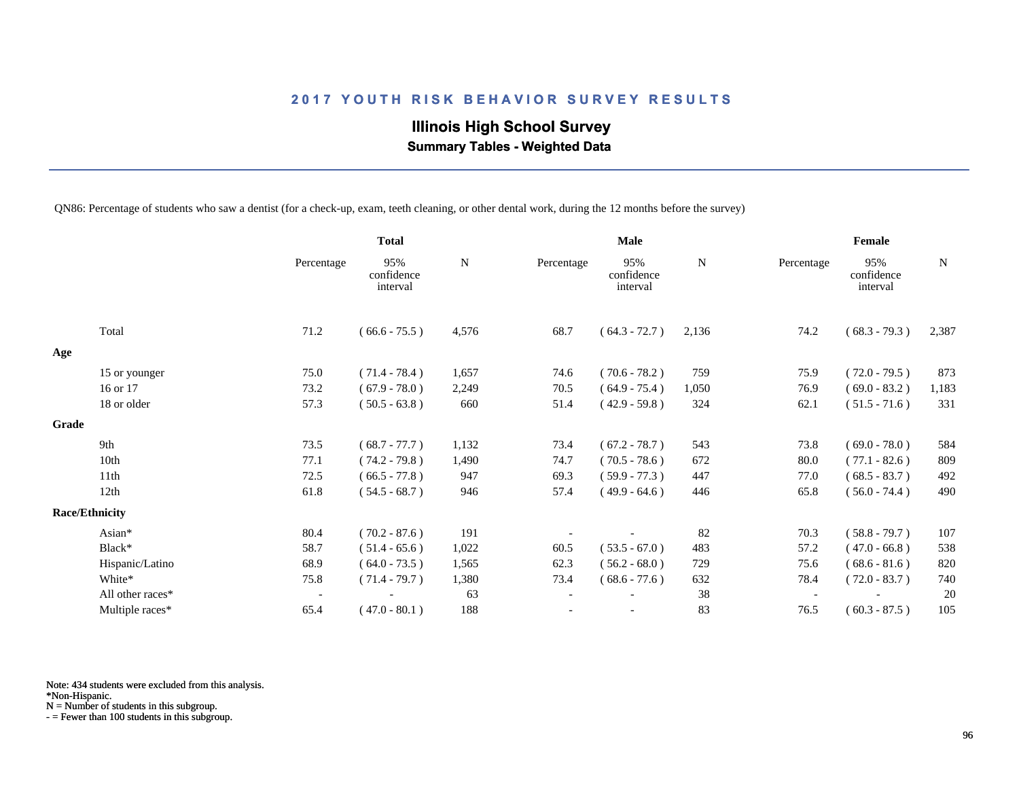## **Illinois High School Survey Summary Tables - Weighted Data**

QN86: Percentage of students who saw a dentist (for a check-up, exam, teeth cleaning, or other dental work, during the 12 months before the survey)

|       |                       |                          | <b>Total</b>                  |       |                          | <b>Male</b>                   |             |                          | <b>Female</b>                 |       |
|-------|-----------------------|--------------------------|-------------------------------|-------|--------------------------|-------------------------------|-------------|--------------------------|-------------------------------|-------|
|       |                       | Percentage               | 95%<br>confidence<br>interval | N     | Percentage               | 95%<br>confidence<br>interval | $\mathbf N$ | Percentage               | 95%<br>confidence<br>interval | N     |
|       | Total                 | 71.2                     | $(66.6 - 75.5)$               | 4,576 | 68.7                     | $(64.3 - 72.7)$               | 2,136       | 74.2                     | $(68.3 - 79.3)$               | 2,387 |
| Age   |                       |                          |                               |       |                          |                               |             |                          |                               |       |
|       | 15 or younger         | 75.0                     | $(71.4 - 78.4)$               | 1,657 | 74.6                     | $(70.6 - 78.2)$               | 759         | 75.9                     | $(72.0 - 79.5)$               | 873   |
|       | 16 or 17              | 73.2                     | $(67.9 - 78.0)$               | 2,249 | 70.5                     | $(64.9 - 75.4)$               | 1,050       | 76.9                     | $(69.0 - 83.2)$               | 1,183 |
|       | 18 or older           | 57.3                     | $(50.5 - 63.8)$               | 660   | 51.4                     | $(42.9 - 59.8)$               | 324         | 62.1                     | $(51.5 - 71.6)$               | 331   |
| Grade |                       |                          |                               |       |                          |                               |             |                          |                               |       |
|       | 9th                   | 73.5                     | $(68.7 - 77.7)$               | 1,132 | 73.4                     | $(67.2 - 78.7)$               | 543         | 73.8                     | $(69.0 - 78.0)$               | 584   |
|       | 10th                  | 77.1                     | $(74.2 - 79.8)$               | 1,490 | 74.7                     | $(70.5 - 78.6)$               | 672         | 80.0                     | $(77.1 - 82.6)$               | 809   |
|       | 11th                  | 72.5                     | $(66.5 - 77.8)$               | 947   | 69.3                     | $(59.9 - 77.3)$               | 447         | 77.0                     | $(68.5 - 83.7)$               | 492   |
|       | 12th                  | 61.8                     | $(54.5 - 68.7)$               | 946   | 57.4                     | $(49.9 - 64.6)$               | 446         | 65.8                     | $(56.0 - 74.4)$               | 490   |
|       | <b>Race/Ethnicity</b> |                          |                               |       |                          |                               |             |                          |                               |       |
|       | Asian*                | 80.4                     | $(70.2 - 87.6)$               | 191   |                          |                               | 82          | 70.3                     | $(58.8 - 79.7)$               | 107   |
|       | Black*                | 58.7                     | $(51.4 - 65.6)$               | 1,022 | 60.5                     | $(53.5 - 67.0)$               | 483         | 57.2                     | $(47.0 - 66.8)$               | 538   |
|       | Hispanic/Latino       | 68.9                     | $(64.0 - 73.5)$               | 1,565 | 62.3                     | $(56.2 - 68.0)$               | 729         | 75.6                     | $(68.6 - 81.6)$               | 820   |
|       | White*                | 75.8                     | $(71.4 - 79.7)$               | 1,380 | 73.4                     | $(68.6 - 77.6)$               | 632         | 78.4                     | $(72.0 - 83.7)$               | 740   |
|       | All other races*      | $\overline{\phantom{a}}$ |                               | 63    | $\overline{\phantom{a}}$ |                               | 38          | $\overline{\phantom{a}}$ |                               | 20    |
|       | Multiple races*       | 65.4                     | $(47.0 - 80.1)$               | 188   |                          |                               | 83          | 76.5                     | $(60.3 - 87.5)$               | 105   |

Note: 434 students were excluded from this analysis.

\*Non-Hispanic.

N = Number of students in this subgroup.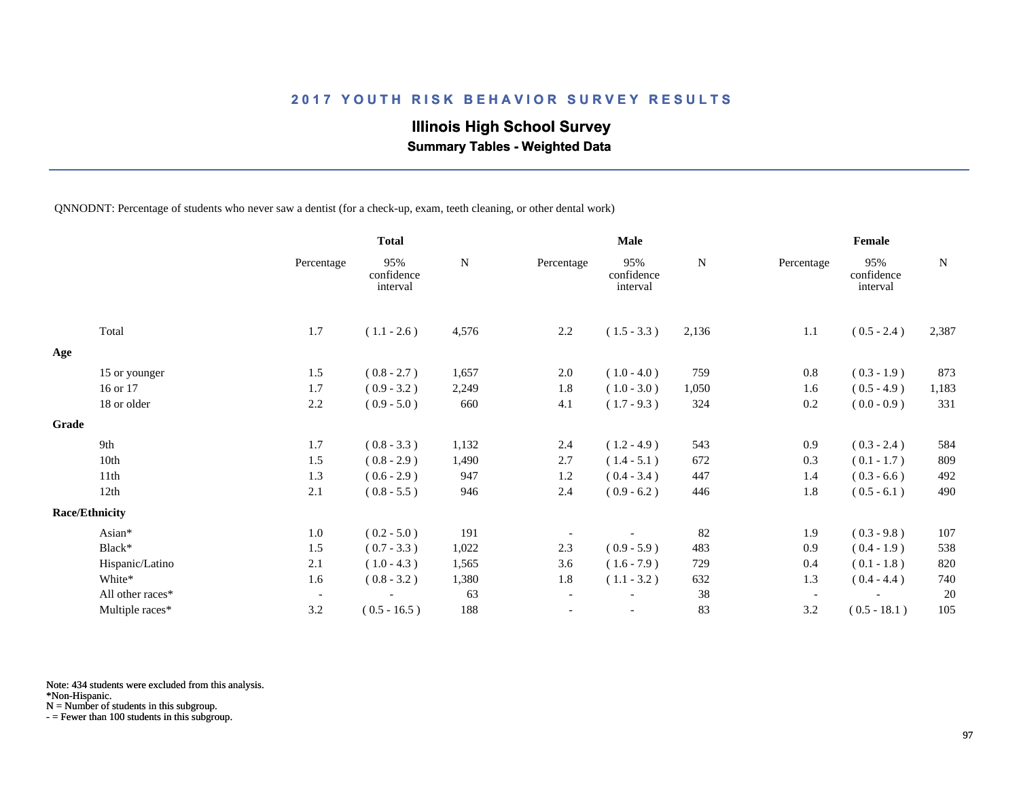## **Illinois High School Survey**

 **Summary Tables - Weighted Data**

QNNODNT: Percentage of students who never saw a dentist (for a check-up, exam, teeth cleaning, or other dental work)

|                       |                  |                          | <b>Total</b>                  |           |                          | <b>Male</b>                   |           | Female                   |                               |           |  |
|-----------------------|------------------|--------------------------|-------------------------------|-----------|--------------------------|-------------------------------|-----------|--------------------------|-------------------------------|-----------|--|
|                       |                  | Percentage               | 95%<br>confidence<br>interval | ${\bf N}$ | Percentage               | 95%<br>confidence<br>interval | ${\bf N}$ | Percentage               | 95%<br>confidence<br>interval | ${\bf N}$ |  |
|                       | Total            | 1.7                      | $(1.1 - 2.6)$                 | 4,576     | 2.2                      | $(1.5 - 3.3)$                 | 2,136     | 1.1                      | $(0.5 - 2.4)$                 | 2,387     |  |
| Age                   |                  |                          |                               |           |                          |                               |           |                          |                               |           |  |
|                       | 15 or younger    | 1.5                      | $(0.8 - 2.7)$                 | 1,657     | 2.0                      | $(1.0 - 4.0)$                 | 759       | 0.8                      | $(0.3 - 1.9)$                 | 873       |  |
|                       | 16 or 17         | 1.7                      | $(0.9 - 3.2)$                 | 2,249     | 1.8                      | $(1.0 - 3.0)$                 | 1,050     | 1.6                      | $(0.5 - 4.9)$                 | 1,183     |  |
|                       | 18 or older      | 2.2                      | $(0.9 - 5.0)$                 | 660       | 4.1                      | $(1.7 - 9.3)$                 | 324       | 0.2                      | $(0.0 - 0.9)$                 | 331       |  |
| Grade                 |                  |                          |                               |           |                          |                               |           |                          |                               |           |  |
|                       | 9th              | 1.7                      | $(0.8 - 3.3)$                 | 1,132     | 2.4                      | $(1.2 - 4.9)$                 | 543       | 0.9                      | $(0.3 - 2.4)$                 | 584       |  |
|                       | 10th             | 1.5                      | $(0.8 - 2.9)$                 | 1,490     | 2.7                      | $(1.4 - 5.1)$                 | 672       | 0.3                      | $(0.1 - 1.7)$                 | 809       |  |
|                       | 11th             | 1.3                      | $(0.6 - 2.9)$                 | 947       | 1.2                      | $(0.4 - 3.4)$                 | 447       | 1.4                      | $(0.3 - 6.6)$                 | 492       |  |
|                       | 12th             | 2.1                      | $(0.8 - 5.5)$                 | 946       | 2.4                      | $(0.9 - 6.2)$                 | 446       | 1.8                      | $(0.5 - 6.1)$                 | 490       |  |
| <b>Race/Ethnicity</b> |                  |                          |                               |           |                          |                               |           |                          |                               |           |  |
|                       | Asian*           | 1.0                      | $(0.2 - 5.0)$                 | 191       |                          |                               | 82        | 1.9                      | $(0.3 - 9.8)$                 | 107       |  |
|                       | Black*           | 1.5                      | $(0.7 - 3.3)$                 | 1,022     | 2.3                      | $(0.9 - 5.9)$                 | 483       | 0.9                      | $(0.4 - 1.9)$                 | 538       |  |
|                       | Hispanic/Latino  | 2.1                      | $(1.0 - 4.3)$                 | 1,565     | 3.6                      | $(1.6 - 7.9)$                 | 729       | 0.4                      | $(0.1 - 1.8)$                 | 820       |  |
|                       | White*           | 1.6                      | $(0.8 - 3.2)$                 | 1,380     | 1.8                      | $(1.1 - 3.2)$                 | 632       | 1.3                      | $(0.4 - 4.4)$                 | 740       |  |
|                       | All other races* | $\overline{\phantom{a}}$ |                               | 63        | $\overline{\phantom{a}}$ |                               | 38        | $\overline{\phantom{a}}$ |                               | 20        |  |
|                       | Multiple races*  | 3.2                      | $(0.5 - 16.5)$                | 188       |                          |                               | 83        | 3.2                      | $(0.5 - 18.1)$                | 105       |  |

Note: 434 students were excluded from this analysis.

\*Non-Hispanic.

N = Number of students in this subgroup.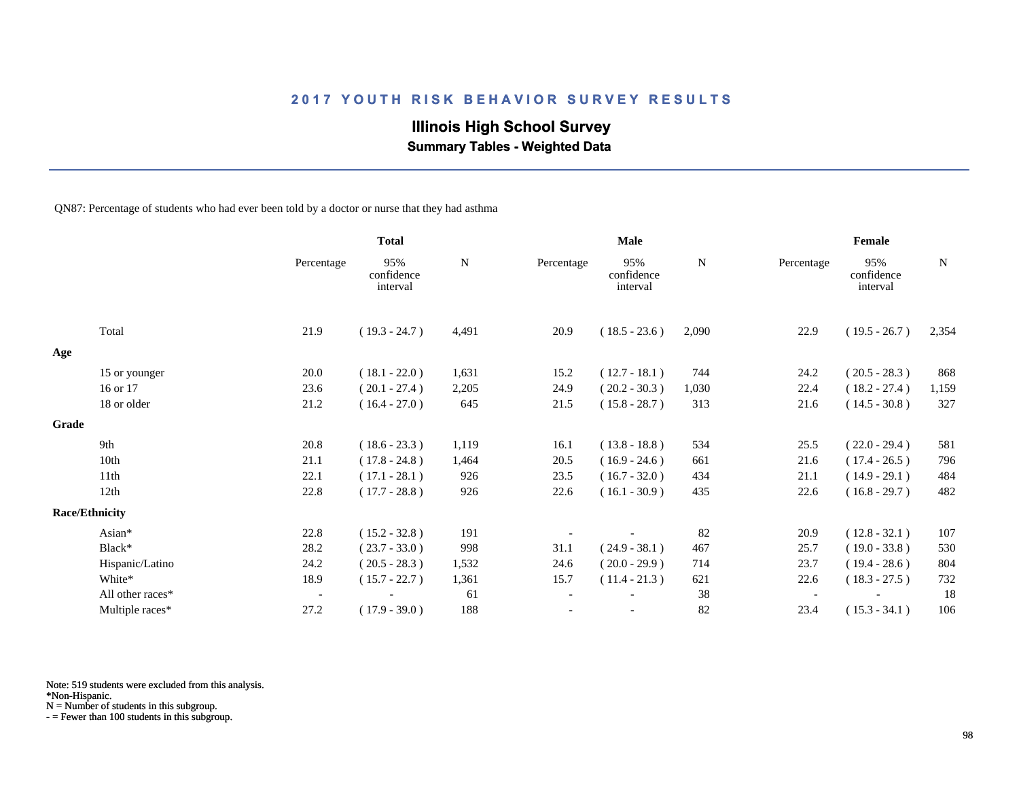## **Illinois High School Survey**

 **Summary Tables - Weighted Data**

QN87: Percentage of students who had ever been told by a doctor or nurse that they had asthma

|       |                       |                          | <b>Total</b>                  |             |                          | Male                          |       |            | Female                        |             |  |
|-------|-----------------------|--------------------------|-------------------------------|-------------|--------------------------|-------------------------------|-------|------------|-------------------------------|-------------|--|
|       |                       | Percentage               | 95%<br>confidence<br>interval | $\mathbf N$ | Percentage               | 95%<br>confidence<br>interval | N     | Percentage | 95%<br>confidence<br>interval | $\mathbf N$ |  |
|       | Total                 | 21.9                     | $(19.3 - 24.7)$               | 4,491       | 20.9                     | $(18.5 - 23.6)$               | 2,090 | 22.9       | $(19.5 - 26.7)$               | 2,354       |  |
| Age   |                       |                          |                               |             |                          |                               |       |            |                               |             |  |
|       | 15 or younger         | 20.0                     | $(18.1 - 22.0)$               | 1,631       | 15.2                     | $(12.7 - 18.1)$               | 744   | 24.2       | $(20.5 - 28.3)$               | 868         |  |
|       | 16 or 17              | 23.6                     | $(20.1 - 27.4)$               | 2,205       | 24.9                     | $(20.2 - 30.3)$               | 1,030 | 22.4       | $(18.2 - 27.4)$               | 1,159       |  |
|       | 18 or older           | 21.2                     | $(16.4 - 27.0)$               | 645         | 21.5                     | $(15.8 - 28.7)$               | 313   | 21.6       | $(14.5 - 30.8)$               | 327         |  |
| Grade |                       |                          |                               |             |                          |                               |       |            |                               |             |  |
|       | 9th                   | 20.8                     | $(18.6 - 23.3)$               | 1,119       | 16.1                     | $(13.8 - 18.8)$               | 534   | 25.5       | $(22.0 - 29.4)$               | 581         |  |
|       | 10th                  | 21.1                     | $(17.8 - 24.8)$               | 1,464       | 20.5                     | $(16.9 - 24.6)$               | 661   | 21.6       | $(17.4 - 26.5)$               | 796         |  |
|       | 11th                  | 22.1                     | $(17.1 - 28.1)$               | 926         | 23.5                     | $(16.7 - 32.0)$               | 434   | 21.1       | $(14.9 - 29.1)$               | 484         |  |
|       | 12th                  | 22.8                     | $(17.7 - 28.8)$               | 926         | 22.6                     | $(16.1 - 30.9)$               | 435   | 22.6       | $(16.8 - 29.7)$               | 482         |  |
|       | <b>Race/Ethnicity</b> |                          |                               |             |                          |                               |       |            |                               |             |  |
|       | Asian*                | 22.8                     | $(15.2 - 32.8)$               | 191         |                          |                               | 82    | 20.9       | $(12.8 - 32.1)$               | 107         |  |
|       | Black*                | 28.2                     | $(23.7 - 33.0)$               | 998         | 31.1                     | $(24.9 - 38.1)$               | 467   | 25.7       | $(19.0 - 33.8)$               | 530         |  |
|       | Hispanic/Latino       | 24.2                     | $(20.5 - 28.3)$               | 1,532       | 24.6                     | $(20.0 - 29.9)$               | 714   | 23.7       | $(19.4 - 28.6)$               | 804         |  |
|       | White*                | 18.9                     | $(15.7 - 22.7)$               | 1,361       | 15.7                     | $(11.4 - 21.3)$               | 621   | 22.6       | $(18.3 - 27.5)$               | 732         |  |
|       | All other races*      | $\overline{\phantom{a}}$ |                               | 61          | $\overline{\phantom{a}}$ |                               | 38    |            |                               | 18          |  |
|       | Multiple races*       | 27.2                     | $(17.9 - 39.0)$               | 188         |                          |                               | 82    | 23.4       | $(15.3 - 34.1)$               | 106         |  |

Note: 519 students were excluded from this analysis.

N = Number of students in this subgroup.

<sup>\*</sup>Non-Hispanic.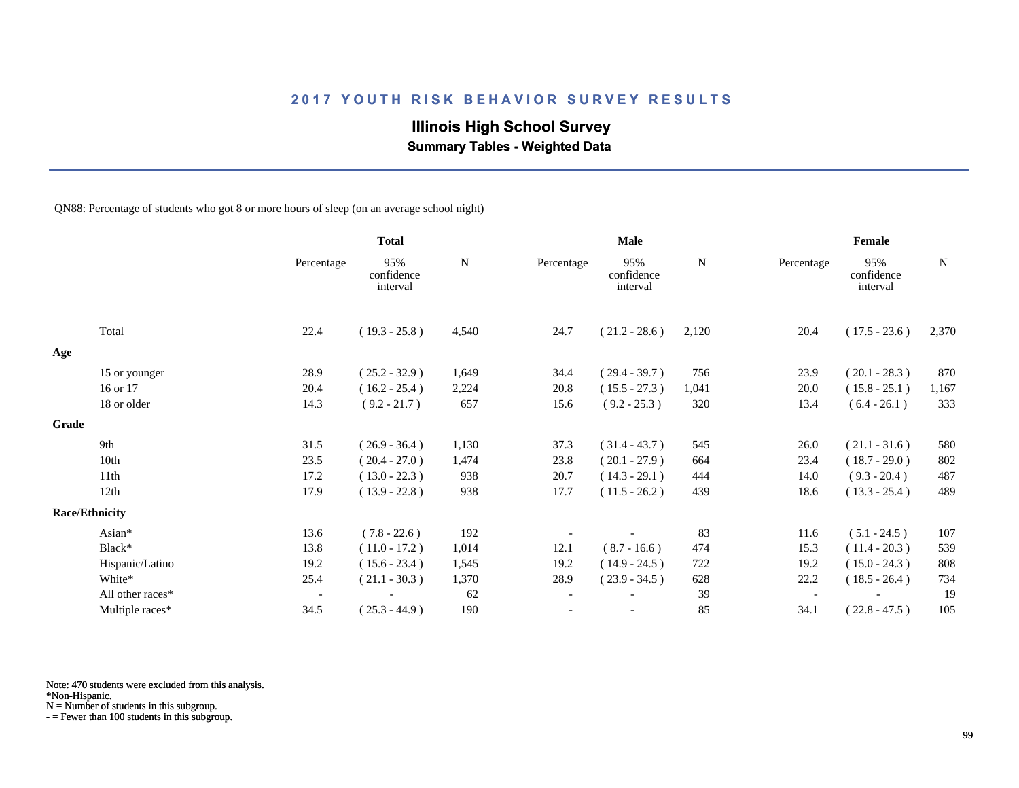## **Illinois High School Survey**

 **Summary Tables - Weighted Data**

QN88: Percentage of students who got 8 or more hours of sleep (on an average school night)

|       |                       |                          | <b>Total</b>                  |             |                          | Male                          |       | Female     |                               |             |
|-------|-----------------------|--------------------------|-------------------------------|-------------|--------------------------|-------------------------------|-------|------------|-------------------------------|-------------|
|       |                       | Percentage               | 95%<br>confidence<br>interval | $\mathbf N$ | Percentage               | 95%<br>confidence<br>interval | N     | Percentage | 95%<br>confidence<br>interval | $\mathbf N$ |
|       | Total                 | 22.4                     | $(19.3 - 25.8)$               | 4,540       | 24.7                     | $(21.2 - 28.6)$               | 2,120 | 20.4       | $(17.5 - 23.6)$               | 2,370       |
| Age   |                       |                          |                               |             |                          |                               |       |            |                               |             |
|       | 15 or younger         | 28.9                     | $(25.2 - 32.9)$               | 1,649       | 34.4                     | $(29.4 - 39.7)$               | 756   | 23.9       | $(20.1 - 28.3)$               | 870         |
|       | 16 or 17              | 20.4                     | $(16.2 - 25.4)$               | 2,224       | 20.8                     | $(15.5 - 27.3)$               | 1,041 | 20.0       | $(15.8 - 25.1)$               | 1,167       |
|       | 18 or older           | 14.3                     | $(9.2 - 21.7)$                | 657         | 15.6                     | $(9.2 - 25.3)$                | 320   | 13.4       | $(6.4 - 26.1)$                | 333         |
| Grade |                       |                          |                               |             |                          |                               |       |            |                               |             |
|       | 9th                   | 31.5                     | $(26.9 - 36.4)$               | 1,130       | 37.3                     | $(31.4 - 43.7)$               | 545   | 26.0       | $(21.1 - 31.6)$               | 580         |
|       | 10th                  | 23.5                     | $(20.4 - 27.0)$               | 1,474       | 23.8                     | $(20.1 - 27.9)$               | 664   | 23.4       | $(18.7 - 29.0)$               | 802         |
|       | 11 <sup>th</sup>      | 17.2                     | $(13.0 - 22.3)$               | 938         | 20.7                     | $(14.3 - 29.1)$               | 444   | 14.0       | $(9.3 - 20.4)$                | 487         |
|       | 12th                  | 17.9                     | $(13.9 - 22.8)$               | 938         | 17.7                     | $(11.5 - 26.2)$               | 439   | 18.6       | $(13.3 - 25.4)$               | 489         |
|       | <b>Race/Ethnicity</b> |                          |                               |             |                          |                               |       |            |                               |             |
|       | Asian*                | 13.6                     | $(7.8 - 22.6)$                | 192         |                          |                               | 83    | 11.6       | $(5.1 - 24.5)$                | 107         |
|       | Black*                | 13.8                     | $(11.0 - 17.2)$               | 1,014       | 12.1                     | $(8.7 - 16.6)$                | 474   | 15.3       | $(11.4 - 20.3)$               | 539         |
|       | Hispanic/Latino       | 19.2                     | $(15.6 - 23.4)$               | 1,545       | 19.2                     | $(14.9 - 24.5)$               | 722   | 19.2       | $(15.0 - 24.3)$               | 808         |
|       | White*                | 25.4                     | $(21.1 - 30.3)$               | 1,370       | 28.9                     | $(23.9 - 34.5)$               | 628   | 22.2       | $(18.5 - 26.4)$               | 734         |
|       | All other races*      | $\overline{\phantom{a}}$ |                               | 62          | $\overline{\phantom{a}}$ |                               | 39    |            |                               | 19          |
|       | Multiple races*       | 34.5                     | $(25.3 - 44.9)$               | 190         |                          |                               | 85    | 34.1       | $(22.8 - 47.5)$               | 105         |

Note: 470 students were excluded from this analysis.

N = Number of students in this subgroup.

<sup>\*</sup>Non-Hispanic.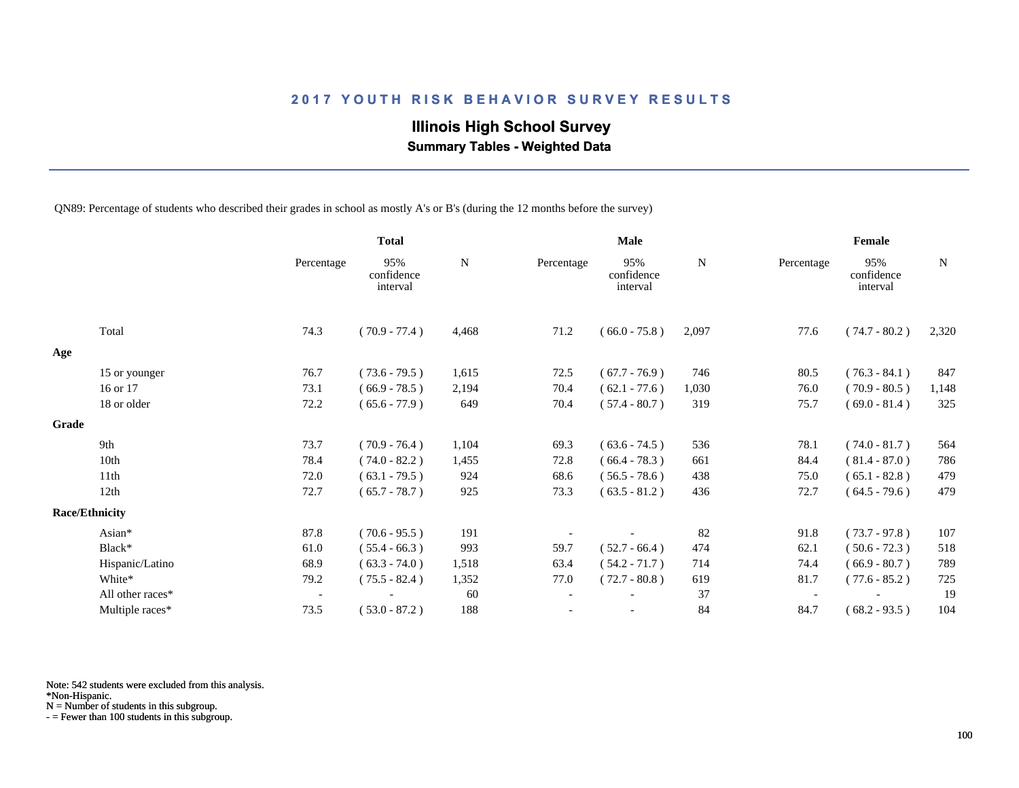## **Illinois High School Survey**

 **Summary Tables - Weighted Data**

QN89: Percentage of students who described their grades in school as mostly A's or B's (during the 12 months before the survey)

|       |                       |                          | <b>Total</b>                  |           |            | <b>Male</b>                   |       | Female     |                               |             |  |
|-------|-----------------------|--------------------------|-------------------------------|-----------|------------|-------------------------------|-------|------------|-------------------------------|-------------|--|
|       |                       | Percentage               | 95%<br>confidence<br>interval | ${\bf N}$ | Percentage | 95%<br>confidence<br>interval | N     | Percentage | 95%<br>confidence<br>interval | $\mathbf N$ |  |
|       | Total                 | 74.3                     | $(70.9 - 77.4)$               | 4,468     | 71.2       | $(66.0 - 75.8)$               | 2,097 | 77.6       | $(74.7 - 80.2)$               | 2,320       |  |
| Age   |                       |                          |                               |           |            |                               |       |            |                               |             |  |
|       | 15 or younger         | 76.7                     | $(73.6 - 79.5)$               | 1,615     | 72.5       | $(67.7 - 76.9)$               | 746   | 80.5       | $(76.3 - 84.1)$               | 847         |  |
|       | 16 or 17              | 73.1                     | $(66.9 - 78.5)$               | 2,194     | 70.4       | $(62.1 - 77.6)$               | 1,030 | 76.0       | $(70.9 - 80.5)$               | 1,148       |  |
|       | 18 or older           | 72.2                     | $(65.6 - 77.9)$               | 649       | 70.4       | $(57.4 - 80.7)$               | 319   | 75.7       | $(69.0 - 81.4)$               | 325         |  |
| Grade |                       |                          |                               |           |            |                               |       |            |                               |             |  |
|       | 9th                   | 73.7                     | $(70.9 - 76.4)$               | 1,104     | 69.3       | $(63.6 - 74.5)$               | 536   | 78.1       | $(74.0 - 81.7)$               | 564         |  |
|       | 10th                  | 78.4                     | $(74.0 - 82.2)$               | 1,455     | 72.8       | $(66.4 - 78.3)$               | 661   | 84.4       | $(81.4 - 87.0)$               | 786         |  |
|       | 11th                  | 72.0                     | $(63.1 - 79.5)$               | 924       | 68.6       | $(56.5 - 78.6)$               | 438   | 75.0       | $(65.1 - 82.8)$               | 479         |  |
|       | 12th                  | 72.7                     | $(65.7 - 78.7)$               | 925       | 73.3       | $(63.5 - 81.2)$               | 436   | 72.7       | $(64.5 - 79.6)$               | 479         |  |
|       | <b>Race/Ethnicity</b> |                          |                               |           |            |                               |       |            |                               |             |  |
|       | Asian*                | 87.8                     | $(70.6 - 95.5)$               | 191       |            |                               | 82    | 91.8       | $(73.7 - 97.8)$               | 107         |  |
|       | Black*                | 61.0                     | $(55.4 - 66.3)$               | 993       | 59.7       | $(52.7 - 66.4)$               | 474   | 62.1       | $(50.6 - 72.3)$               | 518         |  |
|       | Hispanic/Latino       | 68.9                     | $(63.3 - 74.0)$               | 1,518     | 63.4       | $(54.2 - 71.7)$               | 714   | 74.4       | $(66.9 - 80.7)$               | 789         |  |
|       | White*                | 79.2                     | $(75.5 - 82.4)$               | 1,352     | 77.0       | $(72.7 - 80.8)$               | 619   | 81.7       | $(77.6 - 85.2)$               | 725         |  |
|       | All other races*      | $\overline{\phantom{a}}$ |                               | 60        |            |                               | 37    |            |                               | 19          |  |
|       | Multiple races*       | 73.5                     | $(53.0 - 87.2)$               | 188       |            |                               | 84    | 84.7       | $(68.2 - 93.5)$               | 104         |  |

Note: 542 students were excluded from this analysis.

\*Non-Hispanic.

N = Number of students in this subgroup.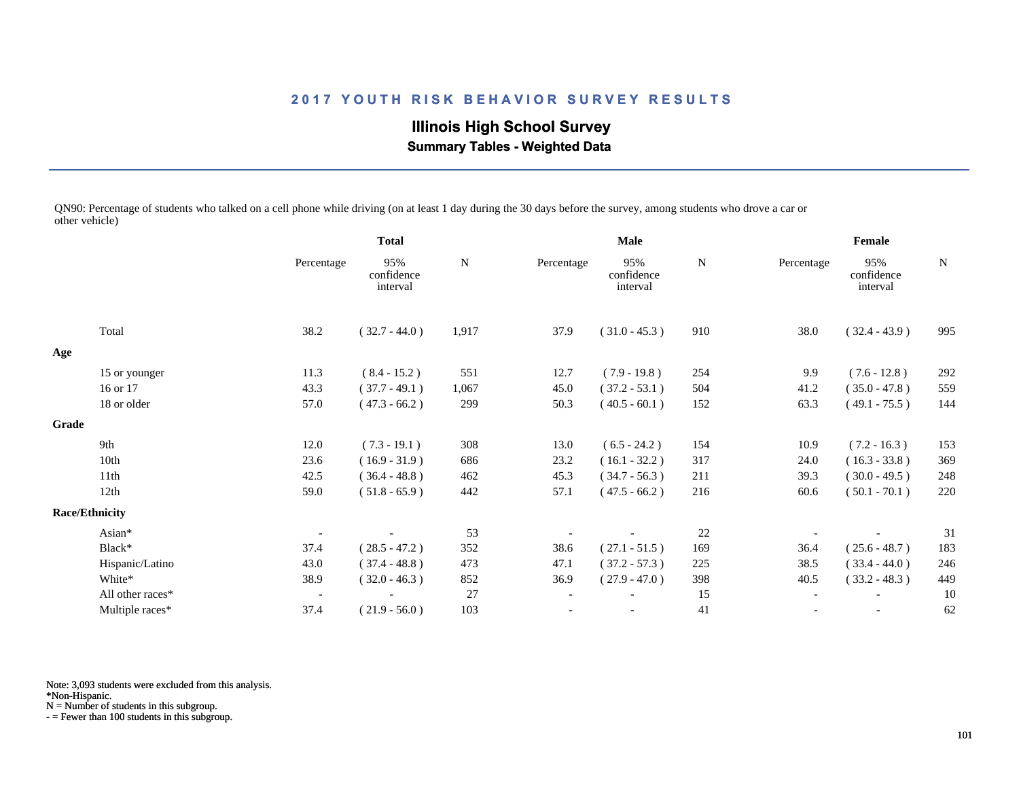**Illinois High School Survey Summary Tables - Weighted Data**

QN90: Percentage of students who talked on a cell phone while driving (on at least 1 day during the 30 days before the survey, among students who drove a car or other vehicle)

|                       |            |                               |              |            | Male                          |     |            |                               |        |
|-----------------------|------------|-------------------------------|--------------|------------|-------------------------------|-----|------------|-------------------------------|--------|
|                       | Percentage | 95%<br>confidence<br>interval | ${\bf N}$    | Percentage | 95%<br>confidence<br>interval | N   | Percentage | 95%<br>confidence<br>interval | N      |
| Total                 | 38.2       | $(32.7 - 44.0)$               | 1,917        | 37.9       | $(31.0 - 45.3)$               | 910 | 38.0       | $(32.4 - 43.9)$               | 995    |
|                       |            |                               |              |            |                               |     |            |                               |        |
| 15 or younger         | 11.3       | $(8.4 - 15.2)$                | 551          | 12.7       | $(7.9 - 19.8)$                | 254 | 9.9        | $(7.6 - 12.8)$                | 292    |
| 16 or 17              | 43.3       | $(37.7 - 49.1)$               | 1,067        | 45.0       | $(37.2 - 53.1)$               | 504 | 41.2       | $(35.0 - 47.8)$               | 559    |
| 18 or older           | 57.0       | $(47.3 - 66.2)$               | 299          | 50.3       | $(40.5 - 60.1)$               | 152 | 63.3       | $(49.1 - 75.5)$               | 144    |
| Grade                 |            |                               |              |            |                               |     |            |                               |        |
| 9th                   | 12.0       | $(7.3 - 19.1)$                | 308          | 13.0       | $(6.5 - 24.2)$                | 154 | 10.9       | $(7.2 - 16.3)$                | 153    |
| 10th                  | 23.6       | $(16.9 - 31.9)$               | 686          | 23.2       | $(16.1 - 32.2)$               | 317 | 24.0       | $(16.3 - 33.8)$               | 369    |
| 11 <sup>th</sup>      | 42.5       | $(36.4 - 48.8)$               | 462          | 45.3       | $(34.7 - 56.3)$               | 211 | 39.3       | $(30.0 - 49.5)$               | 248    |
| 12th                  | 59.0       | $(51.8 - 65.9)$               | 442          | 57.1       | $(47.5 - 66.2)$               | 216 | 60.6       | $(50.1 - 70.1)$               | 220    |
| <b>Race/Ethnicity</b> |            |                               |              |            |                               |     |            |                               |        |
| Asian*                |            |                               | 53           |            |                               | 22  |            |                               | 31     |
| Black*                | 37.4       | $(28.5 - 47.2)$               | 352          | 38.6       | $(27.1 - 51.5)$               | 169 | 36.4       | $(25.6 - 48.7)$               | 183    |
| Hispanic/Latino       | 43.0       | $(37.4 - 48.8)$               | 473          | 47.1       | $(37.2 - 57.3)$               | 225 | 38.5       | $(33.4 - 44.0)$               | 246    |
| White*                | 38.9       | $(32.0 - 46.3)$               | 852          | 36.9       | $(27.9 - 47.0)$               | 398 | 40.5       | $(33.2 - 48.3)$               | 449    |
| All other races*      |            |                               | 27           |            |                               | 15  |            |                               | 10     |
| Multiple races*       | 37.4       | $(21.9 - 56.0)$               | 103          |            | $\overline{\phantom{a}}$      | 41  |            | $\overline{\phantom{a}}$      | 62     |
|                       |            |                               | <b>Total</b> |            |                               |     |            |                               | Female |

Note: 3,093 students were excluded from this analysis.

\*Non-Hispanic.

N = Number of students in this subgroup.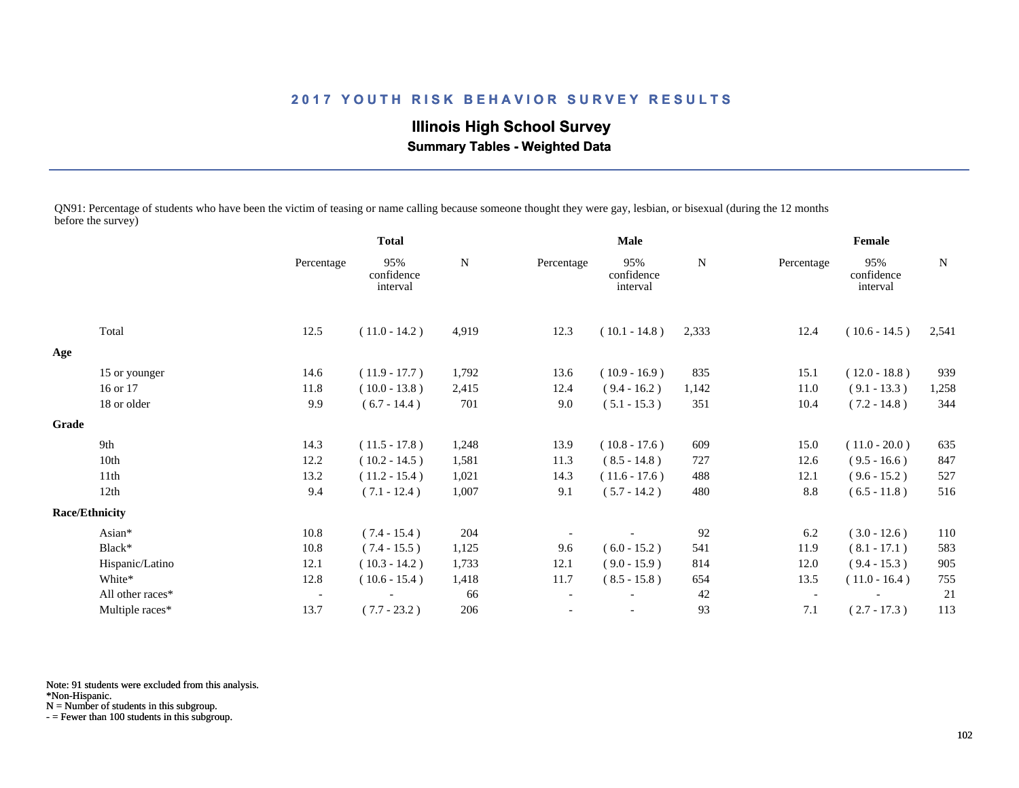**Illinois High School Survey Summary Tables - Weighted Data**

QN91: Percentage of students who have been the victim of teasing or name calling because someone thought they were gay, lesbian, or bisexual (during the 12 months before the survey)

|                  |                                        | <b>Total</b>                  |             |                          | <b>Male</b>                   |             | Female     |                               |             |
|------------------|----------------------------------------|-------------------------------|-------------|--------------------------|-------------------------------|-------------|------------|-------------------------------|-------------|
|                  | Percentage                             | 95%<br>confidence<br>interval | $\mathbf N$ | Percentage               | 95%<br>confidence<br>interval | $\mathbf N$ | Percentage | 95%<br>confidence<br>interval | $\mathbf N$ |
| Total            | 12.5                                   | $(11.0 - 14.2)$               | 4,919       | 12.3                     | $(10.1 - 14.8)$               | 2,333       | 12.4       | $(10.6 - 14.5)$               | 2,541       |
|                  |                                        |                               |             |                          |                               |             |            |                               |             |
|                  | 14.6                                   | $(11.9 - 17.7)$               | 1,792       | 13.6                     | $(10.9 - 16.9)$               | 835         | 15.1       | $(12.0 - 18.8)$               | 939         |
| 16 or 17         | 11.8                                   | $(10.0 - 13.8)$               | 2,415       | 12.4                     | $(9.4 - 16.2)$                | 1,142       | 11.0       | $(9.1 - 13.3)$                | 1,258       |
| 18 or older      | 9.9                                    | $(6.7 - 14.4)$                | 701         | 9.0                      | $(5.1 - 15.3)$                | 351         | 10.4       | $(7.2 - 14.8)$                | 344         |
|                  |                                        |                               |             |                          |                               |             |            |                               |             |
| 9th              | 14.3                                   | $(11.5 - 17.8)$               | 1,248       | 13.9                     | $(10.8 - 17.6)$               | 609         | 15.0       | $(11.0 - 20.0)$               | 635         |
| 10th             | 12.2                                   | $(10.2 - 14.5)$               | 1,581       | 11.3                     | $(8.5 - 14.8)$                | 727         | 12.6       | $(9.5 - 16.6)$                | 847         |
| 11th             | 13.2                                   | $(11.2 - 15.4)$               | 1,021       | 14.3                     | $(11.6 - 17.6)$               | 488         | 12.1       | $(9.6 - 15.2)$                | 527         |
| 12th             | 9.4                                    | $(7.1 - 12.4)$                | 1,007       | 9.1                      | $(5.7 - 14.2)$                | 480         | 8.8        | $(6.5 - 11.8)$                | 516         |
|                  |                                        |                               |             |                          |                               |             |            |                               |             |
| Asian*           | 10.8                                   | $(7.4 - 15.4)$                | 204         |                          |                               | 92          | 6.2        | $(3.0 - 12.6)$                | 110         |
| Black*           | 10.8                                   | $(7.4 - 15.5)$                | 1,125       | 9.6                      | $(6.0 - 15.2)$                | 541         | 11.9       | $(8.1 - 17.1)$                | 583         |
| Hispanic/Latino  | 12.1                                   | $(10.3 - 14.2)$               | 1,733       | 12.1                     | $(9.0 - 15.9)$                | 814         | 12.0       | $(9.4 - 15.3)$                | 905         |
| White*           | 12.8                                   | $(10.6 - 15.4)$               | 1,418       | 11.7                     | $(8.5 - 15.8)$                | 654         | 13.5       | $(11.0 - 16.4)$               | 755         |
| All other races* | $\overline{\phantom{a}}$               |                               | 66          | $\overline{\phantom{a}}$ |                               | 42          |            |                               | 21          |
| Multiple races*  | 13.7                                   | $(7.7 - 23.2)$                | 206         |                          |                               | 93          | 7.1        | $(2.7 - 17.3)$                | 113         |
|                  | 15 or younger<br><b>Race/Ethnicity</b> |                               |             |                          |                               |             |            |                               |             |

Note: 91 students were excluded from this analysis.

\*Non-Hispanic.

N = Number of students in this subgroup.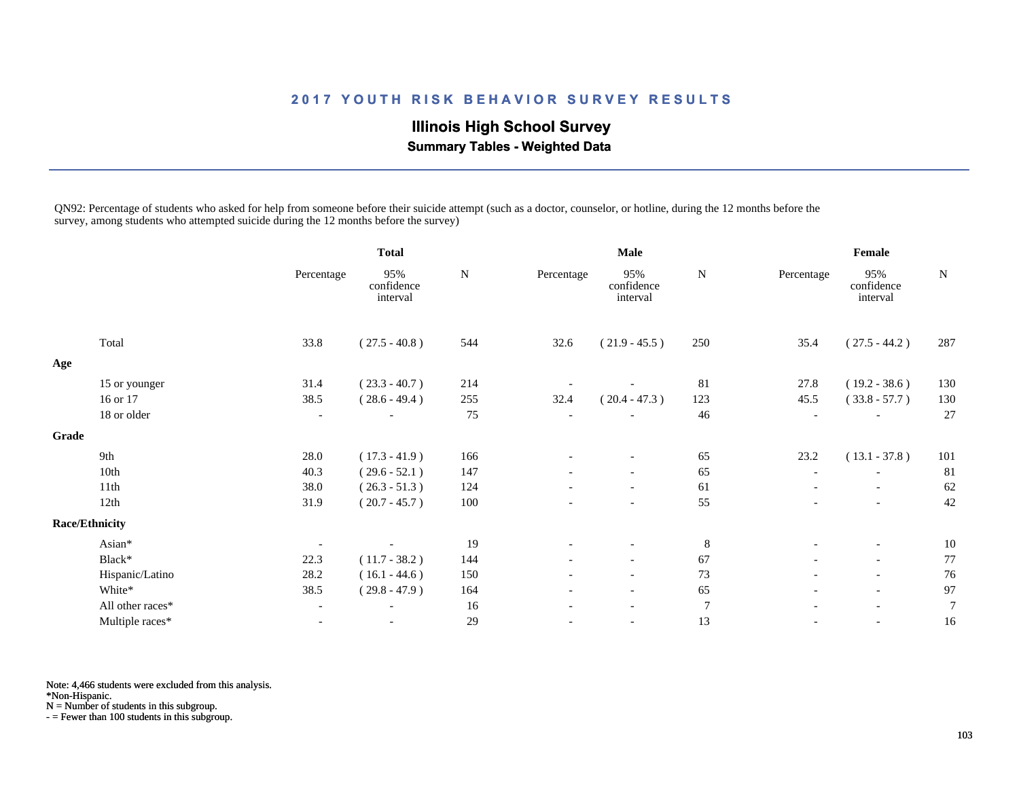## **Illinois High School Survey Summary Tables - Weighted Data**

QN92: Percentage of students who asked for help from someone before their suicide attempt (such as a doctor, counselor, or hotline, during the 12 months before the survey, among students who attempted suicide during the 12 months before the survey)

|       |                       |                          | <b>Total</b>                  |           |                          | <b>Male</b>                   | Female         |                          |                               |                |
|-------|-----------------------|--------------------------|-------------------------------|-----------|--------------------------|-------------------------------|----------------|--------------------------|-------------------------------|----------------|
|       |                       | Percentage               | 95%<br>confidence<br>interval | ${\bf N}$ | Percentage               | 95%<br>confidence<br>interval | ${\bf N}$      | Percentage               | 95%<br>confidence<br>interval | ${\bf N}$      |
|       | Total                 | 33.8                     | $(27.5 - 40.8)$               | 544       | 32.6                     | $(21.9 - 45.5)$               | 250            | 35.4                     | $(27.5 - 44.2)$               | 287            |
| Age   |                       |                          |                               |           |                          |                               |                |                          |                               |                |
|       | 15 or younger         | 31.4                     | $(23.3 - 40.7)$               | 214       |                          |                               | 81             | 27.8                     | $(19.2 - 38.6)$               | 130            |
|       | 16 or 17              | 38.5                     | $(28.6 - 49.4)$               | 255       | 32.4                     | $(20.4 - 47.3)$               | 123            | 45.5                     | $(33.8 - 57.7)$               | 130            |
|       | 18 or older           | $\overline{\phantom{a}}$ |                               | 75        | $\overline{\phantom{a}}$ |                               | 46             |                          |                               | 27             |
| Grade |                       |                          |                               |           |                          |                               |                |                          |                               |                |
|       | 9th                   | 28.0                     | $(17.3 - 41.9)$               | 166       |                          |                               | 65             | 23.2                     | $(13.1 - 37.8)$               | 101            |
|       | 10th                  | 40.3                     | $(29.6 - 52.1)$               | 147       |                          | $\overline{\phantom{a}}$      | 65             | $\overline{\phantom{a}}$ | $\overline{\phantom{a}}$      | 81             |
|       | 11th                  | 38.0                     | $(26.3 - 51.3)$               | 124       |                          |                               | 61             |                          | $\overline{\phantom{a}}$      | 62             |
|       | 12th                  | 31.9                     | $(20.7 - 45.7)$               | 100       |                          | $\overline{\phantom{a}}$      | 55             |                          | $\overline{\phantom{a}}$      | 42             |
|       | <b>Race/Ethnicity</b> |                          |                               |           |                          |                               |                |                          |                               |                |
|       | Asian*                |                          |                               | 19        |                          |                               | $\,8\,$        |                          | $\overline{\phantom{a}}$      | 10             |
|       | Black*                | 22.3                     | $(11.7 - 38.2)$               | 144       | $\overline{\phantom{0}}$ | $\overline{\phantom{a}}$      | 67             |                          | $\overline{\phantom{a}}$      | 77             |
|       | Hispanic/Latino       | 28.2                     | $(16.1 - 44.6)$               | 150       |                          | $\overline{\phantom{a}}$      | 73             |                          | $-$                           | 76             |
|       | White*                | 38.5                     | $(29.8 - 47.9)$               | 164       | $\overline{\phantom{a}}$ | $\overline{\phantom{a}}$      | 65             | $\overline{\phantom{a}}$ | $\overline{\phantom{a}}$      | 97             |
|       | All other races*      | $\overline{\phantom{a}}$ |                               | 16        | $\overline{\phantom{a}}$ | $\overline{\phantom{a}}$      | $\overline{7}$ | $\overline{\phantom{a}}$ | $\overline{\phantom{a}}$      | $\overline{7}$ |
|       | Multiple races*       | $\overline{\phantom{a}}$ | $\overline{\phantom{a}}$      | 29        | $\overline{\phantom{a}}$ | $\overline{\phantom{a}}$      | 13             | $\overline{\phantom{a}}$ | $\overline{\phantom{a}}$      | 16             |

Note: 4,466 students were excluded from this analysis.

\*Non-Hispanic.

N = Number of students in this subgroup.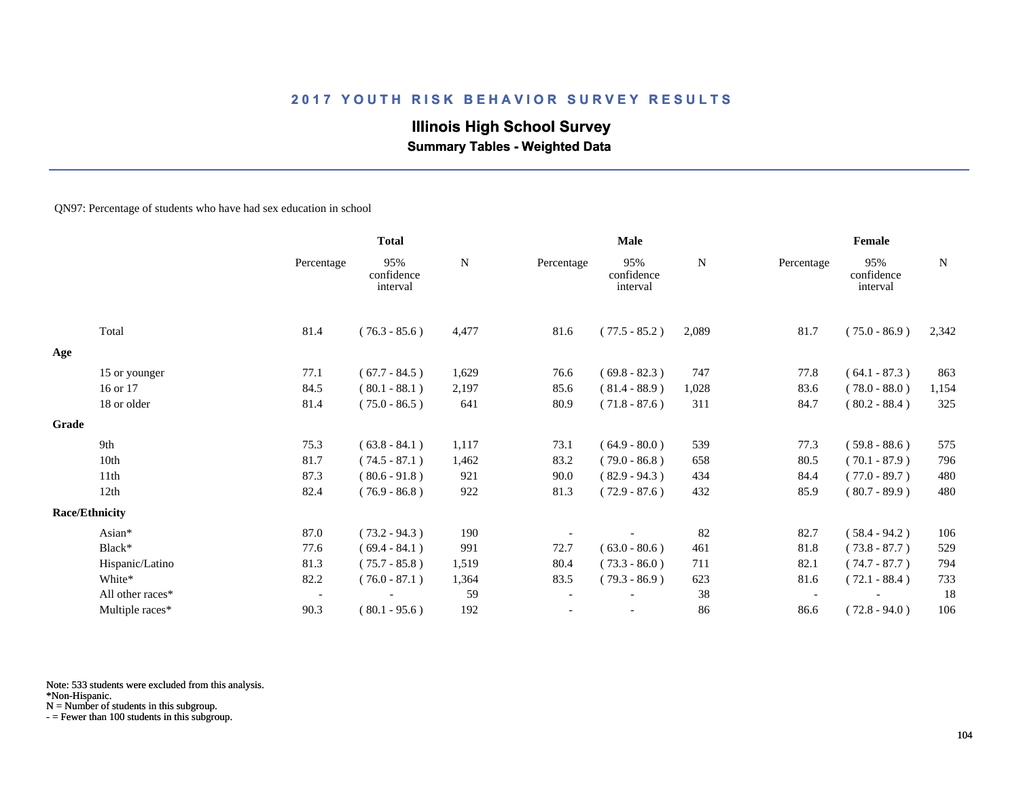# **Illinois High School Survey**

 **Summary Tables - Weighted Data**

#### QN97: Percentage of students who have had sex education in school

|       |                       |                          | <b>Total</b>                  |       |                          | Male                          |           |            | Female                        |             |  |
|-------|-----------------------|--------------------------|-------------------------------|-------|--------------------------|-------------------------------|-----------|------------|-------------------------------|-------------|--|
|       |                       | Percentage               | 95%<br>confidence<br>interval | N     | Percentage               | 95%<br>confidence<br>interval | ${\bf N}$ | Percentage | 95%<br>confidence<br>interval | $\mathbf N$ |  |
|       | Total                 | 81.4                     | $(76.3 - 85.6)$               | 4,477 | 81.6                     | $(77.5 - 85.2)$               | 2,089     | 81.7       | $(75.0 - 86.9)$               | 2,342       |  |
| Age   |                       |                          |                               |       |                          |                               |           |            |                               |             |  |
|       | 15 or younger         | 77.1                     | $(67.7 - 84.5)$               | 1,629 | 76.6                     | $(69.8 - 82.3)$               | 747       | 77.8       | $(64.1 - 87.3)$               | 863         |  |
|       | 16 or 17              | 84.5                     | $(80.1 - 88.1)$               | 2,197 | 85.6                     | $(81.4 - 88.9)$               | 1,028     | 83.6       | $(78.0 - 88.0)$               | 1,154       |  |
|       | 18 or older           | 81.4                     | $(75.0 - 86.5)$               | 641   | 80.9                     | $(71.8 - 87.6)$               | 311       | 84.7       | $(80.2 - 88.4)$               | 325         |  |
| Grade |                       |                          |                               |       |                          |                               |           |            |                               |             |  |
|       | 9th                   | 75.3                     | $(63.8 - 84.1)$               | 1,117 | 73.1                     | $(64.9 - 80.0)$               | 539       | 77.3       | $(59.8 - 88.6)$               | 575         |  |
|       | 10th                  | 81.7                     | $(74.5 - 87.1)$               | 1,462 | 83.2                     | $(79.0 - 86.8)$               | 658       | 80.5       | $(70.1 - 87.9)$               | 796         |  |
|       | 11th                  | 87.3                     | $(80.6 - 91.8)$               | 921   | 90.0                     | $(82.9 - 94.3)$               | 434       | 84.4       | $(77.0 - 89.7)$               | 480         |  |
|       | 12th                  | 82.4                     | $(76.9 - 86.8)$               | 922   | 81.3                     | $(72.9 - 87.6)$               | 432       | 85.9       | $(80.7 - 89.9)$               | 480         |  |
|       | <b>Race/Ethnicity</b> |                          |                               |       |                          |                               |           |            |                               |             |  |
|       | Asian*                | 87.0                     | $(73.2 - 94.3)$               | 190   |                          |                               | 82        | 82.7       | $(58.4 - 94.2)$               | 106         |  |
|       | Black*                | 77.6                     | $(69.4 - 84.1)$               | 991   | 72.7                     | $(63.0 - 80.6)$               | 461       | 81.8       | $(73.8 - 87.7)$               | 529         |  |
|       | Hispanic/Latino       | 81.3                     | $(75.7 - 85.8)$               | 1,519 | 80.4                     | $(73.3 - 86.0)$               | 711       | 82.1       | $(74.7 - 87.7)$               | 794         |  |
|       | White*                | 82.2                     | $(76.0 - 87.1)$               | 1,364 | 83.5                     | $(79.3 - 86.9)$               | 623       | 81.6       | $(72.1 - 88.4)$               | 733         |  |
|       | All other races*      | $\overline{\phantom{a}}$ |                               | 59    | $\overline{\phantom{a}}$ |                               | 38        |            |                               | 18          |  |
|       | Multiple races*       | 90.3                     | $(80.1 - 95.6)$               | 192   |                          |                               | 86        | 86.6       | $(72.8 - 94.0)$               | 106         |  |

Note: 533 students were excluded from this analysis.

\*Non-Hispanic.

N = Number of students in this subgroup.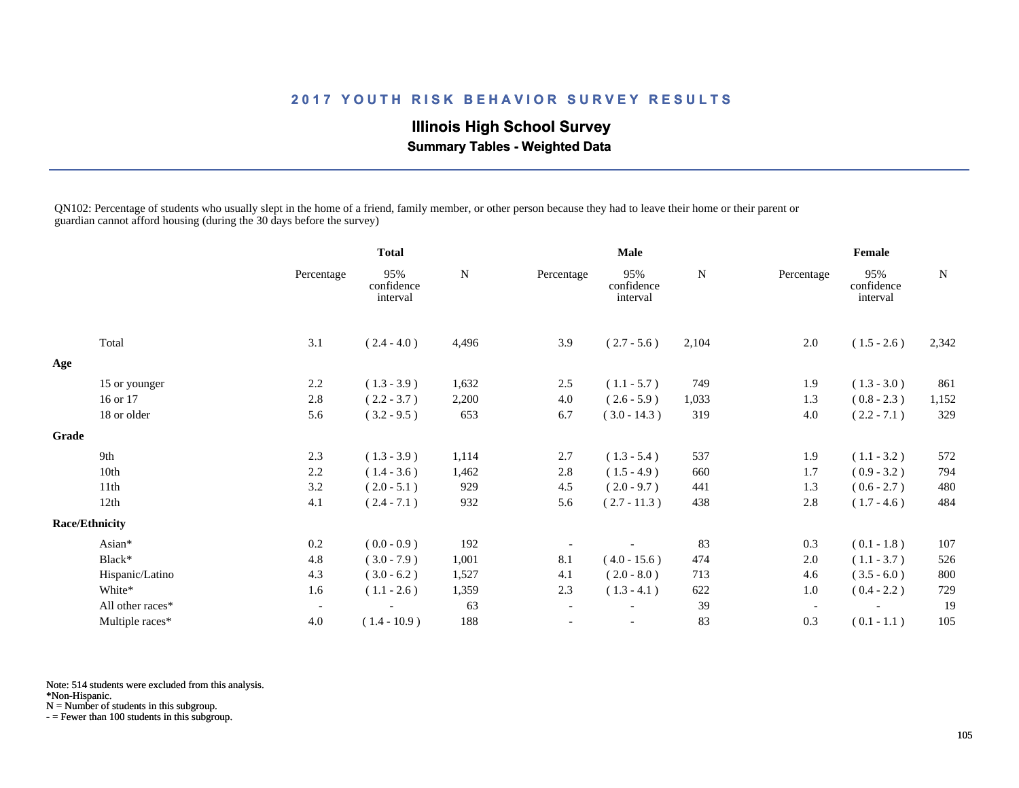# **Illinois High School Survey**

 **Summary Tables - Weighted Data**

QN102: Percentage of students who usually slept in the home of a friend, family member, or other person because they had to leave their home or their parent or guardian cannot afford housing (during the 30 days before the survey)

|       |                       |                          | <b>Total</b>                  |           |                          | <b>Male</b>                   |           | Female                   |                               |           |
|-------|-----------------------|--------------------------|-------------------------------|-----------|--------------------------|-------------------------------|-----------|--------------------------|-------------------------------|-----------|
|       |                       | Percentage               | 95%<br>confidence<br>interval | ${\bf N}$ | Percentage               | 95%<br>confidence<br>interval | ${\bf N}$ | Percentage               | 95%<br>confidence<br>interval | ${\bf N}$ |
|       | Total                 | 3.1                      | $(2.4 - 4.0)$                 | 4,496     | 3.9                      | $(2.7 - 5.6)$                 | 2,104     | 2.0                      | $(1.5 - 2.6)$                 | 2,342     |
| Age   |                       |                          |                               |           |                          |                               |           |                          |                               |           |
|       | 15 or younger         | 2.2                      | $(1.3 - 3.9)$                 | 1,632     | 2.5                      | $(1.1 - 5.7)$                 | 749       | 1.9                      | $(1.3 - 3.0)$                 | 861       |
|       | 16 or 17              | 2.8                      | $(2.2 - 3.7)$                 | 2,200     | 4.0                      | $(2.6 - 5.9)$                 | 1,033     | 1.3                      | $(0.8 - 2.3)$                 | 1,152     |
|       | 18 or older           | 5.6                      | $(3.2 - 9.5)$                 | 653       | 6.7                      | $(3.0 - 14.3)$                | 319       | 4.0                      | $(2.2 - 7.1)$                 | 329       |
| Grade |                       |                          |                               |           |                          |                               |           |                          |                               |           |
|       | 9th                   | 2.3                      | $(1.3 - 3.9)$                 | 1,114     | 2.7                      | $(1.3 - 5.4)$                 | 537       | 1.9                      | $(1.1 - 3.2)$                 | 572       |
|       | 10th                  | 2.2                      | $(1.4 - 3.6)$                 | 1,462     | 2.8                      | $(1.5 - 4.9)$                 | 660       | 1.7                      | $(0.9 - 3.2)$                 | 794       |
|       | 11th                  | 3.2                      | $(2.0 - 5.1)$                 | 929       | 4.5                      | $(2.0 - 9.7)$                 | 441       | 1.3                      | $(0.6 - 2.7)$                 | 480       |
|       | 12th                  | 4.1                      | $(2.4 - 7.1)$                 | 932       | 5.6                      | $(2.7 - 11.3)$                | 438       | 2.8                      | $(1.7 - 4.6)$                 | 484       |
|       | <b>Race/Ethnicity</b> |                          |                               |           |                          |                               |           |                          |                               |           |
|       | Asian*                | 0.2                      | $(0.0 - 0.9)$                 | 192       |                          |                               | 83        | 0.3                      | $(0.1 - 1.8)$                 | 107       |
|       | Black*                | 4.8                      | $(3.0 - 7.9)$                 | 1,001     | 8.1                      | $(4.0 - 15.6)$                | 474       | 2.0                      | $(1.1 - 3.7)$                 | 526       |
|       | Hispanic/Latino       | 4.3                      | $(3.0 - 6.2)$                 | 1,527     | 4.1                      | $(2.0 - 8.0)$                 | 713       | 4.6                      | $(3.5 - 6.0)$                 | 800       |
|       | White*                | 1.6                      | $(1.1 - 2.6)$                 | 1,359     | 2.3                      | $(1.3 - 4.1)$                 | 622       | 1.0                      | $(0.4 - 2.2)$                 | 729       |
|       | All other races*      | $\overline{\phantom{a}}$ |                               | 63        | $\overline{\phantom{a}}$ |                               | 39        | $\overline{\phantom{a}}$ |                               | 19        |
|       | Multiple races*       | 4.0                      | $(1.4 - 10.9)$                | 188       | $\overline{\phantom{a}}$ |                               | 83        | 0.3                      | $(0.1 - 1.1)$                 | 105       |

Note: 514 students were excluded from this analysis.

\*Non-Hispanic.

N = Number of students in this subgroup.